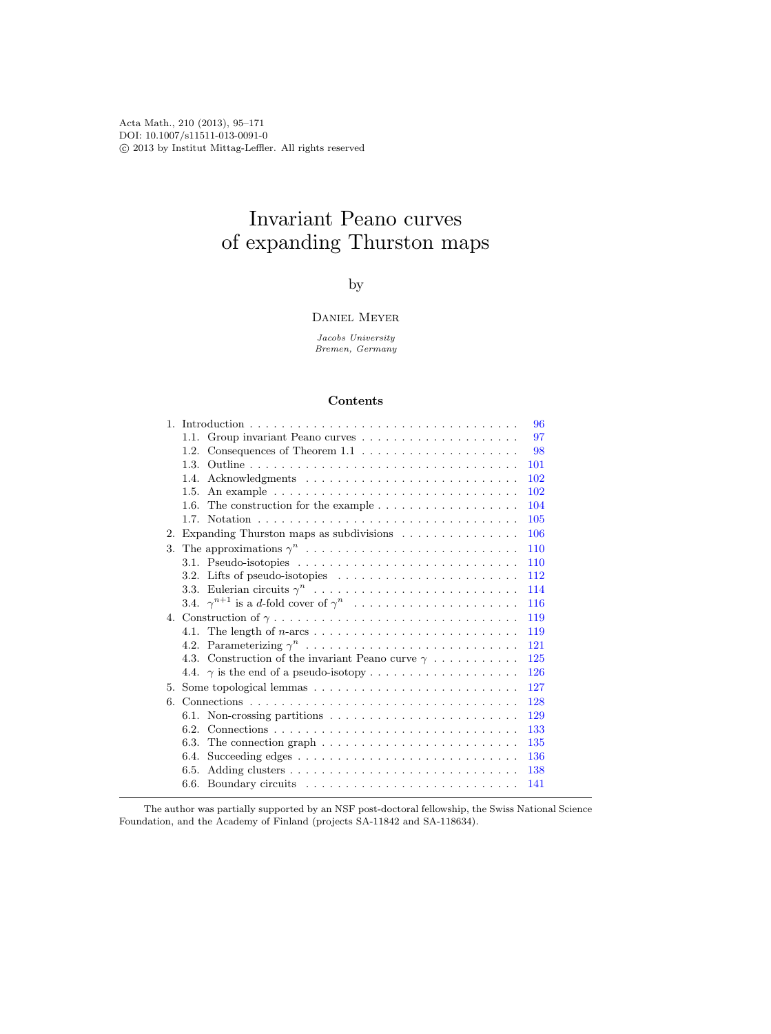Acta Math., 210 (2013), 95–171 DOI: 10.1007/s11511-013-0091-0 c 2013 by Institut Mittag-Leffler. All rights reserved

# Invariant Peano curves of expanding Thurston maps

## by

#### Daniel Meyer

Jacobs University Bremen, Germany

## Contents

| $\mathbf{1}$ | 96                                                                                                   |
|--------------|------------------------------------------------------------------------------------------------------|
|              | 97                                                                                                   |
|              | 98<br>1.2.                                                                                           |
|              | 101<br>1.3.                                                                                          |
|              | 102<br>1.4.                                                                                          |
|              | 102<br>1.5.                                                                                          |
|              | The construction for the example $\dots \dots \dots \dots \dots \dots$<br>104<br>1.6.                |
|              | 105<br>1.7.                                                                                          |
| 2.           | Expanding Thurston maps as subdivisions $\ldots \ldots \ldots \ldots$<br><b>106</b>                  |
| 3.           | 110                                                                                                  |
|              | 3.1. Pseudo-isotopies $\ldots \ldots \ldots \ldots \ldots \ldots \ldots \ldots \ldots \ldots$<br>110 |
|              | 112<br>3.2. Lifts of pseudo-isotopies $\dots \dots \dots \dots \dots \dots \dots \dots$              |
|              | 114                                                                                                  |
|              | 116                                                                                                  |
|              | 119                                                                                                  |
|              | 119                                                                                                  |
|              | 121                                                                                                  |
|              | 4.3. Construction of the invariant Peano curve $\gamma \dots \dots \dots$<br>125                     |
|              | 126                                                                                                  |
| 5.           | 127                                                                                                  |
| 6.           | 128                                                                                                  |
|              | 129                                                                                                  |
|              | 133<br>6.2.                                                                                          |
|              | 135<br>6.3.<br>The connection graph $\dots \dots \dots \dots \dots \dots \dots \dots \dots$          |
|              | 136<br>6.4.                                                                                          |
|              | 138<br>6.5.                                                                                          |
|              | 141                                                                                                  |

The author was partially supported by an NSF post-doctoral fellowship, the Swiss National Science Foundation, and the Academy of Finland (projects SA-11842 and SA-118634).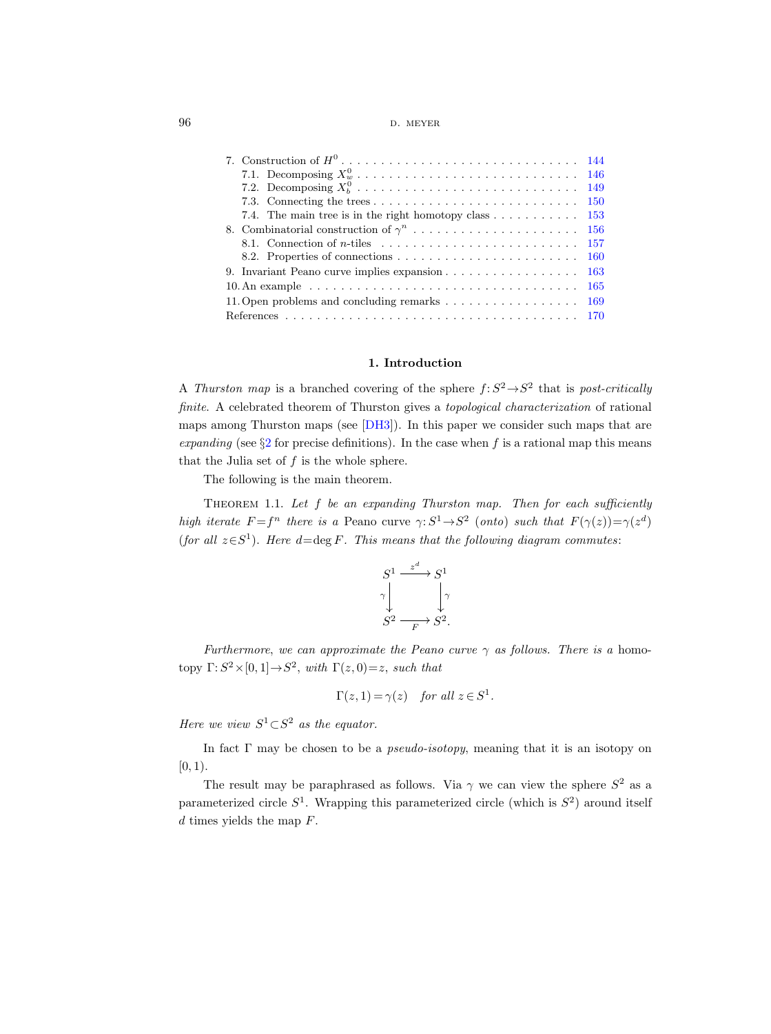96 **d.** meyer

| 7.2. Decomposing $X_b^0$<br>-149                                                                   |  |
|----------------------------------------------------------------------------------------------------|--|
| -150                                                                                               |  |
| 7.4. The main tree is in the right homotopy class $\dots \dots \dots \dots \dots$ 153              |  |
|                                                                                                    |  |
|                                                                                                    |  |
| <b>160</b>                                                                                         |  |
| <b>163</b>                                                                                         |  |
| $10.$ An example $\dots \dots \dots \dots \dots \dots \dots \dots \dots \dots \dots \dots$<br>-165 |  |
| 11. Open problems and concluding remarks $\dots \dots \dots \dots \dots$<br>-169                   |  |
|                                                                                                    |  |

## 1. Introduction

<span id="page-1-0"></span>A Thurston map is a branched covering of the sphere  $f: S^2 \rightarrow S^2$  that is post-critically finite. A celebrated theorem of Thurston gives a topological characterization of rational maps among Thurston maps (see [\[DH3\]](#page-75-0)). In this paper we consider such maps that are expanding (see  $\S2$  $\S2$  for precise definitions). In the case when f is a rational map this means that the Julia set of  $f$  is the whole sphere.

The following is the main theorem.

<span id="page-1-1"></span>THEOREM 1.1. Let  $f$  be an expanding Thurston map. Then for each sufficiently high iterate  $F = f^n$  there is a Peano curve  $\gamma: S^1 \to S^2$  (onto) such that  $F(\gamma(z)) = \gamma(z^d)$ (for all  $z \in S^1$ ). Here  $d = \deg F$ . This means that the following diagram commutes:

$$
S^1 \xrightarrow{z^d} S^1
$$
  
\n
$$
\gamma \downarrow \qquad \qquad \gamma
$$
  
\n
$$
S^2 \xrightarrow{F} S^2.
$$

Furthermore, we can approximate the Peano curve  $\gamma$  as follows. There is a homotopy  $\Gamma: S^2 \times [0,1] \rightarrow S^2$ , with  $\Gamma(z, 0) = z$ , such that

$$
\Gamma(z, 1) = \gamma(z)
$$
 for all  $z \in S^1$ .

Here we view  $S^1 \subset S^2$  as the equator.

In fact  $\Gamma$  may be chosen to be a *pseudo-isotopy*, meaning that it is an isotopy on  $[0, 1).$ 

The result may be paraphrased as follows. Via  $\gamma$  we can view the sphere  $S^2$  as a parameterized circle  $S^1$ . Wrapping this parameterized circle (which is  $S^2$ ) around itself  $d$  times yields the map  $F$ .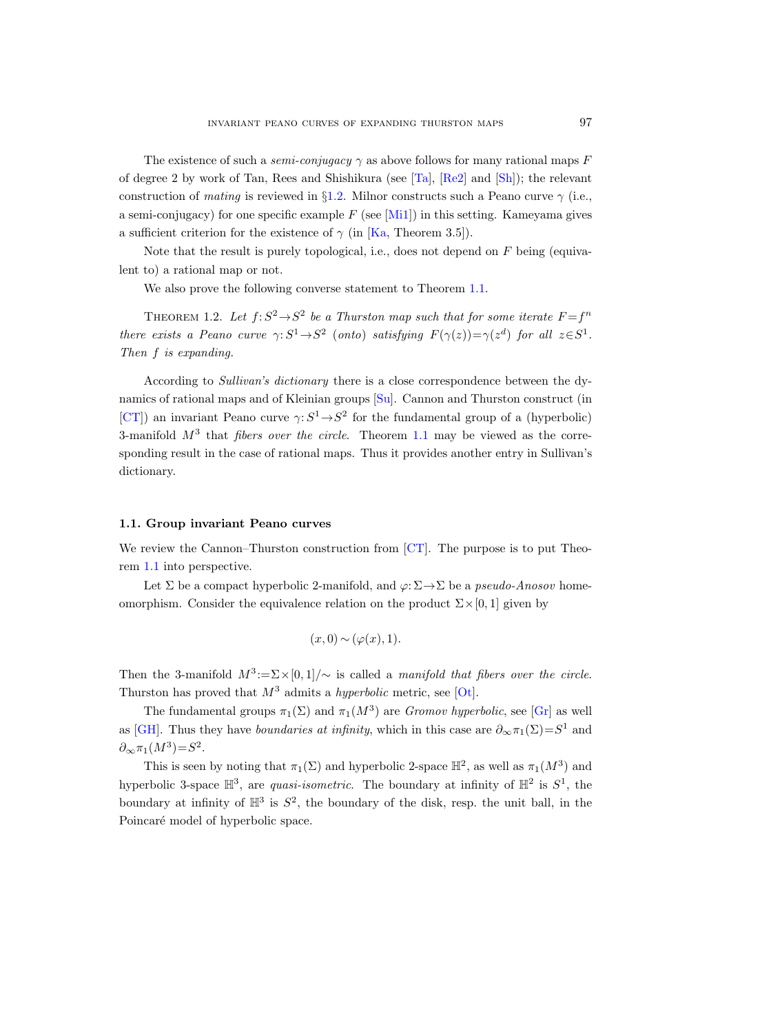The existence of such a *semi-conjugacy*  $\gamma$  as above follows for many rational maps F of degree 2 by work of Tan, Rees and Shishikura (see [\[Ta\]](#page-76-0), [\[Re2\]](#page-76-1) and [\[Sh\]](#page-76-2)); the relevant construction of mating is reviewed in §[1.2.](#page-3-0) Milnor constructs such a Peano curve  $\gamma$  (i.e., a semi-conjugacy) for one specific example  $F$  (see [\[Mi1\]](#page-76-3)) in this setting. Kameyama gives a sufficient criterion for the existence of  $\gamma$  (in [\[Ka,](#page-75-1) Theorem 3.5]).

Note that the result is purely topological, i.e., does not depend on  $F$  being (equivalent to) a rational map or not.

We also prove the following converse statement to Theorem [1.1.](#page-1-1)

<span id="page-2-1"></span>THEOREM 1.2. Let  $f: S^2 \to S^2$  be a Thurston map such that for some iterate  $F = f^n$ there exists a Peano curve  $\gamma: S^1 \to S^2$  (onto) satisfying  $F(\gamma(z)) = \gamma(z^d)$  for all  $z \in S^1$ . Then f is expanding.

According to Sullivan's dictionary there is a close correspondence between the dynamics of rational maps and of Kleinian groups [\[Su\]](#page-76-4). Cannon and Thurston construct (in [\[CT\]](#page-75-2)) an invariant Peano curve  $\gamma: S^1 \to S^2$  for the fundamental group of a (hyperbolic) 3-manifold  $M^3$  that *fibers over the circle*. Theorem [1.1](#page-1-1) may be viewed as the corresponding result in the case of rational maps. Thus it provides another entry in Sullivan's dictionary.

#### <span id="page-2-0"></span>1.1. Group invariant Peano curves

We review the Cannon–Thurston construction from [\[CT\]](#page-75-2). The purpose is to put Theorem [1.1](#page-1-1) into perspective.

Let  $\Sigma$  be a compact hyperbolic 2-manifold, and  $\varphi: \Sigma \to \Sigma$  be a *pseudo-Anosov* homeomorphism. Consider the equivalence relation on the product  $\Sigma \times [0, 1]$  given by

$$
(x,0) \sim (\varphi(x),1).
$$

Then the 3-manifold  $M^3 := \Sigma \times [0, 1] / \sim$  is called a manifold that fibers over the circle. Thurston has proved that  $M^3$  admits a *hyperbolic* metric, see [\[Ot\]](#page-76-5).

The fundamental groups  $\pi_1(\Sigma)$  and  $\pi_1(M^3)$  are *Gromov hyperbolic*, see [\[Gr\]](#page-75-3) as well as [\[GH\]](#page-75-4). Thus they have *boundaries at infinity*, which in this case are  $\partial_{\infty} \pi_1(\Sigma) = S^1$  and  $\partial_{\infty}\pi_1(M^3)=S^2.$ 

This is seen by noting that  $\pi_1(\Sigma)$  and hyperbolic 2-space  $\mathbb{H}^2$ , as well as  $\pi_1(M^3)$  and hyperbolic 3-space  $\mathbb{H}^3$ , are *quasi-isometric*. The boundary at infinity of  $\mathbb{H}^2$  is  $S^1$ , the boundary at infinity of  $\mathbb{H}^3$  is  $S^2$ , the boundary of the disk, resp. the unit ball, in the Poincaré model of hyperbolic space.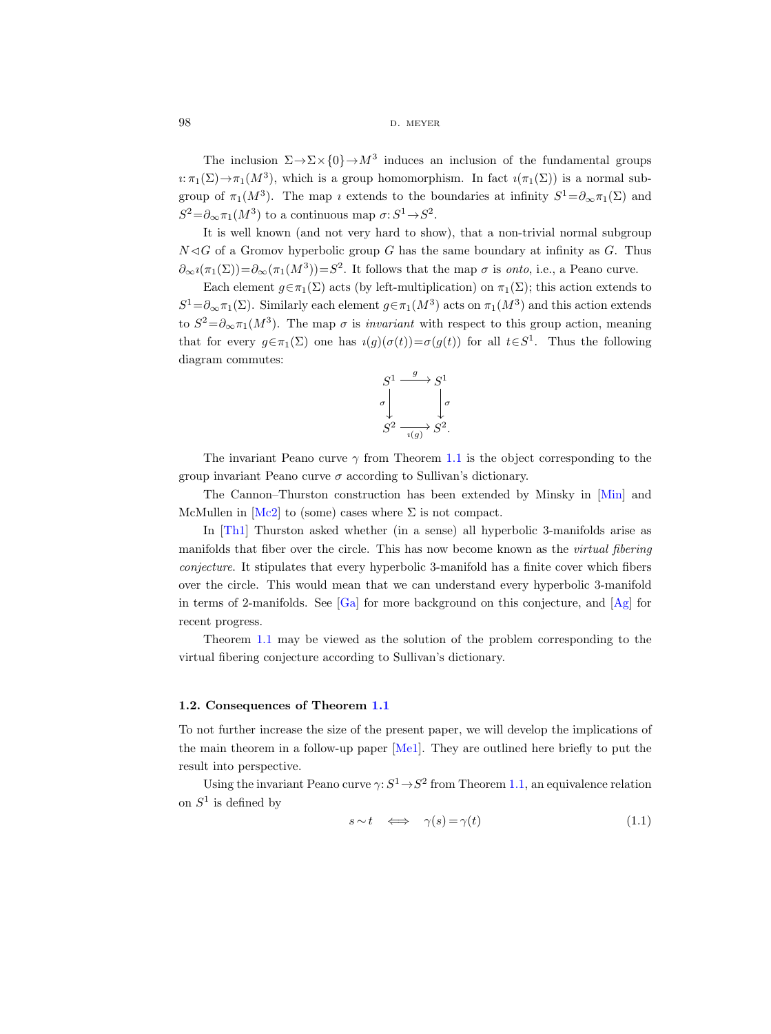98 d. m. meyers b. meyers b. meyers b. meyers b. meyers b. meyers b. meyers b. meyers b. meyers b. meyers b. meyers b. meyers b. meyers b. meyers b. meyers b. meyers b. meyers b. meyers b. meyers b. meyers b. meyers b. mey

The inclusion  $\Sigma \to \Sigma \times \{0\} \to M^3$  induces an inclusion of the fundamental groups  $i:\pi_1(\Sigma) \to \pi_1(M^3)$ , which is a group homomorphism. In fact  $i(\pi_1(\Sigma))$  is a normal subgroup of  $\pi_1(M^3)$ . The map *i* extends to the boundaries at infinity  $S^1 = \partial_{\infty} \pi_1(\Sigma)$  and  $S^2 = \partial_{\infty} \pi_1(M^3)$  to a continuous map  $\sigma: S^1 \to S^2$ .

It is well known (and not very hard to show), that a non-trivial normal subgroup  $N \triangleleft G$  of a Gromov hyperbolic group G has the same boundary at infinity as G. Thus  $\partial_{\infty} i(\pi_1(\Sigma)) = \partial_{\infty}(\pi_1(M^3)) = S^2$ . It follows that the map  $\sigma$  is onto, i.e., a Peano curve.

Each element  $g \in \pi_1(\Sigma)$  acts (by left-multiplication) on  $\pi_1(\Sigma)$ ; this action extends to  $S^1 = \partial_{\infty} \pi_1(\Sigma)$ . Similarly each element  $g \in \pi_1(M^3)$  acts on  $\pi_1(M^3)$  and this action extends to  $S^2 = \partial_{\infty} \pi_1(M^3)$ . The map  $\sigma$  is *invariant* with respect to this group action, meaning that for every  $g \in \pi_1(\Sigma)$  one has  $\iota(g)(\sigma(t)) = \sigma(g(t))$  for all  $t \in S^1$ . Thus the following diagram commutes:



The invariant Peano curve  $\gamma$  from Theorem [1.1](#page-1-1) is the object corresponding to the group invariant Peano curve  $\sigma$  according to Sullivan's dictionary.

The Cannon–Thurston construction has been extended by Minsky in [\[Min\]](#page-76-6) and McMullen in  $[Mc2]$  to (some) cases where  $\Sigma$  is not compact.

In [\[Th1\]](#page-76-8) Thurston asked whether (in a sense) all hyperbolic 3-manifolds arise as manifolds that fiber over the circle. This has now become known as the *virtual fibering* conjecture. It stipulates that every hyperbolic 3-manifold has a finite cover which fibers over the circle. This would mean that we can understand every hyperbolic 3-manifold in terms of 2-manifolds. See  $[Ga]$  for more background on this conjecture, and  $[Ag]$  for recent progress.

Theorem [1.1](#page-1-1) may be viewed as the solution of the problem corresponding to the virtual fibering conjecture according to Sullivan's dictionary.

#### <span id="page-3-0"></span>1.2. Consequences of Theorem [1.1](#page-1-1)

To not further increase the size of the present paper, we will develop the implications of the main theorem in a follow-up paper [\[Me1\]](#page-76-9). They are outlined here briefly to put the result into perspective.

Using the invariant Peano curve  $\gamma: S^1 \to S^2$  from Theorem [1.1,](#page-1-1) an equivalence relation on  $S^1$  is defined by

<span id="page-3-1"></span>
$$
s \sim t \quad \Longleftrightarrow \quad \gamma(s) = \gamma(t) \tag{1.1}
$$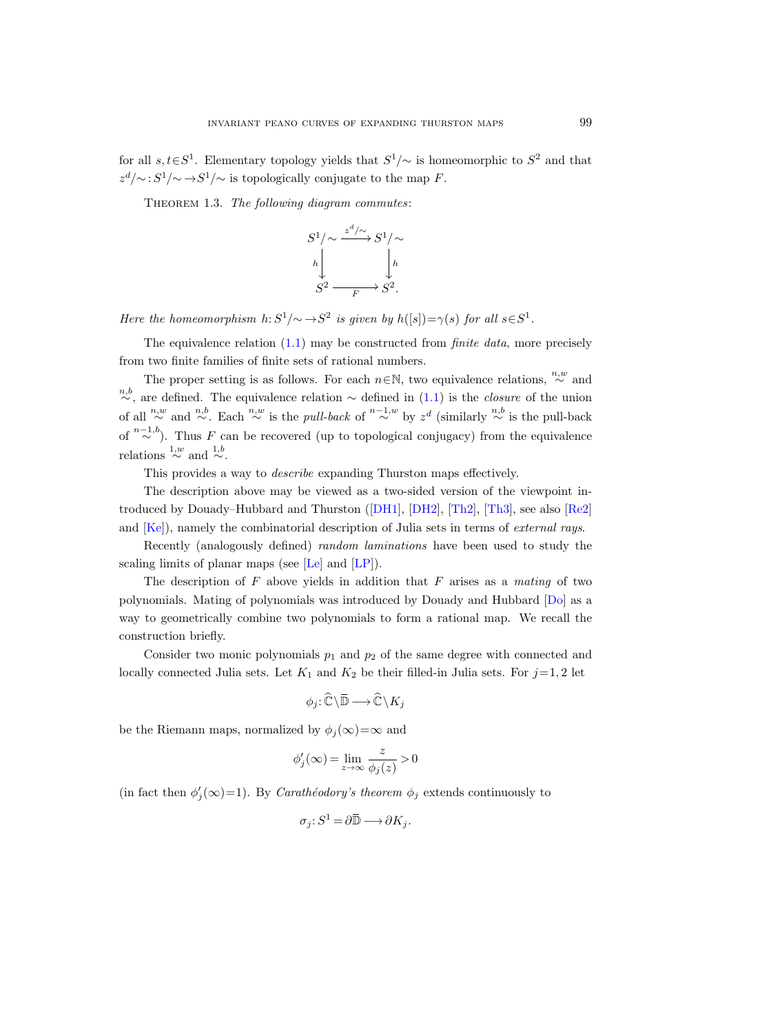for all  $s, t \in S^1$ . Elementary topology yields that  $S^1/\sim$  is homeomorphic to  $S^2$  and that  $z^d/\sim$ :  $S^1/\sim \rightarrow S^1/\sim$  is topologically conjugate to the map F.

THEOREM 1.3. The following diagram commutes:

$$
S^1/\sim \frac{z^d/\sim}{\longrightarrow} S^1/\sim
$$
  
\n
$$
h \downarrow \qquad \qquad \downarrow h
$$
  
\n
$$
S^2 \longrightarrow S^2.
$$

Here the homeomorphism  $h: S^1/\sim \to S^2$  is given by  $h([s]) = \gamma(s)$  for all  $s \in S^1$ .

The equivalence relation  $(1.1)$  may be constructed from *finite data*, more precisely from two finite families of finite sets of rational numbers.

The proper setting is as follows. For each  $n \in \mathbb{N}$ , two equivalence relations,  $\stackrel{n,w}{\sim}$  and <sup>n,b</sup>, are defined. The equivalence relation  $\sim$  defined in [\(1.1\)](#page-3-1) is the *closure* of the union of all  $\stackrel{n,w}{\sim}$  and  $\stackrel{n,b}{\sim}$ . Each  $\stackrel{n,w}{\sim}$  is the pull-back of  $\stackrel{n-1,w}{\sim}$  by  $z^d$  (similarly  $\stackrel{n,b}{\sim}$  is the pull-back of  $\sum_{i=1}^{n-1,b}$ . Thus F can be recovered (up to topological conjugacy) from the equivalence relations  $\stackrel{1,w}{\sim}$  and  $\stackrel{1,b}{\sim}$ .

This provides a way to describe expanding Thurston maps effectively.

The description above may be viewed as a two-sided version of the viewpoint introduced by Douady–Hubbard and Thurston([\[DH1\]](#page-75-7), [\[DH2\]](#page-75-8), [\[Th2\]](#page-76-10), [\[Th3\]](#page-76-11), see also [\[Re2\]](#page-76-1) and [\[Ke\]](#page-75-9)), namely the combinatorial description of Julia sets in terms of *external rays*.

Recently (analogously defined) random laminations have been used to study the scaling limits of planar maps (see [\[Le\]](#page-75-10) and [\[LP\]](#page-75-11)).

The description of  $F$  above yields in addition that  $F$  arises as a mating of two polynomials. Mating of polynomials was introduced by Douady and Hubbard [\[Do\]](#page-75-12) as a way to geometrically combine two polynomials to form a rational map. We recall the construction briefly.

Consider two monic polynomials  $p_1$  and  $p_2$  of the same degree with connected and locally connected Julia sets. Let  $K_1$  and  $K_2$  be their filled-in Julia sets. For  $j=1, 2$  let

$$
\phi_j\!:\! \widehat{\mathbb{C}} \!\setminus\! \overline{\mathbb{D}} \longrightarrow \widehat{\mathbb{C}} \!\setminus\! K_j
$$

be the Riemann maps, normalized by  $\phi_i(\infty) = \infty$  and

$$
\phi_j'(\infty) = \lim_{z \to \infty} \frac{z}{\phi_j(z)} > 0
$$

(in fact then  $\phi'_j(\infty)=1$ ). By *Carathéodory's theorem*  $\phi_j$  extends continuously to

$$
\sigma_j \colon S^1 = \partial \overline{\mathbb{D}} \longrightarrow \partial K_j.
$$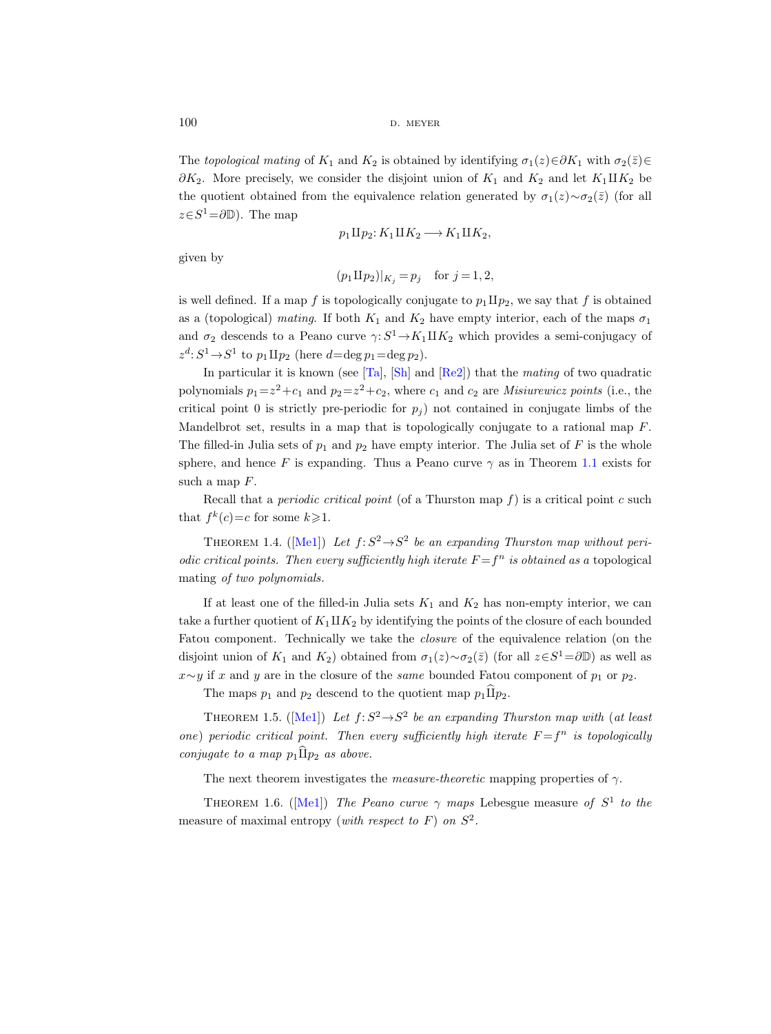The topological mating of K<sub>1</sub> and K<sub>2</sub> is obtained by identifying  $\sigma_1(z) \in \partial K_1$  with  $\sigma_2(\bar{z}) \in$  $\partial K_2$ . More precisely, we consider the disjoint union of  $K_1$  and  $K_2$  and let  $K_1 \amalg K_2$  be the quotient obtained from the equivalence relation generated by  $\sigma_1(z) \sim \sigma_2(\bar{z})$  (for all  $z \in S^1 = \partial \mathbb{D}$ . The map

$$
p_1 \amalg p_2 \colon K_1 \amalg K_2 \longrightarrow K_1 \amalg K_2,
$$

given by

$$
(p_1 \Pi p_2)|_{K_j} = p_j
$$
 for  $j = 1, 2$ ,

is well defined. If a map f is topologically conjugate to  $p_1 \Pi p_2$ , we say that f is obtained as a (topological) mating. If both  $K_1$  and  $K_2$  have empty interior, each of the maps  $\sigma_1$ and  $\sigma_2$  descends to a Peano curve  $\gamma: S^1 \to K_1 \amalg K_2$  which provides a semi-conjugacy of  $z^d: S^1 \rightarrow S^1$  to  $p_1 \amalg p_2$  (here  $d = \deg p_1 = \deg p_2$ ).

In particular it is known (see  $[Ta]$ ,  $[Sh]$  and  $[Re2]$ ) that the mating of two quadratic polynomials  $p_1 = z^2 + c_1$  and  $p_2 = z^2 + c_2$ , where  $c_1$  and  $c_2$  are *Misiurewicz points* (i.e., the critical point 0 is strictly pre-periodic for  $p_i$ ) not contained in conjugate limbs of the Mandelbrot set, results in a map that is topologically conjugate to a rational map  $F$ . The filled-in Julia sets of  $p_1$  and  $p_2$  have empty interior. The Julia set of F is the whole sphere, and hence F is expanding. Thus a Peano curve  $\gamma$  as in Theorem [1.1](#page-1-1) exists for such a map F.

Recall that a *periodic critical point* (of a Thurston map  $f$ ) is a critical point c such that  $f^k(c)=c$  for some  $k\geqslant 1$ .

<span id="page-5-0"></span>THEOREM1.4. ([\[Me1\]](#page-76-9)) Let  $f: S^2 \to S^2$  be an expanding Thurston map without periodic critical points. Then every sufficiently high iterate  $F = f^n$  is obtained as a topological mating of two polynomials.

If at least one of the filled-in Julia sets  $K_1$  and  $K_2$  has non-empty interior, we can take a further quotient of  $K_1 \amalg K_2$  by identifying the points of the closure of each bounded Fatou component. Technically we take the closure of the equivalence relation (on the disjoint union of  $K_1$  and  $K_2$ ) obtained from  $\sigma_1(z) \sim \sigma_2(\bar{z})$  (for all  $z \in S^1 = \partial \mathbb{D}$ ) as well as  $x \sim y$  if x and y are in the closure of the same bounded Fatou component of  $p_1$  or  $p_2$ .

The maps  $p_1$  and  $p_2$  descend to the quotient map  $p_1 \hat{\Pi} p_2$ .

<span id="page-5-1"></span>THEOREM1.5. ([\[Me1\]](#page-76-9)) Let  $f: S^2 \to S^2$  be an expanding Thurston map with (at least one) periodic critical point. Then every sufficiently high iterate  $F = f^n$  is topologically conjugate to a map  $p_1 \widehat{\Pi} p_2$  as above.

The next theorem investigates the *measure-theoretic* mapping properties of  $\gamma$ .

THEOREM1.6. ([\[Me1\]](#page-76-9)) The Peano curve  $\gamma$  maps Lebesgue measure of  $S^1$  to the measure of maximal entropy (with respect to  $F$ ) on  $S^2$ .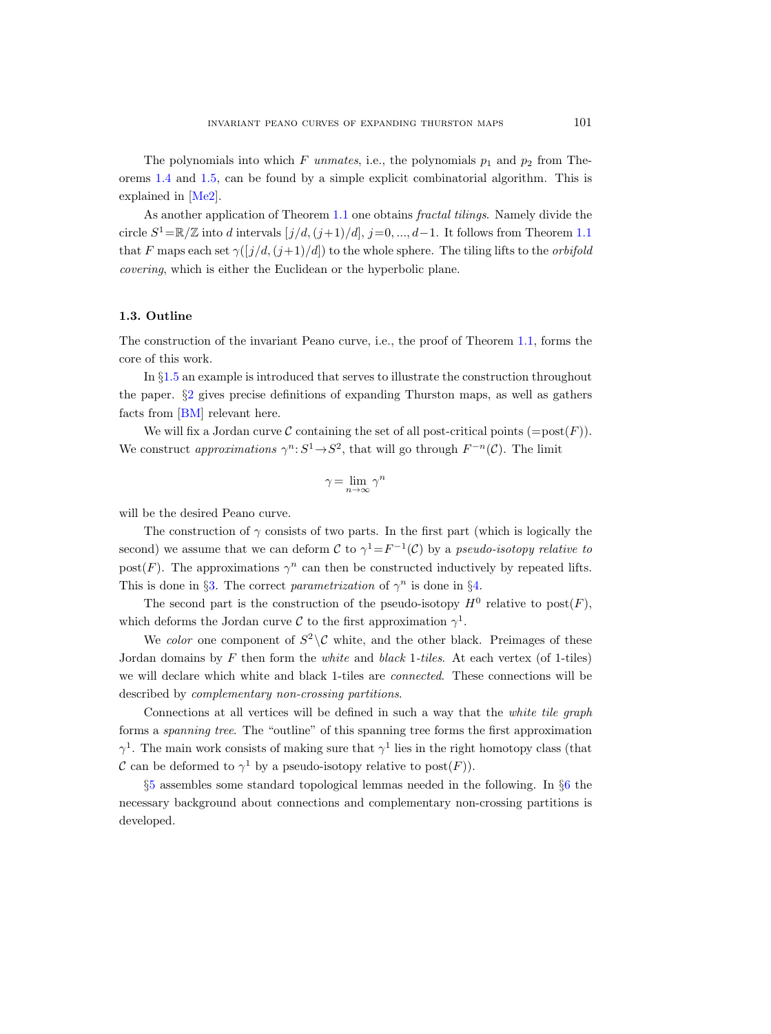The polynomials into which F unmates, i.e., the polynomials  $p_1$  and  $p_2$  from Theorems [1.4](#page-5-0) and [1.5,](#page-5-1) can be found by a simple explicit combinatorial algorithm. This is explained in [\[Me2\]](#page-76-12).

As another application of Theorem [1.1](#page-1-1) one obtains fractal tilings. Namely divide the circle  $S^1 = \mathbb{R}/\mathbb{Z}$  into d intervals  $[j/d,(j+1)/d], j=0, ..., d-1$ . It follows from Theorem [1.1](#page-1-1) that F maps each set  $\gamma(\frac{j}{d},\frac{j+1}{d})$  to the whole sphere. The tiling lifts to the *orbifold* covering, which is either the Euclidean or the hyperbolic plane.

#### <span id="page-6-0"></span>1.3. Outline

The construction of the invariant Peano curve, i.e., the proof of Theorem [1.1,](#page-1-1) forms the core of this work.

In §[1.5](#page-7-1) an example is introduced that serves to illustrate the construction throughout the paper. §[2](#page-11-0) gives precise definitions of expanding Thurston maps, as well as gathers facts from [\[BM\]](#page-75-13) relevant here.

We will fix a Jordan curve C containing the set of all post-critical points  $(=\text{post}(F))$ . We construct approximations  $\gamma^n: S^1 \to S^2$ , that will go through  $F^{-n}(\mathcal{C})$ . The limit

$$
\gamma = \lim_{n \to \infty} \gamma^n
$$

will be the desired Peano curve.

The construction of  $\gamma$  consists of two parts. In the first part (which is logically the second) we assume that we can deform C to  $\gamma^1 = F^{-1}(\mathcal{C})$  by a pseudo-isotopy relative to post(F). The approximations  $\gamma^n$  can then be constructed inductively by repeated lifts. This is done in §[3.](#page-15-0) The correct parametrization of  $\gamma^n$  is done in §[4.](#page-24-0)

The second part is the construction of the pseudo-isotopy  $H^0$  relative to  $post(F)$ , which deforms the Jordan curve C to the first approximation  $\gamma^1$ .

We color one component of  $S^2 \setminus \mathcal{C}$  white, and the other black. Preimages of these Jordan domains by F then form the *white* and *black* 1-tiles. At each vertex (of 1-tiles) we will declare which white and black 1-tiles are *connected*. These connections will be described by complementary non-crossing partitions.

Connections at all vertices will be defined in such a way that the white tile graph forms a spanning tree. The "outline" of this spanning tree forms the first approximation  $\gamma^1$ . The main work consists of making sure that  $\gamma^1$  lies in the right homotopy class (that C can be deformed to  $\gamma^1$  by a pseudo-isotopy relative to  $post(F)$ ).

§[5](#page-32-0) assembles some standard topological lemmas needed in the following. In §[6](#page-33-0) the necessary background about connections and complementary non-crossing partitions is developed.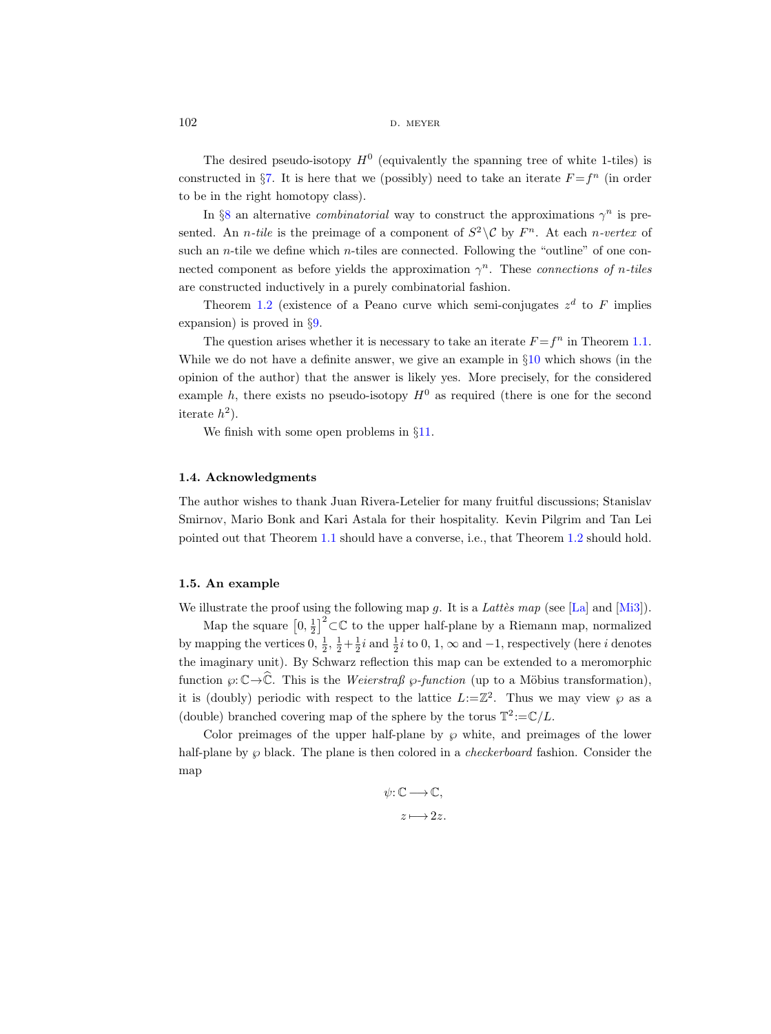The desired pseudo-isotopy  $H^0$  (equivalently the spanning tree of white 1-tiles) is constructed in §[7.](#page-49-0) It is here that we (possibly) need to take an iterate  $F = f<sup>n</sup>$  (in order to be in the right homotopy class).

In §[8](#page-61-0) an alternative *combinatorial* way to construct the approximations  $\gamma^n$  is presented. An *n*-tile is the preimage of a component of  $S^2 \setminus \mathcal{C}$  by  $F^n$ . At each *n*-vertex of such an *n*-tile we define which *n*-tiles are connected. Following the "outline" of one connected component as before yields the approximation  $\gamma^n$ . These connections of n-tiles are constructed inductively in a purely combinatorial fashion.

Theorem [1.2](#page-2-1) (existence of a Peano curve which semi-conjugates  $z<sup>d</sup>$  to F implies expansion) is proved in §[9.](#page-68-0)

The question arises whether it is necessary to take an iterate  $F = f^n$  in Theorem [1.1.](#page-1-1) While we do not have a definite answer, we give an example in  $\S10$  $\S10$  which shows (in the opinion of the author) that the answer is likely yes. More precisely, for the considered example h, there exists no pseudo-isotopy  $H^0$  as required (there is one for the second iterate  $h^2$ ).

We finish with some open problems in §[11.](#page-74-0)

#### <span id="page-7-0"></span>1.4. Acknowledgments

The author wishes to thank Juan Rivera-Letelier for many fruitful discussions; Stanislav Smirnov, Mario Bonk and Kari Astala for their hospitality. Kevin Pilgrim and Tan Lei pointed out that Theorem [1.1](#page-1-1) should have a converse, i.e., that Theorem [1.2](#page-2-1) should hold.

#### <span id="page-7-1"></span>1.5. An example

We illustrate the proof using the following map g. It is a Lattees map (see [\[La\]](#page-75-14) and  $[Mi3]$ ).

Map the square  $\left[0, \frac{1}{2}\right]^2 \subset \mathbb{C}$  to the upper half-plane by a Riemann map, normalized by mapping the vertices  $0, \frac{1}{2}, \frac{1}{2} + \frac{1}{2}i$  and  $\frac{1}{2}i$  to  $0, 1, \infty$  and  $-1$ , respectively (here *i* denotes the imaginary unit). By Schwarz reflection this map can be extended to a meromorphic function  $\wp: \mathbb{C} \to \widehat{\mathbb{C}}$ . This is the Weierstraß  $\wp\text{-}function$  (up to a Möbius transformation), it is (doubly) periodic with respect to the lattice  $L:=\mathbb{Z}^2$ . Thus we may view  $\wp$  as a (double) branched covering map of the sphere by the torus  $\mathbb{T}^2:=\mathbb{C}/L$ .

Color preimages of the upper half-plane by  $\wp$  white, and preimages of the lower half-plane by  $\wp$  black. The plane is then colored in a *checkerboard* fashion. Consider the map

$$
\psi\!:\!\mathbb{C}\longrightarrow\!\mathbb{C},\\ z\longmapsto\!2z.
$$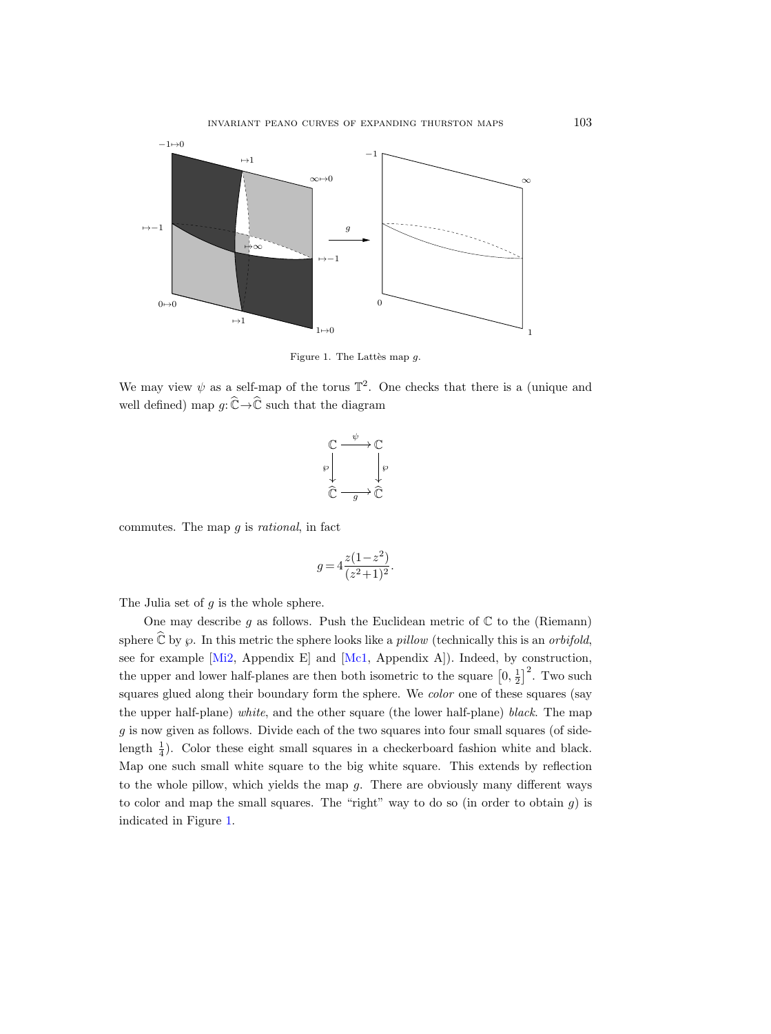

<span id="page-8-0"></span>Figure 1. The Lattès map  $g$ .

We may view  $\psi$  as a self-map of the torus  $\mathbb{T}^2$ . One checks that there is a (unique and well defined) map  $g: \widehat{\mathbb{C}} \to \widehat{\mathbb{C}}$  such that the diagram

$$
\begin{array}{ccc}\n\mathbb{C} & \xrightarrow{\psi} & \mathbb{C} \\
\wp & \downarrow & \wp \\
\hline\n\mathbb{C} & \longrightarrow & \mathbb{C}\n\end{array}
$$

commutes. The map  $g$  is *rational*, in fact

$$
g = 4 \frac{z(1-z^2)}{(z^2+1)^2}.
$$

The Julia set of  $g$  is the whole sphere.

One may describe g as follows. Push the Euclidean metric of  $\mathbb C$  to the (Riemann) sphere  $\widehat{\mathbb{C}}$  by  $\wp$ . In this metric the sphere looks like a *pillow* (technically this is an *orbifold*, see for example [\[Mi2,](#page-76-14) Appendix E] and [\[Mc1,](#page-76-15) Appendix A]). Indeed, by construction, the upper and lower half-planes are then both isometric to the square  $\left[0, \frac{1}{2}\right]^2$ . Two such squares glued along their boundary form the sphere. We color one of these squares (say the upper half-plane) white, and the other square (the lower half-plane) black. The map  $g$  is now given as follows. Divide each of the two squares into four small squares (of sidelength  $\frac{1}{4}$ ). Color these eight small squares in a checkerboard fashion white and black. Map one such small white square to the big white square. This extends by reflection to the whole pillow, which yields the map  $g$ . There are obviously many different ways to color and map the small squares. The "right" way to do so (in order to obtain  $g$ ) is indicated in Figure [1.](#page-8-0)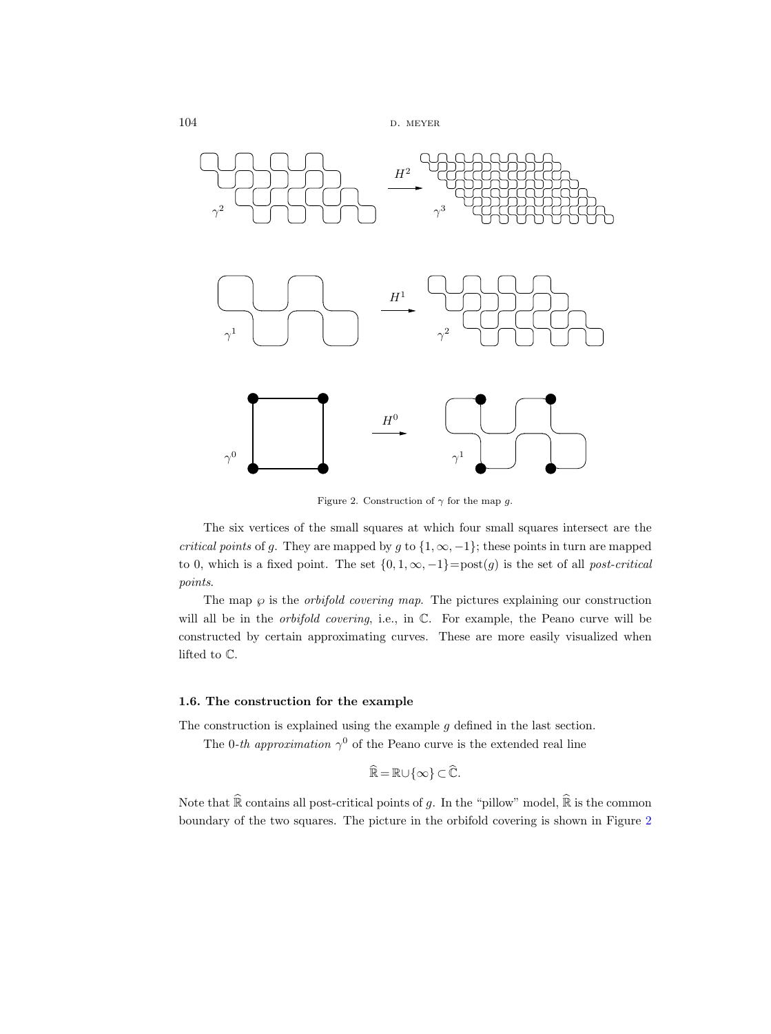```
104 d. meyer
```


<span id="page-9-1"></span>Figure 2. Construction of  $\gamma$  for the map g.

The six vertices of the small squares at which four small squares intersect are the critical points of g. They are mapped by g to  $\{1, \infty, -1\}$ ; these points in turn are mapped to 0, which is a fixed point. The set  $\{0, 1, \infty, -1\} = \text{post}(g)$  is the set of all *post-critical* points.

The map  $\wp$  is the *orbifold covering map*. The pictures explaining our construction will all be in the *orbifold covering*, i.e., in  $\mathbb{C}$ . For example, the Peano curve will be constructed by certain approximating curves. These are more easily visualized when lifted to C.

#### <span id="page-9-0"></span>1.6. The construction for the example

The construction is explained using the example  $g$  defined in the last section.

The 0-th approximation  $\gamma^0$  of the Peano curve is the extended real line

$$
\widehat{\mathbb{R}} = \mathbb{R} \cup \{\infty\} \subset \widehat{\mathbb{C}}.
$$

Note that  $\widehat{\mathbb{R}}$  contains all post-critical points of g. In the "pillow" model,  $\widehat{\mathbb{R}}$  is the common boundary of the two squares. The picture in the orbifold covering is shown in Figure [2](#page-9-1)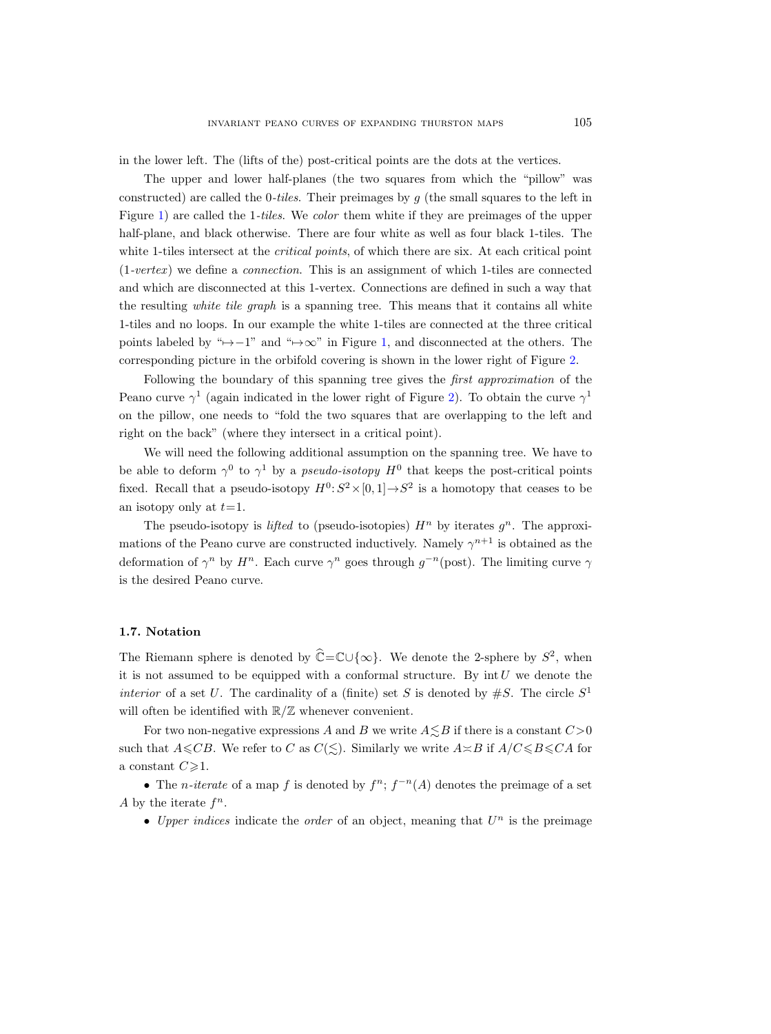in the lower left. The (lifts of the) post-critical points are the dots at the vertices.

The upper and lower half-planes (the two squares from which the "pillow" was constructed) are called the 0-tiles. Their preimages by  $g$  (the small squares to the left in Figure [1\)](#page-8-0) are called the 1-tiles. We color them white if they are preimages of the upper half-plane, and black otherwise. There are four white as well as four black 1-tiles. The white 1-tiles intersect at the *critical points*, of which there are six. At each critical point  $(1-vertex)$  we define a *connection*. This is an assignment of which 1-tiles are connected and which are disconnected at this 1-vertex. Connections are defined in such a way that the resulting white tile graph is a spanning tree. This means that it contains all white 1-tiles and no loops. In our example the white 1-tiles are connected at the three critical points labeled by " $\rightarrow$ -1" and " $\rightarrow \infty$ " in Figure [1,](#page-8-0) and disconnected at the others. The corresponding picture in the orbifold covering is shown in the lower right of Figure [2.](#page-9-1)

Following the boundary of this spanning tree gives the first approximation of the Peano curve  $\gamma^1$  (again indicated in the lower right of Figure [2\)](#page-9-1). To obtain the curve  $\gamma^1$ on the pillow, one needs to "fold the two squares that are overlapping to the left and right on the back" (where they intersect in a critical point).

We will need the following additional assumption on the spanning tree. We have to be able to deform  $\gamma^0$  to  $\gamma^1$  by a *pseudo-isotopy*  $H^0$  that keeps the post-critical points fixed. Recall that a pseudo-isotopy  $H^0: S^2 \times [0,1] \rightarrow S^2$  is a homotopy that ceases to be an isotopy only at  $t=1$ .

The pseudo-isotopy is *lifted* to (pseudo-isotopies)  $H<sup>n</sup>$  by iterates  $g<sup>n</sup>$ . The approximations of the Peano curve are constructed inductively. Namely  $\gamma^{n+1}$  is obtained as the deformation of  $\gamma^n$  by  $H^n$ . Each curve  $\gamma^n$  goes through  $g^{-n}(\text{post})$ . The limiting curve  $\gamma$ is the desired Peano curve.

## <span id="page-10-0"></span>1.7. Notation

The Riemann sphere is denoted by  $\hat{\mathbb{C}} = \mathbb{C} \cup \{\infty\}$ . We denote the 2-sphere by  $S^2$ , when it is not assumed to be equipped with a conformal structure. By  $int U$  we denote the interior of a set U. The cardinality of a (finite) set S is denoted by  $\#S$ . The circle  $S<sup>1</sup>$ will often be identified with  $\mathbb{R}/\mathbb{Z}$  whenever convenient.

For two non-negative expressions A and B we write  $A \leq B$  if there is a constant  $C>0$ such that  $A\leqslant CB$ . We refer to C as  $C(\leqslant)$ . Similarly we write  $A\asymp B$  if  $A/C\leqslant B\leqslant CA$  for a constant  $C\geqslant 1$ .

• The *n*-iterate of a map f is denoted by  $f^n$ ;  $f^{-n}(A)$  denotes the preimage of a set A by the iterate  $f^n$ .

• Upper indices indicate the order of an object, meaning that  $U<sup>n</sup>$  is the preimage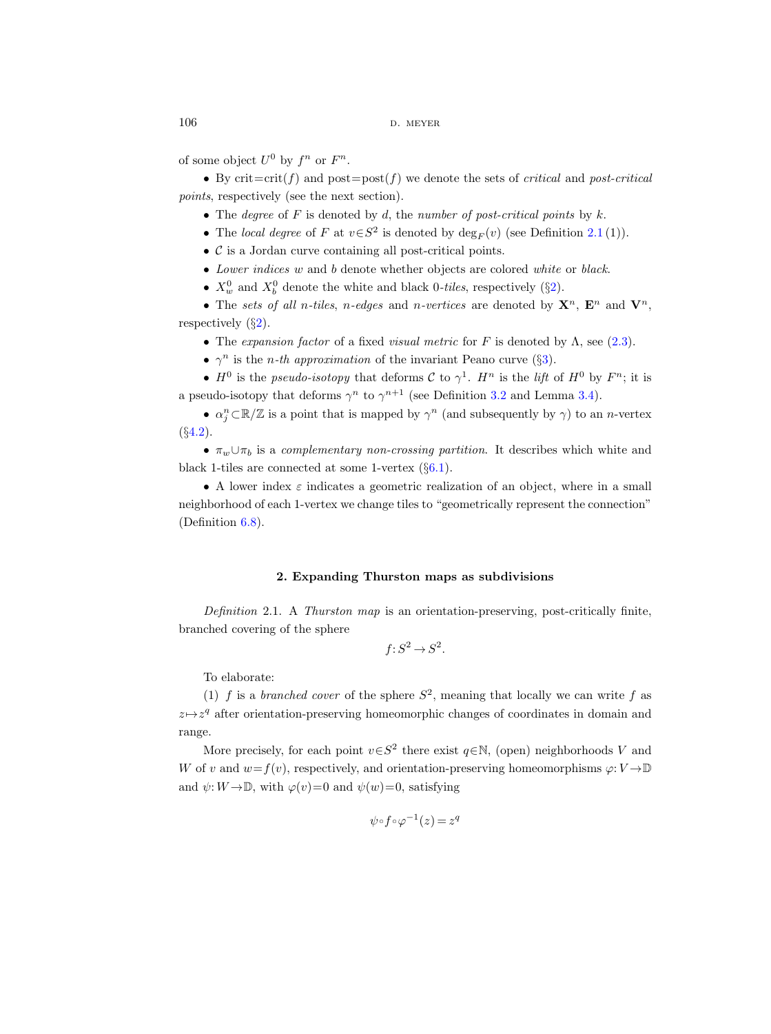of some object  $U^0$  by  $f^n$  or  $F^n$ .

• By crit $=$ crit(f) and post=post(f) we denote the sets of *critical* and post-critical points, respectively (see the next section).

- The degree of  $F$  is denoted by  $d$ , the number of post-critical points by  $k$ .
- The local degree of F at  $v \in S^2$  is denoted by  $\deg_F(v)$  (see Definition [2.1](#page-11-1)(1)).
- C is a Jordan curve containing all post-critical points.
- Lower indices w and b denote whether objects are colored white or black.
- $X_w^0$  and  $X_b^0$  denote the white and black 0-tiles, respectively (§[2\)](#page-11-0).
- The sets of all n-tiles, n-edges and n-vertices are denoted by  $X^n$ ,  $E^n$  and  $V^n$ , respectively  $(\S_2)$  $(\S_2)$ .
	- The expansion factor of a fixed visual metric for F is denoted by  $\Lambda$ , see [\(2.3\)](#page-14-0).
	- $\gamma^n$  is the *n*-th approximation of the invariant Peano curve (§[3\)](#page-15-0).

•  $H^0$  is the pseudo-isotopy that deforms C to  $\gamma^1$ .  $H^n$  is the lift of  $H^0$  by  $F^n$ ; it is a pseudo-isotopy that deforms  $\gamma^n$  to  $\gamma^{n+1}$  (see Definition [3.2](#page-15-2) and Lemma [3.4\)](#page-17-1).

•  $\alpha_j^n \subset \mathbb{R}/\mathbb{Z}$  is a point that is mapped by  $\gamma^n$  (and subsequently by  $\gamma$ ) to an *n*-vertex  $(S4.2)$  $(S4.2)$ .

•  $\pi_w \cup \pi_b$  is a complementary non-crossing partition. It describes which white and black 1-tiles are connected at some 1-vertex  $(\S6.1)$  $(\S6.1)$ .

• A lower index  $\varepsilon$  indicates a geometric realization of an object, where in a small neighborhood of each 1-vertex we change tiles to "geometrically represent the connection" (Definition [6.8\)](#page-39-0).

#### 2. Expanding Thurston maps as subdivisions

<span id="page-11-1"></span><span id="page-11-0"></span>Definition 2.1. A Thurston map is an orientation-preserving, post-critically finite, branched covering of the sphere

$$
f: S^2 \to S^2.
$$

To elaborate:

(1) f is a branched cover of the sphere  $S^2$ , meaning that locally we can write f as  $z \mapsto z^q$  after orientation-preserving homeomorphic changes of coordinates in domain and range.

More precisely, for each point  $v \in S^2$  there exist  $q \in \mathbb{N}$ , (open) neighborhoods V and W of v and  $w=f(v)$ , respectively, and orientation-preserving homeomorphisms  $\varphi: V \to \mathbb{D}$ and  $\psi: W \to \mathbb{D}$ , with  $\varphi(v)=0$  and  $\psi(w)=0$ , satisfying

$$
\psi \circ f \circ \varphi^{-1}(z) = z^q
$$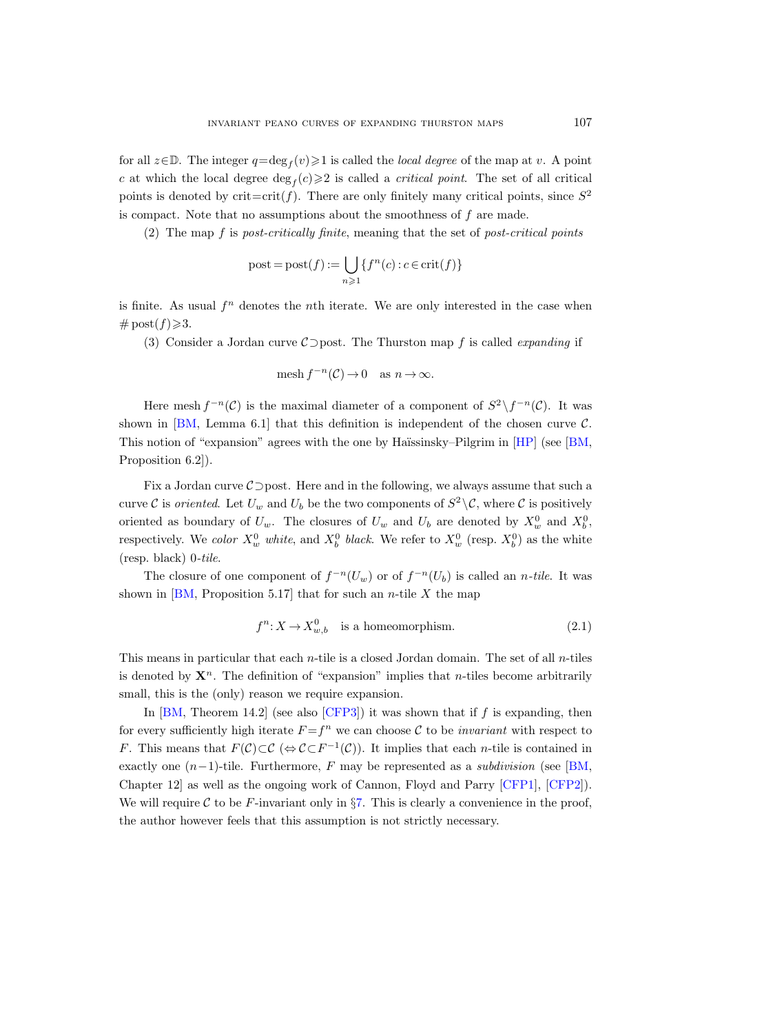for all  $z \in \mathbb{D}$ . The integer  $q = \deg_f(v) \geq 1$  is called the *local degree* of the map at v. A point c at which the local degree  $\deg_f(c) \geq 2$  is called a *critical point*. The set of all critical points is denoted by crit=crit(f). There are only finitely many critical points, since  $S^2$ is compact. Note that no assumptions about the smoothness of f are made.

(2) The map  $f$  is post-critically finite, meaning that the set of post-critical points

$$
\text{post} = \text{post}(f) := \bigcup_{n \geq 1} \{ f^n(c) : c \in \text{crit}(f) \}
$$

is finite. As usual  $f<sup>n</sup>$  denotes the *n*th iterate. We are only interested in the case when  $\#\operatorname{post}(f)\geqslant 3.$ 

(3) Consider a Jordan curve  $\mathcal{C}$  post. The Thurston map f is called *expanding* if

$$
\operatorname{mesh} f^{-n}(\mathcal{C}) \to 0 \quad \text{as } n \to \infty.
$$

Here mesh  $f^{-n}(\mathcal{C})$  is the maximal diameter of a component of  $S^2 \setminus f^{-n}(\mathcal{C})$ . It was shown in [\[BM,](#page-75-13) Lemma 6.1] that this definition is independent of the chosen curve  $\mathcal{C}$ . This notion of "expansion" agrees with the one by Haïssinsky–Pilgrim in [\[HP\]](#page-75-15) (see [\[BM,](#page-75-13) Proposition 6.2]).

Fix a Jordan curve C⊃post. Here and in the following, we always assume that such a curve C is *oriented*. Let  $U_w$  and  $U_b$  be the two components of  $S^2 \setminus \mathcal{C}$ , where C is positively oriented as boundary of  $U_w$ . The closures of  $U_w$  and  $U_b$  are denoted by  $X_w^0$  and  $X_b^0$ , respectively. We color  $X_w^0$  white, and  $X_b^0$  black. We refer to  $X_w^0$  (resp.  $X_b^0$ ) as the white (resp. black) 0-tile.

The closure of one component of  $f^{-n}(U_w)$  or of  $f^{-n}(U_b)$  is called an *n-tile*. It was shown in  $[BM,$  Proposition 5.17 that for such an *n*-tile X the map

$$
f^n: X \to X_{w,b}^0 \quad \text{is a homeomorphism.} \tag{2.1}
$$

This means in particular that each *n*-tile is a closed Jordan domain. The set of all *n*-tiles is denoted by  $\mathbf{X}^n$ . The definition of "expansion" implies that *n*-tiles become arbitrarily small, this is the (only) reason we require expansion.

In  $[BM, Theorem 14.2]$  (see also  $[CFP3]$ ) it was shown that if f is expanding, then for every sufficiently high iterate  $F = f^n$  we can choose C to be *invariant* with respect to F. This means that  $F(\mathcal{C}) \subset \mathcal{C}$  ( $\Leftrightarrow \mathcal{C} \subset F^{-1}(\mathcal{C})$ ). It implies that each *n*-tile is contained in exactly one  $(n-1)$ -tile. Furthermore, F may be represented as a *subdivision* (see [\[BM,](#page-75-13) Chapter 12] as well as the ongoing work of Cannon, Floyd and Parry [\[CFP1\]](#page-75-17), [\[CFP2\]](#page-75-18)). We will require C to be F-invariant only in  $\S7$ . This is clearly a convenience in the proof, the author however feels that this assumption is not strictly necessary.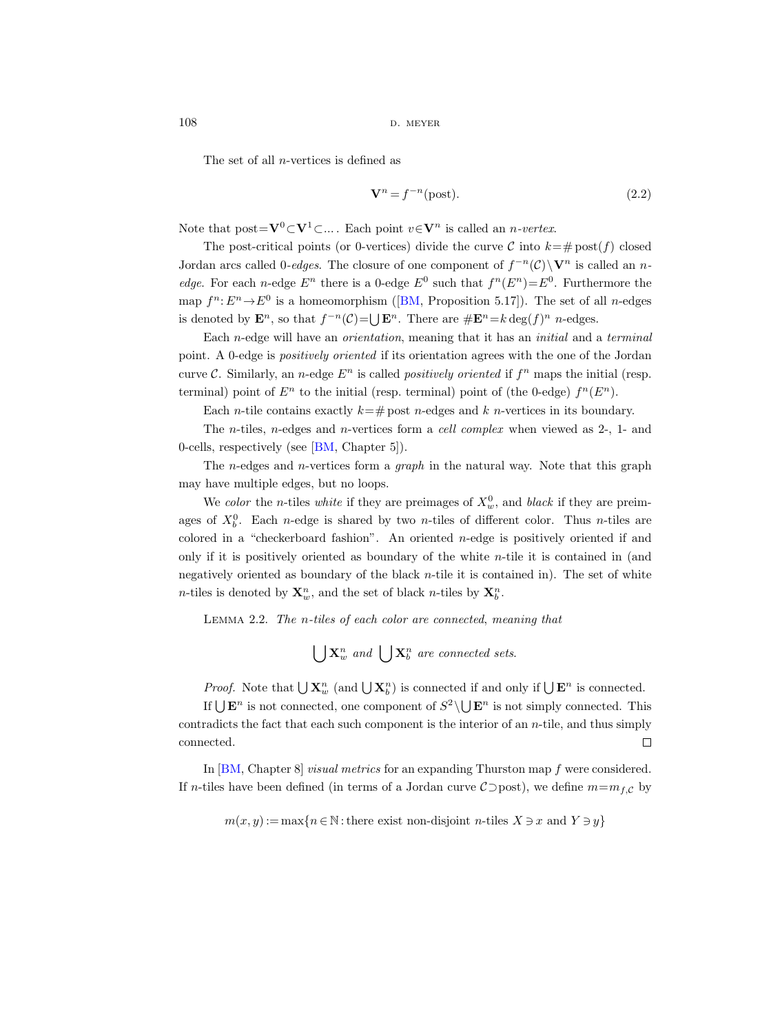$108$  d. meyer

The set of all n-vertices is defined as

$$
\mathbf{V}^n = f^{-n}(\text{post}).\tag{2.2}
$$

Note that  $post = V^0 \subset V^1 \subset ...$  Each point  $v \in V^n$  is called an *n-vertex*.

The post-critical points (or 0-vertices) divide the curve C into  $k=\text{\# post}(f)$  closed Jordan arcs called 0-edges. The closure of one component of  $f^{-n}(\mathcal{C})\setminus V^n$  is called an n*edge*. For each *n*-edge  $E^n$  there is a 0-edge  $E^0$  such that  $f^n(E^n) = E^0$ . Furthermore the map $f^n: E^n \to E^0$  is a homeomorphism ([\[BM,](#page-75-13) Proposition 5.17]). The set of all *n*-edges is denoted by  $\mathbf{E}^n$ , so that  $f^{-n}(\mathcal{C}) = \bigcup \mathbf{E}^n$ . There are  $\#\mathbf{E}^n = k \deg(f)^n$  n-edges.

Each n-edge will have an orientation, meaning that it has an initial and a terminal point. A 0-edge is positively oriented if its orientation agrees with the one of the Jordan curve C. Similarly, an *n*-edge  $E^n$  is called *positively oriented* if  $f^n$  maps the initial (resp. terminal) point of  $E^n$  to the initial (resp. terminal) point of (the 0-edge)  $f^n(E^n)$ .

Each *n*-tile contains exactly  $k=\text{\# post } n$ -edges and k *n*-vertices in its boundary.

The n-tiles, n-edges and n-vertices form a cell complex when viewed as 2-, 1- and 0-cells, respectively (see [\[BM,](#page-75-13) Chapter 5]).

The *n*-edges and *n*-vertices form a *graph* in the natural way. Note that this graph may have multiple edges, but no loops.

We color the *n*-tiles white if they are preimages of  $X_w^0$ , and black if they are preimages of  $X_b^0$ . Each *n*-edge is shared by two *n*-tiles of different color. Thus *n*-tiles are colored in a "checkerboard fashion". An oriented  $n$ -edge is positively oriented if and only if it is positively oriented as boundary of the white  $n$ -tile it is contained in (and negatively oriented as boundary of the black n-tile it is contained in). The set of white *n*-tiles is denoted by  $\mathbf{X}_{w}^{n}$ , and the set of black *n*-tiles by  $\mathbf{X}_{b}^{n}$ .

Lemma 2.2. The n-tiles of each color are connected, meaning that

 $\bigcup \mathbf{X}_w^n$  and  $\bigcup \mathbf{X}_b^n$  are connected sets.

*Proof.* Note that  $\bigcup \mathbf{X}_w^n$  (and  $\bigcup \mathbf{X}_b^n$ ) is connected if and only if  $\bigcup \mathbf{E}^n$  is connected.

If  $\bigcup \mathbf{E}^n$  is not connected, one component of  $S^2 \setminus \bigcup \mathbf{E}^n$  is not simply connected. This contradicts the fact that each such component is the interior of an  $n$ -tile, and thus simply connected.  $\Box$ 

In [\[BM,](#page-75-13) Chapter 8] visual metrics for an expanding Thurston map f were considered. If n-tiles have been defined (in terms of a Jordan curve  $C$ ) post), we define  $m=m_{f,C}$  by

 $m(x, y) := \max\{n \in \mathbb{N} : \text{there exist non-disjoint } n\text{-tiles } X \ni x \text{ and } Y \ni y\}$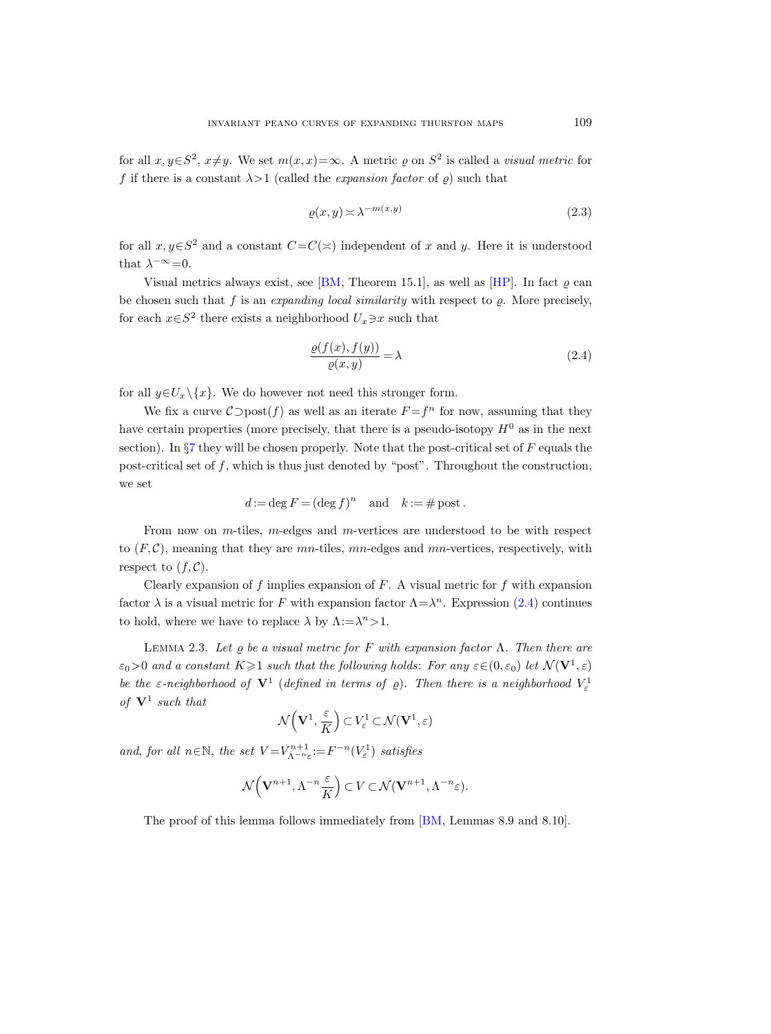for all  $x, y \in S^2$ ,  $x \neq y$ . We set  $m(x, x) = \infty$ . A metric  $\varrho$  on  $S^2$  is called a *visual metric* for f if there is a constant  $\lambda > 1$  (called the *expansion factor* of  $\rho$ ) such that

<span id="page-14-0"></span>
$$
\varrho(x,y) \asymp \lambda^{-m(x,y)}\tag{2.3}
$$

for all  $x, y \in S^2$  and a constant  $C = C(\simeq)$  independent of x and y. Here it is understood that  $\lambda^{-\infty} = 0$ .

Visual metrics always exist, see [\[BM,](#page-75-13) Theorem 15.1], as well as [\[HP\]](#page-75-15). In fact  $\rho$  can be chosen such that f is an expanding local similarity with respect to  $\rho$ . More precisely, for each  $x \in S^2$  there exists a neighborhood  $U_x \ni x$  such that

<span id="page-14-1"></span>
$$
\frac{\varrho(f(x), f(y))}{\varrho(x, y)} = \lambda \tag{2.4}
$$

for all  $y \in U_x \setminus \{x\}$ . We do however not need this stronger form.

We fix a curve  $\mathcal{C}$  post $(f)$  as well as an iterate  $F = f^n$  for now, assuming that they have certain properties (more precisely, that there is a pseudo-isotopy  $H^0$  as in the next section). In  $\S7$  $\S7$  they will be chosen properly. Note that the post-critical set of F equals the post-critical set of  $f$ , which is thus just denoted by "post". Throughout the construction, we set

$$
d := \deg F = (\deg f)^n \quad \text{and} \quad k := \# \text{ post}.
$$

From now on  $m$ -tiles,  $m$ -edges and  $m$ -vertices are understood to be with respect to  $(F, \mathcal{C})$ , meaning that they are mn-tiles, mn-edges and mn-vertices, respectively, with respect to  $(f, \mathcal{C})$ .

Clearly expansion of f implies expansion of  $F$ . A visual metric for  $f$  with expansion factor  $\lambda$  is a visual metric for F with expansion factor  $\Lambda = \lambda^n$ . Expression [\(2.4\)](#page-14-1) continues to hold, where we have to replace  $\lambda$  by  $\Lambda := \lambda^n > 1$ .

<span id="page-14-2"></span>LEMMA 2.3. Let  $\varrho$  be a visual metric for F with expansion factor  $\Lambda$ . Then there are  $\varepsilon_0 > 0$  and a constant  $K \geq 1$  such that the following holds: For any  $\varepsilon \in (0, \varepsilon_0)$  let  $\mathcal{N}(\mathbf{V}^1, \varepsilon)$ be the  $\varepsilon$ -neighborhood of  $V^1$  (defined in terms of  $\rho$ ). Then there is a neighborhood  $V^1_{\varepsilon}$ of  $V^1$  such that

$$
\mathcal{N}\left(\mathbf{V}^1, \frac{\varepsilon}{K}\right) \subset V^1_{\varepsilon} \subset \mathcal{N}(\mathbf{V}^1, \varepsilon)
$$

and, for all  $n \in \mathbb{N}$ , the set  $V = V^{n+1}_{\Lambda^{-n}\varepsilon} := F^{-n}(V^1_{\varepsilon})$  satisfies

$$
\mathcal{N}\left(\mathbf{V}^{n+1},\Lambda^{-n}\frac{\varepsilon}{K}\right)\subset V\subset\mathcal{N}(\mathbf{V}^{n+1},\Lambda^{-n}\varepsilon).
$$

The proof of this lemma follows immediately from [\[BM,](#page-75-13) Lemmas 8.9 and 8.10].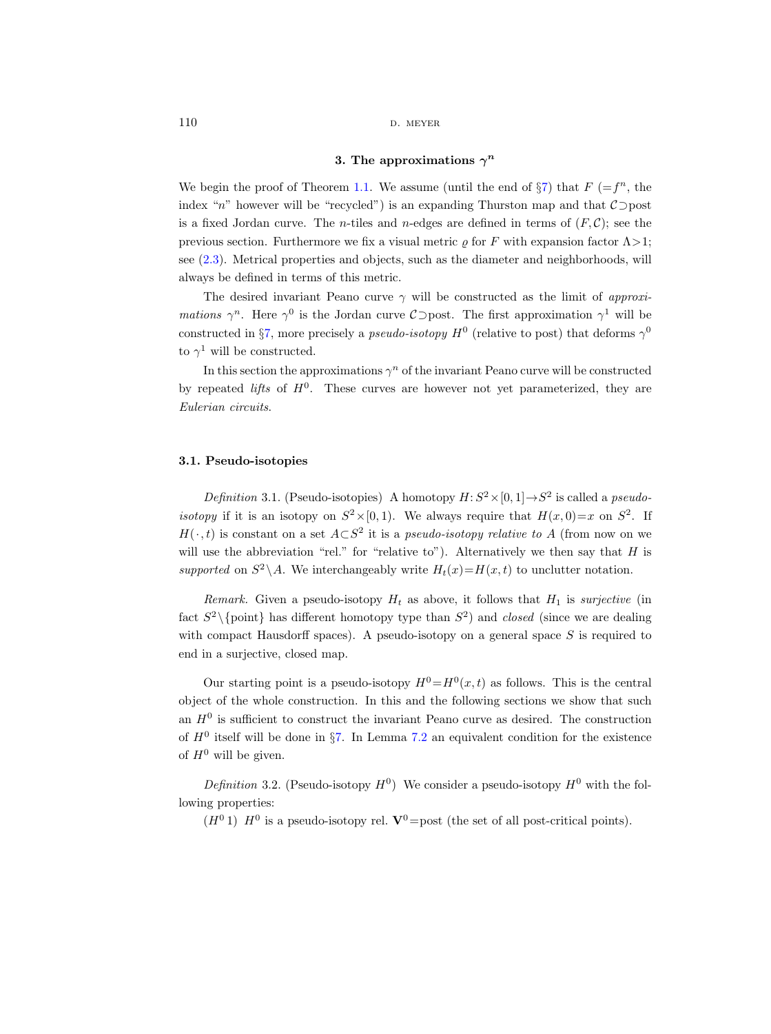## 3. The approximations  $\gamma^n$

<span id="page-15-0"></span>We begin the proof of Theorem [1.1.](#page-1-1) We assume (until the end of  $\S7$ ) that  $F = f^n$ , the index "n" however will be "recycled") is an expanding Thurston map and that  $\mathcal{C}$  post is a fixed Jordan curve. The *n*-tiles and *n*-edges are defined in terms of  $(F, C)$ ; see the previous section. Furthermore we fix a visual metric  $\rho$  for F with expansion factor  $\Lambda > 1$ ; see [\(2.3\)](#page-14-0). Metrical properties and objects, such as the diameter and neighborhoods, will always be defined in terms of this metric.

The desired invariant Peano curve  $\gamma$  will be constructed as the limit of approxi*mations*  $\gamma^n$ . Here  $\gamma^0$  is the Jordan curve  $\mathcal{C}$  post. The first approximation  $\gamma^1$  will be constructed in §[7,](#page-49-0) more precisely a *pseudo-isotopy*  $H^0$  (relative to post) that deforms  $\gamma^0$ to  $\gamma^1$  will be constructed.

In this section the approximations  $\gamma^n$  of the invariant Peano curve will be constructed by repeated *lifts* of  $H^0$ . These curves are however not yet parameterized, they are Eulerian circuits.

#### <span id="page-15-1"></span>3.1. Pseudo-isotopies

<span id="page-15-3"></span>Definition 3.1. (Pseudo-isotopies) A homotopy  $H: S^2 \times [0, 1] \rightarrow S^2$  is called a pseudoisotopy if it is an isotopy on  $S^2 \times [0, 1)$ . We always require that  $H(x, 0) = x$  on  $S^2$ . If  $H(\cdot, t)$  is constant on a set  $A\subset S^2$  it is a *pseudo-isotopy relative to* A (from now on we will use the abbreviation "rel." for "relative to"). Alternatively we then say that  $H$  is supported on  $S^2 \backslash A$ . We interchangeably write  $H_t(x) = H(x, t)$  to unclutter notation.

Remark. Given a pseudo-isotopy  $H_t$  as above, it follows that  $H_1$  is surjective (in fact  $S^2 \setminus \{\text{point}\}\$  has different homotopy type than  $S^2$ ) and closed (since we are dealing with compact Hausdorff spaces). A pseudo-isotopy on a general space  $S$  is required to end in a surjective, closed map.

Our starting point is a pseudo-isotopy  $H^0 = H^0(x,t)$  as follows. This is the central object of the whole construction. In this and the following sections we show that such an  $H^0$  is sufficient to construct the invariant Peano curve as desired. The construction of  $H^0$  itself will be done in §[7.](#page-49-0) In Lemma [7.2](#page-49-1) an equivalent condition for the existence of  $H^0$  will be given.

<span id="page-15-2"></span>*Definition* 3.2. (Pseudo-isotopy  $H^0$ ) We consider a pseudo-isotopy  $H^0$  with the following properties:

 $(H<sup>0</sup> 1)$   $H<sup>0</sup>$  is a pseudo-isotopy rel.  $V<sup>0</sup>$  = post (the set of all post-critical points).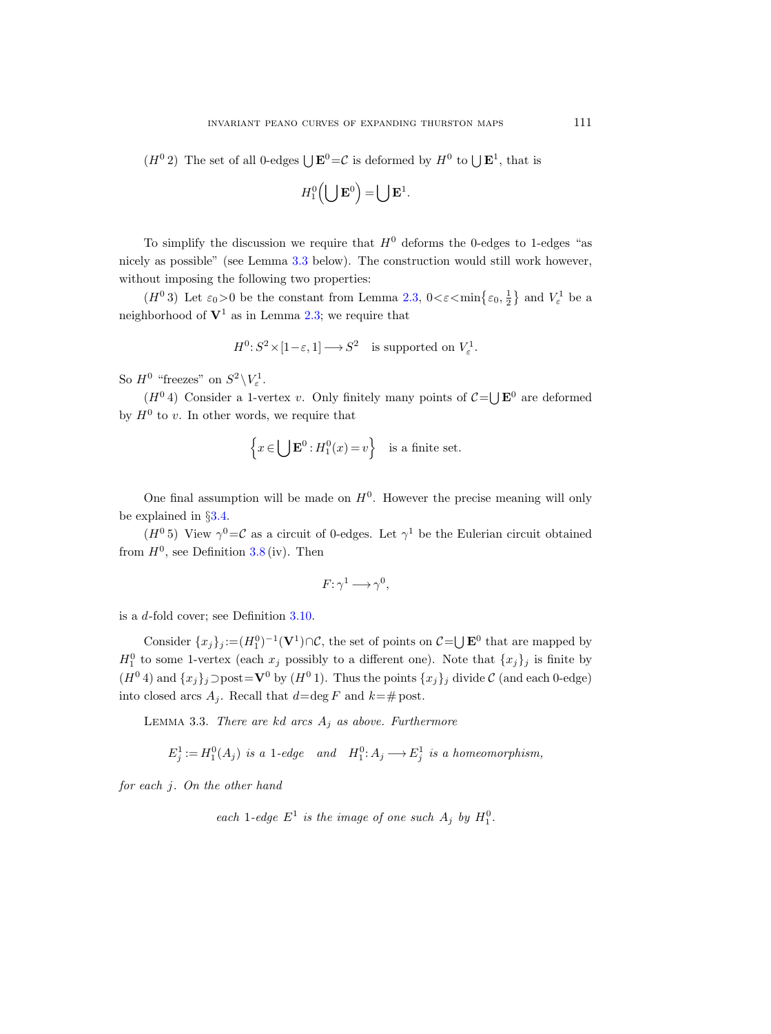$(H<sup>0</sup> 2)$  The set of all 0-edges  $\bigcup \mathbf{E}^{0} = C$  is deformed by  $H<sup>0</sup>$  to  $\bigcup \mathbf{E}^{1}$ , that is

$$
H_1^0\left(\bigcup \mathbf{E}^0\right) = \bigcup \mathbf{E}^1.
$$

To simplify the discussion we require that  $H^0$  deforms the 0-edges to 1-edges "as nicely as possible" (see Lemma [3.3](#page-16-0) below). The construction would still work however, without imposing the following two properties:

( $H^0$  3) Let  $\varepsilon_0 > 0$  be the constant from Lemma [2.3,](#page-14-2)  $0 < \varepsilon < \min\left\{\varepsilon_0, \frac{1}{2}\right\}$  and  $V^1_{\varepsilon}$  be a neighborhood of  $V^1$  as in Lemma [2.3;](#page-14-2) we require that

$$
H^0: S^2 \times [1-\varepsilon, 1] \longrightarrow S^2 \text{ is supported on } V_{\varepsilon}^1.
$$

So  $H^0$  "freezes" on  $S^2 \backslash V^1_{\varepsilon}$ .

 $(H<sup>0</sup> 4)$  Consider a 1-vertex v. Only finitely many points of  $C = \bigcup \mathbf{E}^0$  are deformed by  $H^0$  to v. In other words, we require that

$$
\left\{x \in \bigcup \mathbf{E}^0 : H_1^0(x) = v\right\} \text{ is a finite set.}
$$

One final assumption will be made on  $H^0$ . However the precise meaning will only be explained in §[3.4.](#page-21-0)

 $(H^0 5)$  View  $\gamma^0 = C$  as a circuit of 0-edges. Let  $\gamma^1$  be the Eulerian circuit obtained from  $H^0$ , see Definition [3.8](#page-20-0) (iv). Then

$$
F: \gamma^1 \longrightarrow \gamma^0,
$$

is a d-fold cover; see Definition [3.10.](#page-21-1)

Consider  $\{x_j\}_j := (H_1^0)^{-1}(\mathbf{V}^1)\cap \mathcal{C}$ , the set of points on  $\mathcal{C} = \bigcup \mathbf{E}^0$  that are mapped by  $H_1^0$  to some 1-vertex (each  $x_j$  possibly to a different one). Note that  $\{x_j\}_j$  is finite by  $(H<sup>0</sup> 4)$  and  $\{x_j\}_j \supset \text{post} = V<sup>0</sup>$  by  $(H<sup>0</sup> 1)$ . Thus the points  $\{x_j\}_j$  divide C (and each 0-edge) into closed arcs  $A_j$ . Recall that  $d = \deg F$  and  $k = \#$  post.

<span id="page-16-0"></span>LEMMA 3.3. There are kd arcs  $A_j$  as above. Furthermore

 $E_j^1 := H_1^0(A_j)$  is a 1-edge and  $H_1^0: A_j \longrightarrow E_j^1$  is a homeomorphism,

for each j. On the other hand

each 1-edge  $E^1$  is the image of one such  $A_j$  by  $H_1^0$ .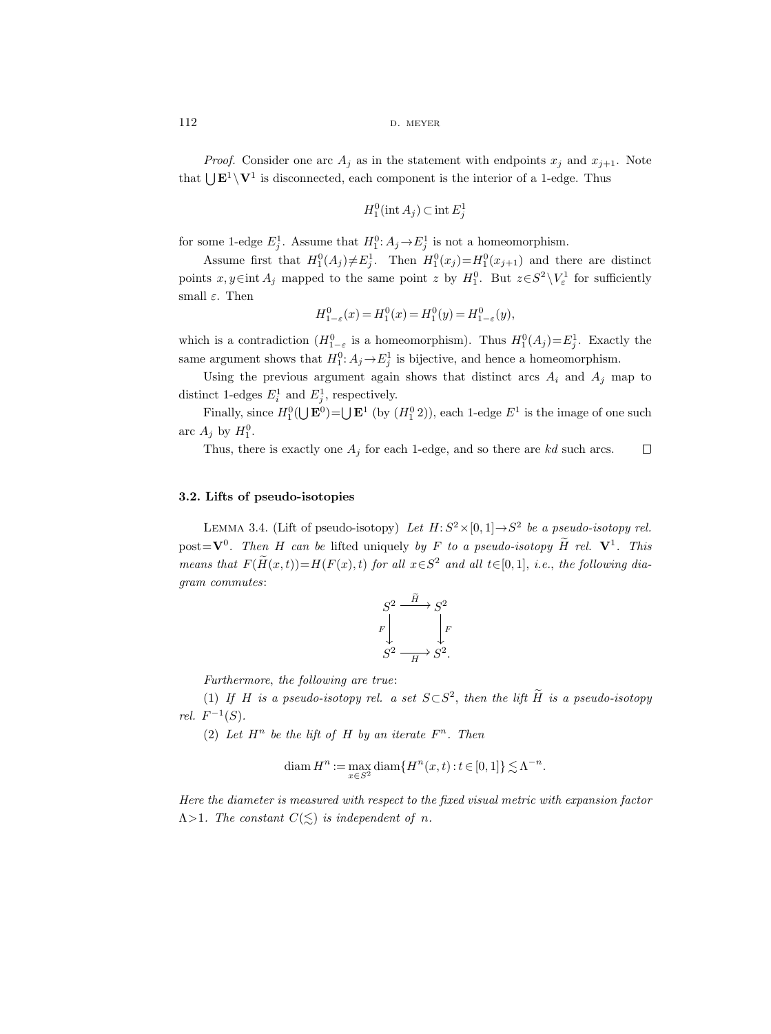*Proof.* Consider one arc  $A_j$  as in the statement with endpoints  $x_j$  and  $x_{j+1}$ . Note that  $\bigcup \mathbf{E}^1 \setminus \mathbf{V}^1$  is disconnected, each component is the interior of a 1-edge. Thus

$$
H_1^0(\text{int } A_j) \subset \text{int } E_j^1
$$

for some 1-edge  $E_j^1$ . Assume that  $H_1^0$ :  $A_j \rightarrow E_j^1$  is not a homeomorphism.

Assume first that  $H_1^0(A_j) \neq E_j^1$ . Then  $H_1^0(x_j) = H_1^0(x_{j+1})$  and there are distinct points  $x, y \in \text{int } A_j$  mapped to the same point z by  $H_1^0$ . But  $z \in S^2 \setminus V_\varepsilon^1$  for sufficiently small  $\varepsilon$ . Then

$$
H_{1-\varepsilon}^{0}(x) = H_{1}^{0}(x) = H_{1}^{0}(y) = H_{1-\varepsilon}^{0}(y),
$$

which is a contradiction  $(H_{1-\varepsilon}^0$  is a homeomorphism). Thus  $H_1^0(A_j)=E_j^1$ . Exactly the same argument shows that  $H_1^0$ :  $A_j \rightarrow E_j^1$  is bijective, and hence a homeomorphism.

Using the previous argument again shows that distinct arcs  $A_i$  and  $A_j$  map to distinct 1-edges  $E_i^1$  and  $E_j^1$ , respectively.

Finally, since  $H_1^0(\bigcup \mathbf{E}^0) = \bigcup \mathbf{E}^1$  (by  $(H_1^0 2)$ ), each 1-edge  $E^1$  is the image of one such arc  $A_j$  by  $H_1^0$ .

 $\Box$ Thus, there is exactly one  $A_j$  for each 1-edge, and so there are kd such arcs.

## <span id="page-17-0"></span>3.2. Lifts of pseudo-isotopies

<span id="page-17-1"></span>LEMMA 3.4. (Lift of pseudo-isotopy) Let  $H: S^2 \times [0,1] \rightarrow S^2$  be a pseudo-isotopy rel. post= $\mathbf{V}^0$ . Then H can be lifted uniquely by F to a pseudo-isotopy H rel.  $\mathbf{V}^1$ . This means that  $F(\tilde{H}(x,t))=H(F(x), t)$  for all  $x \in S^2$  and all  $t \in [0,1]$ , i.e., the following diagram commutes:



Furthermore, the following are true:

(1) If H is a pseudo-isotopy rel. a set  $S \subset S^2$ , then the lift H is a pseudo-isotopy *rel.*  $F^{-1}(S)$ .

(2) Let  $H^n$  be the lift of H by an iterate  $F^n$ . Then

$$
\operatorname{diam} H^n := \max_{x \in S^2} \operatorname{diam} \{H^n(x, t) : t \in [0, 1]\} \lesssim \Lambda^{-n}.
$$

Here the diameter is measured with respect to the fixed visual metric with expansion factor  $\Lambda$ >1. The constant  $C(\leq)$  is independent of n.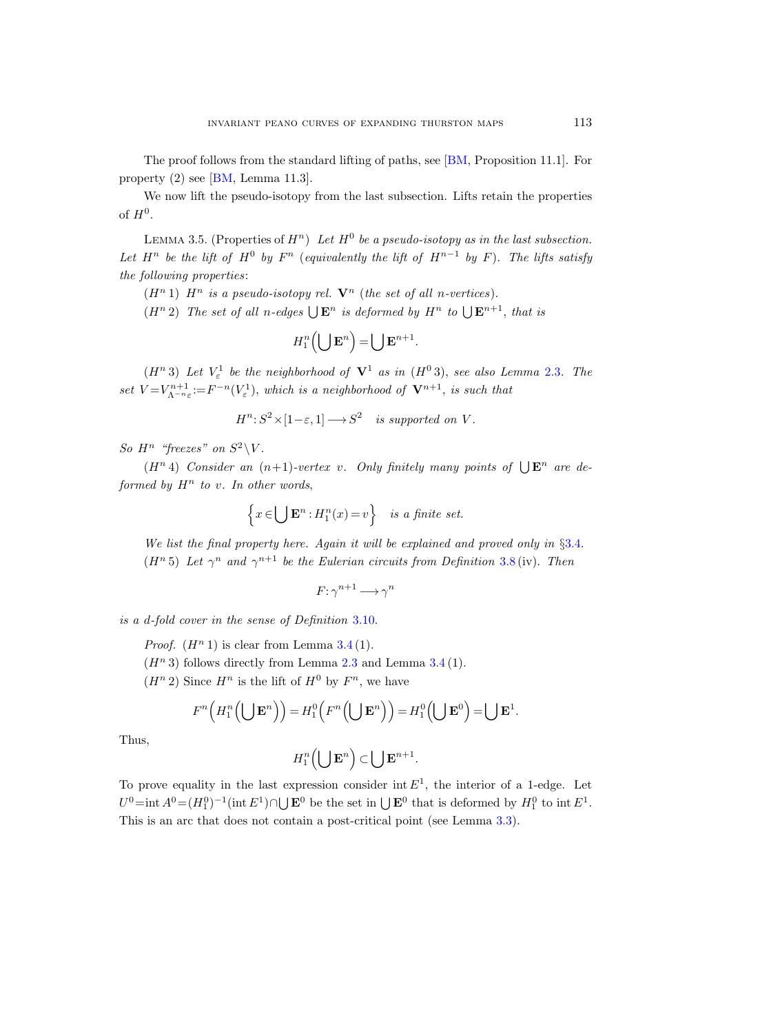The proof follows from the standard lifting of paths, see [\[BM,](#page-75-13) Proposition 11.1]. For property (2) see [\[BM,](#page-75-13) Lemma 11.3].

We now lift the pseudo-isotopy from the last subsection. Lifts retain the properties of  $H^0$ .

<span id="page-18-0"></span>LEMMA 3.5. (Properties of  $H^n$ ) Let  $H^0$  be a pseudo-isotopy as in the last subsection. Let  $H^n$  be the lift of  $H^0$  by  $F^n$  (equivalently the lift of  $H^{n-1}$  by F). The lifts satisfy the following properties:

 $(H<sup>n</sup> 1)$  H<sup>n</sup> is a pseudo-isotopy rel.  $V<sup>n</sup>$  (the set of all n-vertices).

 $(H<sup>n</sup> 2)$  The set of all n-edges  $\bigcup \mathbf{E}^n$  is deformed by  $H<sup>n</sup>$  to  $\bigcup \mathbf{E}^{n+1}$ , that is

$$
H_1^n\left(\bigcup \mathbf{E}^n\right) = \bigcup \mathbf{E}^{n+1}.
$$

 $(H<sup>n</sup> 3)$  Let  $V<sub>\varepsilon</sub><sup>1</sup>$  be the neighborhood of  $V<sup>1</sup>$  as in  $(H<sup>0</sup> 3)$ , see also Lemma [2.3](#page-14-2). The set  $V = V_{\Lambda^{-n}\varepsilon}^{n+1} := F^{-n}(V_{\varepsilon}^1)$ , which is a neighborhood of  $V^{n+1}$ , is such that

$$
H^n: S^2 \times [1-\varepsilon, 1] \longrightarrow S^2 \quad is supported \ on \ V.
$$

So  $H^n$  "freezes" on  $S^2 \backslash V$ .

 $(H<sup>n</sup> 4)$  Consider an  $(n+1)$ -vertex v. Only finitely many points of  $\bigcup \mathbf{E}^n$  are deformed by  $H^n$  to v. In other words,

$$
\left\{x \in \bigcup \mathbf{E}^n : H_1^n(x) = v\right\} \quad \text{is a finite set.}
$$

We list the final property here. Again it will be explained and proved only in §[3.4.](#page-21-0)  $(H<sup>n</sup>5)$  Let  $\gamma<sup>n</sup>$  and  $\gamma<sup>n+1</sup>$  be the Eulerian circuits from Definition [3.8](#page-20-0) (iv). Then

$$
F\!:\!\gamma^{n+1}\longrightarrow\!\gamma^n
$$

is a d-fold cover in the sense of Definition [3.10.](#page-21-1)

*Proof.*  $(H^n 1)$  is clear from Lemma [3.4](#page-17-1)(1).

 $(H<sup>n</sup> 3)$  follows directly from Lemma [2.3](#page-14-2) and Lemma [3.4](#page-17-1) (1).

 $(H<sup>n</sup> 2)$  Since  $H<sup>n</sup>$  is the lift of  $H<sup>0</sup>$  by  $F<sup>n</sup>$ , we have

$$
F^n\left(H_1^n\left(\bigcup \mathbf{E}^n\right)\right) = H_1^0\left(F^n\left(\bigcup \mathbf{E}^n\right)\right) = H_1^0\left(\bigcup \mathbf{E}^0\right) = \bigcup \mathbf{E}^1.
$$

Thus,

$$
H^n_1\left(\bigcup \mathbf{E}^n\right) \subset \bigcup \mathbf{E}^{n+1}.
$$

To prove equality in the last expression consider int  $E<sup>1</sup>$ , the interior of a 1-edge. Let  $U^0$ =int  $A^0 = (H_1^0)^{-1}$ (int  $E^1$ ) $\cap \bigcup \mathbf{E}^0$  be the set in  $\bigcup \mathbf{E}^0$  that is deformed by  $H_1^0$  to int  $E^1$ . This is an arc that does not contain a post-critical point (see Lemma [3.3\)](#page-16-0).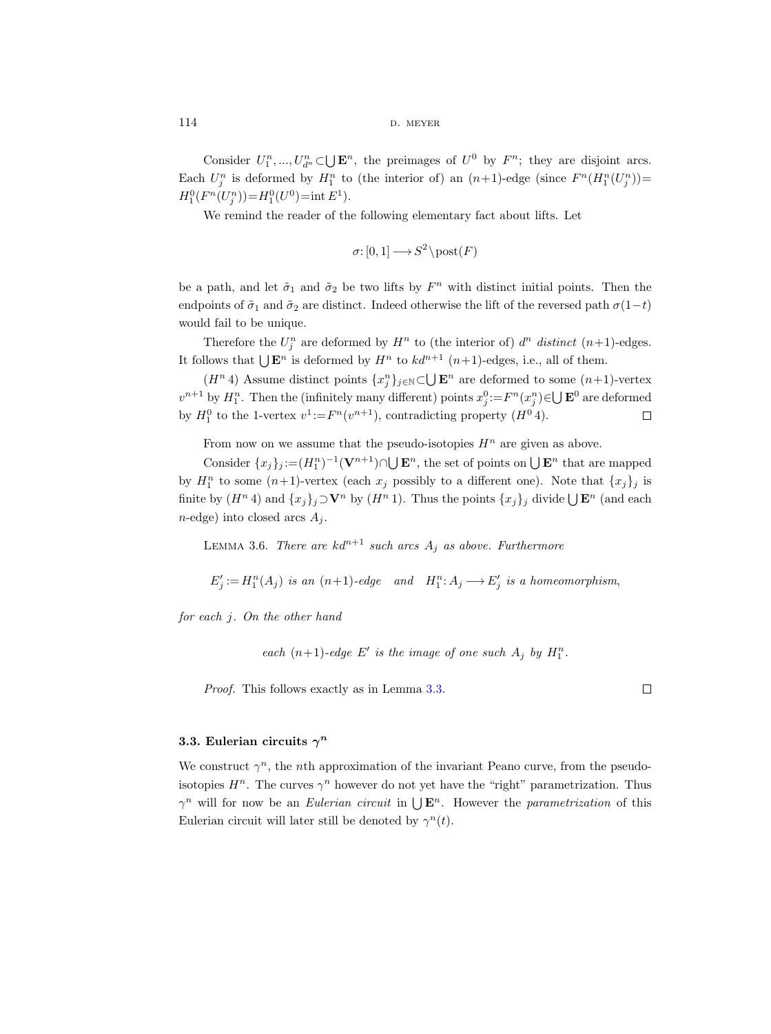Consider  $U_1^n, ..., U_{d^n}^n \subset \bigcup \mathbf{E}^n$ , the preimages of  $U^0$  by  $F^n$ ; they are disjoint arcs. Each  $U_j^n$  is deformed by  $H_1^n$  to (the interior of) an  $(n+1)$ -edge (since  $F^n(H_1^n(U_j^n))=$  $H_1^0(F^n(U_j^n))=H_1^0(U^0)=\text{int } E^1$ .

We remind the reader of the following elementary fact about lifts. Let

$$
\sigma\colon [0,1]\longrightarrow S^2\backslash \mathrm{post}(F)
$$

be a path, and let  $\tilde{\sigma}_1$  and  $\tilde{\sigma}_2$  be two lifts by  $F^n$  with distinct initial points. Then the endpoints of  $\tilde{\sigma}_1$  and  $\tilde{\sigma}_2$  are distinct. Indeed otherwise the lift of the reversed path  $\sigma(1-t)$ would fail to be unique.

Therefore the  $U_j^n$  are deformed by  $H^n$  to (the interior of)  $d^n$  distinct  $(n+1)$ -edges. It follows that  $\bigcup \mathbf{E}^n$  is deformed by  $H^n$  to  $kd^{n+1}$   $(n+1)$ -edges, i.e., all of them.

 $(H<sup>n</sup> 4)$  Assume distinct points  ${x<sub>j</sub><sup>n</sup>}_{j\in\mathbb{N}}\subset\bigcup \mathbf{E}<sup>n</sup>$  are deformed to some  $(n+1)$ -vertex  $v^{n+1}$  by  $H_1^n$ . Then the (infinitely many different) points  $x_j^0 := F^n(x_j^n) \in \bigcup \mathbf{E}^0$  are deformed by  $H_1^0$  to the 1-vertex  $v^1$ := $F^n(v^{n+1})$ , contradicting property  $(H^0 4)$ .  $\Box$ 

From now on we assume that the pseudo-isotopies  $H<sup>n</sup>$  are given as above.

Consider  ${x_j}_j := (H_1^n)^{-1} (\mathbf{V}^{n+1}) \cap \bigcup \mathbf{E}^n$ , the set of points on  $\bigcup \mathbf{E}^n$  that are mapped by  $H_1^n$  to some  $(n+1)$ -vertex (each  $x_j$  possibly to a different one). Note that  $\{x_j\}_j$  is finite by  $(H^n 4)$  and  $\{x_j\}_j \supset V^n$  by  $(H^n 1)$ . Thus the points  $\{x_j\}_j$  divide  $\bigcup \mathbf{E}^n$  (and each  $n$ -edge) into closed arcs  $A_i$ .

<span id="page-19-1"></span>LEMMA 3.6. There are  $kd^{n+1}$  such arcs  $A_j$  as above. Furthermore

 $E'_{j} := H_1^n(A_j)$  is an  $(n+1)$ -edge and  $H_1^n: A_j \longrightarrow E'_{j}$  is a homeomorphism,

for each j. On the other hand

each  $(n+1)$ -edge E' is the image of one such  $A_j$  by  $H_1^n$ .

Proof. This follows exactly as in Lemma [3.3.](#page-16-0)

 $\Box$ 

## <span id="page-19-0"></span>3.3. Eulerian circuits  $\gamma^n$

We construct  $\gamma^n$ , the *n*th approximation of the invariant Peano curve, from the pseudoisotopies  $H^n$ . The curves  $\gamma^n$  however do not yet have the "right" parametrization. Thus  $\gamma^n$  will for now be an *Eulerian circuit* in  $\bigcup \mathbf{E}^n$ . However the *parametrization* of this Eulerian circuit will later still be denoted by  $\gamma^{n}(t)$ .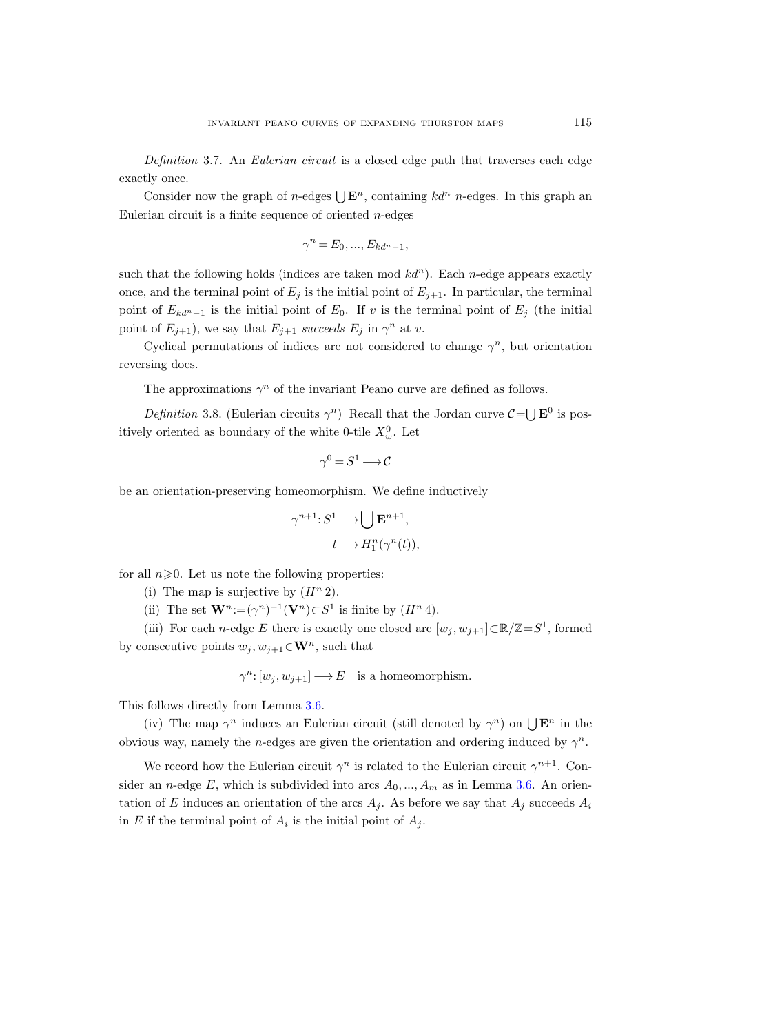Definition 3.7. An Eulerian circuit is a closed edge path that traverses each edge exactly once.

Consider now the graph of *n*-edges  $\bigcup \mathbf{E}^n$ , containing  $kd^n$  *n*-edges. In this graph an Eulerian circuit is a finite sequence of oriented  $n$ -edges

$$
\gamma^n = E_0, \dots, E_{kd^n-1},
$$

such that the following holds (indices are taken mod  $k d^n$ ). Each n-edge appears exactly once, and the terminal point of  $E_j$  is the initial point of  $E_{j+1}$ . In particular, the terminal point of  $E_{kd^n-1}$  is the initial point of  $E_0$ . If v is the terminal point of  $E_j$  (the initial point of  $E_{j+1}$ ), we say that  $E_{j+1}$  succeeds  $E_j$  in  $\gamma^n$  at v.

Cyclical permutations of indices are not considered to change  $\gamma^n$ , but orientation reversing does.

The approximations  $\gamma^n$  of the invariant Peano curve are defined as follows.

<span id="page-20-0"></span>Definition 3.8. (Eulerian circuits  $\gamma^n$ ) Recall that the Jordan curve  $\mathcal{C} = \bigcup \mathbf{E}^0$  is positively oriented as boundary of the white 0-tile  $X_w^0$ . Let

$$
\gamma^0=S^1\longrightarrow \mathcal{C}
$$

be an orientation-preserving homeomorphism. We define inductively

$$
\gamma^{n+1}: S^1 \longrightarrow \bigcup \mathbf{E}^{n+1},
$$

$$
t \longmapsto H_1^n(\gamma^n(t)),
$$

for all  $n\geqslant 0$ . Let us note the following properties:

- (i) The map is surjective by  $(H^n 2)$ .
- (ii) The set  $\mathbf{W}^n := (\gamma^n)^{-1}(\mathbf{V}^n) \subset S^1$  is finite by  $(H^n 4)$ .

(iii) For each *n*-edge E there is exactly one closed arc  $[w_j, w_{j+1}] \subset \mathbb{R}/\mathbb{Z} = S^1$ , formed by consecutive points  $w_j, w_{j+1} \in \mathbf{W}^n$ , such that

$$
\gamma^n\colon [w_j,w_{j+1}]\longrightarrow E\quad\text{is a homeomorphism.}
$$

This follows directly from Lemma [3.6.](#page-19-1)

(iv) The map  $\gamma^n$  induces an Eulerian circuit (still denoted by  $\gamma^n$ ) on  $\bigcup \mathbf{E}^n$  in the obvious way, namely the *n*-edges are given the orientation and ordering induced by  $\gamma^n$ .

We record how the Eulerian circuit  $\gamma^n$  is related to the Eulerian circuit  $\gamma^{n+1}$ . Consider an *n*-edge E, which is subdivided into arcs  $A_0, ..., A_m$  as in Lemma [3.6.](#page-19-1) An orientation of E induces an orientation of the arcs  $A_j$ . As before we say that  $A_j$  succeeds  $A_i$ in E if the terminal point of  $A_i$  is the initial point of  $A_j$ .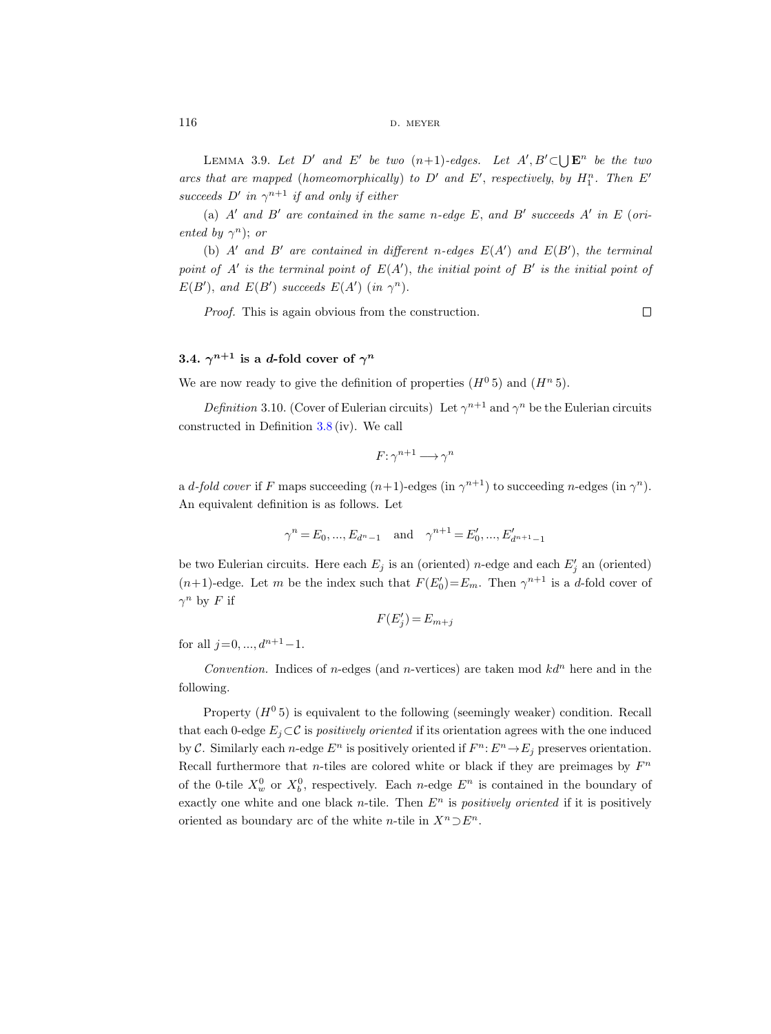<span id="page-21-2"></span>LEMMA 3.9. Let D' and E' be two  $(n+1)$ -edges. Let  $A', B' \subset \bigcup \mathbf{E}^n$  be the two arcs that are mapped (homeomorphically) to  $D'$  and  $E'$ , respectively, by  $H_1^n$ . Then  $E'$ succeeds  $D'$  in  $\gamma^{n+1}$  if and only if either

(a)  $A'$  and  $B'$  are contained in the same n-edge E, and B' succeeds  $A'$  in E (oriented by  $\gamma^n$ ); or

(b)  $A'$  and  $B'$  are contained in different n-edges  $E(A')$  and  $E(B')$ , the terminal point of  $A'$  is the terminal point of  $E(A')$ , the initial point of  $B'$  is the initial point of  $E(B')$ , and  $E(B')$  succeeds  $E(A')$  (in  $\gamma^n$ ).

Proof. This is again obvious from the construction.

 $\Box$ 

## <span id="page-21-0"></span>3.4.  $\gamma^{n+1}$  is a d-fold cover of  $\gamma^n$

We are now ready to give the definition of properties  $(H^0 5)$  and  $(H^n 5)$ .

<span id="page-21-1"></span>Definition 3.10. (Cover of Eulerian circuits) Let  $\gamma^{n+1}$  and  $\gamma^n$  be the Eulerian circuits constructed in Definition [3.8](#page-20-0) (iv). We call

$$
F\colon \gamma^{n+1}\longrightarrow \gamma^n
$$

a *d-fold cover* if F maps succeeding  $(n+1)$ -edges (in  $\gamma^{n+1}$ ) to succeeding *n*-edges (in  $\gamma^n$ ). An equivalent definition is as follows. Let

$$
\gamma^{n} = E_0, ..., E_{d^{n}-1}
$$
 and  $\gamma^{n+1} = E'_0, ..., E'_{d^{n+1}-1}$ 

be two Eulerian circuits. Here each  $E_j$  is an (oriented) *n*-edge and each  $E'_j$  an (oriented)  $(n+1)$ -edge. Let m be the index such that  $F(E_0') = E_m$ . Then  $\gamma^{n+1}$  is a d-fold cover of  $\gamma^n$  by F if

$$
F(E_j') = E_{m+j}
$$

for all  $j=0, ..., d^{n+1}-1$ .

Convention. Indices of n-edges (and n-vertices) are taken mod  $k d^n$  here and in the following.

Property  $(H^0 5)$  is equivalent to the following (seemingly weaker) condition. Recall that each 0-edge  $E_i \subset \mathcal{C}$  is positively oriented if its orientation agrees with the one induced by C. Similarly each *n*-edge  $E^n$  is positively oriented if  $F^n: E^n \to E_j$  preserves orientation. Recall furthermore that *n*-tiles are colored white or black if they are preimages by  $F<sup>n</sup>$ of the 0-tile  $X_w^0$  or  $X_b^0$ , respectively. Each *n*-edge  $E^n$  is contained in the boundary of exactly one white and one black n-tile. Then  $E<sup>n</sup>$  is positively oriented if it is positively oriented as boundary arc of the white *n*-tile in  $X^n \supset E^n$ .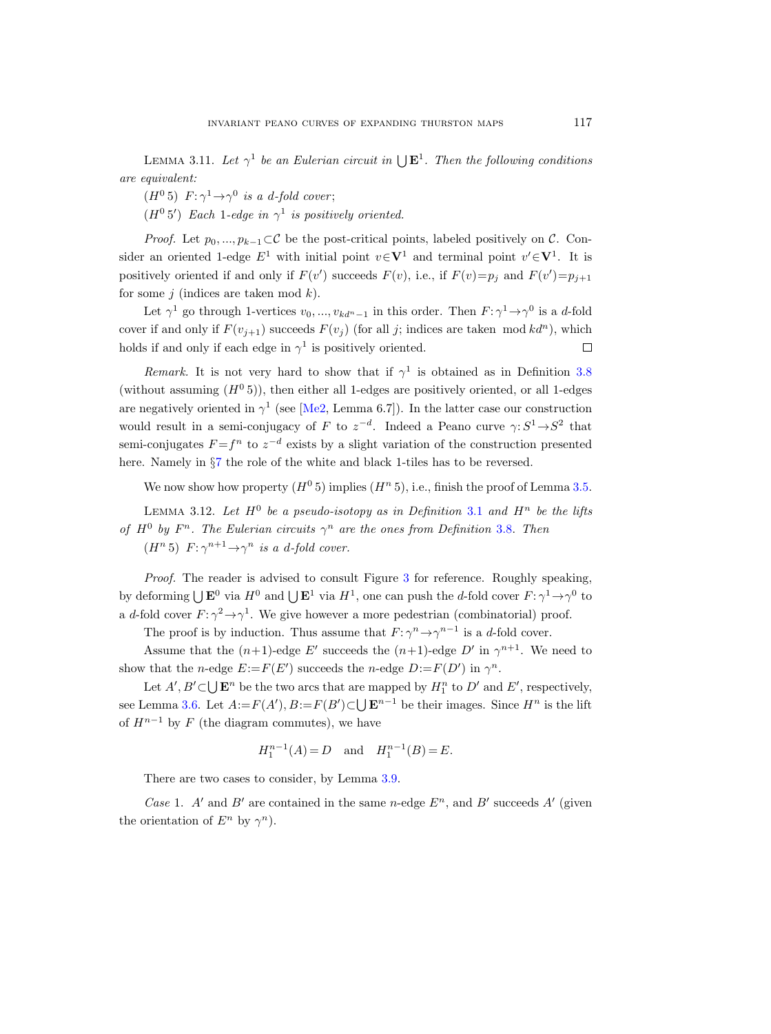<span id="page-22-1"></span>LEMMA 3.11. Let  $\gamma^1$  be an Eulerian circuit in  $\bigcup \mathbf{E}^1$ . Then the following conditions are equivalent:

 $(H^0 5)$   $F: \gamma^1 \rightarrow \gamma^0$  is a d-fold cover;

 $(H^0 5')$  Each 1-edge in  $\gamma^1$  is positively oriented.

*Proof.* Let  $p_0, ..., p_{k-1} \subset \mathcal{C}$  be the post-critical points, labeled positively on  $\mathcal{C}$ . Consider an oriented 1-edge  $E^1$  with initial point  $v \in V^1$  and terminal point  $v' \in V^1$ . It is positively oriented if and only if  $F(v')$  succeeds  $F(v)$ , i.e., if  $F(v)=p_j$  and  $F(v')=p_{j+1}$ for some j (indices are taken mod  $k$ ).

Let  $\gamma^1$  go through 1-vertices  $v_0, ..., v_{kd^n-1}$  in this order. Then  $F: \gamma^1 \to \gamma^0$  is a d-fold cover if and only if  $F(v_{i+1})$  succeeds  $F(v_i)$  (for all j; indices are taken mod  $kd^n$ ), which holds if and only if each edge in  $\gamma^1$  is positively oriented.  $\Box$ 

Remark. It is not very hard to show that if  $\gamma^1$  is obtained as in Definition [3.8](#page-20-0) (without assuming  $(H^0 5)$ ), then either all 1-edges are positively oriented, or all 1-edges are negatively oriented in  $\gamma^1$  (see [\[Me2,](#page-76-12) Lemma 6.7]). In the latter case our construction would result in a semi-conjugacy of F to  $z^{-d}$ . Indeed a Peano curve  $\gamma: S^1 \to S^2$  that semi-conjugates  $F = f^n$  to  $z^{-d}$  exists by a slight variation of the construction presented here. Namely in §[7](#page-49-0) the role of the white and black 1-tiles has to be reversed.

We now show how property  $(H^0 5)$  implies  $(H^n 5)$ , i.e., finish the proof of Lemma [3.5.](#page-18-0)

<span id="page-22-0"></span>LEMMA [3.1](#page-15-3)2. Let  $H^0$  be a pseudo-isotopy as in Definition 3.1 and  $H^n$  be the lifts of  $H^0$  by  $F^n$ . The Eulerian circuits  $\gamma^n$  are the ones from Definition [3.8.](#page-20-0) Then  $(H<sup>n</sup> 5)$   $F: \gamma^{n+1} \rightarrow \gamma^n$  is a d-fold cover.

Proof. The reader is advised to consult Figure [3](#page-23-0) for reference. Roughly speaking, by deforming  $\bigcup \mathbf{E}^0$  via  $H^0$  and  $\bigcup \mathbf{E}^1$  via  $H^1$ , one can push the d-fold cover  $F: \gamma^1 \to \gamma^0$  to a d-fold cover  $F: \gamma^2 \to \gamma^1$ . We give however a more pedestrian (combinatorial) proof.

The proof is by induction. Thus assume that  $F: \gamma^n \to \gamma^{n-1}$  is a d-fold cover.

Assume that the  $(n+1)$ -edge E' succeeds the  $(n+1)$ -edge D' in  $\gamma^{n+1}$ . We need to show that the *n*-edge  $E = F(E')$  succeeds the *n*-edge  $D = F(D')$  in  $\gamma^n$ .

Let  $A', B' \subset \bigcup \mathbf{E}^n$  be the two arcs that are mapped by  $H_1^n$  to  $D'$  and  $E'$ , respectively, see Lemma [3.6.](#page-19-1) Let  $A:=F(A'), B:=F(B')\subset \bigcup \mathbf{E}^{n-1}$  be their images. Since  $H^n$  is the lift of  $H^{n-1}$  by F (the diagram commutes), we have

$$
H_1^{n-1}(A) = D
$$
 and  $H_1^{n-1}(B) = E$ .

There are two cases to consider, by Lemma [3.9.](#page-21-2)

Case 1. A' and B' are contained in the same n-edge  $E<sup>n</sup>$ , and B' succeeds A' (given the orientation of  $E^n$  by  $\gamma^n$ ).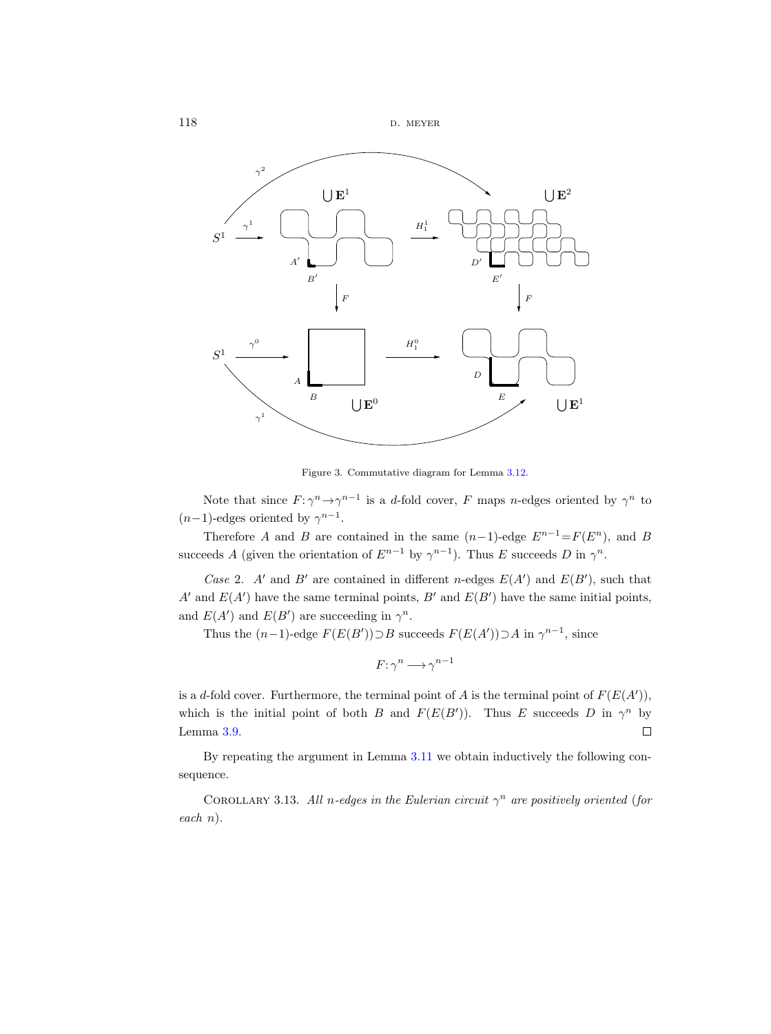

<span id="page-23-0"></span>Figure 3. Commutative diagram for Lemma [3.12.](#page-22-0)

Note that since  $F: \gamma^n \to \gamma^{n-1}$  is a d-fold cover, F maps n-edges oriented by  $\gamma^n$  to  $(n-1)$ -edges oriented by  $\gamma^{n-1}$ .

Therefore A and B are contained in the same  $(n-1)$ -edge  $E^{n-1} = F(E^n)$ , and B succeeds A (given the orientation of  $E^{n-1}$  by  $\gamma^{n-1}$ ). Thus E succeeds D in  $\gamma^n$ .

Case 2. A' and B' are contained in different n-edges  $E(A')$  and  $E(B')$ , such that A' and  $E(A')$  have the same terminal points, B' and  $E(B')$  have the same initial points, and  $E(A')$  and  $E(B')$  are succeeding in  $\gamma^n$ .

Thus the  $(n-1)$ -edge  $F(E(B')) \supset B$  succeeds  $F(E(A')) \supset A$  in  $\gamma^{n-1}$ , since

 $F: \gamma^n \longrightarrow \gamma^{n-1}$ 

is a d-fold cover. Furthermore, the terminal point of A is the terminal point of  $F(E(A'))$ , which is the initial point of both B and  $F(E(B'))$ . Thus E succeeds D in  $\gamma^n$  by Lemma [3.9.](#page-21-2)  $\Box$ 

By repeating the argument in Lemma [3.11](#page-22-1) we obtain inductively the following consequence.

<span id="page-23-1"></span>COROLLARY 3.13. All n-edges in the Eulerian circuit  $\gamma^n$  are positively oriented (for each n).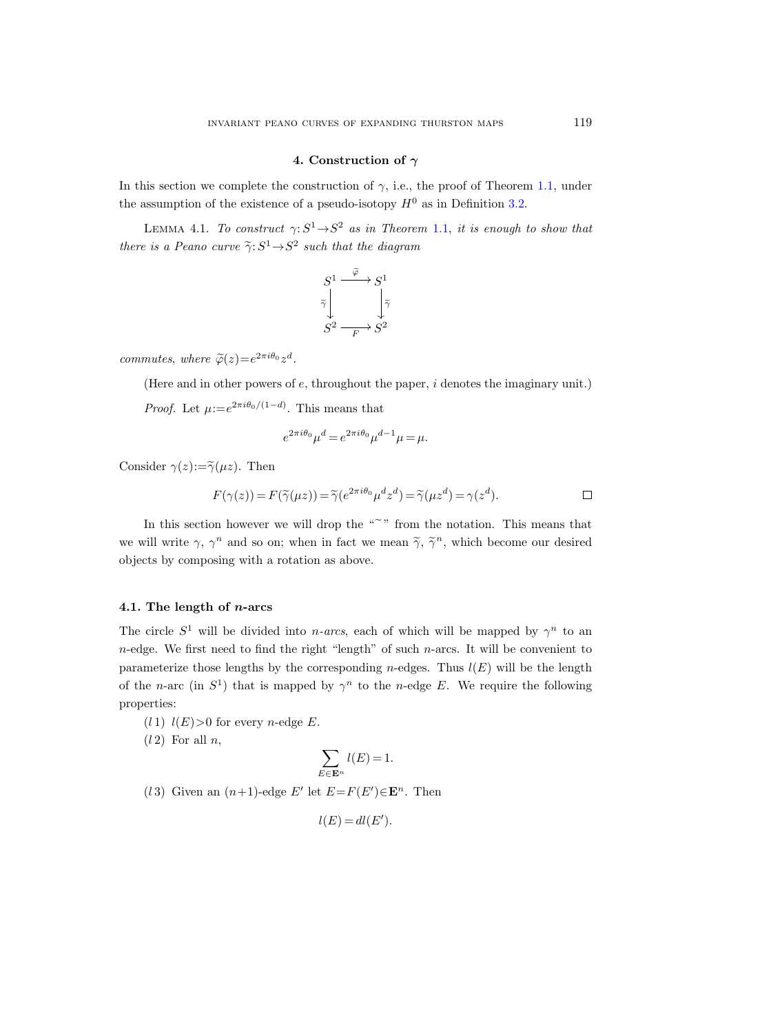#### 4. Construction of  $\gamma$

<span id="page-24-0"></span>In this section we complete the construction of  $\gamma$ , i.e., the proof of Theorem [1.1,](#page-1-1) under the assumption of the existence of a pseudo-isotopy  $H^0$  as in Definition [3.2.](#page-15-2)

<span id="page-24-2"></span>LEMMA 4.1. To construct  $\gamma: S^1 \rightarrow S^2$  as in Theorem [1.1,](#page-1-1) it is enough to show that there is a Peano curve  $\widetilde{\gamma}: S^1 \to S^2$  such that the diagram

$$
S^1 \xrightarrow{\tilde{\varphi}} S^1
$$
  

$$
\tilde{\tilde{\gamma}} \downarrow \qquad \qquad \tilde{\tilde{\gamma}} \downarrow
$$
  

$$
S^2 \xrightarrow{\qquad F} S^2
$$

commutes, where  $\tilde{\varphi}(z) = e^{2\pi i \theta_0} z^d$ .

(Here and in other powers of e, throughout the paper, i denotes the imaginary unit.)

*Proof.* Let  $\mu := e^{2\pi i \theta_0/(1-d)}$ . This means that

$$
e^{2\pi i\theta_0}\mu^d = e^{2\pi i\theta_0}\mu^{d-1}\mu = \mu.
$$

Consider  $\gamma(z) := \widetilde{\gamma}(\mu z)$ . Then

$$
F(\gamma(z)) = F(\widetilde{\gamma}(\mu z)) = \widetilde{\gamma}(e^{2\pi i \theta_0} \mu^d z^d) = \widetilde{\gamma}(\mu z^d) = \gamma(z^d).
$$

In this section however we will drop the  $\mathbb{R}^n$  from the notation. This means that we will write  $\gamma$ ,  $\gamma^n$  and so on; when in fact we mean  $\tilde{\gamma}$ ,  $\tilde{\gamma}^n$ , which become our desired objects by composing with a rotation as above.

## <span id="page-24-1"></span>4.1. The length of  $n$ -arcs

The circle  $S^1$  will be divided into *n*-arcs, each of which will be mapped by  $\gamma^n$  to an  $n$ -edge. We first need to find the right "length" of such  $n$ -arcs. It will be convenient to parameterize those lengths by the corresponding n-edges. Thus  $l(E)$  will be the length of the n-arc (in  $S^1$ ) that is mapped by  $\gamma^n$  to the n-edge E. We require the following properties:

 $(l 1)$   $l(E) > 0$  for every *n*-edge E.

 $(l 2)$  For all n,

$$
\sum_{E\in {\bf E}^n} l(E)=1.
$$

(13) Given an  $(n+1)$ -edge E' let  $E = F(E') \in \mathbf{E}^n$ . Then

$$
l(E) = dl(E').
$$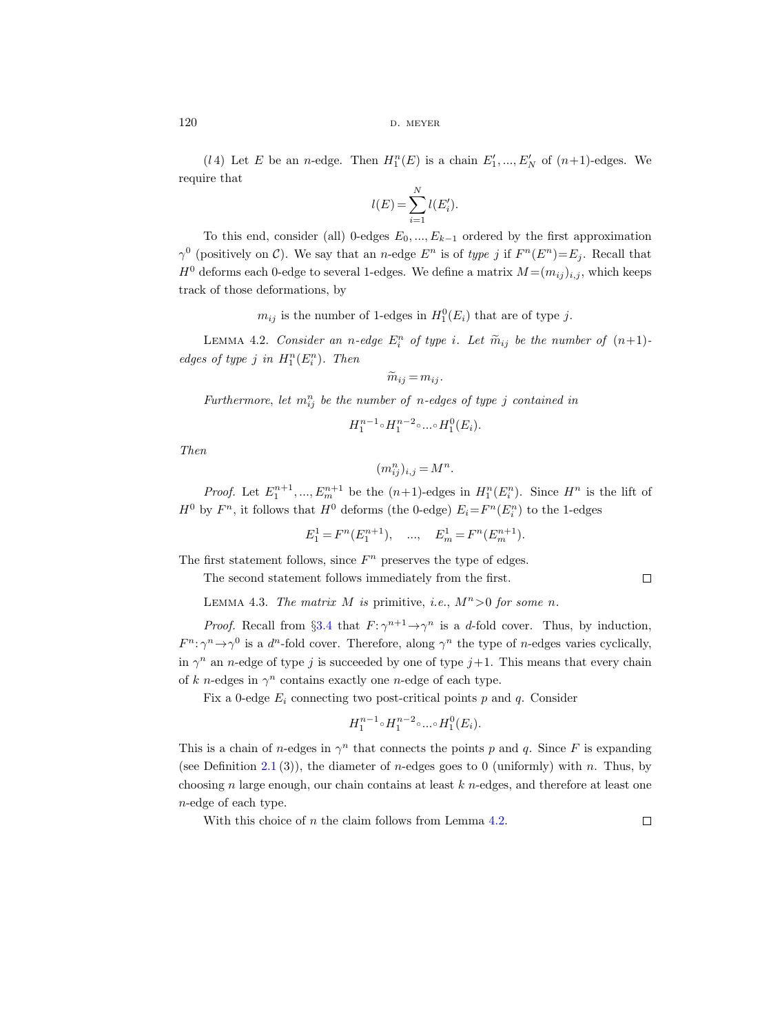(*l* 4) Let *E* be an *n*-edge. Then  $H_1^n(E)$  is a chain  $E'_1, ..., E'_N$  of  $(n+1)$ -edges. We require that

$$
l(E) = \sum_{i=1}^{N} l(E'_i).
$$

To this end, consider (all) 0-edges  $E_0, ..., E_{k-1}$  ordered by the first approximation  $\gamma^0$  (positively on C). We say that an n-edge  $E^n$  is of type j if  $F^n(E^n) = E_j$ . Recall that  $H^0$  deforms each 0-edge to several 1-edges. We define a matrix  $M = (m_{ij})_{i,j}$ , which keeps track of those deformations, by

 $m_{ij}$  is the number of 1-edges in  $H_1^0(E_i)$  that are of type j.

<span id="page-25-0"></span>LEMMA 4.2. Consider an n-edge  $E_i^n$  of type i. Let  $\widetilde{m}_{ij}$  be the number of  $(n+1)$ edges of type j in  $H_1^n(E_i^n)$ . Then

$$
\widetilde{m}_{ij}=m_{ij}.
$$

Furthermore, let  $m_{ij}^n$  be the number of n-edges of type j contained in

$$
H_1^{n-1} \circ H_1^{n-2} \circ \dots \circ H_1^0(E_i).
$$

Then

$$
(m_{ij}^n)_{i,j} = M^n
$$

.

*Proof.* Let  $E_1^{n+1},..., E_m^{n+1}$  be the  $(n+1)$ -edges in  $H_1^n(E_i^n)$ . Since  $H^n$  is the lift of  $H^0$  by  $F^n$ , it follows that  $H^0$  deforms (the 0-edge)  $E_i = F^n(E_i^n)$  to the 1-edges

 $E_1^1 = F^n(E_1^{n+1}), \quad ..., \quad E_m^1 = F^n(E_m^{n+1}).$ 

The first statement follows, since  $F<sup>n</sup>$  preserves the type of edges.

The second statement follows immediately from the first.

LEMMA 4.3. The matrix M is primitive, i.e.,  $M^n > 0$  for some n.

*Proof.* Recall from §[3.4](#page-21-0) that  $F: \gamma^{n+1} \to \gamma^n$  is a d-fold cover. Thus, by induction,  $F^n$ :  $\gamma^n \to \gamma^0$  is a  $d^n$ -fold cover. Therefore, along  $\gamma^n$  the type of *n*-edges varies cyclically, in  $\gamma^n$  an *n*-edge of type j is succeeded by one of type  $j+1$ . This means that every chain of k n-edges in  $\gamma^n$  contains exactly one n-edge of each type.

Fix a 0-edge  $E_i$  connecting two post-critical points p and q. Consider

$$
H_1^{n-1} \circ H_1^{n-2} \circ \dots \circ H_1^0(E_i).
$$

This is a chain of *n*-edges in  $\gamma^n$  that connects the points p and q. Since F is expanding (see Definition [2.1](#page-11-1) (3)), the diameter of *n*-edges goes to 0 (uniformly) with *n*. Thus, by choosing n large enough, our chain contains at least  $k$  n-edges, and therefore at least one n-edge of each type.

With this choice of  $n$  the claim follows from Lemma [4.2.](#page-25-0)

 $\Box$ 

 $\Box$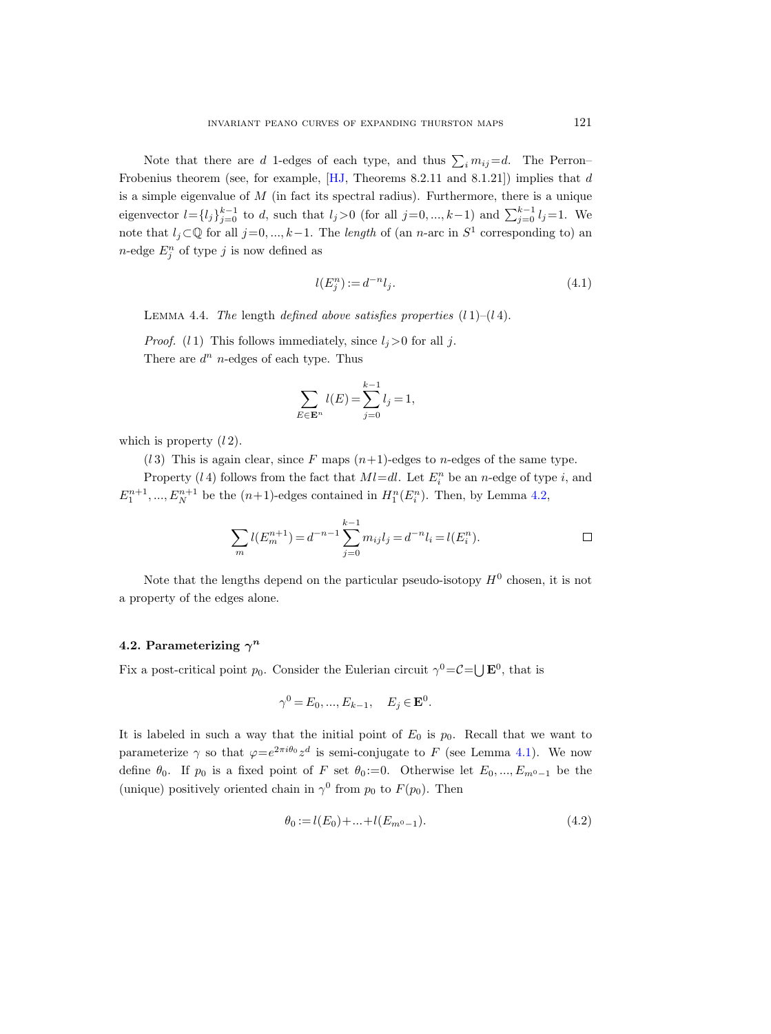Note that there are d 1-edges of each type, and thus  $\sum_i m_{ij} = d$ . The Perron-Frobenius theorem (see, for example, [\[HJ,](#page-75-19) Theorems 8.2.11 and 8.1.21]) implies that d is a simple eigenvalue of  $M$  (in fact its spectral radius). Furthermore, there is a unique eigenvector  $l = \{l_j\}_{j=0}^{k-1}$  to d, such that  $l_j > 0$  (for all  $j = 0, ..., k-1$ ) and  $\sum_{j=0}^{k-1} l_j = 1$ . We note that  $l_j \subset \mathbb{Q}$  for all  $j=0, ..., k-1$ . The length of (an n-arc in  $S^1$  corresponding to) an  $n$ -edge  $E_j^n$  of type j is now defined as

$$
l(E_j^n) := d^{-n} l_j. \tag{4.1}
$$

LEMMA 4.4. The length defined above satisfies properties  $(l 1)$ – $(l 4)$ .

*Proof.* (1) This follows immediately, since  $l_i>0$  for all j. There are  $d^n$  *n*-edges of each type. Thus

$$
\sum_{E \in \mathbf{E}^n} l(E) = \sum_{j=0}^{k-1} l_j = 1,
$$

which is property  $(l 2)$ .

(13) This is again clear, since F maps  $(n+1)$ -edges to n-edges of the same type.

Property (14) follows from the fact that  $Ml=dl$ . Let  $E_i^n$  be an n-edge of type i, and  $E_1^{n+1},..., E_N^{n+1}$  be the  $(n+1)$ -edges contained in  $H_1^n(E_i^n)$ . Then, by Lemma [4.2,](#page-25-0)

$$
\sum_{m} l(E_m^{n+1}) = d^{-n-1} \sum_{j=0}^{k-1} m_{ij} l_j = d^{-n} l_i = l(E_i^n).
$$

Note that the lengths depend on the particular pseudo-isotopy  $H^0$  chosen, it is not a property of the edges alone.

## <span id="page-26-0"></span>4.2. Parameterizing  $\gamma^n$

Fix a post-critical point  $p_0$ . Consider the Eulerian circuit  $\gamma^0 = C = \bigcup \mathbf{E}^0$ , that is

$$
\gamma^0 = E_0, \dots, E_{k-1}, \quad E_j \in \mathbf{E}^0.
$$

It is labeled in such a way that the initial point of  $E_0$  is  $p_0$ . Recall that we want to parameterize  $\gamma$  so that  $\varphi = e^{2\pi i \theta_0} z^d$  is semi-conjugate to F (see Lemma [4.1\)](#page-24-2). We now define  $\theta_0$ . If  $p_0$  is a fixed point of F set  $\theta_0 := 0$ . Otherwise let  $E_0, ..., E_{m^0-1}$  be the (unique) positively oriented chain in  $\gamma^0$  from  $p_0$  to  $F(p_0)$ . Then

<span id="page-26-1"></span>
$$
\theta_0 := l(E_0) + \dots + l(E_{m^0 - 1}).\tag{4.2}
$$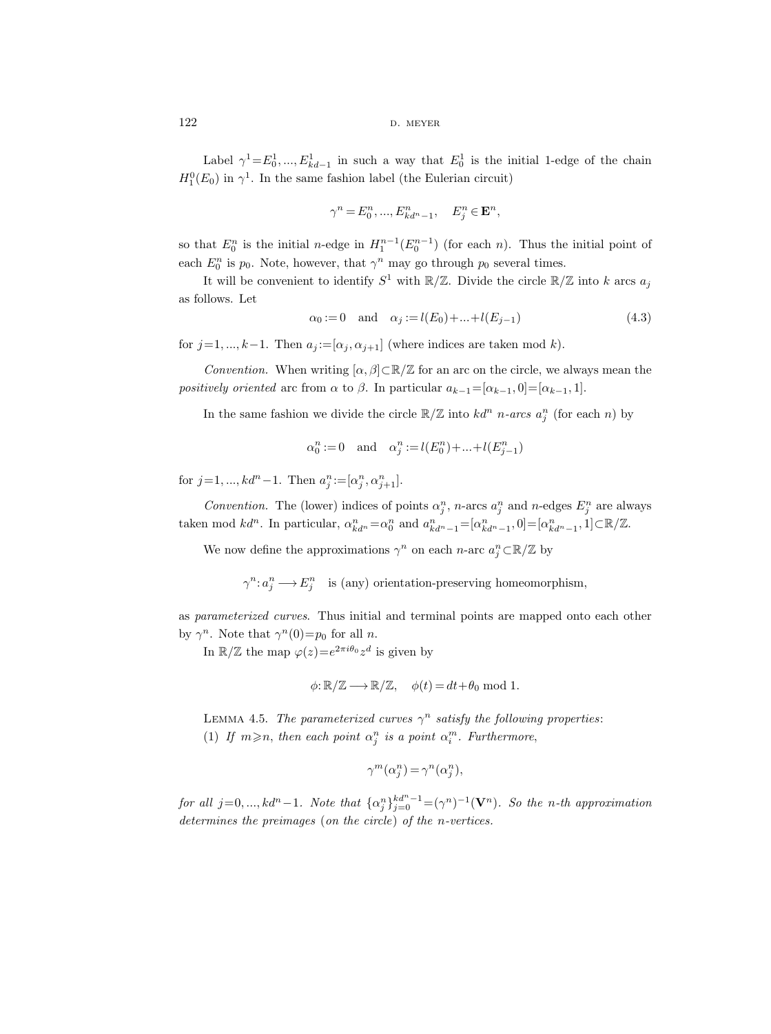Label  $\gamma^1 = E_0^1, ..., E_{kd-1}^1$  in such a way that  $E_0^1$  is the initial 1-edge of the chain  $H_1^0(E_0)$  in  $\gamma^1$ . In the same fashion label (the Eulerian circuit)

$$
\gamma^n=E_0^n,...,E_{kd^n-1}^n,\quad E_j^n\in \mathbf{E}^n,
$$

so that  $E_0^n$  is the initial *n*-edge in  $H_1^{n-1}(E_0^{n-1})$  (for each *n*). Thus the initial point of each  $E_0^n$  is  $p_0$ . Note, however, that  $\gamma^n$  may go through  $p_0$  several times.

It will be convenient to identify  $S^1$  with  $\mathbb{R}/\mathbb{Z}$ . Divide the circle  $\mathbb{R}/\mathbb{Z}$  into k arcs  $a_j$ as follows. Let

<span id="page-27-0"></span>
$$
\alpha_0 := 0 \quad \text{and} \quad \alpha_j := l(E_0) + \dots + l(E_{j-1}) \tag{4.3}
$$

for  $j=1, ..., k-1$ . Then  $a_j := [\alpha_j, \alpha_{j+1}]$  (where indices are taken mod k).

Convention. When writing  $[\alpha, \beta] \subset \mathbb{R}/\mathbb{Z}$  for an arc on the circle, we always mean the positively oriented arc from  $\alpha$  to  $\beta$ . In particular  $a_{k-1}=[\alpha_{k-1}, 0]=[\alpha_{k-1}, 1].$ 

In the same fashion we divide the circle  $\mathbb{R}/\mathbb{Z}$  into  $kd^n$  n-arcs  $a_j^n$  (for each n) by

$$
\alpha_0^n:=0\quad\text{and}\quad \alpha_j^n:=l(E_0^n)+\ldots+l(E_{j-1}^n)
$$

for  $j=1, ..., kd^{n}-1$ . Then  $a_j^n := [\alpha_j^n, \alpha_{j+1}^n]$ .

Convention. The (lower) indices of points  $\alpha_j^n$ , n-arcs  $a_j^n$  and n-edges  $E_j^n$  are always taken mod  $kd^n$ . In particular,  $\alpha_{kd^n}^n = \alpha_0^n$  and  $a_{kd^n-1}^n = [\alpha_{kd^n-1}^n, 0] = [\alpha_{kd^n-1}^n, 1] \subset \mathbb{R}/\mathbb{Z}$ .

We now define the approximations  $\gamma^n$  on each n-arc  $a_j^n \subset \mathbb{R}/\mathbb{Z}$  by

 $\gamma^n: a_j^n \longrightarrow E_j^n$  is (any) orientation-preserving homeomorphism,

as parameterized curves. Thus initial and terminal points are mapped onto each other by  $\gamma^n$ . Note that  $\gamma^n(0) = p_0$  for all *n*.

In  $\mathbb{R}/\mathbb{Z}$  the map  $\varphi(z) = e^{2\pi i \theta_0} z^d$  is given by

$$
\phi: \mathbb{R}/\mathbb{Z} \longrightarrow \mathbb{R}/\mathbb{Z}, \quad \phi(t) = dt + \theta_0 \text{ mod } 1.
$$

<span id="page-27-1"></span>LEMMA 4.5. The parameterized curves  $\gamma^n$  satisfy the following properties: (1) If  $m \ge n$ , then each point  $\alpha_j^n$  is a point  $\alpha_i^m$ . Furthermore,

$$
\gamma^m(\alpha_j^n) = \gamma^n(\alpha_j^n),
$$

for all  $j=0, ..., kd<sup>n</sup>-1$ . Note that  $\{\alpha_j^n\}_{j=0}^{kd<sup>n</sup>-1} = (\gamma^n)^{-1}(\mathbf{V}^n)$ . So the n-th approximation determines the preimages (on the circle) of the n-vertices.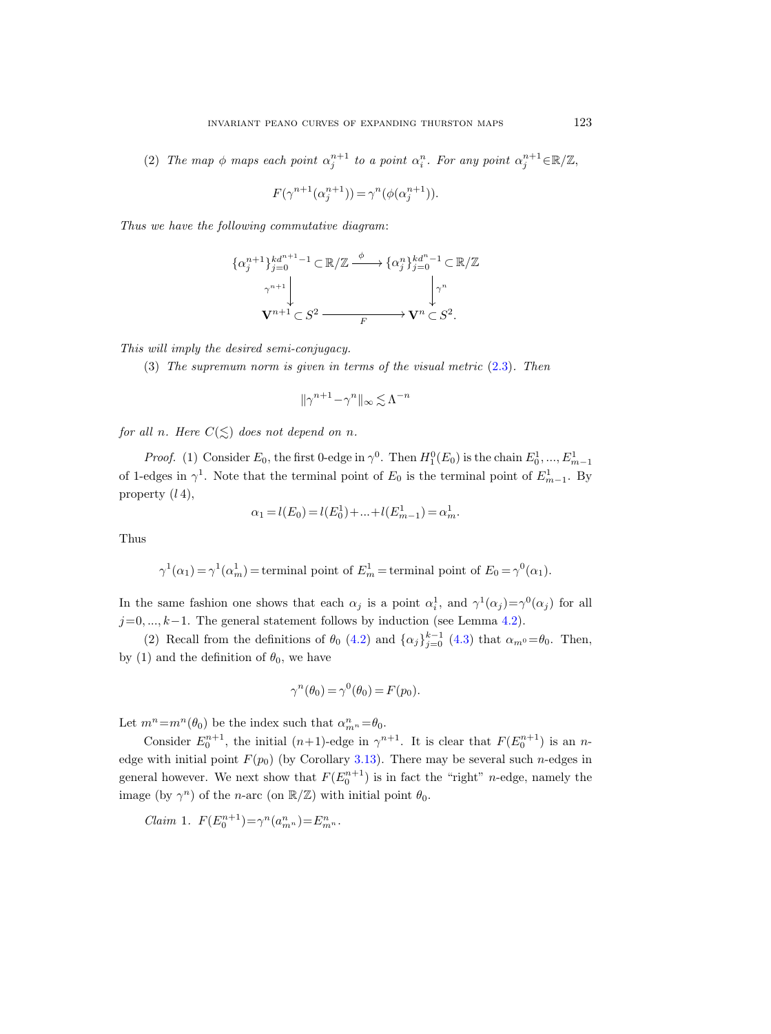(2) The map  $\phi$  maps each point  $\alpha_j^{n+1}$  to a point  $\alpha_i^n$ . For any point  $\alpha_j^{n+1} \in \mathbb{R}/\mathbb{Z}$ ,

$$
F(\gamma^{n+1}(\alpha_j^{n+1})) = \gamma^n(\phi(\alpha_j^{n+1})).
$$

Thus we have the following commutative diagram:

$$
\{\alpha_j^{n+1}\}_{j=0}^{kd^{n+1}-1} \subset \mathbb{R}/\mathbb{Z} \xrightarrow{\phi} \{\alpha_j^n\}_{j=0}^{kd^n-1} \subset \mathbb{R}/\mathbb{Z}
$$

$$
\gamma^{n+1} \downarrow \qquad \qquad \downarrow \gamma^n
$$

$$
\mathbf{V}^{n+1} \subset S^2 \xrightarrow{F} \mathbf{V}^n \subset S^2.
$$

This will imply the desired semi-conjugacy.

(3) The supremum norm is given in terms of the visual metric [\(2.3\)](#page-14-0). Then

$$
\|\gamma^{n+1}-\gamma^{n}\|_{\infty} \lesssim \Lambda^{-n}
$$

for all n. Here  $C(\leq)$  does not depend on n.

*Proof.* (1) Consider  $E_0$ , the first 0-edge in  $\gamma^0$ . Then  $H_1^0(E_0)$  is the chain  $E_0^1, ..., E_{m-1}^1$ of 1-edges in  $\gamma^1$ . Note that the terminal point of  $E_0$  is the terminal point of  $E_{m-1}^1$ . By property  $(l4)$ ,

$$
\alpha_1 = l(E_0) = l(E_0^1) + \dots + l(E_{m-1}^1) = \alpha_m^1.
$$

Thus

$$
\gamma^1(\alpha_1)=\gamma^1(\alpha_m^1)=\text{terminal point of } E_m^1=\text{terminal point of } E_0=\gamma^0(\alpha_1).
$$

In the same fashion one shows that each  $\alpha_j$  is a point  $\alpha_i^1$ , and  $\gamma^1(\alpha_j) = \gamma^0(\alpha_j)$  for all  $j=0, ..., k-1$ . The general statement follows by induction (see Lemma [4.2\)](#page-25-0).

(2) Recall from the definitions of  $\theta_0$  [\(4.2\)](#page-26-1) and  $\{\alpha_j\}_{j=0}^{k-1}$  [\(4.3\)](#page-27-0) that  $\alpha_{m^0} = \theta_0$ . Then, by (1) and the definition of  $\theta_0$ , we have

$$
\gamma^{n}(\theta_0) = \gamma^{0}(\theta_0) = F(p_0).
$$

Let  $m^n = m^n(\theta_0)$  be the index such that  $\alpha_{m}^n = \theta_0$ .

Consider  $E_0^{n+1}$ , the initial  $(n+1)$ -edge in  $\gamma^{n+1}$ . It is clear that  $F(E_0^{n+1})$  is an nedge with initial point  $F(p_0)$  (by Corollary [3.13\)](#page-23-1). There may be several such *n*-edges in general however. We next show that  $F(E_0^{n+1})$  is in fact the "right" *n*-edge, namely the image (by  $\gamma^n$ ) of the *n*-arc (on  $\mathbb{R}/\mathbb{Z}$ ) with initial point  $\theta_0$ .

Claim 1.  $F(E_0^{n+1}) = \gamma^n(a_{m^n}^n) = E_{m^n}^n$ .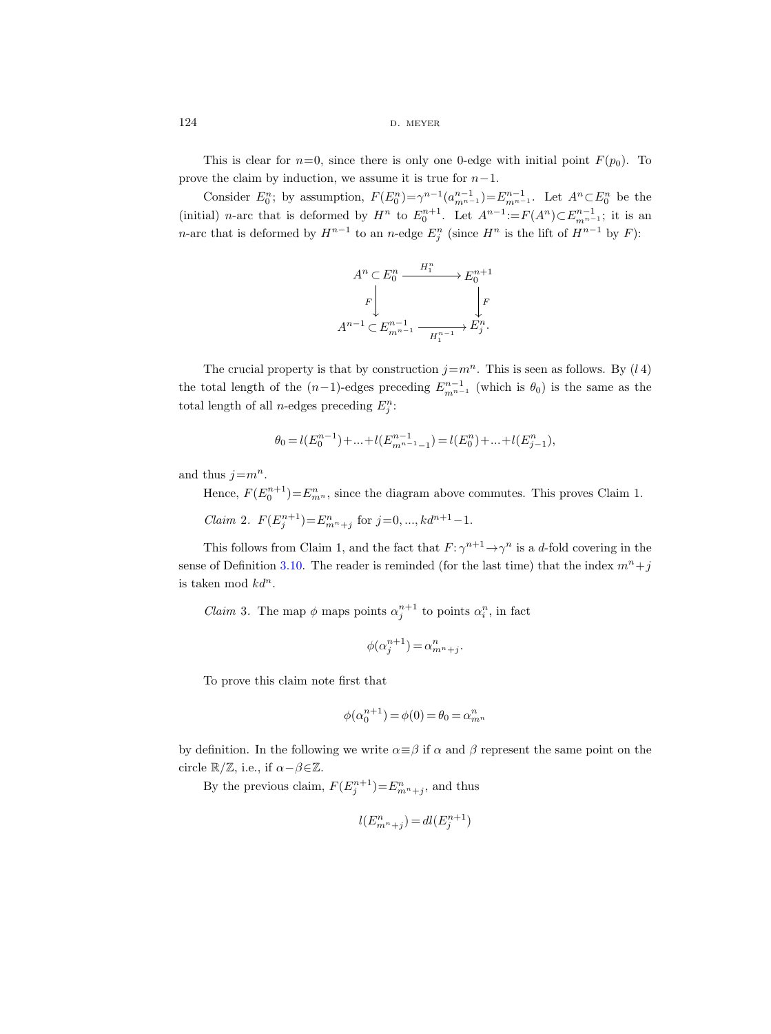This is clear for  $n=0$ , since there is only one 0-edge with initial point  $F(p_0)$ . To prove the claim by induction, we assume it is true for  $n-1$ .

Consider  $E_0^n$ ; by assumption,  $F(E_0^n) = \gamma^{n-1} (a_{m^{n-1}}^{n-1}) = E_{m^{n-1}}^{n-1}$ . Let  $A^n \subset E_0^n$  be the (initial) *n*-arc that is deformed by  $H^n$  to  $E_0^{n+1}$ . Let  $A^{n-1} := F(A^n) \subset E_{m^{n-1}}^{n-1}$ ; it is an n-arc that is deformed by  $H^{n-1}$  to an n-edge  $E_j^n$  (since  $H^n$  is the lift of  $H^{n-1}$  by  $F$ ):

$$
A^n \subset E_0^n \xrightarrow{H_1^n} E_0^{n+1}
$$

$$
F \downarrow \qquad \qquad F \downarrow
$$

$$
A^{n-1} \subset E_{m^{n-1}}^{n-1} \xrightarrow{H_1^{n-1}} E_j^n.
$$

The crucial property is that by construction  $j=m^n$ . This is seen as follows. By  $(l\,4)$ the total length of the  $(n-1)$ -edges preceding  $E_{m^{n-1}}^{n-1}$  (which is  $\theta_0$ ) is the same as the total length of all *n*-edges preceding  $E_j^n$ :

$$
\theta_0=l(E_0^{n-1})+\ldots+l(E_{m^{n-1}-1}^{n-1})=l(E_0^{n})+\ldots+l(E_{j-1}^{n}),
$$

and thus  $j=m^n$ .

Hence,  $F(E_0^{n+1}) = E_{m^n}^n$ , since the diagram above commutes. This proves Claim 1.

*Claim* 2.  $F(E_j^{n+1}) = E_{m^n+j}^n$  for  $j = 0, ..., kd^{n+1} - 1$ .

This follows from Claim 1, and the fact that  $F: \gamma^{n+1} \to \gamma^n$  is a d-fold covering in the sense of Definition [3.10.](#page-21-1) The reader is reminded (for the last time) that the index  $m<sup>n</sup> + j$ is taken mod  $kd^n$ .

*Claim* 3. The map  $\phi$  maps points  $\alpha_j^{n+1}$  to points  $\alpha_i^n$ , in fact

$$
\phi(\alpha_j^{n+1}) = \alpha_{m^n + j}^n.
$$

To prove this claim note first that

$$
\phi(\alpha_0^{n+1})=\phi(0)=\theta_0=\alpha_{m^n}^n
$$

by definition. In the following we write  $\alpha \equiv \beta$  if  $\alpha$  and  $\beta$  represent the same point on the circle  $\mathbb{R}/\mathbb{Z}$ , i.e., if  $\alpha-\beta \in \mathbb{Z}$ .

By the previous claim,  $F(E_j^{n+1}) = E_{m^n+j}^n$ , and thus

$$
l(E^n_{m^n+j}) = dl(E^{n+1}_j)
$$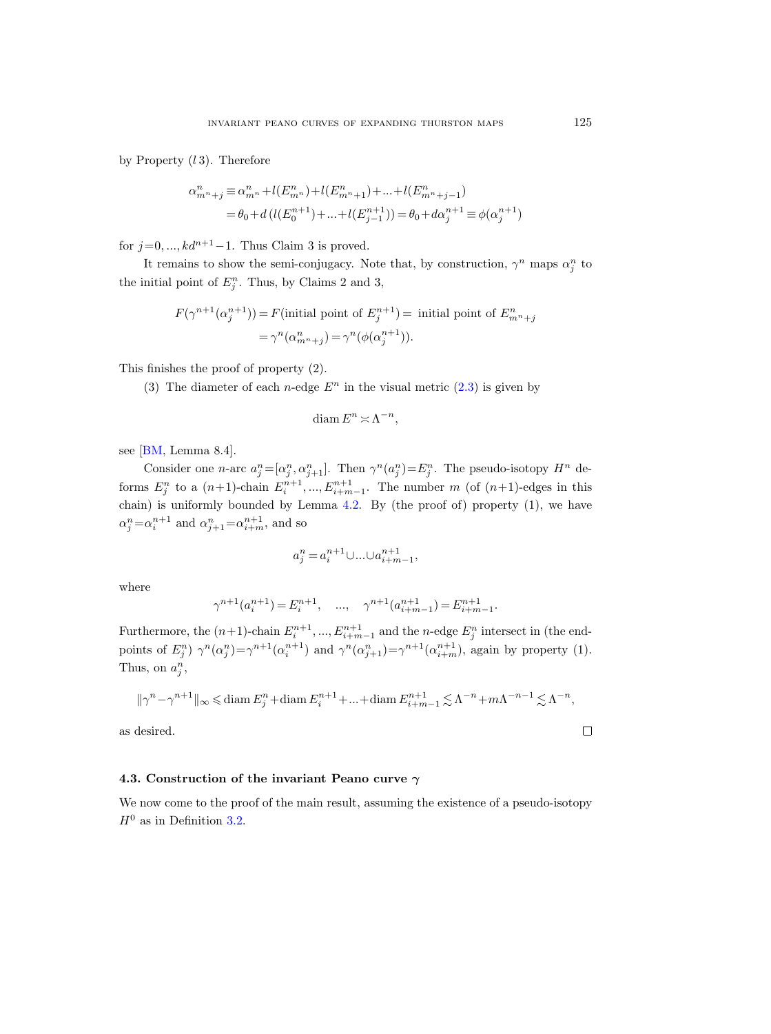by Property  $(l 3)$ . Therefore

$$
\begin{split} \alpha_{m^n+j}^n &\equiv \alpha_{m^n}^n + l(E_{m^n}^n) + l(E_{m^n+1}^n) + \ldots + l(E_{m^n+j-1}^n) \\ &\quad = \theta_0 + d \left( l(E_0^{n+1}) + \ldots + l(E_{j-1}^{n+1}) \right) = \theta_0 + d \alpha_j^{n+1} \equiv \phi(\alpha_j^{n+1}) \end{split}
$$

for  $j=0, ..., kd^{n+1}-1$ . Thus Claim 3 is proved.

It remains to show the semi-conjugacy. Note that, by construction,  $\gamma^n$  maps  $\alpha_j^n$  to the initial point of  $E_j^n$ . Thus, by Claims 2 and 3,

$$
F(\gamma^{n+1}(\alpha_j^{n+1})) = F(\text{initial point of } E_j^{n+1}) = \text{ initial point of } E_{m^n+j}^n
$$
  
= 
$$
\gamma^n(\alpha_{m^n+j}^n) = \gamma^n(\phi(\alpha_j^{n+1})).
$$

This finishes the proof of property (2).

(3) The diameter of each *n*-edge  $E^n$  in the visual metric [\(2.3\)](#page-14-0) is given by

$$
\text{diam}\, E^n \asymp \Lambda^{-n},
$$

see [\[BM,](#page-75-13) Lemma 8.4].

Consider one *n*-arc  $a_j^n = [\alpha_j^n, \alpha_{j+1}^n]$ . Then  $\gamma^n(a_j^n) = E_j^n$ . The pseudo-isotopy  $H^n$  deforms  $E_j^n$  to a  $(n+1)$ -chain  $E_i^{n+1}, ..., E_{i+m-1}^{n+1}$ . The number m (of  $(n+1)$ -edges in this chain) is uniformly bounded by Lemma [4.2.](#page-25-0) By (the proof of) property (1), we have  $\alpha_j^n = \alpha_i^{n+1}$  and  $\alpha_{j+1}^n = \alpha_{i+m}^{n+1}$ , and so

$$
a^n_j=a^{n+1}_i\cup\ldots\cup a^{n+1}_{i+m-1},
$$

where

$$
\gamma^{n+1}(a_i^{n+1}) = E_i^{n+1}, \quad \dots, \quad \gamma^{n+1}(a_{i+m-1}^{n+1}) = E_{i+m-1}^{n+1}.
$$

Furthermore, the  $(n+1)$ -chain  $E_i^{n+1}, ..., E_{i+m-1}^{n+1}$  and the n-edge  $E_j^n$  intersect in (the endpoints of  $E_j^n$ )  $\gamma^n(\alpha_j^n) = \gamma^{n+1}(\alpha_i^{n+1})$  and  $\gamma^n(\alpha_{j+1}^n) = \gamma^{n+1}(\alpha_{i+m}^{n+1})$ , again by property (1). Thus, on  $a_j^n$ ,

$$
\|\gamma^{n}-\gamma^{n+1}\|_{\infty} \leq \text{diam}\, E_j^n + \text{diam}\, E_i^{n+1} + \dots + \text{diam}\, E_{i+m-1}^{n+1} \lesssim \Lambda^{-n} + m\Lambda^{-n-1} \lesssim \Lambda^{-n},
$$

as desired.

#### <span id="page-30-0"></span>4.3. Construction of the invariant Peano curve  $\gamma$

We now come to the proof of the main result, assuming the existence of a pseudo-isotopy  $H^0$  as in Definition [3.2.](#page-15-2)

 $\Box$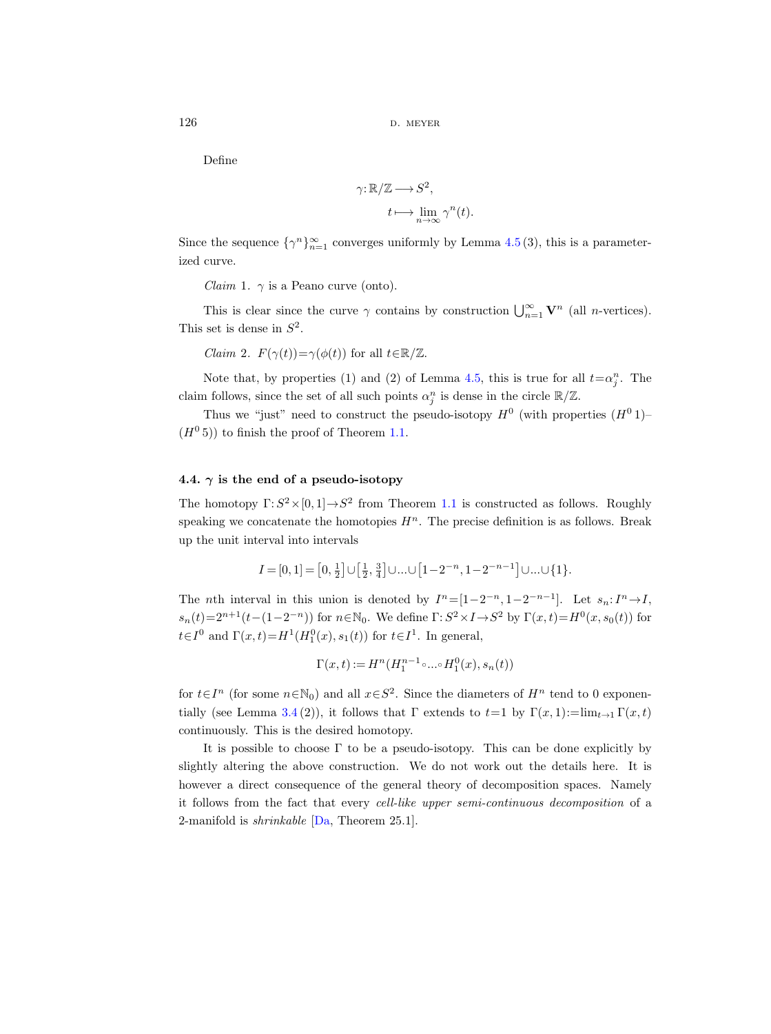Define

$$
\gamma: \mathbb{R}/\mathbb{Z} \longrightarrow S^2,
$$

$$
t \longmapsto \lim_{n \to \infty} \gamma^n(t).
$$

Since the sequence  $\{\gamma^n\}_{n=1}^{\infty}$  converges uniformly by Lemma [4.5](#page-27-1) (3), this is a parameterized curve.

*Claim* 1.  $\gamma$  is a Peano curve (onto).

This is clear since the curve  $\gamma$  contains by construction  $\bigcup_{n=1}^{\infty} \mathbf{V}^n$  (all *n*-vertices). This set is dense in  $S^2$ .

*Claim 2.*  $F(\gamma(t)) = \gamma(\phi(t))$  for all  $t \in \mathbb{R}/\mathbb{Z}$ .

Note that, by properties (1) and (2) of Lemma [4.5,](#page-27-1) this is true for all  $t = \alpha_j^n$ . The claim follows, since the set of all such points  $\alpha_j^n$  is dense in the circle  $\mathbb{R}/\mathbb{Z}$ .

Thus we "just" need to construct the pseudo-isotopy  $H^0$  (with properties  $(H^0 1)$ - $(H^0 5)$  to finish the proof of Theorem [1.1.](#page-1-1)

#### <span id="page-31-0"></span>4.4.  $\gamma$  is the end of a pseudo-isotopy

The homotopy  $\Gamma: S^2 \times [0, 1] \to S^2$  from Theorem [1.1](#page-1-1) is constructed as follows. Roughly speaking we concatenate the homotopies  $H<sup>n</sup>$ . The precise definition is as follows. Break up the unit interval into intervals

$$
I=[0,1] = \left[0, \frac{1}{2}\right] \cup \left[\frac{1}{2}, \frac{3}{4}\right] \cup \ldots \cup \left[1-2^{-n}, 1-2^{-n-1}\right] \cup \ldots \cup \{1\}.
$$

The *n*th interval in this union is denoted by  $I^n = [1 - 2^{-n}, 1 - 2^{-n-1}]$ . Let  $s_n: I^n \to I$ ,  $s_n(t) = 2^{n+1}(t-(1-2^{-n}))$  for  $n \in \mathbb{N}_0$ . We define  $\Gamma: S^2 \times I \to S^2$  by  $\Gamma(x,t) = H^0(x, s_0(t))$  for  $t \in I^0$  and  $\Gamma(x,t) = H^1(H_1^0(x), s_1(t))$  for  $t \in I^1$ . In general,

$$
\Gamma(x,t):=H^n(H_1^{n-1}\circ\ldots\circ H_1^0(x),s_n(t))
$$

for  $t \in I^n$  (for some  $n \in \mathbb{N}_0$ ) and all  $x \in S^2$ . Since the diameters of  $H^n$  tend to 0 exponen-tially (see Lemma [3.4](#page-17-1) (2)), it follows that  $\Gamma$  extends to  $t=1$  by  $\Gamma(x, 1) := \lim_{t\to 1} \Gamma(x, t)$ continuously. This is the desired homotopy.

It is possible to choose  $\Gamma$  to be a pseudo-isotopy. This can be done explicitly by slightly altering the above construction. We do not work out the details here. It is however a direct consequence of the general theory of decomposition spaces. Namely it follows from the fact that every cell-like upper semi-continuous decomposition of a 2-manifold is *shrinkable*  $[Da, Theorem 25.1]$  $[Da, Theorem 25.1]$ .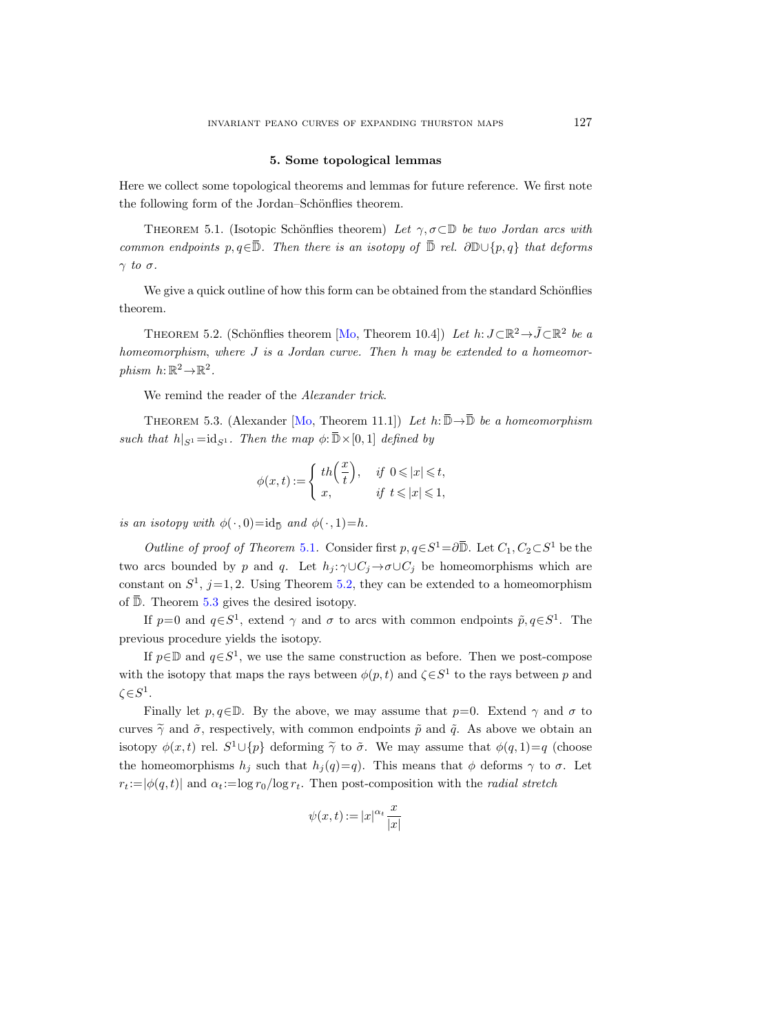#### 5. Some topological lemmas

<span id="page-32-0"></span>Here we collect some topological theorems and lemmas for future reference. We first note the following form of the Jordan–Schönflies theorem.

<span id="page-32-1"></span>THEOREM 5.1. (Isotopic Schönflies theorem) Let  $\gamma, \sigma \subset \mathbb{D}$  be two Jordan arcs with common endpoints p, q∈ $\overline{\mathbb{D}}$ . Then there is an isotopy of  $\overline{\mathbb{D}}$  rel. ∂ $\mathbb{D}\cup\{p,q\}$  that deforms  $\gamma$  to  $\sigma$ .

We give a quick outline of how this form can be obtained from the standard Schönflies theorem.

<span id="page-32-2"></span>THEOREM 5.2. (Schönflies theorem [\[Mo,](#page-76-16) Theorem 10.4]) Let  $h: J \subset \mathbb{R}^2 \to \tilde{J} \subset \mathbb{R}^2$  be a homeomorphism, where J is a Jordan curve. Then h may be extended to a homeomorphism  $h: \mathbb{R}^2 \to \mathbb{R}^2$ .

We remind the reader of the *Alexander trick*.

<span id="page-32-3"></span>THEOREM 5.3. (Alexander [\[Mo,](#page-76-16) Theorem 11.1]) Let  $h: \overline{\mathbb{D}} \to \overline{\mathbb{D}}$  be a homeomorphism such that  $h|_{S^1} = id_{S^1}$ . Then the map  $\phi: \overline{\mathbb{D}} \times [0, 1]$  defined by

$$
\phi(x,t):=\left\{\begin{array}{ll} th\Big(\frac{x}{t}\Big),& \text{ if }~0\leqslant |x|\leqslant t,\\ x, & \text{ if }~t\leqslant |x|\leqslant 1, \end{array}\right.
$$

is an isotopy with  $\phi(\cdot, 0) = id_{\overline{\mathbb{D}}}$  and  $\phi(\cdot, 1) = h$ .

Outline of proof of Theorem [5.1](#page-32-1). Consider first  $p, q \in S^1 = \partial \overline{\mathbb{D}}$ . Let  $C_1, C_2 \subset S^1$  be the two arcs bounded by p and q. Let  $h_j : \gamma \cup C_j \to \sigma \cup C_j$  be homeomorphisms which are constant on  $S^1$ ,  $j=1,2$ . Using Theorem [5.2,](#page-32-2) they can be extended to a homeomorphism of  $\overline{\mathbb{D}}$ . Theorem [5.3](#page-32-3) gives the desired isotopy.

If  $p=0$  and  $q\in S^1$ , extend  $\gamma$  and  $\sigma$  to arcs with common endpoints  $\tilde{p}, q\in S^1$ . The previous procedure yields the isotopy.

If  $p \in \mathbb{D}$  and  $q \in S^1$ , we use the same construction as before. Then we post-compose with the isotopy that maps the rays between  $\phi(p,t)$  and  $\zeta \in S^1$  to the rays between p and  $\zeta \in S^1$ .

Finally let  $p, q \in \mathbb{D}$ . By the above, we may assume that  $p=0$ . Extend  $\gamma$  and  $\sigma$  to curves  $\tilde{\gamma}$  and  $\tilde{\sigma}$ , respectively, with common endpoints  $\tilde{p}$  and  $\tilde{q}$ . As above we obtain an isotopy  $\phi(x,t)$  rel.  $S^1 \cup \{p\}$  deforming  $\widetilde{\gamma}$  to  $\widetilde{\sigma}$ . We may assume that  $\phi(q, 1)=q$  (choose the homeomorphisms  $h_j$  such that  $h_j(q)=q$ . This means that  $\phi$  deforms  $\gamma$  to  $\sigma$ . Let  $r_t := |\phi(q, t)|$  and  $\alpha_t := \log r_0 / \log r_t$ . Then post-composition with the *radial stretch* 

$$
\psi(x,t) := |x|^{\alpha_t} \frac{x}{|x|}
$$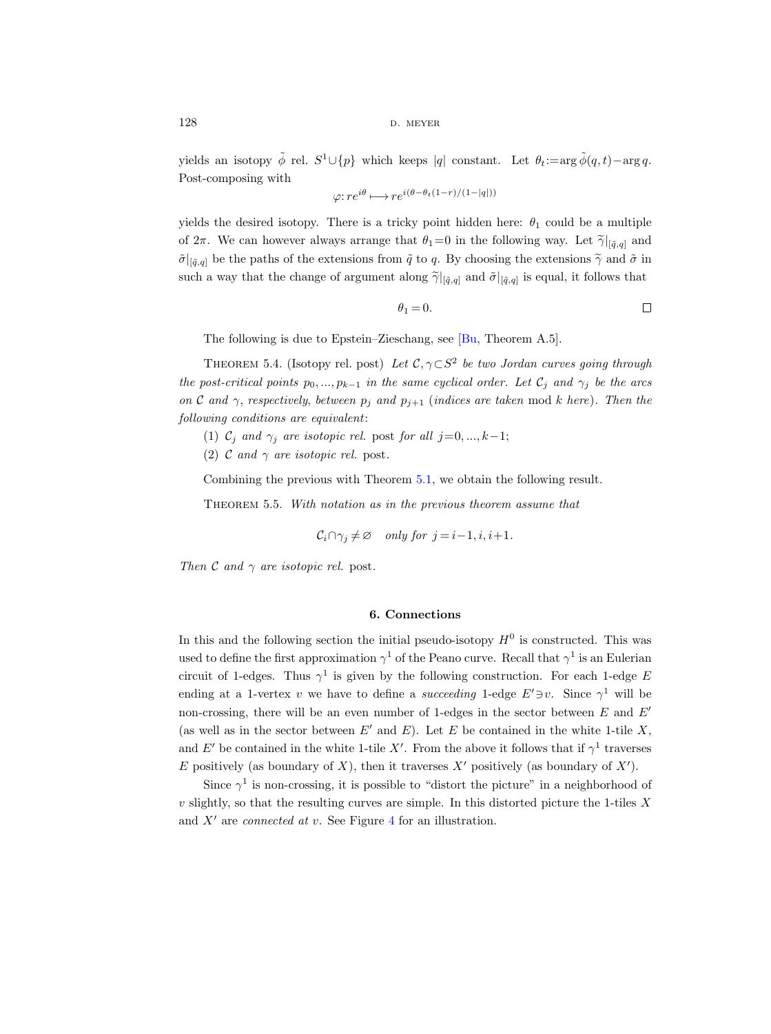$128$  d. meyer

yields an isotopy  $\tilde{\phi}$  rel.  $S^1 \cup \{p\}$  which keeps |q| constant. Let  $\theta_t := \arg \tilde{\phi}(q, t) - \arg q$ . Post-composing with

$$
\varphi: re^{i\theta} \longmapsto re^{i(\theta - \theta_t(1-r)/(1-|q|))}
$$

yields the desired isotopy. There is a tricky point hidden here:  $\theta_1$  could be a multiple of  $2\pi$ . We can however always arrange that  $\theta_1=0$  in the following way. Let  $\widetilde{\gamma}|_{[\tilde{q},q]}$  and  $\tilde{\sigma}|_{[\tilde{q},q]}$  be the paths of the extensions from  $\tilde{q}$  to q. By choosing the extensions  $\tilde{\gamma}$  and  $\tilde{\sigma}$  in such a way that the change of argument along  $\tilde{\gamma}|_{[\tilde{q},q]}$  and  $\tilde{\sigma}|_{[\tilde{q},q]}$  is equal, it follows that

$$
\theta_1 = 0. \qquad \qquad \Box
$$

The following is due to Epstein–Zieschang, see [\[Bu,](#page-75-21) Theorem A.5].

THEOREM 5.4. (Isotopy rel. post) Let  $\mathcal{C}, \gamma \subset S^2$  be two Jordan curves going through the post-critical points  $p_0, ..., p_{k-1}$  in the same cyclical order. Let  $\mathcal{C}_i$  and  $\gamma_i$  be the arcs on C and  $\gamma$ , respectively, between  $p_j$  and  $p_{j+1}$  (indices are taken mod k here). Then the following conditions are equivalent:

- (1)  $C_j$  and  $\gamma_j$  are isotopic rel. post for all j=0, ..., k-1;
- (2) C and  $\gamma$  are isotopic rel. post.

Combining the previous with Theorem [5.1,](#page-32-1) we obtain the following result.

THEOREM 5.5. With notation as in the previous theorem assume that

 $\mathcal{C}_i \cap \gamma_i \neq \emptyset$  only for  $j = i-1, i, i+1$ .

Then C and  $\gamma$  are isotopic rel. post.

#### 6. Connections

<span id="page-33-0"></span>In this and the following section the initial pseudo-isotopy  $H^0$  is constructed. This was used to define the first approximation  $\gamma^1$  of the Peano curve. Recall that  $\gamma^1$  is an Eulerian circuit of 1-edges. Thus  $\gamma^1$  is given by the following construction. For each 1-edge E ending at a 1-vertex v we have to define a succeeding 1-edge  $E' \ni v$ . Since  $\gamma^1$  will be non-crossing, there will be an even number of 1-edges in the sector between  $E$  and  $E'$ (as well as in the sector between  $E'$  and  $E$ ). Let E be contained in the white 1-tile X, and E' be contained in the white 1-tile X'. From the above it follows that if  $\gamma^1$  traverses E positively (as boundary of X), then it traverses  $X'$  positively (as boundary of  $X'$ ).

Since  $\gamma^1$  is non-crossing, it is possible to "distort the picture" in a neighborhood of  $v$  slightly, so that the resulting curves are simple. In this distorted picture the 1-tiles  $X$ and  $X'$  are *connected at v*. See Figure [4](#page-34-1) for an illustration.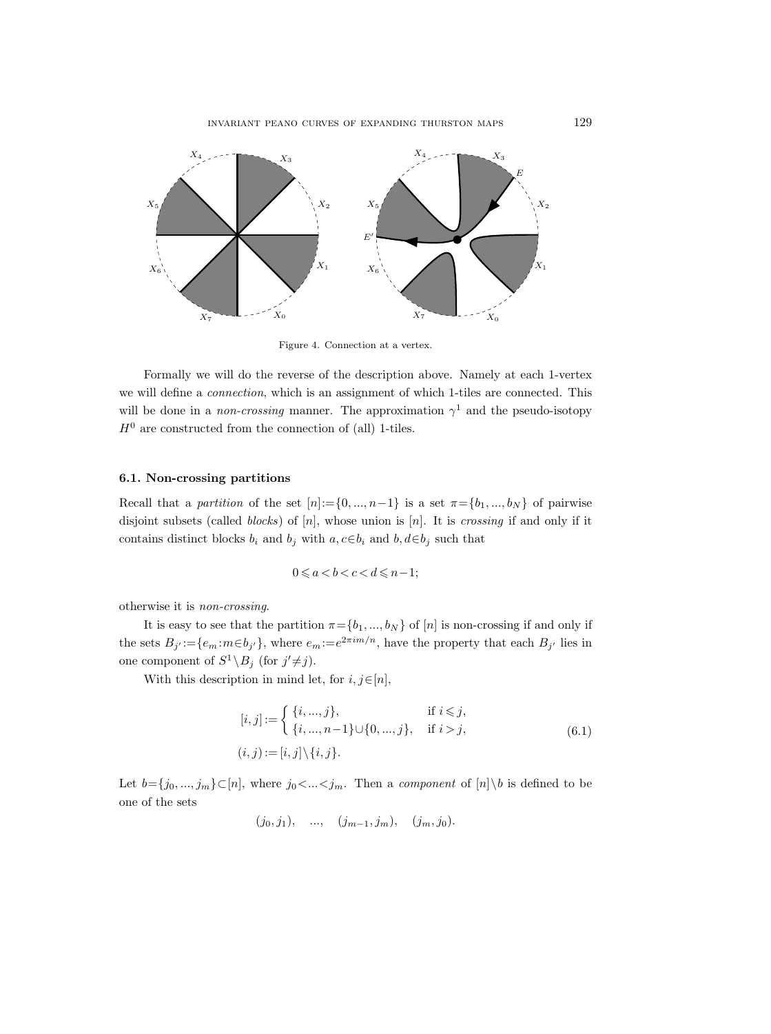

<span id="page-34-1"></span>Figure 4. Connection at a vertex.

Formally we will do the reverse of the description above. Namely at each 1-vertex we will define a connection, which is an assignment of which 1-tiles are connected. This will be done in a *non-crossing* manner. The approximation  $\gamma^1$  and the pseudo-isotopy  $H^0$  are constructed from the connection of (all) 1-tiles.

#### <span id="page-34-0"></span>6.1. Non-crossing partitions

Recall that a partition of the set  $[n]:=\{0, ..., n-1\}$  is a set  $\pi = \{b_1, ..., b_N\}$  of pairwise disjoint subsets (called *blocks*) of  $[n]$ , whose union is  $[n]$ . It is *crossing* if and only if it contains distinct blocks  $b_i$  and  $b_j$  with  $a, c \in b_i$  and  $b, d \in b_j$  such that

$$
0 \leqslant a < b < c < d \leqslant n - 1;
$$

otherwise it is non-crossing.

It is easy to see that the partition  $\pi = \{b_1, ..., b_N\}$  of  $[n]$  is non-crossing if and only if the sets  $B_{j'} := \{e_m : m \in b_{j'}\}$ , where  $e_m := e^{2\pi i m/n}$ , have the property that each  $B_{j'}$  lies in one component of  $S^1 \backslash B_j$  (for  $j' \neq j$ ).

With this description in mind let, for  $i, j \in [n]$ ,

$$
[i, j] := \begin{cases} \{i, ..., j\}, & \text{if } i \leq j, \\ \{i, ..., n-1\} \cup \{0, ..., j\}, & \text{if } i > j, \\ (i, j) := [i, j] \setminus \{i, j\}. \end{cases}
$$
(6.1)

Let  $b=\{j_0, ..., j_m\} \subset [n]$ , where  $j_0 < ... < j_m$ . Then a *component* of  $[n] \setminus b$  is defined to be one of the sets

$$
(j_0, j_1), \dots, (j_{m-1}, j_m), (j_m, j_0).
$$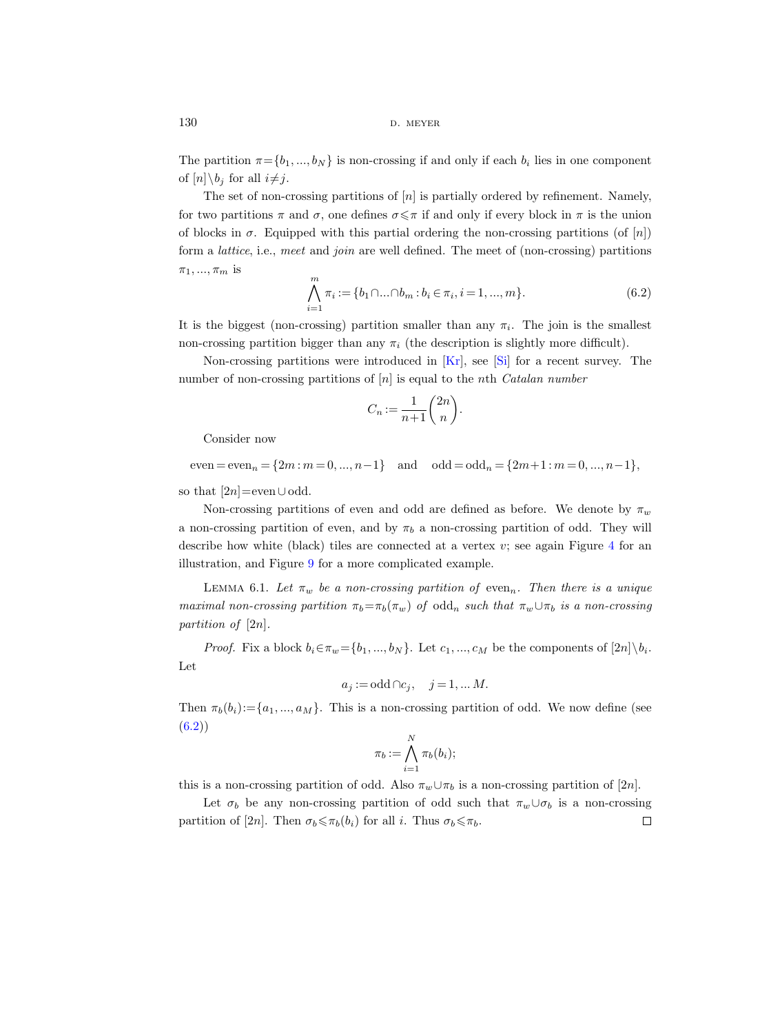$130$  d. MEYER

The partition  $\pi = \{b_1, ..., b_N\}$  is non-crossing if and only if each  $b_i$  lies in one component of  $[n]\backslash b_i$  for all  $i\neq j$ .

The set of non-crossing partitions of  $[n]$  is partially ordered by refinement. Namely, for two partitions  $\pi$  and  $\sigma$ , one defines  $\sigma \leq \pi$  if and only if every block in  $\pi$  is the union of blocks in  $\sigma$ . Equipped with this partial ordering the non-crossing partitions (of [n]) form a lattice, i.e., meet and join are well defined. The meet of (non-crossing) partitions  $\pi_1, ..., \pi_m$  is

<span id="page-35-0"></span>
$$
\bigwedge_{i=1}^{m} \pi_i := \{b_1 \cap \dots \cap b_m : b_i \in \pi_i, i = 1, ..., m\}.
$$
\n(6.2)

It is the biggest (non-crossing) partition smaller than any  $\pi_i$ . The join is the smallest non-crossing partition bigger than any  $\pi_i$  (the description is slightly more difficult).

Non-crossing partitions were introduced in [\[Kr\]](#page-75-22), see [\[Si\]](#page-76-17) for a recent survey. The number of non-crossing partitions of  $[n]$  is equal to the nth *Catalan number* 

$$
C_n := \frac{1}{n+1} \binom{2n}{n}.
$$

Consider now

 $even = even_n = \{2m : m = 0, ..., n-1\}$  and  $odd = odd_n = \{2m+1 : m = 0, ..., n-1\},$ 

so that  $[2n]$ =even∪odd.

Non-crossing partitions of even and odd are defined as before. We denote by  $\pi_w$ a non-crossing partition of even, and by  $\pi_b$  a non-crossing partition of odd. They will describe how white (black) tiles are connected at a vertex  $v$ ; see again Figure [4](#page-34-1) for an illustration, and Figure [9](#page-63-0) for a more complicated example.

LEMMA 6.1. Let  $\pi_w$  be a non-crossing partition of even<sub>n</sub>. Then there is a unique maximal non-crossing partition  $\pi_b = \pi_b(\pi_w)$  of odd<sub>n</sub> such that  $\pi_w \cup \pi_b$  is a non-crossing partition of [2n].

*Proof.* Fix a block  $b_i \in \pi_w = \{b_1, ..., b_N\}$ . Let  $c_1, ..., c_M$  be the components of  $[2n] \setminus b_i$ . Let

$$
a_j := \text{odd} \cap c_j, \quad j = 1, \dots M.
$$

Then  $\pi_b(b_i):=\{a_1,..., a_M\}$ . This is a non-crossing partition of odd. We now define (see  $(6.2)$ 

$$
\pi_b := \bigwedge_{i=1}^N \pi_b(b_i);
$$

this is a non-crossing partition of odd. Also  $\pi_w \cup \pi_b$  is a non-crossing partition of [2n].

Let  $\sigma_b$  be any non-crossing partition of odd such that  $\pi_w \cup \sigma_b$  is a non-crossing partition of [2n]. Then  $\sigma_b \leq \pi_b(b_i)$  for all i. Thus  $\sigma_b \leq \pi_b$ .  $\Box$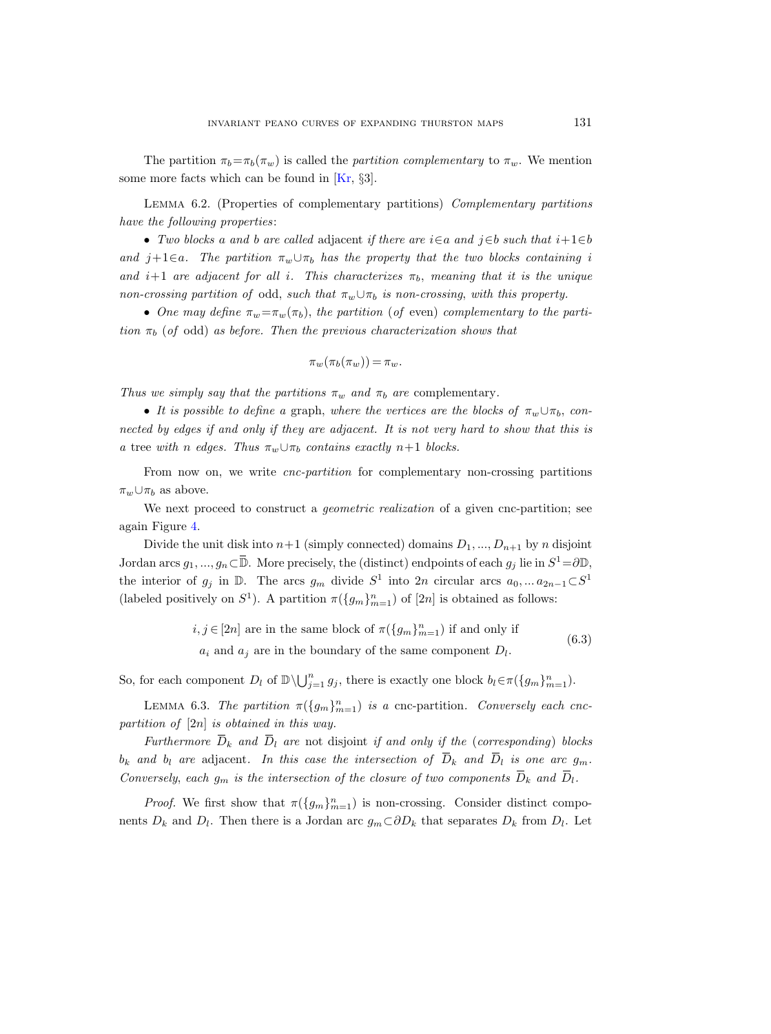The partition  $\pi_b = \pi_b(\pi_w)$  is called the *partition complementary* to  $\pi_w$ . We mention some more facts which can be found in [\[Kr,](#page-75-0) §3].

<span id="page-36-1"></span>Lemma 6.2. (Properties of complementary partitions) Complementary partitions have the following properties:

• Two blocks a and b are called adjacent if there are  $i \in a$  and  $j \in b$  such that  $i+1 \in b$ and j+1∈a. The partition  $\pi_w \cup \pi_b$  has the property that the two blocks containing i and  $i+1$  are adjacent for all i. This characterizes  $\pi_b$ , meaning that it is the unique non-crossing partition of odd, such that  $\pi_w \cup \pi_b$  is non-crossing, with this property.

• One may define  $\pi_w = \pi_w(\pi_b)$ , the partition (of even) complementary to the partition  $\pi_b$  (of odd) as before. Then the previous characterization shows that

$$
\pi_w(\pi_b(\pi_w)) = \pi_w.
$$

Thus we simply say that the partitions  $\pi_w$  and  $\pi_b$  are complementary.

• It is possible to define a graph, where the vertices are the blocks of  $\pi_w \cup \pi_b$ , connected by edges if and only if they are adjacent. It is not very hard to show that this is a tree with n edges. Thus  $\pi_w \cup \pi_b$  contains exactly n+1 blocks.

From now on, we write *cnc-partition* for complementary non-crossing partitions  $\pi_w \cup \pi_b$  as above.

We next proceed to construct a *geometric realization* of a given cnc-partition; see again Figure [4.](#page-34-0)

Divide the unit disk into  $n+1$  (simply connected) domains  $D_1, ..., D_{n+1}$  by n disjoint Jordan arcs  $g_1, ..., g_n \subset \overline{\mathbb{D}}$ . More precisely, the (distinct) endpoints of each  $g_j$  lie in  $S^1 = \partial \mathbb{D}$ , the interior of  $g_j$  in  $\mathbb{D}$ . The arcs  $g_m$  divide  $S^1$  into  $2n$  circular arcs  $a_0, \dots a_{2n-1} \subset S^1$ (labeled positively on  $S^1$ ). A partition  $\pi({g_m}_{m=1}^n)$  of  $[2n]$  is obtained as follows:

$$
i, j \in [2n]
$$
 are in the same block of  $\pi(\{g_m\}_{m=1}^n)$  if and only if  $a_i$  and  $a_j$  are in the boundary of the same component  $D_l$ . (6.3)

So, for each component  $D_l$  of  $\mathbb{D}\setminus\bigcup_{j=1}^n g_j$ , there is exactly one block  $b_l \in \pi({g_m}_{m=1}^n)$ .

<span id="page-36-0"></span>LEMMA 6.3. The partition  $\pi({g_m}_{m=1}^n)$  is a cnc-partition. Conversely each cncpartition of  $[2n]$  is obtained in this way.

Furthermore  $\overline{D}_k$  and  $\overline{D}_l$  are not disjoint if and only if the (corresponding) blocks b<sub>k</sub> and b<sub>l</sub> are adjacent. In this case the intersection of  $\overline{D}_k$  and  $\overline{D}_l$  is one arc  $g_m$ . Conversely, each  $g_m$  is the intersection of the closure of two components  $\overline{D}_k$  and  $\overline{D}_l$ .

*Proof.* We first show that  $\pi(\{g_m\}_{m=1}^n)$  is non-crossing. Consider distinct components  $D_k$  and  $D_l$ . Then there is a Jordan arc  $g_m \subset \partial D_k$  that separates  $D_k$  from  $D_l$ . Let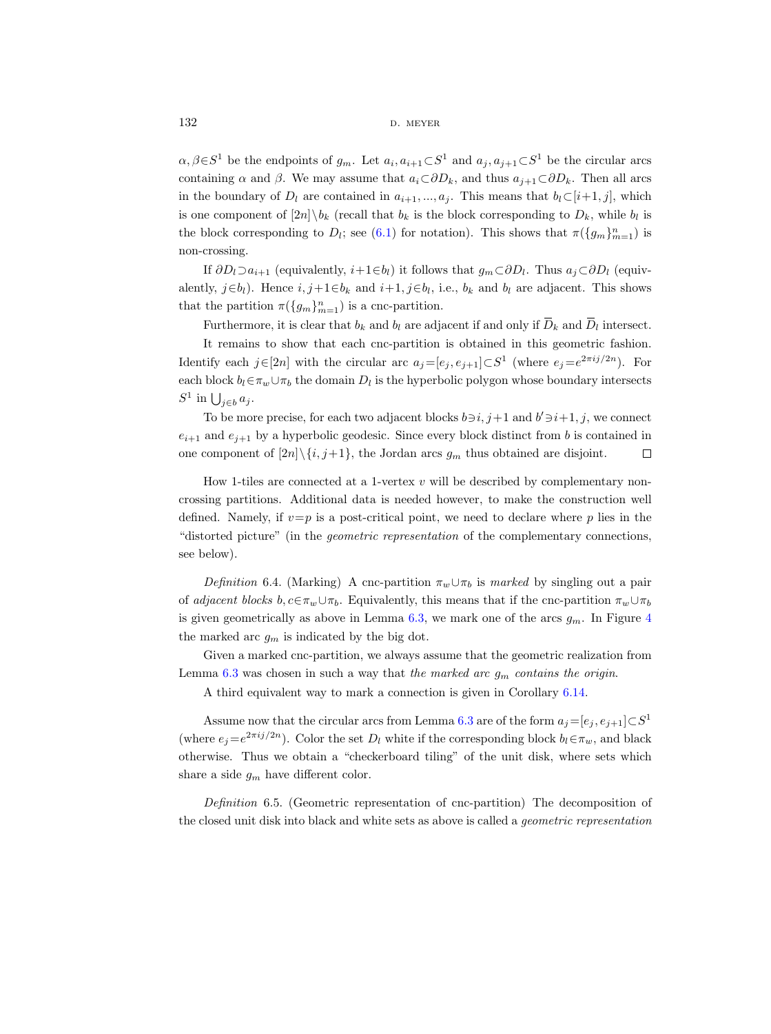$132$  d. meyer

 $\alpha, \beta \in S^1$  be the endpoints of  $g_m$ . Let  $a_i, a_{i+1} \subset S^1$  and  $a_j, a_{j+1} \subset S^1$  be the circular arcs containing  $\alpha$  and  $\beta$ . We may assume that  $a_i\text{ }\subset \partial D_k$ , and thus  $a_{i+1}\text{ }\subset \partial D_k$ . Then all arcs in the boundary of  $D_l$  are contained in  $a_{i+1},..., a_j$ . This means that  $b_l \subset [i+1, j]$ , which is one component of  $[2n]\backslash b_k$  (recall that  $b_k$  is the block corresponding to  $D_k$ , while  $b_l$  is the block corresponding to  $D_l$ ; see [\(6.1\)](#page-34-1) for notation). This shows that  $\pi(\{g_m\}_{m=1}^n)$  is non-crossing.

If  $\partial D_l \supset a_{i+1}$  (equivalently,  $i+1 \in b_l$ ) it follows that  $g_m \subset \partial D_l$ . Thus  $a_j \subset \partial D_l$  (equivalently,  $j \in b_l$ ). Hence  $i, j+1 \in b_k$  and  $i+1, j \in b_l$ , i.e.,  $b_k$  and  $b_l$  are adjacent. This shows that the partition  $\pi(\{g_m\}_{m=1}^n)$  is a cnc-partition.

Furthermore, it is clear that  $b_k$  and  $b_l$  are adjacent if and only if  $\overline{D}_k$  and  $\overline{D}_l$  intersect.

It remains to show that each cnc-partition is obtained in this geometric fashion. Identify each  $j \in [2n]$  with the circular arc  $a_j = [e_j, e_{j+1}] \subset S^1$  (where  $e_j = e^{2\pi i j/2n}$ ). For each block  $b_l \in \pi_w \cup \pi_b$  the domain  $D_l$  is the hyperbolic polygon whose boundary intersects  $S^1$  in  $\bigcup_{j\in b} a_j$ .

To be more precise, for each two adjacent blocks  $b \ni i, j+1$  and  $b' \ni i+1, j$ , we connect  $e_{i+1}$  and  $e_{i+1}$  by a hyperbolic geodesic. Since every block distinct from b is contained in one component of  $[2n]\setminus\{i, j+1\}$ , the Jordan arcs  $g_m$  thus obtained are disjoint.  $\Box$ 

How 1-tiles are connected at a 1-vertex  $v$  will be described by complementary noncrossing partitions. Additional data is needed however, to make the construction well defined. Namely, if  $v=p$  is a post-critical point, we need to declare where p lies in the "distorted picture" (in the geometric representation of the complementary connections, see below).

<span id="page-37-0"></span>Definition 6.4. (Marking) A cnc-partition  $\pi_w \cup \pi_b$  is marked by singling out a pair of adjacent blocks  $b, c \in \pi_w \cup \pi_b$ . Equivalently, this means that if the cnc-partition  $\pi_w \cup \pi_b$ is given geometrically as above in Lemma [6.3,](#page-36-0) we mark one of the arcs  $g_m$ . In Figure [4](#page-34-0) the marked arc  $g_m$  is indicated by the big dot.

Given a marked cnc-partition, we always assume that the geometric realization from Lemma [6.3](#page-36-0) was chosen in such a way that the marked arc  $g_m$  contains the origin.

A third equivalent way to mark a connection is given in Corollary [6.14.](#page-42-0)

Assume now that the circular arcs from Lemma [6.3](#page-36-0) are of the form  $a_j = [e_j, e_{j+1}] \subset S^1$ (where  $e_j = e^{2\pi i j/2n}$ ). Color the set  $D_l$  white if the corresponding block  $b_l \in \pi_w$ , and black otherwise. Thus we obtain a "checkerboard tiling" of the unit disk, where sets which share a side  $g_m$  have different color.

<span id="page-37-1"></span>Definition 6.5. (Geometric representation of cnc-partition) The decomposition of the closed unit disk into black and white sets as above is called a geometric representation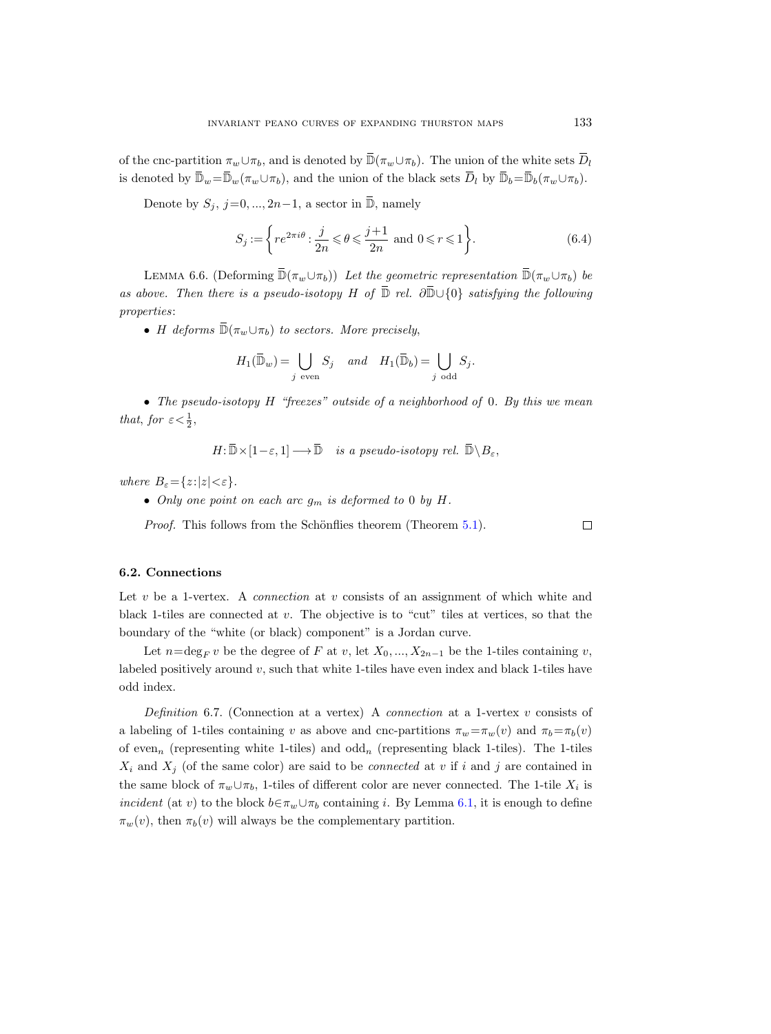of the cnc-partition  $\pi_w \cup \pi_b$ , and is denoted by  $\overline{\mathbb{D}}(\pi_w \cup \pi_b)$ . The union of the white sets  $\overline{D}_l$ is denoted by  $\overline{\mathbb{D}}_w = \overline{\mathbb{D}}_w(\pi_w \cup \pi_b)$ , and the union of the black sets  $\overline{D}_l$  by  $\overline{\mathbb{D}}_b = \overline{\mathbb{D}}_b(\pi_w \cup \pi_b)$ .

Denote by  $S_j$ ,  $j=0, ..., 2n-1$ , a sector in  $\overline{\mathbb{D}}$ , namely

<span id="page-38-0"></span>
$$
S_j := \left\{ re^{2\pi i \theta} : \frac{j}{2n} \leq \theta \leq \frac{j+1}{2n} \text{ and } 0 \leq r \leq 1 \right\}.
$$
 (6.4)

<span id="page-38-1"></span>LEMMA 6.6. (Deforming  $\bar{\mathbb{D}}(\pi_w \cup \pi_b)$ ) Let the geometric representation  $\bar{\mathbb{D}}(\pi_w \cup \pi_b)$  be as above. Then there is a pseudo-isotopy H of  $\bar{\mathbb{D}}$  rel.  $\partial \bar{\mathbb{D}} \cup \{0\}$  satisfying the following properties:

• H deforms  $\overline{\mathbb{D}}(\pi_w \cup \pi_b)$  to sectors. More precisely,

$$
H_1(\bar{\mathbb{D}}_w) = \bigcup_{j \text{ even}} S_j \quad and \quad H_1(\bar{\mathbb{D}}_b) = \bigcup_{j \text{ odd}} S_j.
$$

• The pseudo-isotopy  $H$  "freezes" outside of a neighborhood of 0. By this we mean that, for  $\varepsilon < \frac{1}{2}$ ,

$$
H: \overline{\mathbb{D}} \times [1-\varepsilon, 1] \longrightarrow \overline{\mathbb{D}} \quad is a pseudo-isotopy rel. \ \overline{\mathbb{D}} \setminus B_{\varepsilon},
$$

where  $B_{\varepsilon} = \{z : |z| < \varepsilon\}.$ 

• Only one point on each arc  $g_m$  is deformed to 0 by H.

*Proof.* This follows from the Schönflies theorem (Theorem  $5.1$ ).

## 6.2. Connections

Let  $v$  be a 1-vertex. A *connection* at  $v$  consists of an assignment of which white and black 1-tiles are connected at v. The objective is to "cut" tiles at vertices, so that the boundary of the "white (or black) component" is a Jordan curve.

Let  $n=\deg_F v$  be the degree of F at v, let  $X_0, ..., X_{2n-1}$  be the 1-tiles containing v, labeled positively around  $v$ , such that white 1-tiles have even index and black 1-tiles have odd index.

<span id="page-38-2"></span>Definition 6.7. (Connection at a vertex) A *connection* at a 1-vertex  $v$  consists of a labeling of 1-tiles containing v as above and cnc-partitions  $\pi_w = \pi_w(v)$  and  $\pi_b = \pi_b(v)$ of even<sub>n</sub> (representing white 1-tiles) and  $odd_n$  (representing black 1-tiles). The 1-tiles  $X_i$  and  $X_j$  (of the same color) are said to be *connected* at v if i and j are contained in the same block of  $\pi_w \cup \pi_b$ , 1-tiles of different color are never connected. The 1-tile  $X_i$  is *incident* (at v) to the block  $b \in \pi_w \cup \pi_b$  containing *i*. By Lemma [6.1,](#page-35-0) it is enough to define  $\pi_w(v)$ , then  $\pi_b(v)$  will always be the complementary partition.

 $\Box$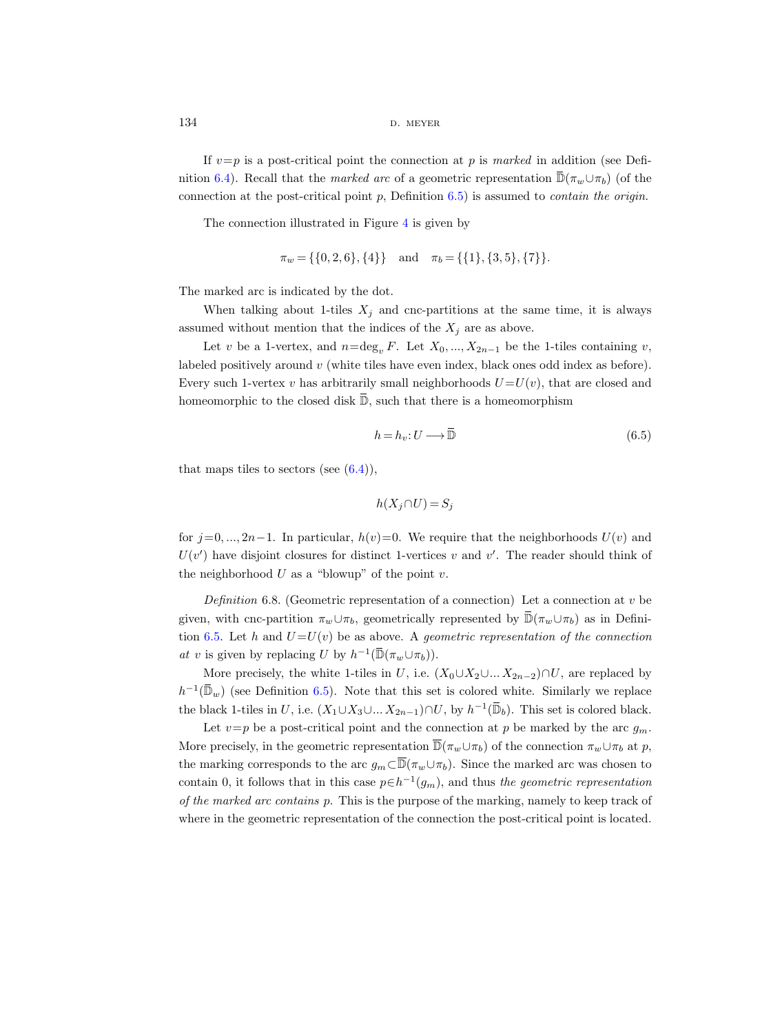If  $v=p$  is a post-critical point the connection at p is marked in addition (see Defi-nition [6.4\)](#page-37-0). Recall that the marked arc of a geometric representation  $\mathbb{D}(\pi_w \cup \pi_b)$  (of the connection at the post-critical point p, Definition  $(6.5)$  $(6.5)$  is assumed to *contain the origin*.

The connection illustrated in Figure [4](#page-34-0) is given by

$$
\pi_w = \{\{0, 2, 6\}, \{4\}\}\
$$
 and  $\pi_b = \{\{1\}, \{3, 5\}, \{7\}\}.$ 

The marked arc is indicated by the dot.

When talking about 1-tiles  $X_j$  and cnc-partitions at the same time, it is always assumed without mention that the indices of the  $X_j$  are as above.

Let v be a 1-vertex, and  $n=\deg_n F$ . Let  $X_0, ..., X_{2n-1}$  be the 1-tiles containing v, labeled positively around v (white tiles have even index, black ones odd index as before). Every such 1-vertex v has arbitrarily small neighborhoods  $U = U(v)$ , that are closed and homeomorphic to the closed disk  $\overline{\mathbb{D}}$ , such that there is a homeomorphism

<span id="page-39-0"></span>
$$
h = h_v : U \longrightarrow \overline{\mathbb{D}} \tag{6.5}
$$

that maps tiles to sectors (see  $(6.4)$ ),

$$
h(X_j \cap U) = S_j
$$

for  $j=0, ..., 2n-1$ . In particular,  $h(v)=0$ . We require that the neighborhoods  $U(v)$  and  $U(v')$  have disjoint closures for distinct 1-vertices v and v'. The reader should think of the neighborhood  $U$  as a "blowup" of the point  $v$ .

<span id="page-39-1"></span>Definition 6.8. (Geometric representation of a connection) Let a connection at  $v$  be given, with cnc-partition  $\pi_w \cup \pi_b$ , geometrically represented by  $\overline{\mathbb{D}}(\pi_w \cup \pi_b)$  as in Defini-tion [6.5.](#page-37-1) Let h and  $U=U(v)$  be as above. A geometric representation of the connection at v is given by replacing U by  $h^{-1}(\overline{\mathbb{D}}(\pi_w \cup \pi_b)).$ 

More precisely, the white 1-tiles in U, i.e.  $(X_0 \cup X_2 \cup ... X_{2n-2}) \cap U$ , are replaced by  $h^{-1}(\overline{\mathbb{D}}_w)$  (see Definition [6.5\)](#page-37-1). Note that this set is colored white. Similarly we replace the black 1-tiles in U, i.e.  $(X_1 \cup X_3 \cup ... X_{2n-1}) \cap U$ , by  $h^{-1}(\overline{\mathbb{D}}_b)$ . This set is colored black.

Let  $v=p$  be a post-critical point and the connection at p be marked by the arc  $g_m$ . More precisely, in the geometric representation  $\overline{\mathbb{D}}(\pi_w \cup \pi_b)$  of the connection  $\pi_w \cup \pi_b$  at p, the marking corresponds to the arc  $g_m\subset \overline{\mathbb{D}}(\pi_w\cup\pi_b)$ . Since the marked arc was chosen to contain 0, it follows that in this case  $p \in h^{-1}(g_m)$ , and thus the geometric representation of the marked arc contains p. This is the purpose of the marking, namely to keep track of where in the geometric representation of the connection the post-critical point is located.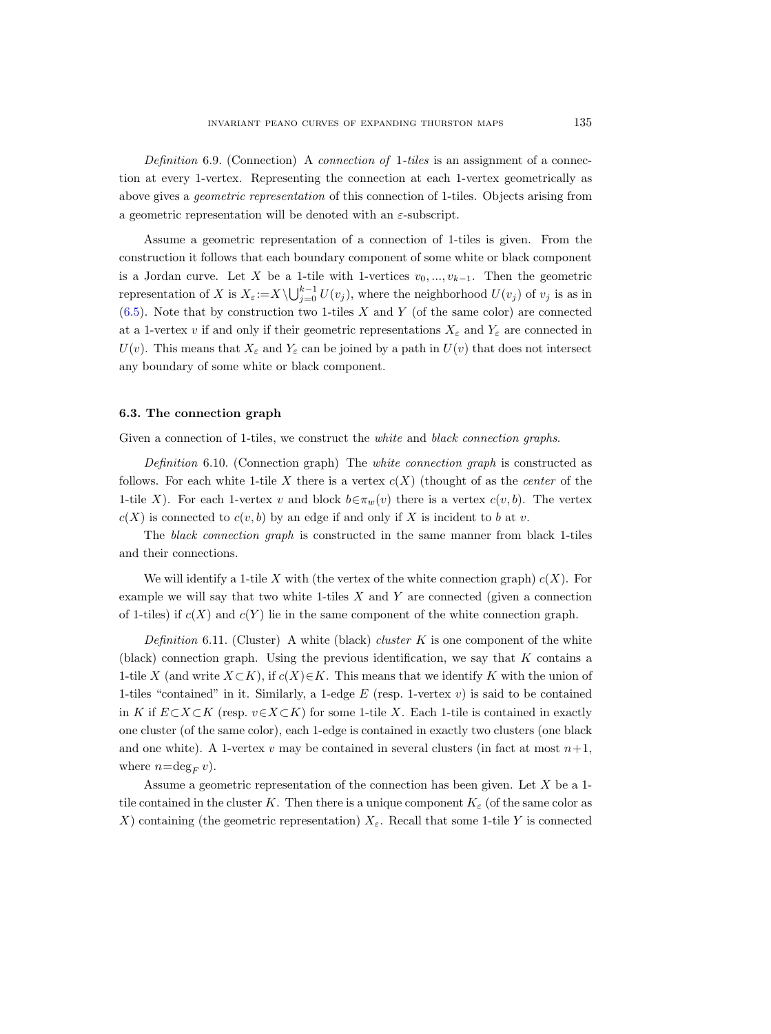Definition 6.9. (Connection) A connection of 1-tiles is an assignment of a connection at every 1-vertex. Representing the connection at each 1-vertex geometrically as above gives a geometric representation of this connection of 1-tiles. Objects arising from a geometric representation will be denoted with an  $\varepsilon$ -subscript.

Assume a geometric representation of a connection of 1-tiles is given. From the construction it follows that each boundary component of some white or black component is a Jordan curve. Let X be a 1-tile with 1-vertices  $v_0, ..., v_{k-1}$ . Then the geometric representation of X is  $X_{\varepsilon} := X \setminus \bigcup_{j=0}^{k-1} U(v_j)$ , where the neighborhood  $U(v_j)$  of  $v_j$  is as in  $(6.5)$ . Note that by construction two 1-tiles X and Y (of the same color) are connected at a 1-vertex v if and only if their geometric representations  $X_{\varepsilon}$  and  $Y_{\varepsilon}$  are connected in  $U(v)$ . This means that  $X_{\varepsilon}$  and  $Y_{\varepsilon}$  can be joined by a path in  $U(v)$  that does not intersect any boundary of some white or black component.

## <span id="page-40-0"></span>6.3. The connection graph

Given a connection of 1-tiles, we construct the *white* and *black connection graphs*.

Definition 6.10. (Connection graph) The white connection graph is constructed as follows. For each white 1-tile X there is a vertex  $c(X)$  (thought of as the *center* of the 1-tile X). For each 1-vertex v and block  $b \in \pi_w(v)$  there is a vertex  $c(v, b)$ . The vertex  $c(X)$  is connected to  $c(v, b)$  by an edge if and only if X is incident to b at v.

The black connection graph is constructed in the same manner from black 1-tiles and their connections.

We will identify a 1-tile X with (the vertex of the white connection graph)  $c(X)$ . For example we will say that two white 1-tiles  $X$  and  $Y$  are connected (given a connection of 1-tiles) if  $c(X)$  and  $c(Y)$  lie in the same component of the white connection graph.

<span id="page-40-1"></span>Definition 6.11. (Cluster) A white (black) cluster K is one component of the white (black) connection graph. Using the previous identification, we say that  $K$  contains a 1-tile X (and write  $X\subset K$ ), if  $c(X)\in K$ . This means that we identify K with the union of 1-tiles "contained" in it. Similarly, a 1-edge  $E$  (resp. 1-vertex  $v$ ) is said to be contained in K if  $E\subset X\subset K$  (resp.  $v\in X\subset K$ ) for some 1-tile X. Each 1-tile is contained in exactly one cluster (of the same color), each 1-edge is contained in exactly two clusters (one black and one white). A 1-vertex v may be contained in several clusters (in fact at most  $n+1$ , where  $n=\deg_F v$ .

Assume a geometric representation of the connection has been given. Let X be a 1 tile contained in the cluster K. Then there is a unique component  $K_{\varepsilon}$  (of the same color as X) containing (the geometric representation)  $X_{\varepsilon}$ . Recall that some 1-tile Y is connected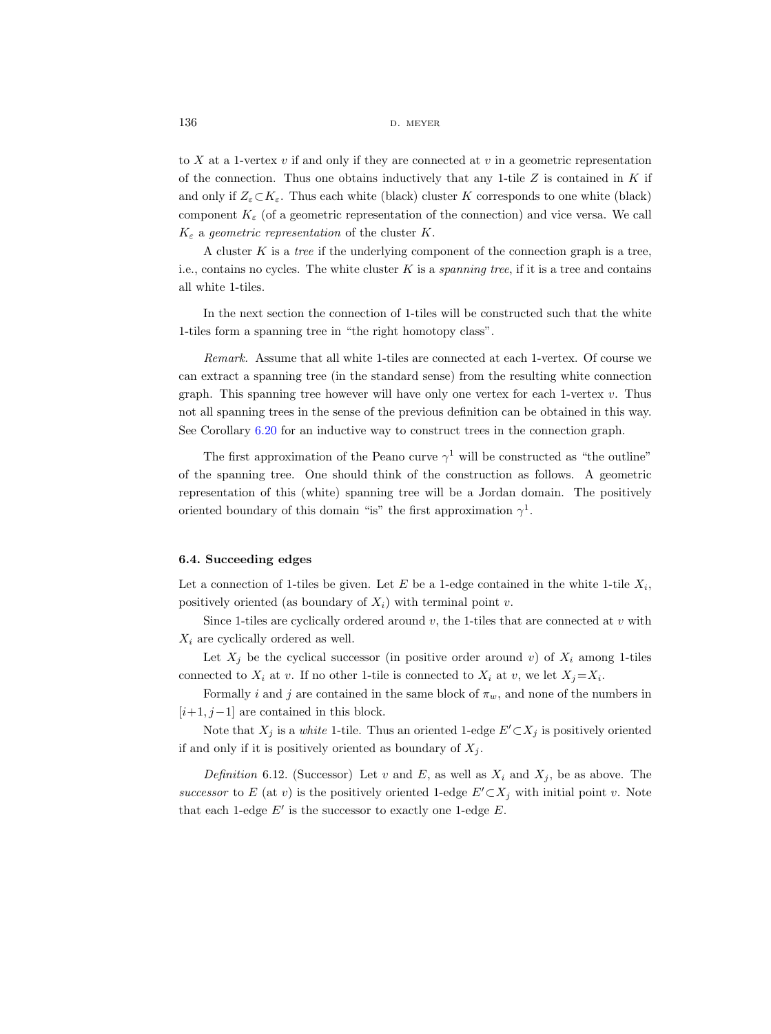to X at a 1-vertex  $v$  if and only if they are connected at  $v$  in a geometric representation of the connection. Thus one obtains inductively that any 1-tile  $Z$  is contained in  $K$  if and only if  $Z_{\varepsilon} \subset K_{\varepsilon}$ . Thus each white (black) cluster K corresponds to one white (black) component  $K_{\varepsilon}$  (of a geometric representation of the connection) and vice versa. We call  $K_{\varepsilon}$  a geometric representation of the cluster K.

A cluster  $K$  is a *tree* if the underlying component of the connection graph is a tree, i.e., contains no cycles. The white cluster  $K$  is a *spanning tree*, if it is a tree and contains all white 1-tiles.

In the next section the connection of 1-tiles will be constructed such that the white 1-tiles form a spanning tree in "the right homotopy class".

Remark. Assume that all white 1-tiles are connected at each 1-vertex. Of course we can extract a spanning tree (in the standard sense) from the resulting white connection graph. This spanning tree however will have only one vertex for each 1-vertex  $v$ . Thus not all spanning trees in the sense of the previous definition can be obtained in this way. See Corollary [6.20](#page-46-0) for an inductive way to construct trees in the connection graph.

The first approximation of the Peano curve  $\gamma^1$  will be constructed as "the outline" of the spanning tree. One should think of the construction as follows. A geometric representation of this (white) spanning tree will be a Jordan domain. The positively oriented boundary of this domain "is" the first approximation  $\gamma^1$ .

## 6.4. Succeeding edges

Let a connection of 1-tiles be given. Let  $E$  be a 1-edge contained in the white 1-tile  $X_i$ , positively oriented (as boundary of  $X_i$ ) with terminal point v.

Since 1-tiles are cyclically ordered around  $v$ , the 1-tiles that are connected at  $v$  with  $X_i$  are cyclically ordered as well.

Let  $X_j$  be the cyclical successor (in positive order around v) of  $X_i$  among 1-tiles connected to  $X_i$  at v. If no other 1-tile is connected to  $X_i$  at v, we let  $X_j = X_i$ .

Formally i and j are contained in the same block of  $\pi_w$ , and none of the numbers in  $[i+1, j-1]$  are contained in this block.

Note that  $X_j$  is a *white* 1-tile. Thus an oriented 1-edge  $E' \subset X_j$  is positively oriented if and only if it is positively oriented as boundary of  $X_i$ .

Definition 6.12. (Successor) Let v and E, as well as  $X_i$  and  $X_j$ , be as above. The successor to E (at v) is the positively oriented 1-edge  $E' \subset X_j$  with initial point v. Note that each 1-edge  $E'$  is the successor to exactly one 1-edge  $E$ .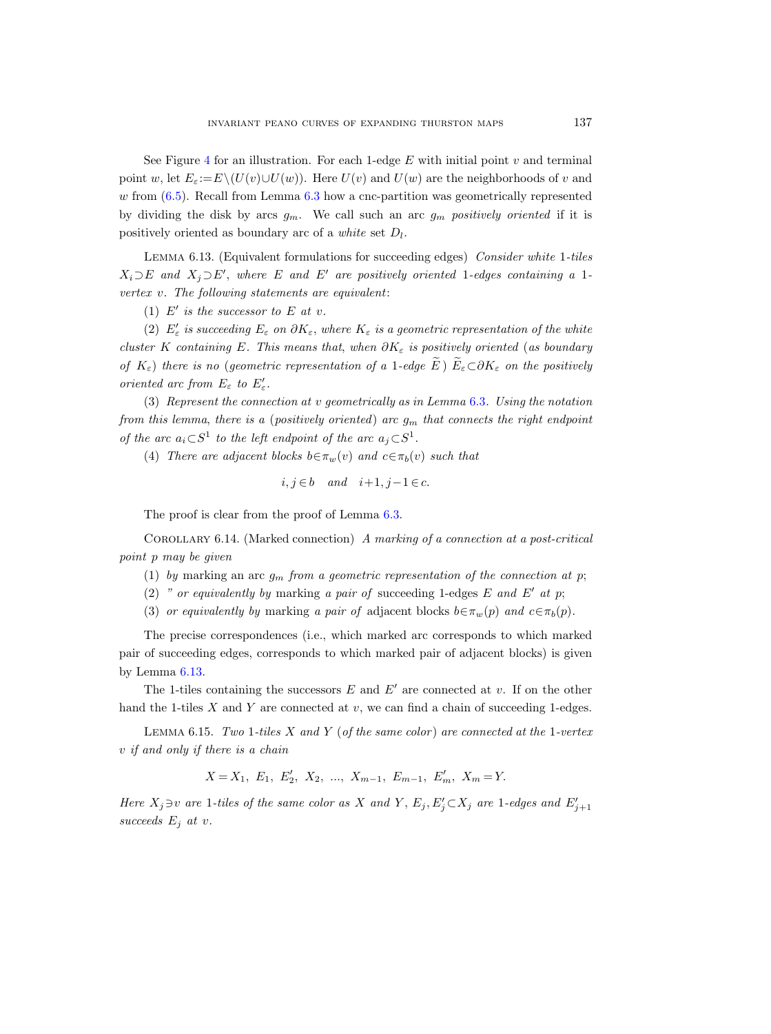See Figure [4](#page-34-0) for an illustration. For each 1-edge  $E$  with initial point  $v$  and terminal point w, let  $E_{\varepsilon} := E\setminus (U(v) \cup U(w))$ . Here  $U(v)$  and  $U(w)$  are the neighborhoods of v and  $w$  from  $(6.5)$ . Recall from Lemma  $6.3$  how a cnc-partition was geometrically represented by dividing the disk by arcs  $g_m$ . We call such an arc  $g_m$  positively oriented if it is positively oriented as boundary arc of a *white* set  $D_l$ .

<span id="page-42-1"></span>Lemma 6.13. (Equivalent formulations for succeeding edges) Consider white 1-tiles  $X_i\supset E$  and  $X_j\supset E'$ , where E and E' are positively oriented 1-edges containing a 1vertex v. The following statements are equivalent:

(1)  $E'$  is the successor to E at v.

(2)  $E'_{\varepsilon}$  is succeeding  $E_{\varepsilon}$  on  $\partial K_{\varepsilon}$ , where  $K_{\varepsilon}$  is a geometric representation of the white cluster K containing E. This means that, when  $\partial K_{\varepsilon}$  is positively oriented (as boundary of  $K_{\varepsilon}$ ) there is no (geometric representation of a 1-edge  $\widetilde{E}$ )  $\widetilde{E}_{\varepsilon} \subset \partial K_{\varepsilon}$  on the positively oriented arc from  $E_{\varepsilon}$  to  $E'_{\varepsilon}$ .

(3) Represent the connection at v geometrically as in Lemma [6.3](#page-36-0). Using the notation from this lemma, there is a (positively oriented) arc  $g_m$  that connects the right endpoint of the arc  $a_i \subset S^1$  to the left endpoint of the arc  $a_j \subset S^1$ .

(4) There are adjacent blocks  $b \in \pi_w(v)$  and  $c \in \pi_b(v)$  such that

$$
i, j \in b \quad and \quad i+1, j-1 \in c.
$$

The proof is clear from the proof of Lemma [6.3.](#page-36-0)

<span id="page-42-0"></span>Corollary 6.14. (Marked connection) A marking of a connection at a post-critical point p may be given

- (1) by marking an arc  $g_m$  from a geometric representation of the connection at p;
- (2) " or equivalently by marking a pair of succeeding 1-edges  $E$  and  $E'$  at p;

(3) or equivalently by marking a pair of adjacent blocks  $b \in \pi_w(p)$  and  $c \in \pi_b(p)$ .

The precise correspondences (i.e., which marked arc corresponds to which marked pair of succeeding edges, corresponds to which marked pair of adjacent blocks) is given by Lemma [6.13.](#page-42-1)

The 1-tiles containing the successors  $E$  and  $E'$  are connected at v. If on the other hand the 1-tiles  $X$  and  $Y$  are connected at  $v$ , we can find a chain of succeeding 1-edges.

<span id="page-42-2"></span>LEMMA 6.15. Two 1-tiles X and Y (of the same color) are connected at the 1-vertex v if and only if there is a chain

 $X = X_1, E_1, E'_2, X_2, ..., X_{m-1}, E_{m-1}, E'_m, X_m = Y.$ 

Here  $X_j \ni v$  are 1-tiles of the same color as X and Y,  $E_j, E'_j \subset X_j$  are 1-edges and  $E'_{j+1}$ succeeds  $E_j$  at v.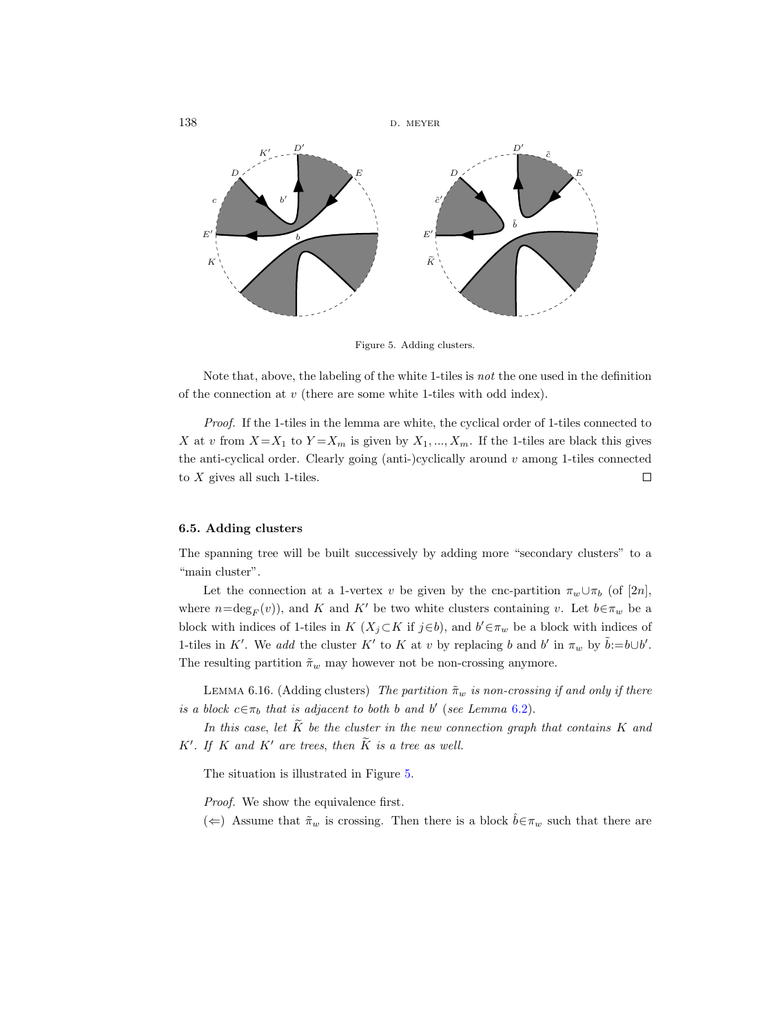

<span id="page-43-0"></span>Figure 5. Adding clusters.

Note that, above, the labeling of the white 1-tiles is not the one used in the definition of the connection at  $v$  (there are some white 1-tiles with odd index).

Proof. If the 1-tiles in the lemma are white, the cyclical order of 1-tiles connected to X at v from  $X = X_1$  to  $Y = X_m$  is given by  $X_1, ..., X_m$ . If the 1-tiles are black this gives the anti-cyclical order. Clearly going (anti-)cyclically around  $v$  among 1-tiles connected to  $X$  gives all such 1-tiles.  $\Box$ 

## <span id="page-43-2"></span>6.5. Adding clusters

The spanning tree will be built successively by adding more "secondary clusters" to a "main cluster".

Let the connection at a 1-vertex v be given by the cnc-partition  $\pi_w \cup \pi_b$  (of [2n], where  $n=\deg_F(v)$ , and K and K' be two white clusters containing v. Let  $b \in \pi_w$  be a block with indices of 1-tiles in K  $(X_j \subset K$  if  $j \in b$ , and  $b' \in \pi_w$  be a block with indices of 1-tiles in K'. We add the cluster K' to K at v by replacing b and b' in  $\pi_w$  by  $\tilde{b}:=b\cup b'$ . The resulting partition  $\tilde{\pi}_w$  may however not be non-crossing anymore.

<span id="page-43-1"></span>LEMMA 6.16. (Adding clusters) The partition  $\tilde{\pi}_w$  is non-crossing if and only if there is a block  $c \in \pi_b$  that is adjacent to both b and b' (see Lemma [6.2\)](#page-36-1).

In this case, let  $\widetilde{K}$  be the cluster in the new connection graph that contains K and  $K'$ . If K and K' are trees, then  $\tilde{K}$  is a tree as well.

The situation is illustrated in Figure [5.](#page-43-0)

Proof. We show the equivalence first.

(←) Assume that  $\tilde{\pi}_w$  is crossing. Then there is a block  $\tilde{b} \in \pi_w$  such that there are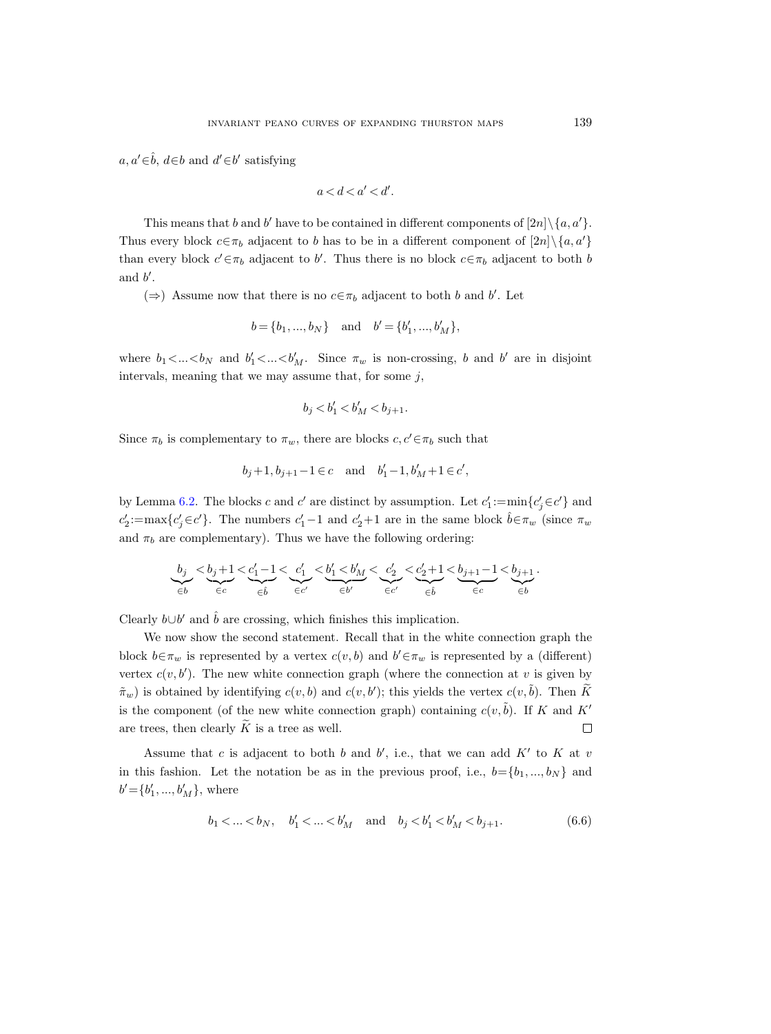$a, a' \in \hat{b}, d \in b$  and  $d' \in b'$  satisfying

$$
a < d < a' < d'.
$$

This means that b and b' have to be contained in different components of  $[2n]\setminus\{a,a'\}.$ Thus every block  $c \in \pi_b$  adjacent to b has to be in a different component of  $[2n] \setminus \{a, a'\}$ than every block  $c' \in \pi_b$  adjacent to b'. Thus there is no block  $c \in \pi_b$  adjacent to both b and  $b'$ .

(⇒) Assume now that there is no  $c \in \pi_b$  adjacent to both b and b'. Let

$$
b = \{b_1, ..., b_N\}
$$
 and  $b' = \{b'_1, ..., b'_M\}$ ,

where  $b_1 < ... < b_N$  and  $b'_1 < ... < b'_M$ . Since  $\pi_w$  is non-crossing, b and b' are in disjoint intervals, meaning that we may assume that, for some  $j$ ,

$$
b_j < b_1' < b_M' < b_{j+1}.
$$

Since  $\pi_b$  is complementary to  $\pi_w$ , there are blocks  $c, c' \in \pi_b$  such that

$$
b_j+1,b_{j+1}-1\in c\quad\text{and}\quad b'_1-1,b'_M+1\in c',
$$

by Lemma [6.2.](#page-36-1) The blocks c and c' are distinct by assumption. Let  $c'_1$ :=min $\{c'_j \in c'\}$  and  $c_2' := \max\{c_j' \in c'\}.$  The numbers  $c_1' - 1$  and  $c_2' + 1$  are in the same block  $\hat{b} \in \pi_w$  (since  $\pi_w$ ) and  $\pi_b$  are complementary). Thus we have the following ordering:

$$
\underbrace{b_j}_{\in b} < \underbrace{b_j+1}_{\in c} < \underbrace{c'_1-1}_{\in \hat{b}} < \underbrace{c'_1}_{\in c'} < \underbrace{b'_1< b'_M}_{\in b'} < \underbrace{c'_2}_{\in c'} < \underbrace{c'_2+1}_{\in \hat{b}} < \underbrace{b_{j+1}-1}_{\in c} < \underbrace{b_{j+1}}_{\in b}.
$$

Clearly  $b \cup b'$  and  $\hat{b}$  are crossing, which finishes this implication.

We now show the second statement. Recall that in the white connection graph the block  $b \in \pi_w$  is represented by a vertex  $c(v, b)$  and  $b' \in \pi_w$  is represented by a (different) vertex  $c(v, b')$ . The new white connection graph (where the connection at v is given by  $(\tilde{\pi}_w)$  is obtained by identifying  $c(v, b)$  and  $c(v, b')$ ; this yields the vertex  $c(v, \tilde{b})$ . Then  $\widetilde{K}$ is the component (of the new white connection graph) containing  $c(v, \tilde{b})$ . If K and K' are trees, then clearly  $\widetilde{K}$  is a tree as well.  $\Box$ 

Assume that c is adjacent to both b and b', i.e., that we can add  $K'$  to K at v in this fashion. Let the notation be as in the previous proof, i.e.,  $b = \{b_1, ..., b_N\}$  and  $b' = \{b'_1, ..., b'_M\}$ , where

<span id="page-44-0"></span>
$$
b_1 < ... < b_N
$$
,  $b'_1 < ... < b'_M$  and  $b_j < b'_1 < b'_M < b_{j+1}$ . (6.6)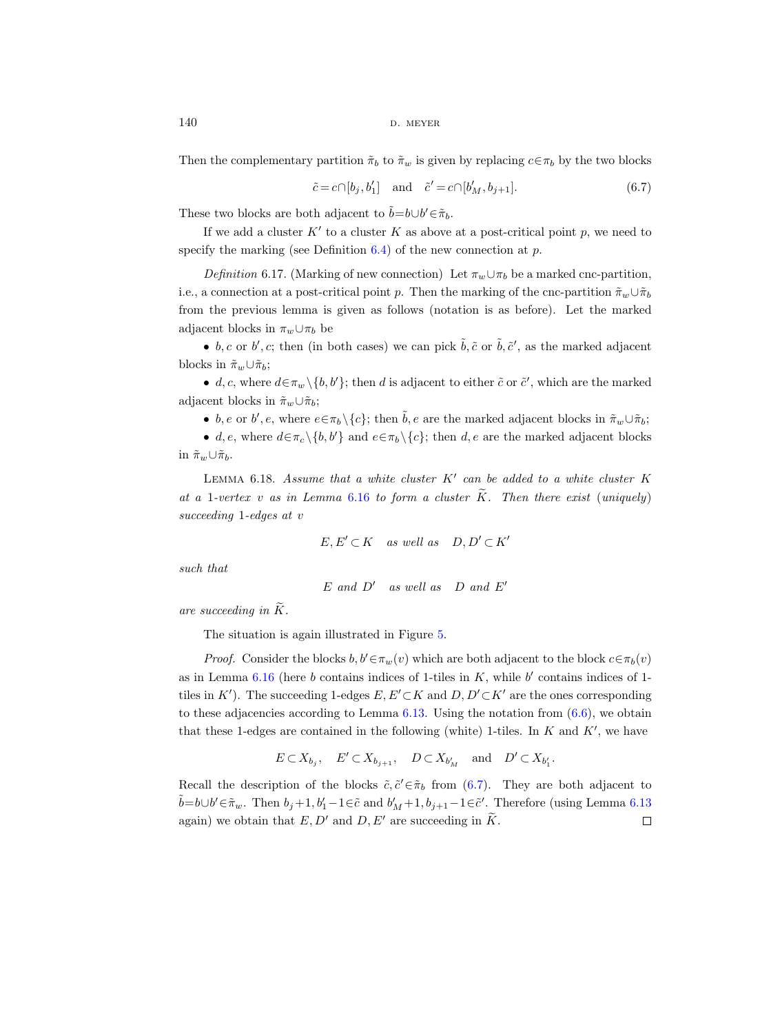$140$  D. MEYER

Then the complementary partition  $\tilde{\pi}_b$  to  $\tilde{\pi}_w$  is given by replacing  $c \in \pi_b$  by the two blocks

<span id="page-45-0"></span>
$$
\tilde{c} = c \cap [b_j, b'_1] \quad \text{and} \quad \tilde{c}' = c \cap [b'_M, b_{j+1}]. \tag{6.7}
$$

These two blocks are both adjacent to  $\tilde{b} = b \cup b' \in \tilde{\pi}_b$ .

If we add a cluster  $K'$  to a cluster K as above at a post-critical point p, we need to specify the marking (see Definition  $6.4$ ) of the new connection at p.

Definition 6.17. (Marking of new connection) Let  $\pi_w \cup \pi_b$  be a marked cnc-partition, i.e., a connection at a post-critical point p. Then the marking of the cnc-partition  $\tilde{\pi}_w \cup \tilde{\pi}_b$ from the previous lemma is given as follows (notation is as before). Let the marked adjacent blocks in  $\pi_w \cup \pi_b$  be

• b, c or b', c; then (in both cases) we can pick  $\tilde{b}$ ,  $\tilde{c}$  or  $\tilde{b}$ ,  $\tilde{c}'$ , as the marked adjacent blocks in  $\tilde{\pi}_w \cup \tilde{\pi}_b$ ;

• d, c, where  $d \in \pi_w \setminus \{b, b'\}$ ; then d is adjacent to either  $\tilde{c}$  or  $\tilde{c}'$ , which are the marked adjacent blocks in  $\tilde{\pi}_w \cup \tilde{\pi}_b$ ;

• b, e or b', e, where  $e \in \pi_b \setminus \{c\}$ ; then  $\tilde{b}$ , e are the marked adjacent blocks in  $\tilde{\pi}_w \cup \tilde{\pi}_b$ ;

• d, e, where  $d \in \pi_c \setminus \{b, b'\}$  and  $e \in \pi_b \setminus \{c\}$ ; then d, e are the marked adjacent blocks in  $\tilde{\pi}_w \cup \tilde{\pi}_b$ .

<span id="page-45-1"></span>LEMMA 6.18. Assume that a white cluster  $K'$  can be added to a white cluster  $K$ at a 1-vertex v as in Lemma [6.16](#page-43-1) to form a cluster  $\tilde{K}$ . Then there exist (uniquely) succeeding 1-edges at v

$$
E, E' \subset K \quad \text{as well as} \quad D, D' \subset K'
$$

such that

$$
E\ and\ D'\quad as\ well\ as\quad D\ and\ E'
$$

are succeeding in  $\tilde{K}$ .

The situation is again illustrated in Figure [5.](#page-43-0)

*Proof.* Consider the blocks  $b, b' \in \pi_w(v)$  which are both adjacent to the block  $c \in \pi_b(v)$ as in Lemma  $6.16$  (here b contains indices of 1-tiles in K, while b' contains indices of 1tiles in K'). The succeeding 1-edges  $E, E' \subset K$  and  $D, D' \subset K'$  are the ones corresponding to these adjacencies according to Lemma  $6.13$ . Using the notation from  $(6.6)$ , we obtain that these 1-edges are contained in the following (white) 1-tiles. In  $K$  and  $K'$ , we have

$$
E\subset X_{b_j},\quad E'\subset X_{b_{j+1}},\quad D\subset X_{b_M'}\quad\text{and}\quad D'\subset X_{b_1'}.
$$

Recall the description of the blocks  $\tilde{c}, \tilde{c}' \in \tilde{\pi}_b$  from [\(6.7\)](#page-45-0). They are both adjacent to  $\tilde{b} = b \cup b' \in \tilde{\pi}_w$ . Then  $b_j + 1$ ,  $b'_1 - 1 \in \tilde{c}$  and  $b'_M + 1$ ,  $b_{j+1} - 1 \in \tilde{c}'$ . Therefore (using Lemma [6.13](#page-42-1) again) we obtain that E, D' and D, E' are succeeding in  $\widetilde{K}$ .  $\Box$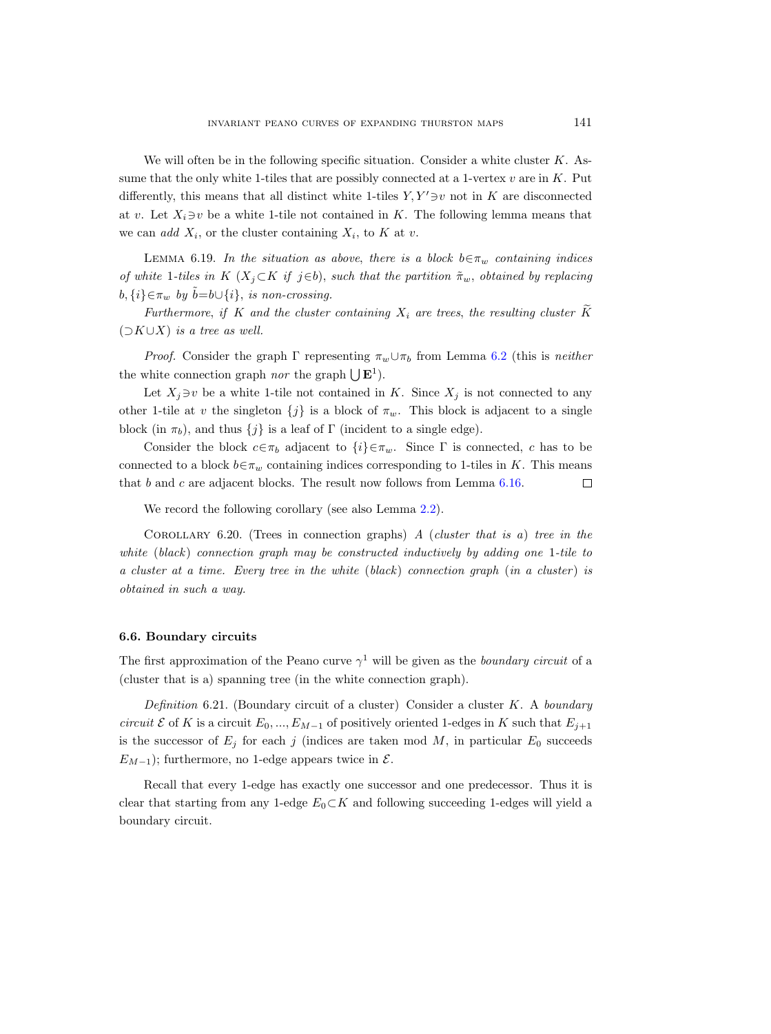We will often be in the following specific situation. Consider a white cluster  $K$ . Assume that the only white 1-tiles that are possibly connected at a 1-vertex  $v$  are in  $K$ . Put differently, this means that all distinct white 1-tiles  $Y, Y' \ni v$  not in K are disconnected at v. Let  $X_i \ni v$  be a white 1-tile not contained in K. The following lemma means that we can add  $X_i$ , or the cluster containing  $X_i$ , to K at v.

<span id="page-46-1"></span>LEMMA 6.19. In the situation as above, there is a block  $b \in \pi_w$  containing indices of white 1-tiles in K ( $X_j \subset K$  if j∈b), such that the partition  $\tilde{\pi}_w$ , obtained by replacing  $b, \{i\} \in \pi_w$  by  $b = b \cup \{i\}$ , is non-crossing.

Furthermore, if K and the cluster containing  $X_i$  are trees, the resulting cluster  $\widetilde{K}$  $(\supset K\cup X)$  is a tree as well.

*Proof.* Consider the graph  $\Gamma$  representing  $\pi_w \cup \pi_b$  from Lemma [6.2](#page-36-1) (this is neither the white connection graph *nor* the graph  $\bigcup \mathbf{E}^1$ .

Let  $X_j \ni v$  be a white 1-tile not contained in K. Since  $X_j$  is not connected to any other 1-tile at v the singleton  $\{j\}$  is a block of  $\pi_w$ . This block is adjacent to a single block (in  $\pi_b$ ), and thus  $\{j\}$  is a leaf of Γ (incident to a single edge).

Consider the block  $c \in \pi_b$  adjacent to  $\{i\} \in \pi_w$ . Since  $\Gamma$  is connected, c has to be connected to a block  $b \in \pi_w$  containing indices corresponding to 1-tiles in K. This means that  $b$  and  $c$  are adjacent blocks. The result now follows from Lemma [6.16.](#page-43-1)  $\Box$ 

We record the following corollary (see also Lemma [2.2\)](#page-13-0).

<span id="page-46-0"></span>COROLLARY 6.20. (Trees in connection graphs) A (cluster that is a) tree in the white (black) connection graph may be constructed inductively by adding one 1-tile to a cluster at a time. Every tree in the white  $(black)$  connection graph  $(in a cluster)$  is obtained in such a way.

#### 6.6. Boundary circuits

The first approximation of the Peano curve  $\gamma^1$  will be given as the boundary circuit of a (cluster that is a) spanning tree (in the white connection graph).

<span id="page-46-2"></span>Definition 6.21. (Boundary circuit of a cluster) Consider a cluster K. A boundary circuit E of K is a circuit  $E_0, ..., E_{M-1}$  of positively oriented 1-edges in K such that  $E_{j+1}$ is the successor of  $E_j$  for each j (indices are taken mod M, in particular  $E_0$  succeeds  $E_{M-1}$ ); furthermore, no 1-edge appears twice in  $\mathcal{E}$ .

Recall that every 1-edge has exactly one successor and one predecessor. Thus it is clear that starting from any 1-edge  $E_0 \subset K$  and following succeeding 1-edges will yield a boundary circuit.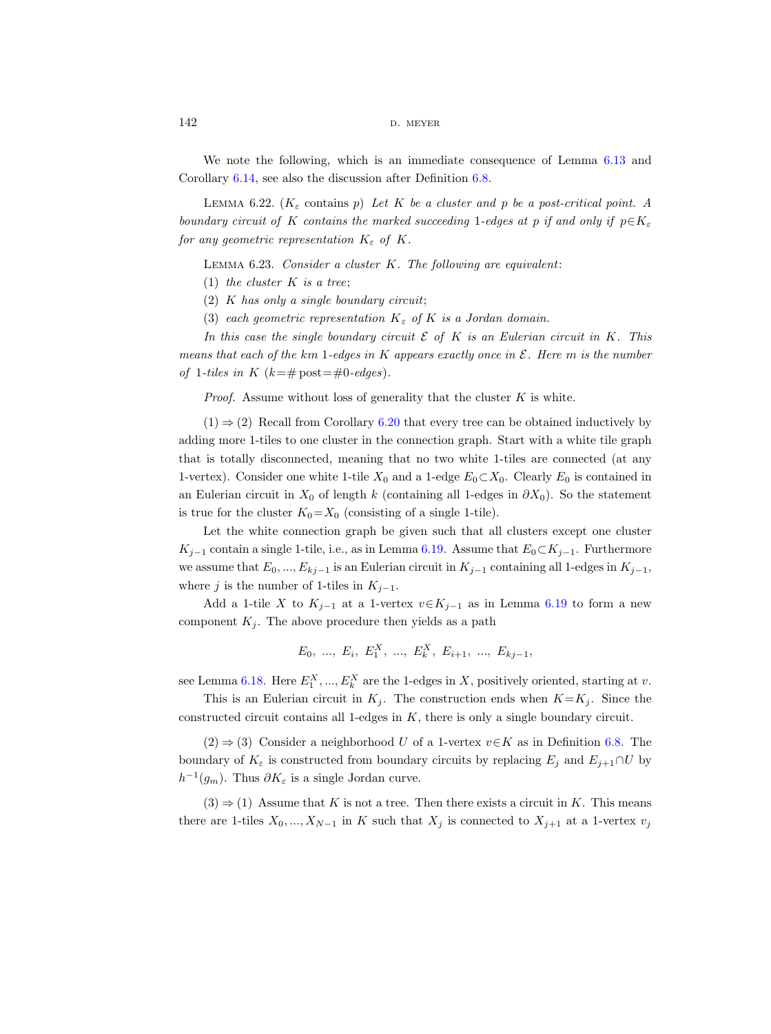$142$  D. MEYER

We note the following, which is an immediate consequence of Lemma [6.13](#page-42-1) and Corollary [6.14,](#page-42-0) see also the discussion after Definition [6.8.](#page-39-1)

<span id="page-47-1"></span>LEMMA 6.22. (K<sub>s</sub> contains p) Let K be a cluster and p be a post-critical point. A boundary circuit of K contains the marked succeeding 1-edges at p if and only if  $p \in K_{\varepsilon}$ for any geometric representation  $K_{\varepsilon}$  of K.

<span id="page-47-0"></span>LEMMA  $6.23.$  Consider a cluster K. The following are equivalent:

(1) the cluster  $K$  is a tree;

 $(2)$  K has only a single boundary circuit;

(3) each geometric representation  $K_{\varepsilon}$  of K is a Jordan domain.

In this case the single boundary circuit  $\mathcal E$  of K is an Eulerian circuit in K. This means that each of the km 1-edges in K appears exactly once in  $\mathcal E$ . Here m is the number of 1-tiles in K  $(k=\text{\# post}=\text{\#}0\text{-edges}).$ 

*Proof.* Assume without loss of generality that the cluster  $K$  is white.

 $(1) \Rightarrow (2)$  Recall from Corollary [6.20](#page-46-0) that every tree can be obtained inductively by adding more 1-tiles to one cluster in the connection graph. Start with a white tile graph that is totally disconnected, meaning that no two white 1-tiles are connected (at any 1-vertex). Consider one white 1-tile  $X_0$  and a 1-edge  $E_0 \subset X_0$ . Clearly  $E_0$  is contained in an Eulerian circuit in  $X_0$  of length k (containing all 1-edges in  $\partial X_0$ ). So the statement is true for the cluster  $K_0 = X_0$  (consisting of a single 1-tile).

Let the white connection graph be given such that all clusters except one cluster  $K_{j-1}$  contain a single 1-tile, i.e., as in Lemma [6.19.](#page-46-1) Assume that  $E_0 \subset K_{j-1}$ . Furthermore we assume that  $E_0, ..., E_{kj-1}$  is an Eulerian circuit in  $K_{j-1}$  containing all 1-edges in  $K_{j-1}$ , where j is the number of 1-tiles in  $K_{j-1}$ .

Add a 1-tile X to  $K_{j-1}$  at a 1-vertex  $v \in K_{j-1}$  as in Lemma [6.19](#page-46-1) to form a new component  $K_j$ . The above procedure then yields as a path

$$
E_0
$$
, ...,  $E_i$ ,  $E_1^X$ , ...,  $E_k^X$ ,  $E_{i+1}$ , ...,  $E_{kj-1}$ ,

see Lemma [6.18.](#page-45-1) Here  $E_1^X, ..., E_k^X$  are the 1-edges in X, positively oriented, starting at v.

This is an Eulerian circuit in  $K_i$ . The construction ends when  $K=K_i$ . Since the constructed circuit contains all 1-edges in K, there is only a single boundary circuit.

 $(2) \Rightarrow (3)$  Consider a neighborhood U of a 1-vertex  $v \in K$  as in Definition [6.8.](#page-39-1) The boundary of  $K_{\varepsilon}$  is constructed from boundary circuits by replacing  $E_j$  and  $E_{j+1} \cap U$  by  $h^{-1}(g_m)$ . Thus  $\partial K_{\varepsilon}$  is a single Jordan curve.

 $(3) \Rightarrow (1)$  Assume that K is not a tree. Then there exists a circuit in K. This means there are 1-tiles  $X_0, ..., X_{N-1}$  in K such that  $X_j$  is connected to  $X_{j+1}$  at a 1-vertex  $v_j$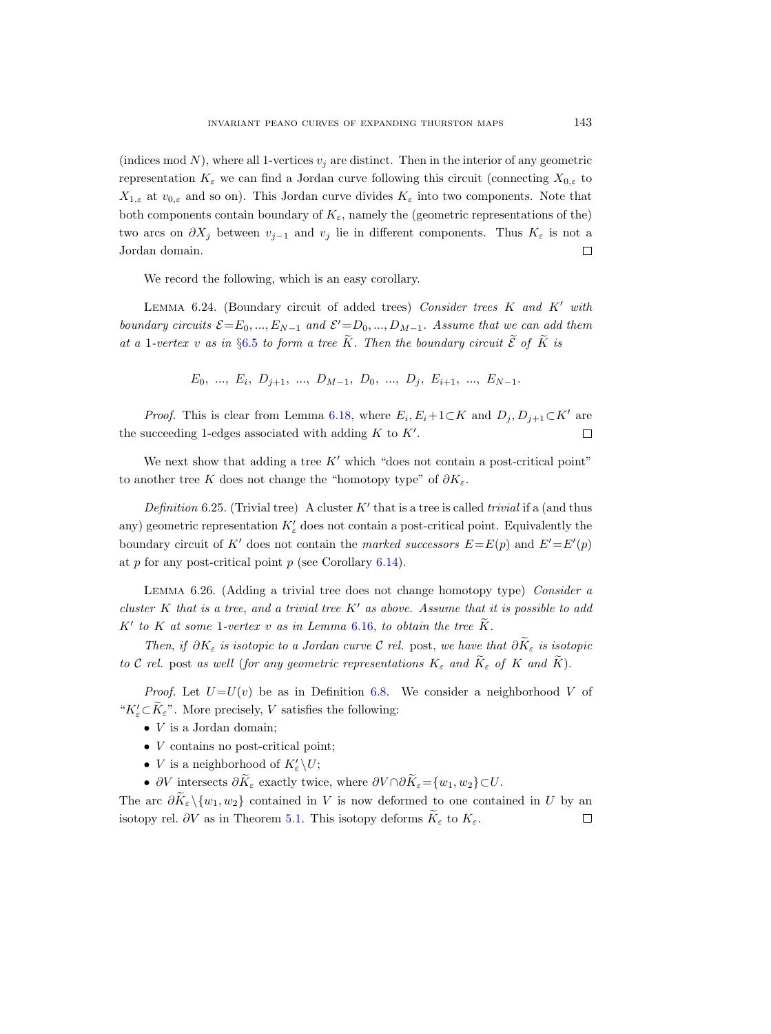(indices mod N), where all 1-vertices  $v_j$  are distinct. Then in the interior of any geometric representation  $K_{\varepsilon}$  we can find a Jordan curve following this circuit (connecting  $X_{0,\varepsilon}$  to  $X_{1,\varepsilon}$  at  $v_{0,\varepsilon}$  and so on). This Jordan curve divides  $K_{\varepsilon}$  into two components. Note that both components contain boundary of  $K_{\varepsilon}$ , namely the (geometric representations of the) two arcs on  $\partial X_j$  between  $v_{j-1}$  and  $v_j$  lie in different components. Thus  $K_\varepsilon$  is not a Jordan domain.  $\Box$ 

We record the following, which is an easy corollary.

LEMMA 6.24. (Boundary circuit of added trees) Consider trees  $K$  and  $K'$  with boundary circuits  $\mathcal{E} = E_0, ..., E_{N-1}$  and  $\mathcal{E}' = D_0, ..., D_{M-1}$ . Assume that we can add them at a 1-vertex v as in §[6.5](#page-43-2) to form a tree  $\widetilde{K}$ . Then the boundary circuit  $\widetilde{\mathcal{E}}$  of  $\widetilde{K}$  is

 $E_0, \ldots, E_i, D_{j+1}, \ldots, D_{M-1}, D_0, \ldots, D_j, E_{i+1}, \ldots, E_{N-1}.$ 

*Proof.* This is clear from Lemma [6.18,](#page-45-1) where  $E_i, E_i+1 \subset K$  and  $D_j, D_{j+1} \subset K'$  are the succeeding 1-edges associated with adding  $K$  to  $K'$ .

We next show that adding a tree  $K'$  which "does not contain a post-critical point" to another tree K does not change the "homotopy type" of  $\partial K_{\varepsilon}$ .

<span id="page-48-0"></span>Definition 6.25. (Trivial tree) A cluster  $K'$  that is a tree is called trivial if a (and thus any) geometric representation  $K'_{\varepsilon}$  does not contain a post-critical point. Equivalently the boundary circuit of K' does not contain the marked successors  $E = E(p)$  and  $E' = E'(p)$ at  $p$  for any post-critical point  $p$  (see Corollary [6.14\)](#page-42-0).

<span id="page-48-1"></span>LEMMA 6.26. (Adding a trivial tree does not change homotopy type) Consider a cluster K that is a tree, and a trivial tree  $K'$  as above. Assume that it is possible to add  $K'$  to K at some 1-vertex v as in Lemma [6.16,](#page-43-1) to obtain the tree  $\tilde{K}$ .

Then, if  $\partial K_{\varepsilon}$  is isotopic to a Jordan curve C rel. post, we have that  $\partial \widetilde{K}_{\varepsilon}$  is isotopic to C rel. post as well (for any geometric representations  $K_{\varepsilon}$  and  $\widetilde{K}_{\varepsilon}$  of K and  $\widetilde{K}$ ).

*Proof.* Let  $U=U(v)$  be as in Definition [6.8.](#page-39-1) We consider a neighborhood V of " $K'_{\varepsilon} \subset \tilde{K}_{\varepsilon}$ ". More precisely, V satisfies the following:

- $\bullet$  *V* is a Jordan domain;
- *V* contains no post-critical point;
- *V* is a neighborhood of  $K'_{\varepsilon} \backslash U$ ;
- ∂V intersects  $\partial \widetilde{K}_{\varepsilon}$  exactly twice, where  $\partial V \cap \partial \widetilde{K}_{\varepsilon} = \{w_1, w_2\} \subset U$ .

The arc  $\partial \tilde{K}_{\varepsilon} \setminus \{w_1, w_2\}$  contained in V is now deformed to one contained in U by an isotopy rel. ∂V as in Theorem [5.1.](#page-32-0) This isotopy deforms  $K_{\varepsilon}$  to  $K_{\varepsilon}$ .  $\Box$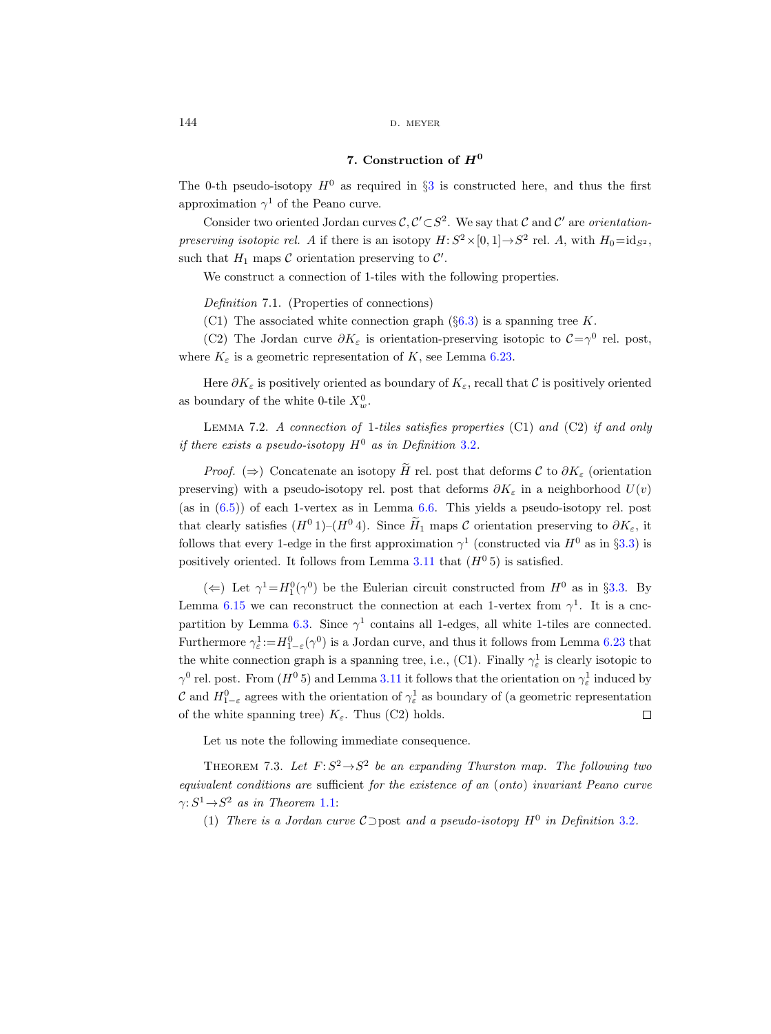## 7. Construction of H<sup>0</sup>

<span id="page-49-2"></span>The 0-th pseudo-isotopy  $H^0$  as required in §[3](#page-15-0) is constructed here, and thus the first approximation  $\gamma^1$  of the Peano curve.

Consider two oriented Jordan curves  $\mathcal{C}, \mathcal{C}' \subset S^2$ . We say that C and C' are *orientation*preserving isotopic rel. A if there is an isotopy  $H: S^2 \times [0,1] \rightarrow S^2$  rel. A, with  $H_0 = id_{S^2}$ , such that  $H_1$  maps  $\mathcal C$  orientation preserving to  $\mathcal C'$ .

We construct a connection of 1-tiles with the following properties.

<span id="page-49-0"></span>Definition 7.1. (Properties of connections)

(C1) The associated white connection graph  $(\S6.3)$  $(\S6.3)$  is a spanning tree K.

(C2) The Jordan curve  $\partial K_{\varepsilon}$  is orientation-preserving isotopic to  $C=\gamma^0$  rel. post, where  $K_{\varepsilon}$  is a geometric representation of K, see Lemma [6.23.](#page-47-0)

Here  $\partial K_{\varepsilon}$  is positively oriented as boundary of  $K_{\varepsilon}$ , recall that C is positively oriented as boundary of the white 0-tile  $X_w^0$ .

<span id="page-49-1"></span>LEMMA 7.2. A connection of 1-tiles satisfies properties  $(C1)$  and  $(C2)$  if and only if there exists a pseudo-isotopy  $H^0$  as in Definition [3.2](#page-15-1).

*Proof.* (⇒) Concatenate an isotopy  $\widetilde{H}$  rel. post that deforms  $\mathcal{C}$  to  $\partial K_{\varepsilon}$  (orientation preserving) with a pseudo-isotopy rel. post that deforms  $\partial K_{\varepsilon}$  in a neighborhood  $U(v)$ (as in [\(6.5\)](#page-39-0)) of each 1-vertex as in Lemma [6.6.](#page-38-1) This yields a pseudo-isotopy rel. post that clearly satisfies  $(H^0 1)$ – $(H^0 4)$ . Since  $\widetilde{H}_1$  maps C orientation preserving to  $\partial K_{\varepsilon}$ , it follows that every 1-edge in the first approximation  $\gamma^1$  (constructed via  $H^0$  as in §[3.3\)](#page-19-0) is positively oriented. It follows from Lemma [3.11](#page-22-0) that  $(H^0 5)$  is satisfied.

( $\Leftarrow$ ) Let  $\gamma^1 = H_1^0(\gamma^0)$  be the Eulerian circuit constructed from  $H^0$  as in §[3.3.](#page-19-0) By Lemma [6.15](#page-42-2) we can reconstruct the connection at each 1-vertex from  $\gamma^1$ . It is a cnc-partition by Lemma [6.3.](#page-36-0) Since  $\gamma^1$  contains all 1-edges, all white 1-tiles are connected. Furthermore  $\gamma^1_\varepsilon:=H^0_{1-\varepsilon}(\gamma^0)$  is a Jordan curve, and thus it follows from Lemma [6.23](#page-47-0) that the white connection graph is a spanning tree, i.e., (C1). Finally  $\gamma_{\varepsilon}^1$  is clearly isotopic to  $\gamma^0$  rel. post. From  $(H^0 5)$  and Lemma [3.11](#page-22-0) it follows that the orientation on  $\gamma^1_\varepsilon$  induced by C and  $H_{1-\varepsilon}^0$  agrees with the orientation of  $\gamma_{\varepsilon}^1$  as boundary of (a geometric representation of the white spanning tree)  $K_{\varepsilon}$ . Thus (C2) holds.  $\Box$ 

Let us note the following immediate consequence.

THEOREM 7.3. Let  $F: S^2 \to S^2$  be an expanding Thurston map. The following two equivalent conditions are sufficient for the existence of an (onto) invariant Peano curve  $\gamma: S^1 \rightarrow S^2$  as in Theorem [1.1:](#page-1-0)

(1) There is a Jordan curve  $C$  post and a pseudo-isotopy  $H^0$  in Definition [3.2](#page-15-1).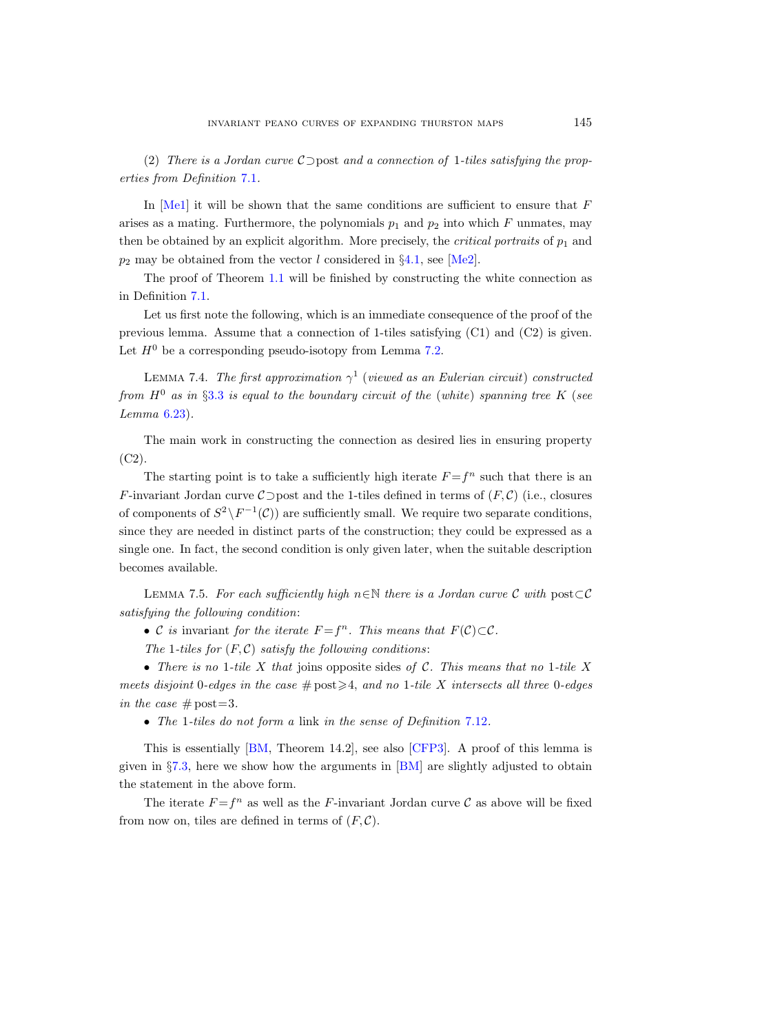(2) There is a Jordan curve C⊃post and a connection of 1-tiles satisfying the properties from Definition [7.1](#page-49-0).

In  $[Mel]$  it will be shown that the same conditions are sufficient to ensure that  $F$ arises as a mating. Furthermore, the polynomials  $p_1$  and  $p_2$  into which F unmates, may then be obtained by an explicit algorithm. More precisely, the *critical portraits* of  $p_1$  and  $p_2$  may be obtained from the vector l considered in §[4.1,](#page-24-0) see [\[Me2\]](#page-76-1).

The proof of Theorem [1.1](#page-1-0) will be finished by constructing the white connection as in Definition [7.1.](#page-49-0)

Let us first note the following, which is an immediate consequence of the proof of the previous lemma. Assume that a connection of 1-tiles satisfying (C1) and (C2) is given. Let  $H^0$  be a corresponding pseudo-isotopy from Lemma [7.2.](#page-49-1)

<span id="page-50-1"></span>LEMMA 7.4. The first approximation  $\gamma^1$  (viewed as an Eulerian circuit) constructed from  $H^0$  as in §[3.3](#page-19-0) is equal to the boundary circuit of the (white) spanning tree K (see Lemma [6.23\)](#page-47-0).

The main work in constructing the connection as desired lies in ensuring property  $(C2)$ .

The starting point is to take a sufficiently high iterate  $F = f<sup>n</sup>$  such that there is an F-invariant Jordan curve  $\mathcal{C}$ ⊃post and the 1-tiles defined in terms of  $(F, \mathcal{C})$  (i.e., closures of components of  $S^2 \setminus F^{-1}(\mathcal{C})$  are sufficiently small. We require two separate conditions, since they are needed in distinct parts of the construction; they could be expressed as a single one. In fact, the second condition is only given later, when the suitable description becomes available.

<span id="page-50-0"></span>LEMMA 7.5. For each sufficiently high n∈N there is a Jordan curve C with post⊂C satisfying the following condition:

• C is invariant for the iterate  $F = f^n$ . This means that  $F(\mathcal{C}) \subset \mathcal{C}$ .

The 1-tiles for  $(F, C)$  satisfy the following conditions:

• There is no 1-tile X that joins opposite sides of C. This means that no 1-tile X meets disjoint 0-edges in the case  $\#\text{post} \geq 4$ , and no 1-tile X intersects all three 0-edges in the case  $\#$  post=3.

• The 1-tiles do not form a link in the sense of Definition [7.12](#page-56-0).

This is essentially [\[BM,](#page-75-1) Theorem 14.2], see also [\[CFP3\]](#page-75-2). A proof of this lemma is given in §[7.3,](#page-55-0) here we show how the arguments in [\[BM\]](#page-75-1) are slightly adjusted to obtain the statement in the above form.

The iterate  $F = f^n$  as well as the F-invariant Jordan curve C as above will be fixed from now on, tiles are defined in terms of  $(F, \mathcal{C})$ .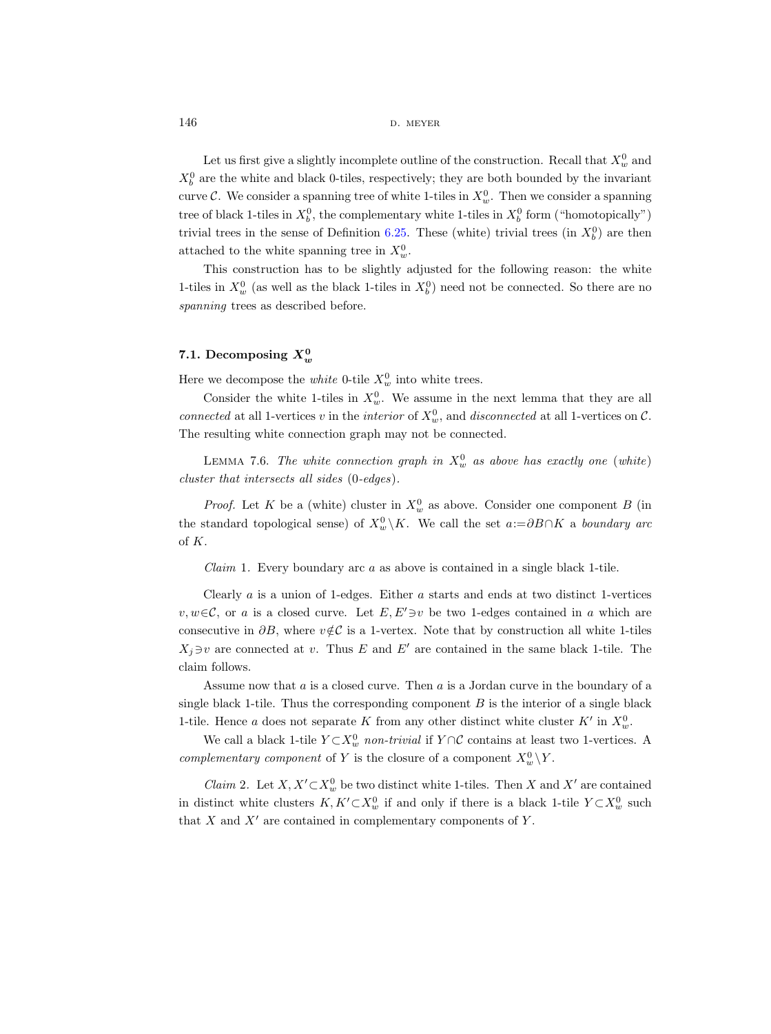$146$  d. meyer

Let us first give a slightly incomplete outline of the construction. Recall that  $X_w^0$  and  $X_b^0$  are the white and black 0-tiles, respectively; they are both bounded by the invariant curve  $\mathcal{C}$ . We consider a spanning tree of white 1-tiles in  $X_w^0$ . Then we consider a spanning tree of black 1-tiles in  $X_b^0$ , the complementary white 1-tiles in  $X_b^0$  form ("homotopically") trivial trees in the sense of Definition [6.25.](#page-48-0) These (white) trivial trees (in  $X_b^0$ ) are then attached to the white spanning tree in  $X_w^0$ .

This construction has to be slightly adjusted for the following reason: the white 1-tiles in  $X_w^0$  (as well as the black 1-tiles in  $X_b^0$ ) need not be connected. So there are no spanning trees as described before.

# <span id="page-51-1"></span>7.1. Decomposing  $X_w^0$

Here we decompose the *white* 0-tile  $X_w^0$  into white trees.

Consider the white 1-tiles in  $X_w^0$ . We assume in the next lemma that they are all connected at all 1-vertices v in the *interior* of  $X_w^0$ , and *disconnected* at all 1-vertices on C. The resulting white connection graph may not be connected.

<span id="page-51-0"></span>LEMMA 7.6. The white connection graph in  $X_w^0$  as above has exactly one (white) cluster that intersects all sides (0-edges).

*Proof.* Let K be a (white) cluster in  $X_w^0$  as above. Consider one component B (in the standard topological sense) of  $X_w^0 \backslash K$ . We call the set  $a:=\partial B\cap K$  a *boundary arc* of K.

*Claim* 1. Every boundary arc  $\alpha$  as above is contained in a single black 1-tile.

Clearly  $a$  is a union of 1-edges. Either  $a$  starts and ends at two distinct 1-vertices v, w∈C, or a is a closed curve. Let  $E, E' \ni v$  be two 1-edges contained in a which are consecutive in  $\partial B$ , where  $v \notin \mathcal{C}$  is a 1-vertex. Note that by construction all white 1-tiles  $X_j \ni v$  are connected at v. Thus E and E' are contained in the same black 1-tile. The claim follows.

Assume now that a is a closed curve. Then a is a Jordan curve in the boundary of a single black 1-tile. Thus the corresponding component  $B$  is the interior of a single black 1-tile. Hence a does not separate K from any other distinct white cluster  $K'$  in  $X_w^0$ .

We call a black 1-tile  $Y \subset X_w^0$  non-trivial if  $Y \cap C$  contains at least two 1-vertices. A complementary component of Y is the closure of a component  $X_w^0 \backslash Y$ .

*Claim 2.* Let  $X, X' \subset X_w^0$  be two distinct white 1-tiles. Then X and X' are contained in distinct white clusters  $K, K' \subset X_w^0$  if and only if there is a black 1-tile  $Y \subset X_w^0$  such that  $X$  and  $X'$  are contained in complementary components of  $Y$ .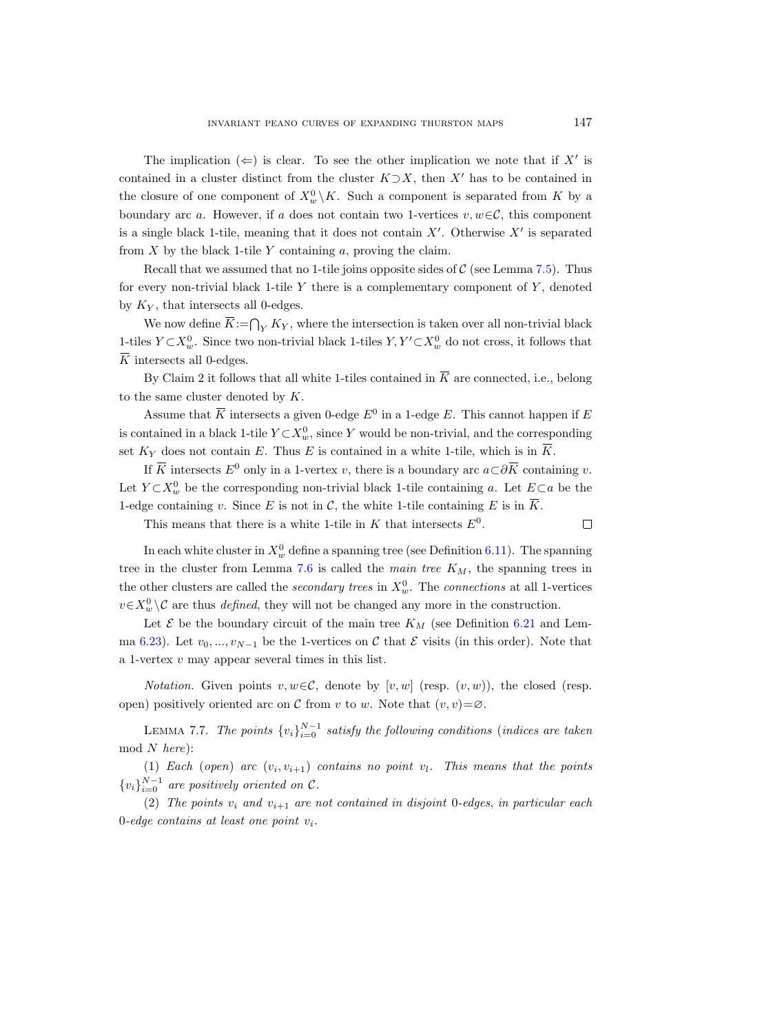The implication  $(\Leftarrow)$  is clear. To see the other implication we note that if X' is contained in a cluster distinct from the cluster  $K\supset X$ , then X' has to be contained in the closure of one component of  $X_w^0 \backslash K$ . Such a component is separated from K by a boundary arc a. However, if a does not contain two 1-vertices  $v, w \in \mathcal{C}$ , this component is a single black 1-tile, meaning that it does not contain  $X'$ . Otherwise  $X'$  is separated from  $X$  by the black 1-tile  $Y$  containing  $a$ , proving the claim.

Recall that we assumed that no 1-tile joins opposite sides of  $\mathcal C$  (see Lemma [7.5\)](#page-50-0). Thus for every non-trivial black 1-tile  $Y$  there is a complementary component of  $Y$ , denoted by  $K_Y$ , that intersects all 0-edges.

We now define  $\overline{K}$ := $\bigcap_Y K_Y$ , where the intersection is taken over all non-trivial black 1-tiles  $Y \subset X_w^0$ . Since two non-trivial black 1-tiles  $Y, Y' \subset X_w^0$  do not cross, it follows that  $\overline{K}$  intersects all 0-edges.

By Claim 2 it follows that all white 1-tiles contained in  $\overline{K}$  are connected, i.e., belong to the same cluster denoted by K.

Assume that  $\overline{K}$  intersects a given 0-edge  $E^0$  in a 1-edge E. This cannot happen if E is contained in a black 1-tile  $Y \subset X_w^0$ , since Y would be non-trivial, and the corresponding set  $K_Y$  does not contain E. Thus E is contained in a white 1-tile, which is in K.

If K intersects  $E^0$  only in a 1-vertex v, there is a boundary arc  $a\subset\partial\overline{K}$  containing v. Let  $Y \subset X_w^0$  be the corresponding non-trivial black 1-tile containing a. Let  $E \subset a$  be the 1-edge containing v. Since E is not in C, the white 1-tile containing E is in  $\overline{K}$ .

This means that there is a white 1-tile in  $K$  that intersects  $E^0$ .

In each white cluster in  $X_w^0$  define a spanning tree (see Definition [6.11\)](#page-40-1). The spanning tree in the cluster from Lemma [7.6](#page-51-0) is called the *main tree*  $K_M$ , the spanning trees in the other clusters are called the *secondary trees* in  $X_w^0$ . The *connections* at all 1-vertices  $v \in X_w^0 \setminus \mathcal{C}$  are thus *defined*, they will not be changed any more in the construction.

Let  $\mathcal E$  be the boundary circuit of the main tree  $K_M$  (see Definition [6.21](#page-46-2) and Lem-ma [6.23\)](#page-47-0). Let  $v_0, ..., v_{N-1}$  be the 1-vertices on C that E visits (in this order). Note that a 1-vertex v may appear several times in this list.

*Notation.* Given points  $v, w \in \mathcal{C}$ , denote by  $[v, w]$  (resp.  $(v, w)$ ), the closed (resp. open) positively oriented arc on C from v to w. Note that  $(v, v) = \emptyset$ .

<span id="page-52-0"></span>LEMMA 7.7. The points  ${v_i}_{i=0}^{N-1}$  satisfy the following conditions (indices are taken mod N here):

(1) Each (open) arc  $(v_i, v_{i+1})$  contains no point  $v_l$ . This means that the points  ${v_i}_{i=0}^{N-1}$  are positively oriented on C.

(2) The points  $v_i$  and  $v_{i+1}$  are not contained in disjoint 0-edges, in particular each 0-edge contains at least one point  $v_i$ .

 $\Box$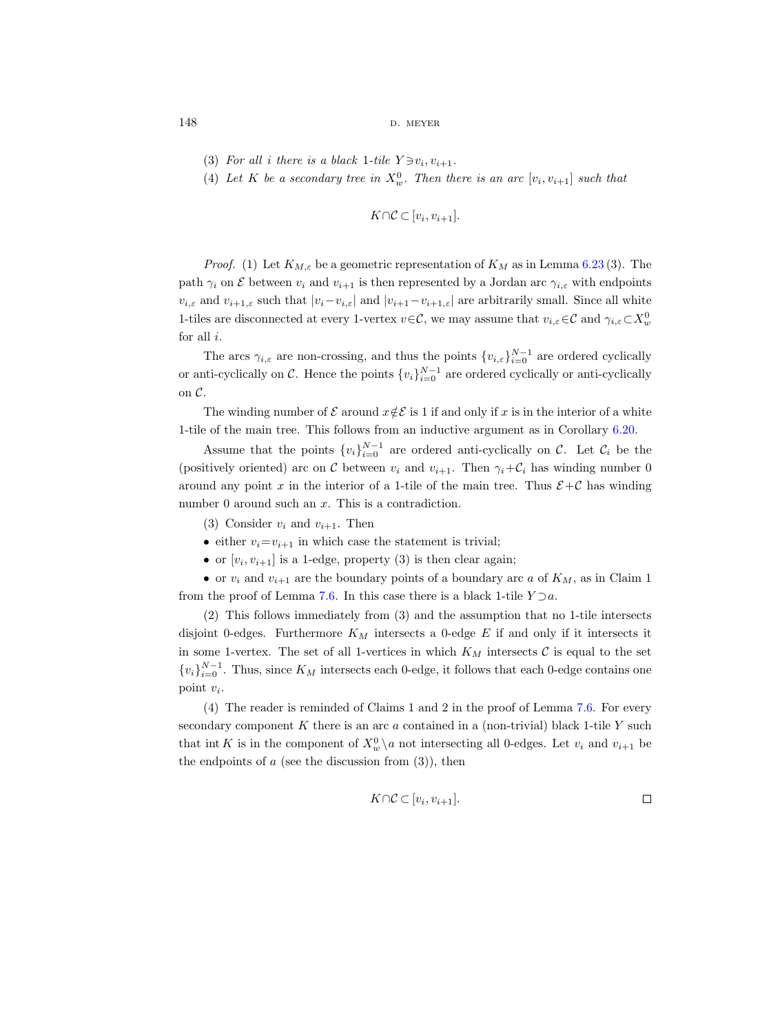148 **d.** meyer

- (3) For all i there is a black 1-tile  $Y \ni v_i, v_{i+1}$ .
- (4) Let K be a secondary tree in  $X_w^0$ . Then there is an arc  $[v_i, v_{i+1}]$  such that

$$
K \cap C \subset [v_i, v_{i+1}].
$$

*Proof.* (1) Let  $K_{M,\varepsilon}$  be a geometric representation of  $K_M$  as in Lemma [6.23](#page-47-0) (3). The path  $\gamma_i$  on  $\mathcal E$  between  $v_i$  and  $v_{i+1}$  is then represented by a Jordan arc  $\gamma_{i,\varepsilon}$  with endpoints  $v_{i,\varepsilon}$  and  $v_{i+1,\varepsilon}$  such that  $|v_i-v_{i,\varepsilon}|$  and  $|v_{i+1}-v_{i+1,\varepsilon}|$  are arbitrarily small. Since all white 1-tiles are disconnected at every 1-vertex  $v \in \mathcal{C}$ , we may assume that  $v_{i,\varepsilon} \in \mathcal{C}$  and  $\gamma_{i,\varepsilon} \subset X_w^0$ for all  $i$ .

The arcs  $\gamma_{i,\varepsilon}$  are non-crossing, and thus the points  $\{v_{i,\varepsilon}\}_{i=0}^{N-1}$  are ordered cyclically or anti-cyclically on C. Hence the points  ${v_i}_{i=0}^{N-1}$  are ordered cyclically or anti-cyclically on C.

The winding number of  $\mathcal E$  around  $x \notin \mathcal E$  is 1 if and only if x is in the interior of a white 1-tile of the main tree. This follows from an inductive argument as in Corollary [6.20.](#page-46-0)

Assume that the points  $\{v_i\}_{i=0}^{N-1}$  are ordered anti-cyclically on C. Let  $\mathcal{C}_i$  be the (positively oriented) arc on C between  $v_i$  and  $v_{i+1}$ . Then  $\gamma_i + C_i$  has winding number 0 around any point x in the interior of a 1-tile of the main tree. Thus  $\mathcal{E}+\mathcal{C}$  has winding number 0 around such an x. This is a contradiction.

- (3) Consider  $v_i$  and  $v_{i+1}$ . Then
- either  $v_i = v_{i+1}$  in which case the statement is trivial;
- or  $[v_i, v_{i+1}]$  is a 1-edge, property (3) is then clear again;

• or  $v_i$  and  $v_{i+1}$  are the boundary points of a boundary arc a of  $K_M$ , as in Claim 1 from the proof of Lemma [7.6.](#page-51-0) In this case there is a black 1-tile  $Y \supset a$ .

(2) This follows immediately from (3) and the assumption that no 1-tile intersects disjoint 0-edges. Furthermore  $K_M$  intersects a 0-edge  $E$  if and only if it intersects it in some 1-vertex. The set of all 1-vertices in which  $K_M$  intersects  $\mathcal C$  is equal to the set  $\{v_i\}_{i=0}^{N-1}$ . Thus, since  $K_M$  intersects each 0-edge, it follows that each 0-edge contains one point  $v_i$ .

(4) The reader is reminded of Claims 1 and 2 in the proof of Lemma [7.6.](#page-51-0) For every secondary component  $K$  there is an arc  $a$  contained in a (non-trivial) black 1-tile  $Y$  such that int K is in the component of  $X_w^0 \setminus a$  not intersecting all 0-edges. Let  $v_i$  and  $v_{i+1}$  be the endpoints of  $a$  (see the discussion from  $(3)$ ), then

$$
K \cap \mathcal{C} \subset [v_i, v_{i+1}].
$$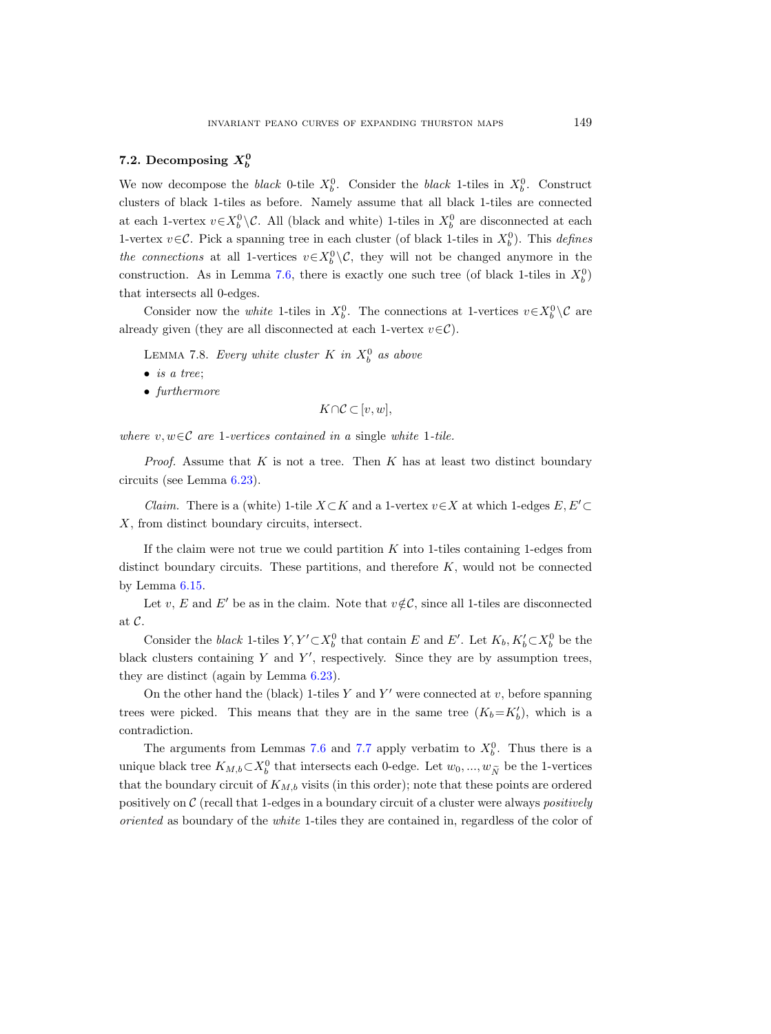# 7.2. Decomposing  $X_b^0$

We now decompose the *black* 0-tile  $X_b^0$ . Consider the *black* 1-tiles in  $X_b^0$ . Construct clusters of black 1-tiles as before. Namely assume that all black 1-tiles are connected at each 1-vertex  $v \in X_b^0 \backslash C$ . All (black and white) 1-tiles in  $X_b^0$  are disconnected at each 1-vertex  $v \in \mathcal{C}$ . Pick a spanning tree in each cluster (of black 1-tiles in  $X_b^0$ ). This *defines* the connections at all 1-vertices  $v \in X_b^0 \setminus \mathcal{C}$ , they will not be changed anymore in the construction. As in Lemma [7.6,](#page-51-0) there is exactly one such tree (of black 1-tiles in  $X_b^0$ ) that intersects all 0-edges.

Consider now the *white* 1-tiles in  $X_b^0$ . The connections at 1-vertices  $v \in X_b^0 \setminus \mathcal{C}$  are already given (they are all disconnected at each 1-vertex  $v \in \mathcal{C}$ ).

<span id="page-54-0"></span>LEMMA 7.8. Every white cluster  $K$  in  $X_b^0$  as above

- $\bullet$  is a tree;
- furthermore

$$
K \cap \mathcal{C} \subset [v, w],
$$

where  $v, w \in \mathcal{C}$  are 1-vertices contained in a single white 1-tile.

*Proof.* Assume that  $K$  is not a tree. Then  $K$  has at least two distinct boundary circuits (see Lemma [6.23\)](#page-47-0).

*Claim.* There is a (white) 1-tile  $X \subset K$  and a 1-vertex  $v \in X$  at which 1-edges  $E, E' \subset$ X, from distinct boundary circuits, intersect.

If the claim were not true we could partition  $K$  into 1-tiles containing 1-edges from distinct boundary circuits. These partitions, and therefore  $K$ , would not be connected by Lemma [6.15.](#page-42-2)

Let v, E and E' be as in the claim. Note that  $v \notin \mathcal{C}$ , since all 1-tiles are disconnected at C.

Consider the black 1-tiles  $Y, Y' \subset X_b^0$  that contain E and E'. Let  $K_b, K_b' \subset X_b^0$  be the black clusters containing  $Y$  and  $Y'$ , respectively. Since they are by assumption trees, they are distinct (again by Lemma [6.23\)](#page-47-0).

On the other hand the (black) 1-tiles  $Y$  and  $Y'$  were connected at  $v$ , before spanning trees were picked. This means that they are in the same tree  $(K_b=K_b')$ , which is a contradiction.

The arguments from Lemmas [7.6](#page-51-0) and [7.7](#page-52-0) apply verbatim to  $X_b^0$ . Thus there is a unique black tree  $K_{M,b} \subset X_b^0$  that intersects each 0-edge. Let  $w_0, ..., w_{\tilde{N}}$  be the 1-vertices that the boundary circuit of  $K_{M,b}$  visits (in this order); note that these points are ordered positively on  $\mathcal C$  (recall that 1-edges in a boundary circuit of a cluster were always *positively* oriented as boundary of the white 1-tiles they are contained in, regardless of the color of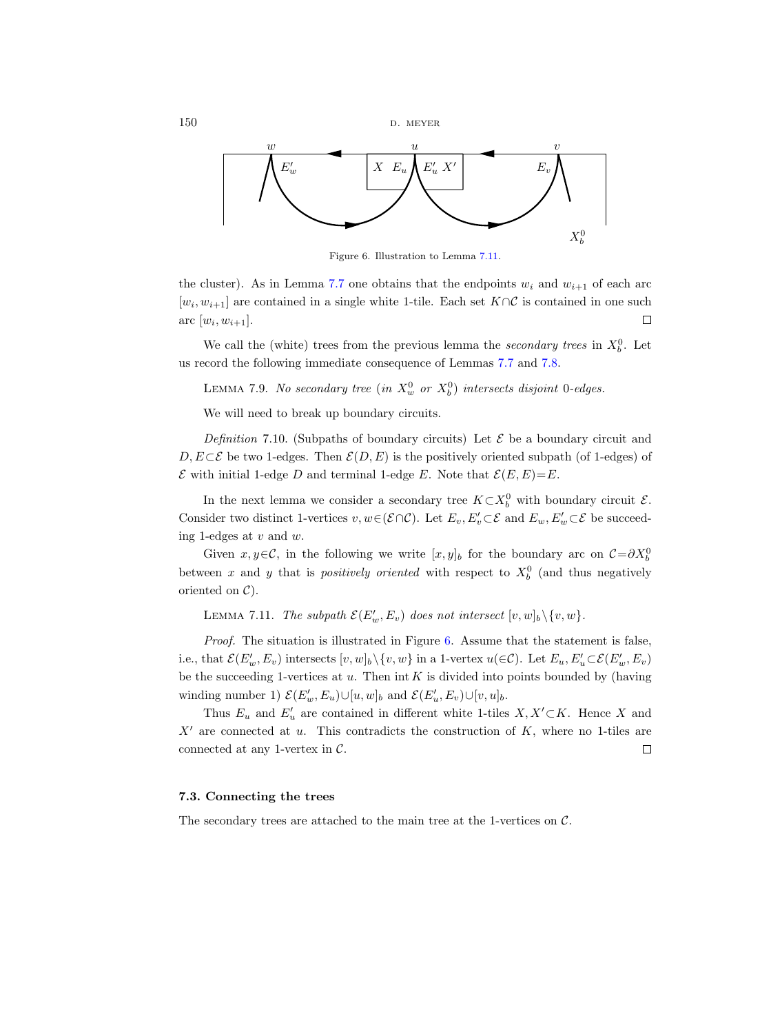$150$  D. MEYER



<span id="page-55-2"></span>Figure 6. Illustration to Lemma [7.11.](#page-55-1)

the cluster). As in Lemma [7.7](#page-52-0) one obtains that the endpoints  $w_i$  and  $w_{i+1}$  of each arc  $[w_i, w_{i+1}]$  are contained in a single white 1-tile. Each set  $K \cap C$  is contained in one such arc  $[w_i, w_{i+1}].$  $\Box$ 

We call the (white) trees from the previous lemma the *secondary trees* in  $X_b^0$ . Let us record the following immediate consequence of Lemmas [7.7](#page-52-0) and [7.8.](#page-54-0)

<span id="page-55-4"></span>LEMMA 7.9. No secondary tree (in  $X_w^0$  or  $X_b^0$ ) intersects disjoint 0-edges.

We will need to break up boundary circuits.

<span id="page-55-3"></span>Definition 7.10. (Subpaths of boundary circuits) Let  $\mathcal E$  be a boundary circuit and D,  $E \subset \mathcal{E}$  be two 1-edges. Then  $\mathcal{E}(D, E)$  is the positively oriented subpath (of 1-edges) of  $\mathcal E$  with initial 1-edge D and terminal 1-edge E. Note that  $\mathcal E(E,E)=E$ .

In the next lemma we consider a secondary tree  $K \subset X_b^0$  with boundary circuit  $\mathcal{E}$ . Consider two distinct 1-vertices  $v, w \in (\mathcal{E} \cap \mathcal{C})$ . Let  $E_v, E'_v \subset \mathcal{E}$  and  $E_w, E'_w \subset \mathcal{E}$  be succeeding 1-edges at  $v$  and  $w$ .

Given  $x, y \in \mathcal{C}$ , in the following we write  $[x, y]_b$  for the boundary arc on  $\mathcal{C} = \partial X_b^0$ between x and y that is *positively oriented* with respect to  $X_b^0$  (and thus negatively oriented on  $\mathcal{C}$ ).

<span id="page-55-1"></span>LEMMA 7.11. The subpath  $\mathcal{E}(E'_w, E_v)$  does not intersect  $[v, w]_b \setminus \{v, w\}.$ 

Proof. The situation is illustrated in Figure [6.](#page-55-2) Assume that the statement is false, i.e., that  $\mathcal{E}(E'_w, E_v)$  intersects  $[v, w]_b \setminus \{v, w\}$  in a 1-vertex  $u(\in \mathcal{C})$ . Let  $E_u, E'_u \subset \mathcal{E}(E'_w, E_v)$ be the succeeding 1-vertices at  $u$ . Then int  $K$  is divided into points bounded by (having winding number 1)  $\mathcal{E}(E'_w, E_u) \cup [u, w]_b$  and  $\mathcal{E}(E'_u, E_v) \cup [v, u]_b$ .

Thus  $E_u$  and  $E'_u$  are contained in different white 1-tiles  $X, X'\subset K$ . Hence X and  $X'$  are connected at u. This contradicts the construction of K, where no 1-tiles are connected at any 1-vertex in  $C$ .  $\Box$ 

## <span id="page-55-0"></span>7.3. Connecting the trees

The secondary trees are attached to the main tree at the 1-vertices on  $C$ .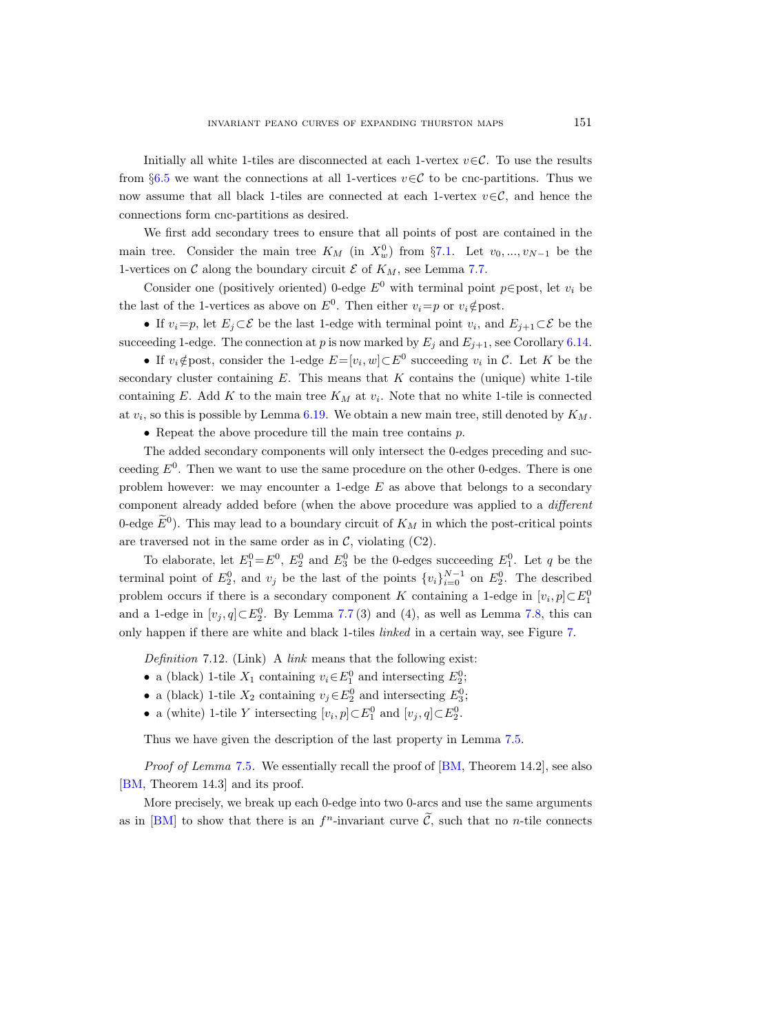Initially all white 1-tiles are disconnected at each 1-vertex  $v \in \mathcal{C}$ . To use the results from §[6.5](#page-43-2) we want the connections at all 1-vertices  $v \in \mathcal{C}$  to be cnc-partitions. Thus we now assume that all black 1-tiles are connected at each 1-vertex  $v \in \mathcal{C}$ , and hence the connections form cnc-partitions as desired.

We first add secondary trees to ensure that all points of post are contained in the main tree. Consider the main tree  $K_M$  (in  $X_w^0$ ) from §[7.1.](#page-51-1) Let  $v_0, ..., v_{N-1}$  be the 1-vertices on  $\mathcal C$  along the boundary circuit  $\mathcal E$  of  $K_M$ , see Lemma [7.7.](#page-52-0)

Consider one (positively oriented) 0-edge  $E^0$  with terminal point  $p \in \text{post}$ , let  $v_i$  be the last of the 1-vertices as above on  $E^0$ . Then either  $v_i=p$  or  $v_i \notin$  post.

• If  $v_i=p$ , let  $E_j \subset \mathcal{E}$  be the last 1-edge with terminal point  $v_i$ , and  $E_{j+1} \subset \mathcal{E}$  be the succeeding 1-edge. The connection at p is now marked by  $E_j$  and  $E_{j+1}$ , see Corollary [6.14.](#page-42-0)

• If  $v_i \notin$ post, consider the 1-edge  $E = [v_i, w] \subset E^0$  succeeding  $v_i$  in C. Let K be the secondary cluster containing  $E$ . This means that  $K$  contains the (unique) white 1-tile containing E. Add K to the main tree  $K_M$  at  $v_i$ . Note that no white 1-tile is connected at  $v_i$ , so this is possible by Lemma [6.19.](#page-46-1) We obtain a new main tree, still denoted by  $K_M$ .

• Repeat the above procedure till the main tree contains p.

The added secondary components will only intersect the 0-edges preceding and succeeding  $E^0$ . Then we want to use the same procedure on the other 0-edges. There is one problem however: we may encounter a 1-edge  $E$  as above that belongs to a secondary component already added before (when the above procedure was applied to a different 0-edge  $\hat{E}^0$ ). This may lead to a boundary circuit of  $K_M$  in which the post-critical points are traversed not in the same order as in  $\mathcal{C}$ , violating (C2).

To elaborate, let  $E_1^0 = E^0$ ,  $E_2^0$  and  $E_3^0$  be the 0-edges succeeding  $E_1^0$ . Let q be the terminal point of  $E_2^0$ , and  $v_j$  be the last of the points  $\{v_i\}_{i=0}^{N-1}$  on  $E_2^0$ . The described problem occurs if there is a secondary component K containing a 1-edge in  $[v_i, p] \subset E_1^0$ and a 1-edge in  $[v_j, q] \subset E_2^0$ . By Lemma [7.7](#page-52-0) (3) and (4), as well as Lemma [7.8,](#page-54-0) this can only happen if there are white and black 1-tiles linked in a certain way, see Figure [7.](#page-57-0)

<span id="page-56-0"></span>Definition 7.12. (Link) A link means that the following exist:

- a (black) 1-tile  $X_1$  containing  $v_i \in E_1^0$  and intersecting  $E_2^0$ ;
- a (black) 1-tile  $X_2$  containing  $v_j \in E_2^0$  and intersecting  $E_3^0$ ;
- a (white) 1-tile Y intersecting  $[v_i, p] \subset E_1^0$  and  $[v_j, q] \subset E_2^0$ .

Thus we have given the description of the last property in Lemma [7.5.](#page-50-0)

Proof of Lemma [7.5](#page-50-0). We essentially recall the proof of [\[BM,](#page-75-1) Theorem 14.2], see also [\[BM,](#page-75-1) Theorem 14.3] and its proof.

More precisely, we break up each 0-edge into two 0-arcs and use the same arguments as in [\[BM\]](#page-75-1) to show that there is an  $f^n$ -invariant curve  $\tilde{C}$ , such that no *n*-tile connects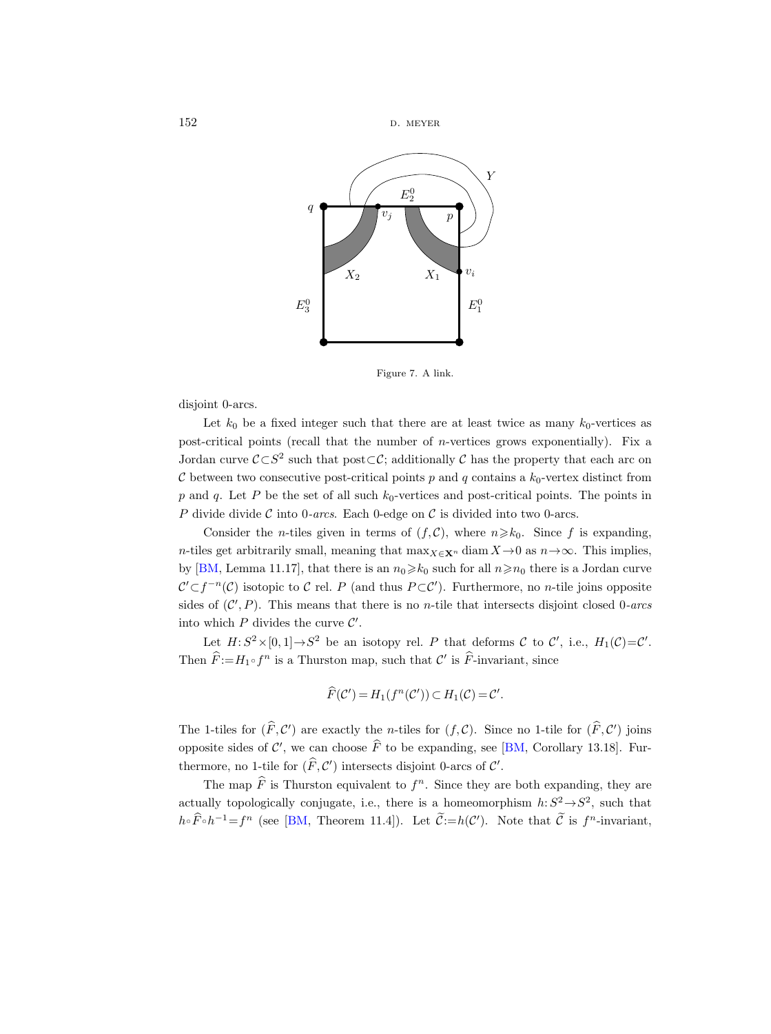$152$  D. MEYER



<span id="page-57-0"></span>Figure 7. A link.

disjoint 0-arcs.

Let  $k_0$  be a fixed integer such that there are at least twice as many  $k_0$ -vertices as post-critical points (recall that the number of *n*-vertices grows exponentially). Fix a Jordan curve  $\mathcal{C} \subset S^2$  such that post $\subset \mathcal{C}$ ; additionally  $\mathcal C$  has the property that each arc on  $\mathcal C$  between two consecutive post-critical points p and q contains a  $k_0$ -vertex distinct from  $p$  and  $q$ . Let P be the set of all such  $k_0$ -vertices and post-critical points. The points in P divide divide C into 0-arcs. Each 0-edge on C is divided into two 0-arcs.

Consider the *n*-tiles given in terms of  $(f, C)$ , where  $n \geq k_0$ . Since f is expanding, n-tiles get arbitrarily small, meaning that  $\max_{X \in \mathbf{X}^n} \text{diam } X \to 0$  as  $n \to \infty$ . This implies, by [\[BM,](#page-75-1) Lemma 11.17], that there is an  $n_0 \ge k_0$  such for all  $n \ge n_0$  there is a Jordan curve  $\mathcal{C}' \subset f^{-n}(\mathcal{C})$  isotopic to  $\mathcal C$  rel. P (and thus  $P \subset \mathcal{C}'$ ). Furthermore, no *n*-tile joins opposite sides of  $(C', P)$ . This means that there is no *n*-tile that intersects disjoint closed 0-arcs into which  $P$  divides the curve  $\mathcal{C}'$ .

Let  $H: S^2 \times [0,1] \to S^2$  be an isotopy rel. P that deforms C to C', i.e.,  $H_1(\mathcal{C}) = \mathcal{C}'$ . Then  $\widehat{F} := H_1 \circ f^n$  is a Thurston map, such that  $\mathcal{C}'$  is  $\widehat{F}$ -invariant, since

$$
\widehat{F}(\mathcal{C}') = H_1(f^n(\mathcal{C}')) \subset H_1(\mathcal{C}) = \mathcal{C}'.
$$

The 1-tiles for  $(\widehat{F}, C')$  are exactly the *n*-tiles for  $(f, C)$ . Since no 1-tile for  $(\widehat{F}, C')$  joins opposite sides of  $\mathcal{C}'$ , we can choose  $\widehat{F}$  to be expanding, see [\[BM,](#page-75-1) Corollary 13.18]. Furthermore, no 1-tile for  $(\widehat{F}, C')$  intersects disjoint 0-arcs of C'.

The map  $\widehat{F}$  is Thurston equivalent to  $f^n$ . Since they are both expanding, they are actually topologically conjugate, i.e., there is a homeomorphism  $h: S^2 \rightarrow S^2$ , such that  $h \circ \widehat{F} \circ h^{-1} = f^n$  (see [\[BM,](#page-75-1) Theorem 11.4]). Let  $\widetilde{C} := h(C')$ . Note that  $\widetilde{C}$  is  $f^n$ -invariant,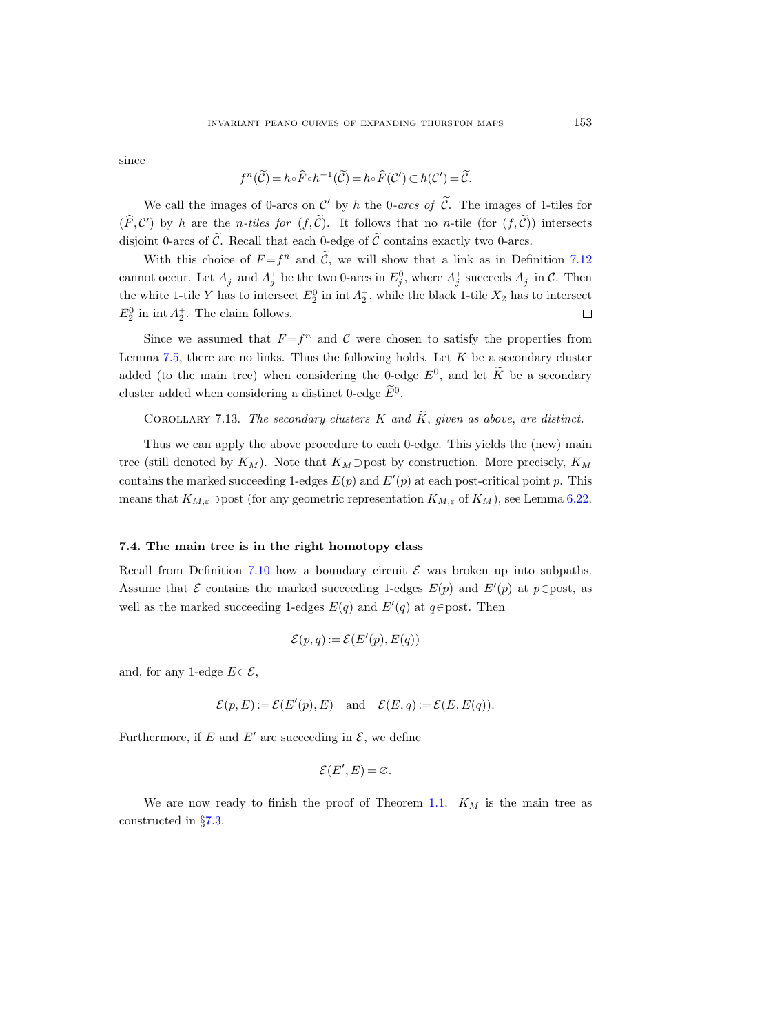since

$$
f^n(\widetilde{C}) = h \circ \widehat{F} \circ h^{-1}(\widetilde{C}) = h \circ \widehat{F}(C') \subset h(C') = \widetilde{C}.
$$

We call the images of 0-arcs on  $\mathcal{C}'$  by h the 0-arcs of C. The images of 1-tiles for  $(F, C')$  by h are the n-tiles for  $(f, C)$ . It follows that no n-tile (for  $(f, C)$ ) intersects disjoint 0-arcs of  $\tilde{C}$ . Recall that each 0-edge of  $\tilde{C}$  contains exactly two 0-arcs.

With this choice of  $F = f^n$  and C, we will show that a link as in Definition [7.12](#page-56-0) cannot occur. Let  $A_j^-$  and  $A_j^+$  be the two 0-arcs in  $E_j^0$ , where  $A_j^+$  succeeds  $A_j^-$  in  $\mathcal{C}$ . Then the white 1-tile Y has to intersect  $E_2^0$  in int $A_2^-$ , while the black 1-tile  $X_2$  has to intersect  $E_2^0$  in int  $A_2^+$ . The claim follows.  $\Box$ 

Since we assumed that  $F = f^n$  and C were chosen to satisfy the properties from Lemma [7.5,](#page-50-0) there are no links. Thus the following holds. Let  $K$  be a secondary cluster added (to the main tree) when considering the 0-edge  $E^0$ , and let  $\tilde{K}$  be a secondary cluster added when considering a distinct 0-edge  $\tilde{E}^0$ .

COROLLARY 7.13. The secondary clusters  $K$  and  $\tilde{K}$ , given as above, are distinct.

Thus we can apply the above procedure to each 0-edge. This yields the (new) main tree (still denoted by  $K_M$ ). Note that  $K_M$  ⊃post by construction. More precisely,  $K_M$ contains the marked succeeding 1-edges  $E(p)$  and  $E'(p)$  at each post-critical point p. This means that  $K_{M,\varepsilon}$  ⊃post (for any geometric representation  $K_{M,\varepsilon}$  of  $K_M$ ), see Lemma [6.22.](#page-47-1)

## 7.4. The main tree is in the right homotopy class

Recall from Definition [7.10](#page-55-3) how a boundary circuit  $\mathcal E$  was broken up into subpaths. Assume that  $\mathcal E$  contains the marked succeeding 1-edges  $E(p)$  and  $E'(p)$  at  $p \in \text{post}$ , as well as the marked succeeding 1-edges  $E(q)$  and  $E'(q)$  at  $q \in$  post. Then

$$
\mathcal{E}(p,q) := \mathcal{E}(E'(p), E(q))
$$

and, for any 1-edge  $E\subset\mathcal{E}$ ,

$$
\mathcal{E}(p, E) := \mathcal{E}(E'(p), E)
$$
 and  $\mathcal{E}(E, q) := \mathcal{E}(E, E(q)).$ 

Furthermore, if E and E' are succeeding in  $\mathcal{E}$ , we define

$$
\mathcal{E}(E',E)=\varnothing.
$$

We are now ready to finish the proof of Theorem [1.1.](#page-1-0)  $K_M$  is the main tree as constructed in §[7.3.](#page-55-0)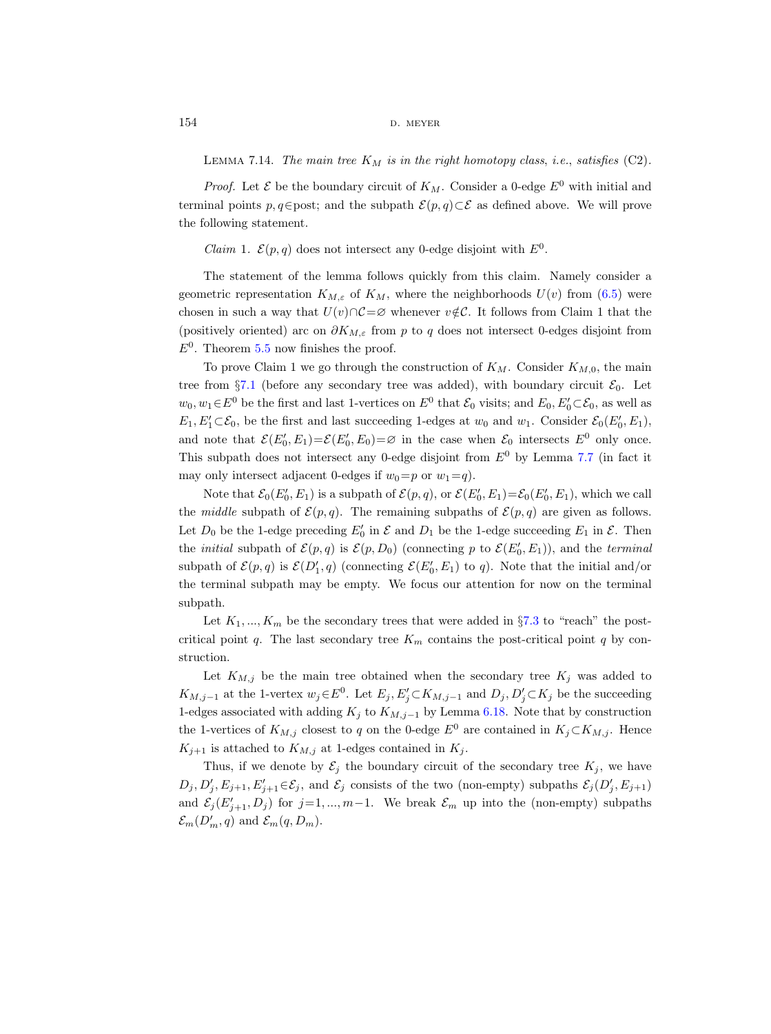LEMMA 7.14. The main tree  $K_M$  is in the right homotopy class, i.e., satisfies (C2).

*Proof.* Let  $\mathcal E$  be the boundary circuit of  $K_M$ . Consider a 0-edge  $E^0$  with initial and terminal points p, q∈post; and the subpath  $\mathcal{E}(p,q)\subset\mathcal{E}$  as defined above. We will prove the following statement.

*Claim* 1.  $\mathcal{E}(p,q)$  does not intersect any 0-edge disjoint with  $E^0$ .

The statement of the lemma follows quickly from this claim. Namely consider a geometric representation  $K_{M,\varepsilon}$  of  $K_M$ , where the neighborhoods  $U(v)$  from [\(6.5\)](#page-39-0) were chosen in such a way that  $U(v) \cap C = \emptyset$  whenever  $v \notin \mathcal{C}$ . It follows from Claim 1 that the (positively oriented) arc on  $\partial K_{M,\varepsilon}$  from p to q does not intersect 0-edges disjoint from  $E^0$ . Theorem [5.5](#page-33-0) now finishes the proof.

To prove Claim 1 we go through the construction of  $K_M$ . Consider  $K_{M,0}$ , the main tree from §[7.1](#page-51-1) (before any secondary tree was added), with boundary circuit  $\mathcal{E}_0$ . Let  $w_0, w_1 \in E^0$  be the first and last 1-vertices on  $E^0$  that  $\mathcal{E}_0$  visits; and  $E_0, E'_0 \subset \mathcal{E}_0$ , as well as  $E_1, E'_1 \subset \mathcal{E}_0$ , be the first and last succeeding 1-edges at  $w_0$  and  $w_1$ . Consider  $\mathcal{E}_0(E'_0, E_1)$ , and note that  $\mathcal{E}(E'_0, E_1) = \mathcal{E}(E'_0, E_0) = \emptyset$  in the case when  $\mathcal{E}_0$  intersects  $E^0$  only once. This subpath does not intersect any 0-edge disjoint from  $E^0$  by Lemma [7.7](#page-52-0) (in fact it may only intersect adjacent 0-edges if  $w_0=p$  or  $w_1=q$ .

Note that  $\mathcal{E}_0(E'_0, E_1)$  is a subpath of  $\mathcal{E}(p, q)$ , or  $\mathcal{E}(E'_0, E_1) = \mathcal{E}_0(E'_0, E_1)$ , which we call the middle subpath of  $\mathcal{E}(p,q)$ . The remaining subpaths of  $\mathcal{E}(p,q)$  are given as follows. Let  $D_0$  be the 1-edge preceding  $E'_0$  in  $\mathcal E$  and  $D_1$  be the 1-edge succeeding  $E_1$  in  $\mathcal E$ . Then the *initial* subpath of  $\mathcal{E}(p,q)$  is  $\mathcal{E}(p,D_0)$  (connecting p to  $\mathcal{E}(E'_0,E_1)$ ), and the *terminal* subpath of  $\mathcal{E}(p,q)$  is  $\mathcal{E}(D'_1,q)$  (connecting  $\mathcal{E}(E'_0,E_1)$  to q). Note that the initial and/or the terminal subpath may be empty. We focus our attention for now on the terminal subpath.

Let  $K_1, ..., K_m$  be the secondary trees that were added in §[7.3](#page-55-0) to "reach" the postcritical point q. The last secondary tree  $K_m$  contains the post-critical point q by construction.

Let  $K_{M,j}$  be the main tree obtained when the secondary tree  $K_j$  was added to  $K_{M,j-1}$  at the 1-vertex  $w_j \in E^0$ . Let  $E_j, E'_j \subset K_{M,j-1}$  and  $D_j, D'_j \subset K_j$  be the succeeding 1-edges associated with adding  $K_j$  to  $K_{M,j-1}$  by Lemma [6.18.](#page-45-1) Note that by construction the 1-vertices of  $K_{M,j}$  closest to q on the 0-edge  $E^0$  are contained in  $K_j \subset K_{M,j}$ . Hence  $K_{j+1}$  is attached to  $K_{M,j}$  at 1-edges contained in  $K_j$ .

Thus, if we denote by  $\mathcal{E}_j$  the boundary circuit of the secondary tree  $K_j$ , we have  $D_j, D'_j, E_{j+1}, E'_{j+1} \in \mathcal{E}_j$ , and  $\mathcal{E}_j$  consists of the two (non-empty) subpaths  $\mathcal{E}_j(D'_j, E_{j+1})$ and  $\mathcal{E}_j(E'_{j+1}, D_j)$  for  $j=1, ..., m-1$ . We break  $\mathcal{E}_m$  up into the (non-empty) subpaths  $\mathcal{E}_m(D'_m,q)$  and  $\mathcal{E}_m(q,D_m)$ .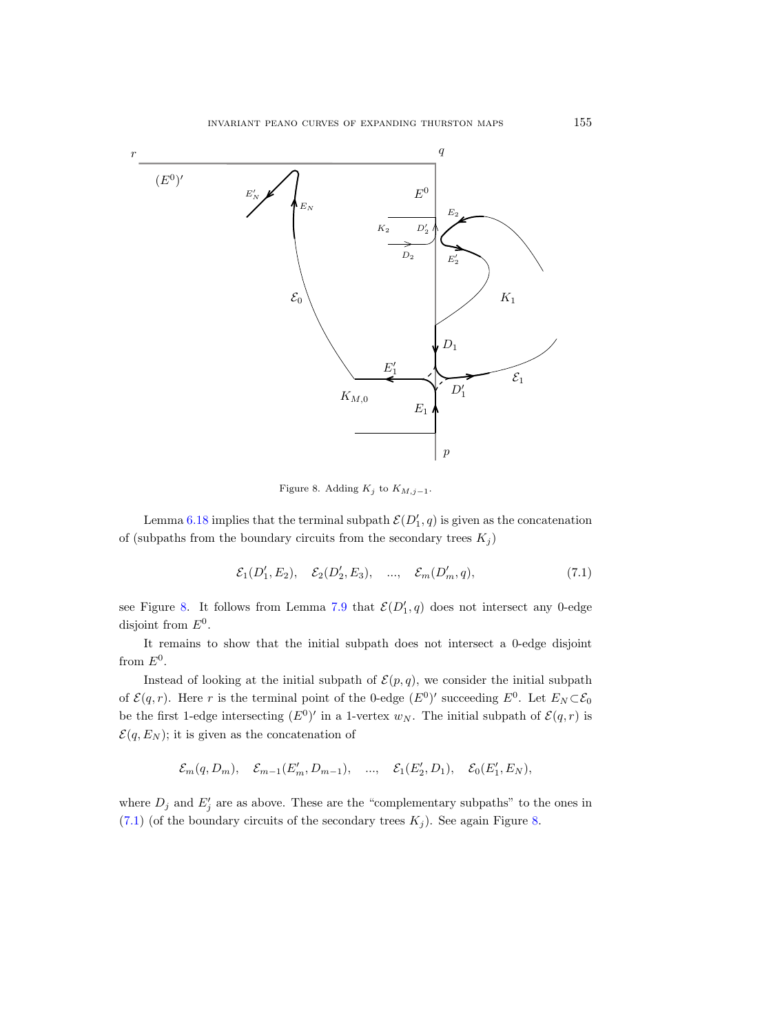

<span id="page-60-0"></span>Figure 8. Adding  $K_j$  to  $K_{M,j-1}$ .

Lemma [6.18](#page-45-1) implies that the terminal subpath  $\mathcal{E}(D_1', q)$  is given as the concatenation of (subpaths from the boundary circuits from the secondary trees  $K_j$ )

<span id="page-60-1"></span>
$$
\mathcal{E}_1(D'_1, E_2), \quad \mathcal{E}_2(D'_2, E_3), \quad \dots, \quad \mathcal{E}_m(D'_m, q), \tag{7.1}
$$

see Figure [8.](#page-60-0) It follows from Lemma [7.9](#page-55-4) that  $\mathcal{E}(D_1', q)$  does not intersect any 0-edge disjoint from  $E^0$ .

It remains to show that the initial subpath does not intersect a 0-edge disjoint from  $E^0$ .

Instead of looking at the initial subpath of  $\mathcal{E}(p,q)$ , we consider the initial subpath of  $\mathcal{E}(q,r)$ . Here r is the terminal point of the 0-edge  $(E^0)'$  succeeding  $E^0$ . Let  $E_N \subset \mathcal{E}_0$ be the first 1-edge intersecting  $(E^0)'$  in a 1-vertex  $w_N$ . The initial subpath of  $\mathcal{E}(q,r)$  is  $\mathcal{E}(q, E_N)$ ; it is given as the concatenation of

$$
\mathcal{E}_m(q, D_m), \quad \mathcal{E}_{m-1}(E'_m, D_{m-1}), \quad \dots, \quad \mathcal{E}_1(E'_2, D_1), \quad \mathcal{E}_0(E'_1, E_N),
$$

where  $D_j$  and  $E'_j$  are as above. These are the "complementary subpaths" to the ones in [\(7.1\)](#page-60-1) (of the boundary circuits of the secondary trees  $K_j$ ). See again Figure [8.](#page-60-0)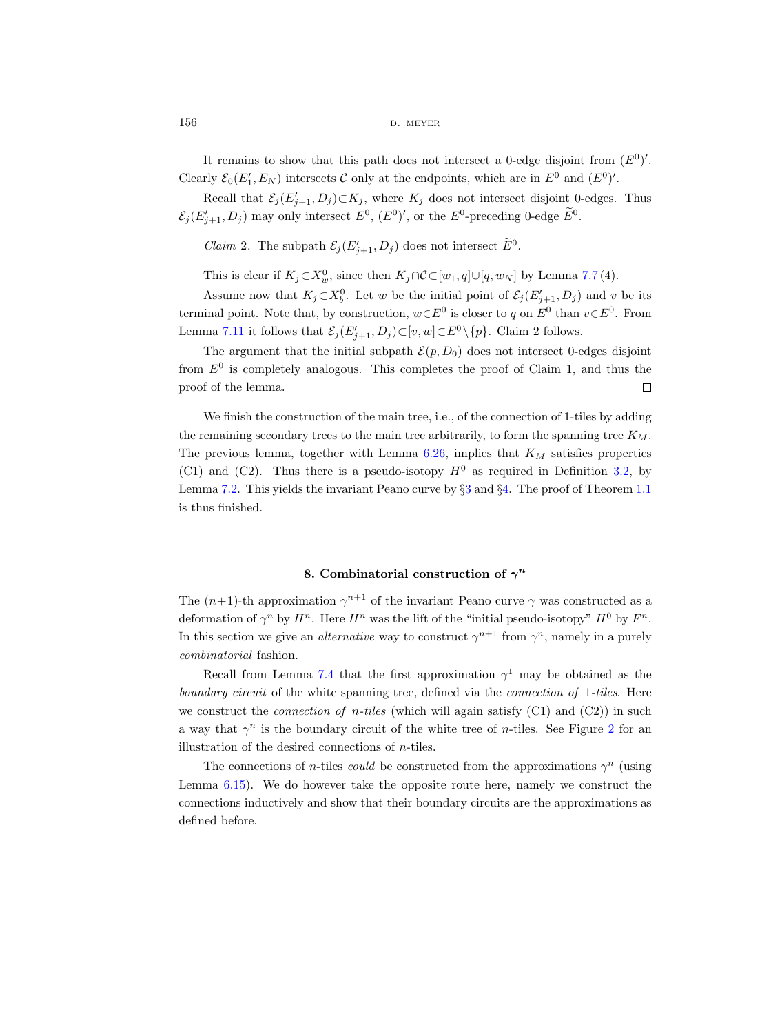$156$  D. MEYER

It remains to show that this path does not intersect a 0-edge disjoint from  $(E^0)'$ . Clearly  $\mathcal{E}_0(E'_1, E_N)$  intersects C only at the endpoints, which are in  $E^0$  and  $(E^0)'$ .

Recall that  $\mathcal{E}_j(E'_{j+1}, D_j) \subset K_j$ , where  $K_j$  does not intersect disjoint 0-edges. Thus  $\mathcal{E}_j(E'_{j+1}, D_j)$  may only intersect  $E^0$ ,  $(E^0)'$ , or the  $E^0$ -preceding 0-edge  $E^0$ .

*Claim* 2. The subpath  $\mathcal{E}_j(E'_{j+1}, D_j)$  does not intersect  $E^0$ .

This is clear if  $K_j \subset X_w^0$ , since then  $K_j \cap C \subset [w_1, q] \cup [q, w_N]$  by Lemma [7.7](#page-52-0)(4).

Assume now that  $K_j \subset X_b^0$ . Let w be the initial point of  $\mathcal{E}_j(E'_{j+1}, D_j)$  and v be its terminal point. Note that, by construction,  $w \in E^0$  is closer to q on  $E^0$  than  $v \in E^0$ . From Lemma [7.11](#page-55-1) it follows that  $\mathcal{E}_j(E'_{j+1}, D_j) \subset [v, w] \subset E^0 \setminus \{p\}$ . Claim 2 follows.

The argument that the initial subpath  $\mathcal{E}(p, D_0)$  does not intersect 0-edges disjoint from  $E^0$  is completely analogous. This completes the proof of Claim 1, and thus the proof of the lemma.  $\Box$ 

We finish the construction of the main tree, i.e., of the connection of 1-tiles by adding the remaining secondary trees to the main tree arbitrarily, to form the spanning tree  $K_M$ . The previous lemma, together with Lemma  $6.26$ , implies that  $K_M$  satisfies properties (C1) and (C2). Thus there is a pseudo-isotopy  $H^0$  as required in Definition [3.2,](#page-15-1) by Lemma [7.2.](#page-49-1) This yields the invariant Peano curve by §[3](#page-15-0) and §[4.](#page-24-1) The proof of Theorem [1.1](#page-1-0) is thus finished.

## 8. Combinatorial construction of  $\gamma^n$

The  $(n+1)$ -th approximation  $\gamma^{n+1}$  of the invariant Peano curve  $\gamma$  was constructed as a deformation of  $\gamma^n$  by  $H^n$ . Here  $H^n$  was the lift of the "initial pseudo-isotopy"  $H^0$  by  $F^n$ . In this section we give an *alternative* way to construct  $\gamma^{n+1}$  from  $\gamma^n$ , namely in a purely combinatorial fashion.

Recall from Lemma [7.4](#page-50-1) that the first approximation  $\gamma^1$  may be obtained as the boundary circuit of the white spanning tree, defined via the *connection of 1-tiles*. Here we construct the *connection of n-tiles* (which will again satisfy  $(C1)$  and  $(C2)$ ) in such a way that  $\gamma^n$  is the boundary circuit of the white tree of *n*-tiles. See Figure [2](#page-9-0) for an illustration of the desired connections of  $n$ -tiles.

The connections of *n*-tiles *could* be constructed from the approximations  $\gamma^n$  (using Lemma [6.15\)](#page-42-2). We do however take the opposite route here, namely we construct the connections inductively and show that their boundary circuits are the approximations as defined before.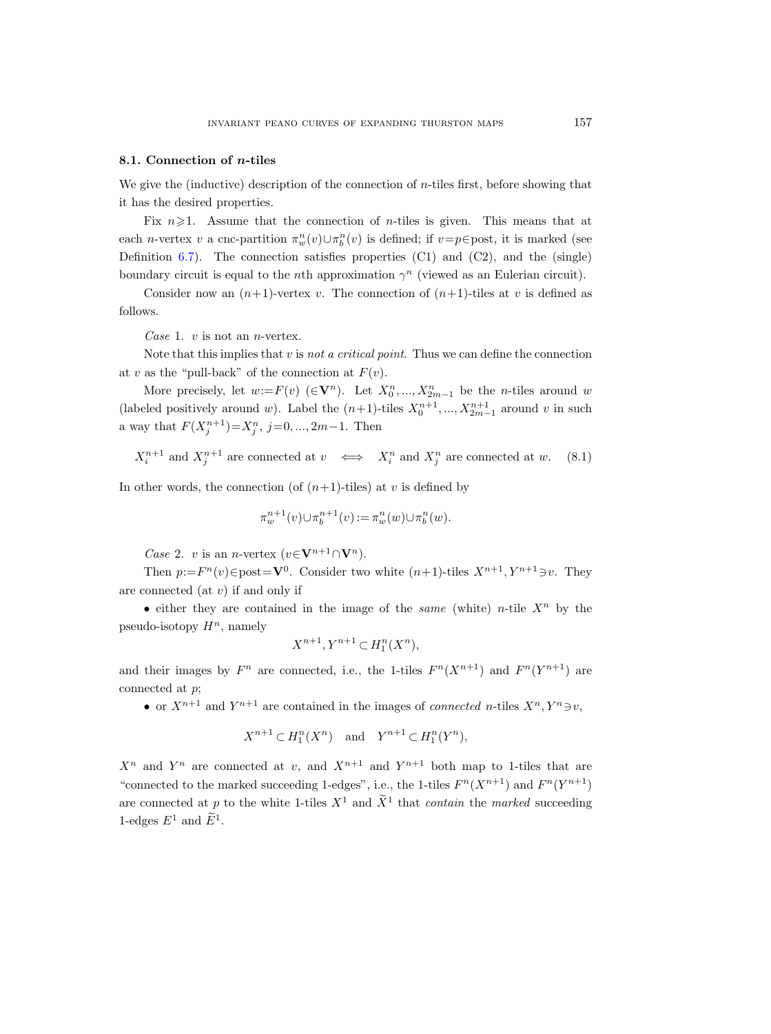#### <span id="page-62-0"></span>8.1. Connection of n-tiles

We give the (inductive) description of the connection of  $n$ -tiles first, before showing that it has the desired properties.

Fix  $n\geqslant 1$ . Assume that the connection of *n*-tiles is given. This means that at each *n*-vertex v a cnc-partition  $\pi_w^n(v) \cup \pi_b^n(v)$  is defined; if  $v=p \in$  post, it is marked (see Definition [6.7\)](#page-38-2). The connection satisfies properties  $(C1)$  and  $(C2)$ , and the (single) boundary circuit is equal to the *n*th approximation  $\gamma^n$  (viewed as an Eulerian circuit).

Consider now an  $(n+1)$ -vertex v. The connection of  $(n+1)$ -tiles at v is defined as follows.

Case 1.  $v$  is not an *n*-vertex.

Note that this implies that v is not a critical point. Thus we can define the connection at v as the "pull-back" of the connection at  $F(v)$ .

More precisely, let  $w:=F(v)$  ( $\in V^n$ ). Let  $X_0^n, ..., X_{2m-1}^n$  be the *n*-tiles around w (labeled positively around w). Label the  $(n+1)$ -tiles  $X_0^{n+1}, ..., X_{2m-1}^{n+1}$  around v in such a way that  $F(X_j^{n+1}) = X_j^n$ ,  $j = 0, ..., 2m-1$ . Then

 $X_i^{n+1}$  and  $X_j^{n+1}$  are connected at  $v \iff X_i^n$  and  $X_j^n$  are connected at w. (8.1)

In other words, the connection (of  $(n+1)$ -tiles) at v is defined by

$$
\pi_w^{n+1}(v) \cup \pi_b^{n+1}(v) := \pi_w^n(w) \cup \pi_b^n(w).
$$

*Case 2. v* is an *n*-vertex  $(v \in V^{n+1} \cap V^n)$ .

Then  $p:=F^{n}(v) \in \text{post} = \mathbf{V}^{0}$ . Consider two white  $(n+1)$ -tiles  $X^{n+1}, Y^{n+1} \ni v$ . They are connected (at  $v$ ) if and only if

• either they are contained in the image of the *same* (white) n-tile  $X<sup>n</sup>$  by the pseudo-isotopy  $H^n$ , namely

$$
X^{n+1}, Y^{n+1} \subset H_1^n(X^n),
$$

and their images by  $F^n$  are connected, i.e., the 1-tiles  $F^n(X^{n+1})$  and  $F^n(Y^{n+1})$  are connected at p;

• or  $X^{n+1}$  and  $Y^{n+1}$  are contained in the images of *connected n*-tiles  $X^n, Y^n \ni v$ ,

$$
X^{n+1} \subset H_1^n(X^n) \quad \text{and} \quad Y^{n+1} \subset H_1^n(Y^n),
$$

 $X^n$  and  $Y^n$  are connected at v, and  $X^{n+1}$  and  $Y^{n+1}$  both map to 1-tiles that are "connected to the marked succeeding 1-edges", i.e., the 1-tiles  $F^n(X^{n+1})$  and  $F^n(Y^{n+1})$ are connected at p to the white 1-tiles  $X^1$  and  $\overline{X}^1$  that *contain* the marked succeeding 1-edges  $E^1$  and  $\tilde{E}^1$ .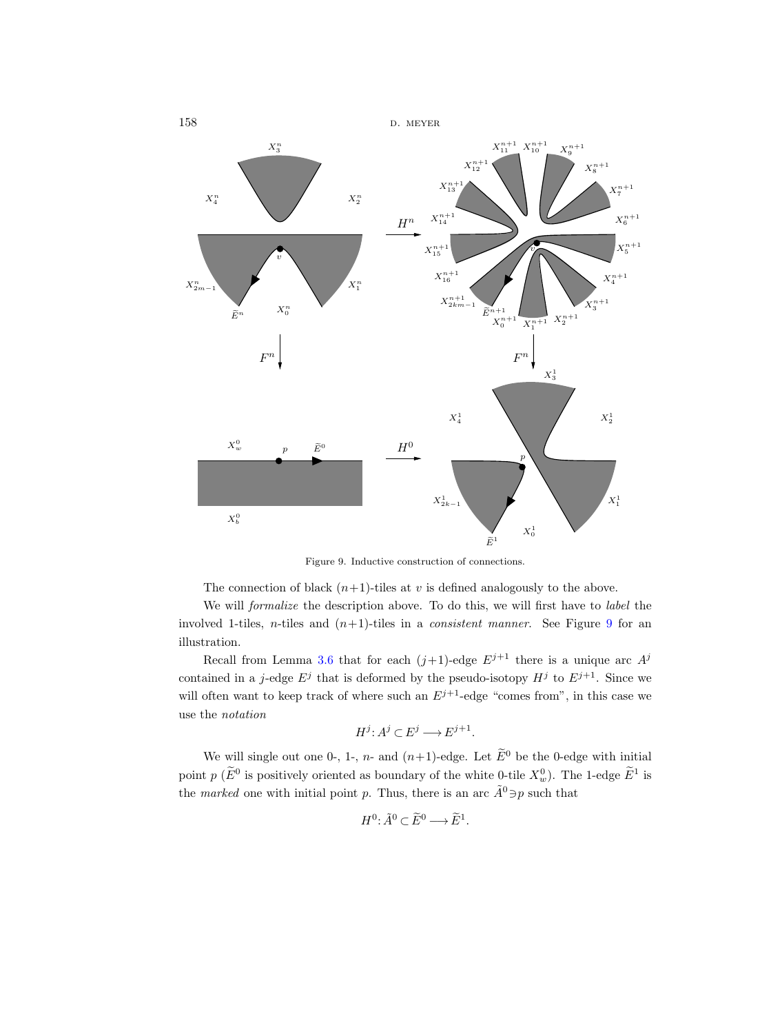

<span id="page-63-0"></span>Figure 9. Inductive construction of connections.

The connection of black  $(n+1)$ -tiles at v is defined analogously to the above.

We will formalize the description above. To do this, we will first have to label the involved 1-tiles, n-tiles and  $(n+1)$ -tiles in a *consistent manner*. See Figure [9](#page-63-0) for an illustration.

Recall from Lemma [3.6](#page-19-1) that for each  $(j+1)$ -edge  $E^{j+1}$  there is a unique arc  $A^{j}$ contained in a j-edge  $E^j$  that is deformed by the pseudo-isotopy  $H^j$  to  $E^{j+1}$ . Since we will often want to keep track of where such an  $E^{j+1}$ -edge "comes from", in this case we use the notation

$$
H^j \colon A^j \subset E^j \longrightarrow E^{j+1}.
$$

We will single out one 0-, 1-, n- and  $(n+1)$ -edge. Let  $\widetilde{E}^0$  be the 0-edge with initial point p ( $\hat{E}^0$  is positively oriented as boundary of the white 0-tile  $X_w^0$ ). The 1-edge  $\hat{E}^1$  is the *marked* one with initial point p. Thus, there is an arc  $\tilde{A}^0 \ni p$  such that

$$
H^0: \tilde{A}^0 \subset \tilde{E}^0 \longrightarrow \tilde{E}^1.
$$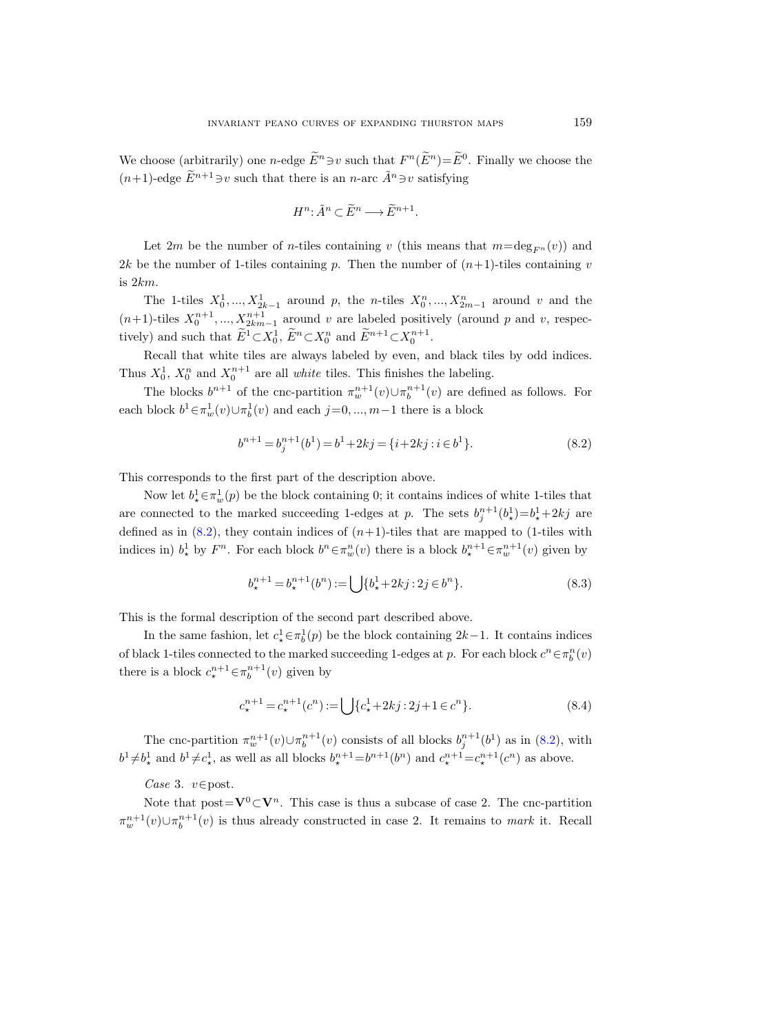We choose (arbitrarily) one *n*-edge  $E^n \ni v$  such that  $F^n(E^n) = E^0$ . Finally we choose the  $(n+1)$ -edge  $\widetilde{E}^{n+1} \ni v$  such that there is an *n*-arc  $\widetilde{A}^n \ni v$  satisfying

$$
H^n: \tilde{A}^n \subset \tilde{E}^n \longrightarrow \tilde{E}^{n+1}.
$$

Let 2m be the number of n-tiles containing v (this means that  $m=\deg_{F^n}(v)$ ) and 2k be the number of 1-tiles containing p. Then the number of  $(n+1)$ -tiles containing v is 2km.

The 1-tiles  $X_0^1, ..., X_{2k-1}^1$  around p, the n-tiles  $X_0^n, ..., X_{2m-1}^n$  around v and the  $(n+1)$ -tiles  $X_0^{n+1}, ..., X_{2km-1}^{n+1}$  around v are labeled positively (around p and v, respectively) and such that  $\widetilde{E}^1 \subset X_0^1$ ,  $\widetilde{E}^n \subset X_0^n$  and  $\widetilde{E}^{n+1} \subset X_0^{n+1}$ .

Recall that white tiles are always labeled by even, and black tiles by odd indices. Thus  $X_0^1$ ,  $X_0^n$  and  $X_0^{n+1}$  are all *white* tiles. This finishes the labeling.

The blocks  $b^{n+1}$  of the cnc-partition  $\pi_w^{n+1}(v) \cup \pi_b^{n+1}(v)$  are defined as follows. For each block  $b^1 \in \pi_w^1(v) \cup \pi_b^1(v)$  and each  $j = 0, ..., m-1$  there is a block

<span id="page-64-0"></span>
$$
b^{n+1} = b_j^{n+1}(b^1) = b^1 + 2kj = \{i + 2kj : i \in b^1\}.
$$
\n(8.2)

This corresponds to the first part of the description above.

Now let  $b^1_* \in \pi_w^1(p)$  be the block containing 0; it contains indices of white 1-tiles that are connected to the marked succeeding 1-edges at p. The sets  $b_j^{n+1}(b_\star) = b_\star^1 + 2kj$  are defined as in  $(8.2)$ , they contain indices of  $(n+1)$ -tiles that are mapped to (1-tiles with indices in)  $b^1_*$  by  $F^n$ . For each block  $b^n \in \pi_w^n(v)$  there is a block  $b^{n+1}_* \in \pi_w^{n+1}(v)$  given by

<span id="page-64-1"></span>
$$
b_{\star}^{n+1} = b_{\star}^{n+1}(b^n) := \bigcup \{b_{\star}^1 + 2kj : 2j \in b^n\}.
$$
 (8.3)

This is the formal description of the second part described above.

In the same fashion, let  $c^1_* \in \pi^1_b(p)$  be the block containing  $2k-1$ . It contains indices of black 1-tiles connected to the marked succeeding 1-edges at p. For each block  $c^n \in \pi_b^n(v)$ there is a block  $c^{n+1}_{\star} \in \pi^{n+1}_b(v)$  given by

<span id="page-64-2"></span>
$$
c_{\star}^{n+1} = c_{\star}^{n+1}(c^n) := \bigcup \{c_{\star}^1 + 2kj : 2j + 1 \in c^n\}.
$$
 (8.4)

The cnc-partition  $\pi_w^{n+1}(v) \cup \pi_b^{n+1}(v)$  consists of all blocks  $b_j^{n+1}(b^1)$  as in [\(8.2\)](#page-64-0), with  $b^1 \neq b^1_*$  and  $b^1 \neq c^1_*$ , as well as all blocks  $b^{n+1}_* = b^{n+1}(b^n)$  and  $c^{n+1}_* = c^{n+1}_*(c^n)$  as above.

Case 3.  $v \in$ post.

Note that  $post = V^0 \subset V^n$ . This case is thus a subcase of case 2. The cnc-partition  $\pi_w^{n+1}(v) \cup \pi_b^{n+1}(v)$  is thus already constructed in case 2. It remains to *mark* it. Recall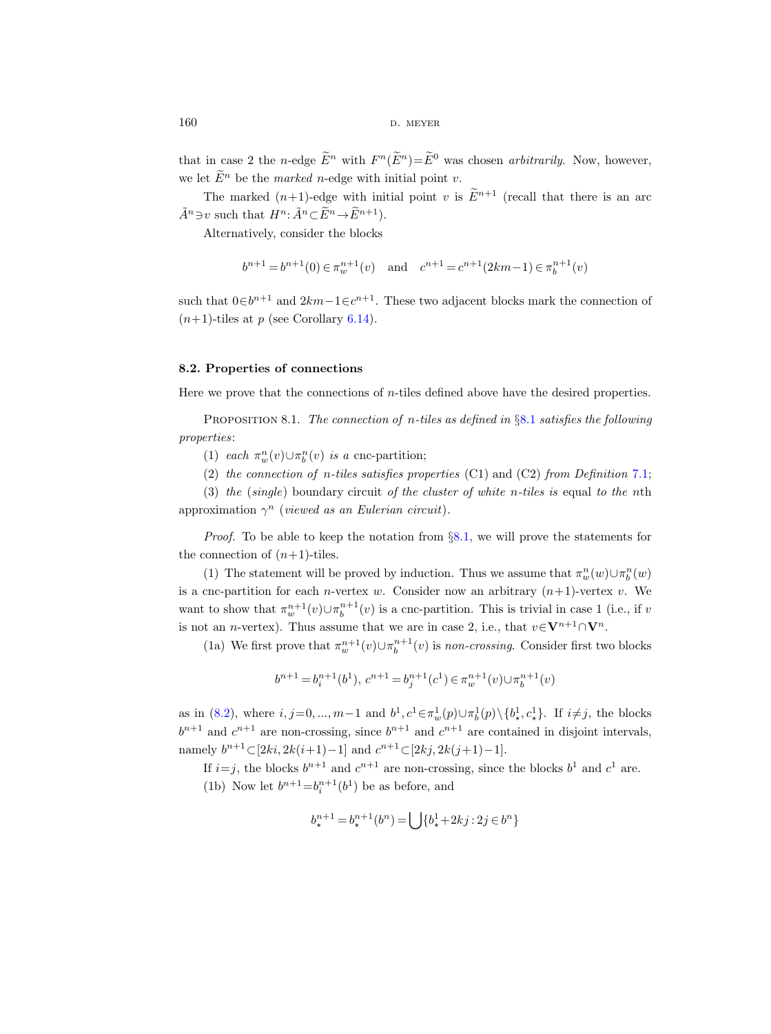$160$  D. MEYER

that in case 2 the *n*-edge  $E^n$  with  $F^n(E^n)=E^0$  was chosen *arbitrarily*. Now, however, we let  $\widetilde{E}^n$  be the *marked n*-edge with initial point *v*.

The marked  $(n+1)$ -edge with initial point v is  $\widetilde{E}^{n+1}$  (recall that there is an arc  $\tilde{A}^n \ni v$  such that  $H^n: \tilde{A}^n \subset \tilde{E}^n \rightarrow \tilde{E}^{n+1}$ .

Alternatively, consider the blocks

$$
b^{n+1} = b^{n+1}(0) \in \pi_w^{n+1}(v)
$$
 and  $c^{n+1} = c^{n+1}(2km-1) \in \pi_b^{n+1}(v)$ 

such that  $0 \in b^{n+1}$  and  $2km-1 \in c^{n+1}$ . These two adjacent blocks mark the connection of  $(n+1)$ -tiles at p (see Corollary [6.14\)](#page-42-0).

## 8.2. Properties of connections

Here we prove that the connections of n-tiles defined above have the desired properties.

**PROPOSITION [8.1](#page-62-0).** The connection of n-tiles as defined in  $\S 8.1$  satisfies the following properties:

(1) each  $\pi_w^n(v) \cup \pi_b^n(v)$  is a cnc-partition;

(2) the connection of n-tiles satisfies properties  $(C1)$  and  $(C2)$  from Definition [7.1;](#page-49-0)

(3) the (single) boundary circuit of the cluster of white n-tiles is equal to the nth approximation  $\gamma^n$  (viewed as an Eulerian circuit).

*Proof.* To be able to keep the notation from  $\S 8.1$ , we will prove the statements for the connection of  $(n+1)$ -tiles.

(1) The statement will be proved by induction. Thus we assume that  $\pi_w^n(w) \cup \pi_b^n(w)$ is a cnc-partition for each *n*-vertex w. Consider now an arbitrary  $(n+1)$ -vertex v. We want to show that  $\pi_w^{n+1}(v) \cup \pi_b^{n+1}(v)$  is a cnc-partition. This is trivial in case 1 (i.e., if v is not an *n*-vertex). Thus assume that we are in case 2, i.e., that  $v \in V^{n+1} \cap V^n$ .

(1a) We first prove that  $\pi_w^{n+1}(v) \cup \pi_b^{n+1}(v)$  is non-crossing. Consider first two blocks

$$
b^{n+1}=b_i^{n+1}(b^1),\ c^{n+1}=b_j^{n+1}(c^1)\in\pi_w^{n+1}(v)\cup\pi_b^{n+1}(v)
$$

as in [\(8.2\)](#page-64-0), where  $i, j=0, ..., m-1$  and  $b^1, c^1 \in \pi_w^1(p) \cup \pi_b^1(p) \setminus \{b_*^1, c_*^1\}$ . If  $i \neq j$ , the blocks  $b^{n+1}$  and  $c^{n+1}$  are non-crossing, since  $b^{n+1}$  and  $c^{n+1}$  are contained in disjoint intervals, namely  $b^{n+1} \subset [2ki, 2k(i+1)-1]$  and  $c^{n+1} \subset [2kj, 2k(j+1)-1]$ .

If  $i=j$ , the blocks  $b^{n+1}$  and  $c^{n+1}$  are non-crossing, since the blocks  $b^1$  and  $c^1$  are.

(1b) Now let  $b^{n+1} = b_i^{n+1}(b^1)$  be as before, and

$$
b_{\star}^{n+1} = b_{\star}^{n+1}(b^n) = \bigcup \{b_{\star}^1 + 2kj : 2j \in b^n\}
$$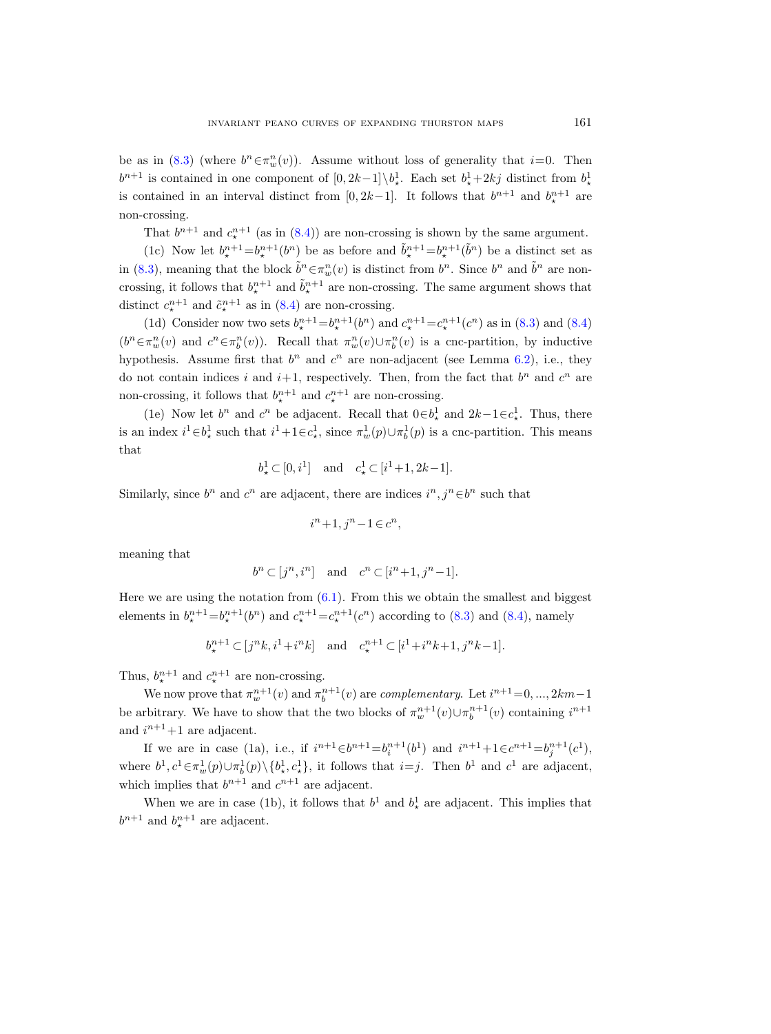be as in [\(8.3\)](#page-64-1) (where  $b^n \in \pi_w^n(v)$ ). Assume without loss of generality that  $i=0$ . Then  $b^{n+1}$  is contained in one component of  $[0, 2k-1] \setminus b^1_*$ . Each set  $b^1_*+2kj$  distinct from  $b^1_*$ is contained in an interval distinct from [0, 2k–1]. It follows that  $b^{n+1}$  and  $b^{n+1}_*$  are non-crossing.

That  $b^{n+1}$  and  $c^{n+1}$  (as in [\(8.4\)](#page-64-2)) are non-crossing is shown by the same argument.

(1c) Now let  $b^{n+1}_{\star} = b^{n+1}_{\star}(b^n)$  be as before and  $\tilde{b}^{n+1}_{\star} = b^{n+1}_{\star}(\tilde{b}^n)$  be a distinct set as in [\(8.3\)](#page-64-1), meaning that the block  $\tilde{b}^n \in \pi_w^n(v)$  is distinct from  $b^n$ . Since  $b^n$  and  $\tilde{b}^n$  are noncrossing, it follows that  $b^{n+1}_*$  and  $\tilde{b}^{n+1}_*$  are non-crossing. The same argument shows that distinct  $c^{n+1}_{\star}$  and  $\tilde{c}^{n+1}_{\star}$  as in [\(8.4\)](#page-64-2) are non-crossing.

(1d) Consider now two sets  $b^{n+1}_{\star} = b^{n+1}_{\star}(b^n)$  and  $c^{n+1}_{\star} = c^{n+1}_{\star}(c^n)$  as in [\(8.3\)](#page-64-1) and [\(8.4\)](#page-64-2)  $(b^n \in \pi_w^n(v)$  and  $c^n \in \pi_b^n(v)$ ). Recall that  $\pi_w^n(v) \cup \pi_b^n(v)$  is a cnc-partition, by inductive hypothesis. Assume first that  $b^n$  and  $c^n$  are non-adjacent (see Lemma [6.2\)](#page-36-1), i.e., they do not contain indices i and  $i+1$ , respectively. Then, from the fact that  $b^n$  and  $c^n$  are non-crossing, it follows that  $b^{n+1}_{\star}$  and  $c^{n+1}_{\star}$  are non-crossing.

(1e) Now let  $b^n$  and  $c^n$  be adjacent. Recall that  $0 \in b^1$  and  $2k-1 \in c^1$ . Thus, there is an index  $i^1 \in b^1_*$  such that  $i^1+1 \in c^1_*$ , since  $\pi_w^1(p) \cup \pi_b^1(p)$  is a cnc-partition. This means that

$$
b^1_{\star} \subset [0, i^1]
$$
 and  $c^1_{\star} \subset [i^1 + 1, 2k - 1].$ 

Similarly, since  $b^n$  and  $c^n$  are adjacent, there are indices  $i^n, j^n \in b^n$  such that

$$
i^n+1, j^n-1 \in c^n,
$$

meaning that

$$
b^n \subset [j^n, i^n] \quad \text{and} \quad c^n \subset [i^n + 1, j^n - 1].
$$

Here we are using the notation from  $(6.1)$ . From this we obtain the smallest and biggest elements in  $b^{n+1}_{\star} = b^{n+1}_{\star}(b^n)$  and  $c^{n+1}_{\star} = c^{n+1}_{\star}(c^n)$  according to [\(8.3\)](#page-64-1) and [\(8.4\)](#page-64-2), namely

$$
b_{\star}^{n+1} \subset [j^n k, i^1 + i^n k]
$$
 and  $c_{\star}^{n+1} \subset [i^1 + i^n k + 1, j^n k - 1].$ 

Thus,  $b_{\star}^{n+1}$  and  $c_{\star}^{n+1}$  are non-crossing.

We now prove that  $\pi_w^{n+1}(v)$  and  $\pi_b^{n+1}(v)$  are *complementary*. Let  $i^{n+1} = 0, ..., 2km-1$ be arbitrary. We have to show that the two blocks of  $\pi_w^{n+1}(v) \cup \pi_b^{n+1}(v)$  containing  $i^{n+1}$ and  $i^{n+1}+1$  are adjacent.

If we are in case (1a), i.e., if  $i^{n+1} \in b^{n+1} = b_i^{n+1}(b^1)$  and  $i^{n+1} + 1 \in c^{n+1} = b_j^{n+1}(c^1)$ , where  $b^1, c^1 \in \pi_w^1(p) \cup \pi_b^1(p) \setminus \{b^1_\star, c^1_\star\}$ , it follows that  $i = j$ . Then  $b^1$  and  $c^1$  are adjacent, which implies that  $b^{n+1}$  and  $c^{n+1}$  are adjacent.

When we are in case (1b), it follows that  $b^1$  and  $b^1$  are adjacent. This implies that  $b^{n+1}$  and  $b^{n+1}_*$  are adjacent.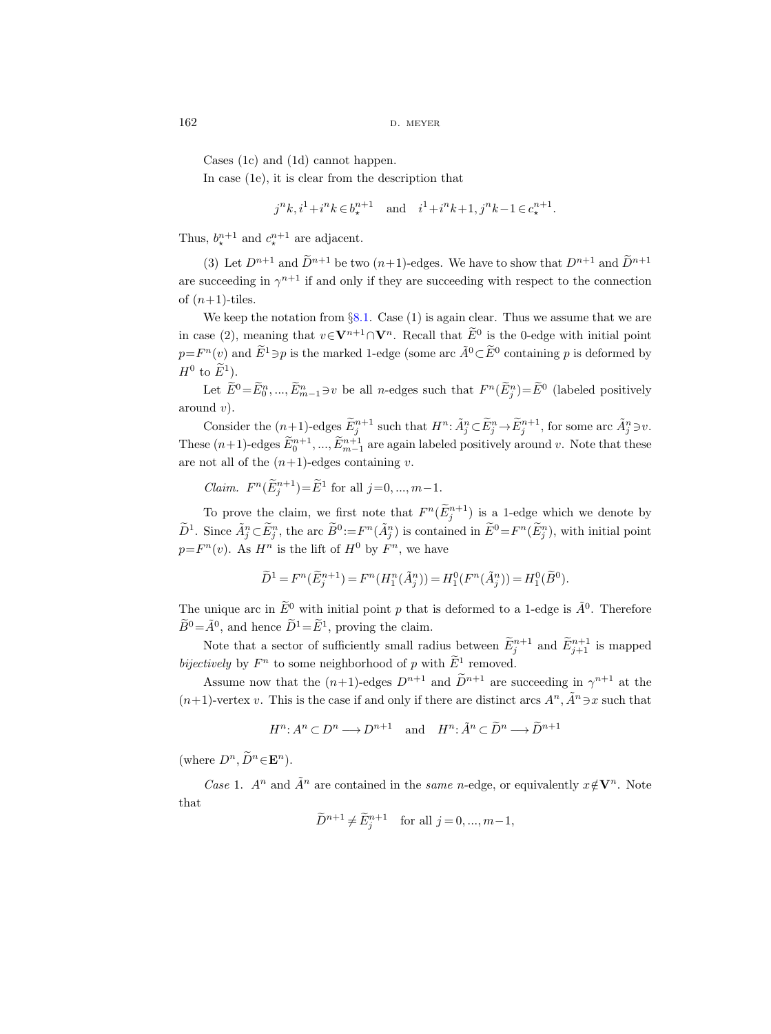Cases (1c) and (1d) cannot happen.

In case (1e), it is clear from the description that

$$
j^{n}k
$$
,  $i^{1}+i^{n}k \in b_{\star}^{n+1}$  and  $i^{1}+i^{n}k+1$ ,  $j^{n}k-1 \in c_{\star}^{n+1}$ .

Thus,  $b_{\star}^{n+1}$  and  $c_{\star}^{n+1}$  are adjacent.

(3) Let  $D^{n+1}$  and  $\widetilde{D}^{n+1}$  be two  $(n+1)$ -edges. We have to show that  $D^{n+1}$  and  $\widetilde{D}^{n+1}$ are succeeding in  $\gamma^{n+1}$  if and only if they are succeeding with respect to the connection of  $(n+1)$ -tiles.

We keep the notation from  $\S 8.1$ . Case (1) is again clear. Thus we assume that we are in case (2), meaning that  $v \in V^{n+1} \cap V^n$ . Recall that  $\overline{E}^0$  is the 0-edge with initial point  $p = F^{n}(v)$  and  $\widetilde{E}^{1} \ni p$  is the marked 1-edge (some arc  $\widetilde{A}^{0} \subset \widetilde{E}^{0}$  containing p is deformed by  $H^0$  to  $E^1$ ).

Let  $E^0 = E_0^n, ..., E_{m-1}^n \ni v$  be all *n*-edges such that  $F^n(E_j^n) = E^0$  (labeled positively around  $v$ ).

Consider the  $(n+1)$ -edges  $\widetilde{E}_j^{n+1}$  such that  $H^n: \widetilde{A}_j^n \subset \widetilde{E}_j^n \to \widetilde{E}_j^{n+1}$ , for some arc  $\widetilde{A}_j^n \ni v$ . These  $(n+1)$ -edges  $\widetilde{E}_0^{n+1}$ , ...,  $\widetilde{E}_{m-1}^{n+1}$  are again labeled positively around v. Note that these are not all of the  $(n+1)$ -edges containing v.

*Claim.*  $F^n(\tilde{E}_j^{n+1}) = \tilde{E}^1$  for all  $j = 0, ..., m-1$ .

To prove the claim, we first note that  $F^n(\tilde{E}_j^{n+1})$  is a 1-edge which we denote by  $\widetilde{D}^1$ . Since  $\widetilde{A}^n_j \subset \widetilde{E}^n_j$ , the arc  $\widetilde{B}^0 := F^n(\widetilde{A}^n_j)$  is contained in  $\widetilde{E}^0 = F^n(\widetilde{E}^n_j)$ , with initial point  $p = F<sup>n</sup>(v)$ . As  $H<sup>n</sup>$  is the lift of  $H<sup>0</sup>$  by  $F<sup>n</sup>$ , we have

$$
\widetilde{D}^1 = F^n(\widetilde{E}_j^{n+1}) = F^n(H_1^n(\widetilde{A}_j^n)) = H_1^0(F^n(\widetilde{A}_j^n)) = H_1^0(\widetilde{B}^0).
$$

The unique arc in  $\widetilde{E}^0$  with initial point p that is deformed to a 1-edge is  $\widetilde{A}^0$ . Therefore  $\widetilde{B}^0 = \widetilde{A}^0$ , and hence  $\widetilde{D}^1 = \widetilde{E}^1$ , proving the claim.

Note that a sector of sufficiently small radius between  $\tilde{E}_{j}^{n+1}$  and  $\tilde{E}_{j+1}^{n+1}$  is mapped bijectively by  $F^n$  to some neighborhood of p with  $\tilde{E}^1$  removed.

Assume now that the  $(n+1)$ -edges  $D^{n+1}$  and  $\tilde{D}^{n+1}$  are succeeding in  $\gamma^{n+1}$  at the  $(n+1)$ -vertex v. This is the case if and only if there are distinct arcs  $A^n$ ,  $\tilde{A}^n \ni x$  such that

$$
H^n: A^n \subset D^n \longrightarrow D^{n+1} \quad \text{and} \quad H^n: \tilde{A}^n \subset \tilde{D}^n \longrightarrow \tilde{D}^{n+1}
$$

(where  $D^n$ ,  $\widetilde{D}^n \in \mathbf{E}^n$ ).

Case 1.  $A^n$  and  $\tilde{A}^n$  are contained in the same n-edge, or equivalently  $x \notin V^n$ . Note that

$$
\widetilde{D}^{n+1} \neq \widetilde{E}_j^{n+1}
$$
 for all  $j = 0, ..., m-1$ ,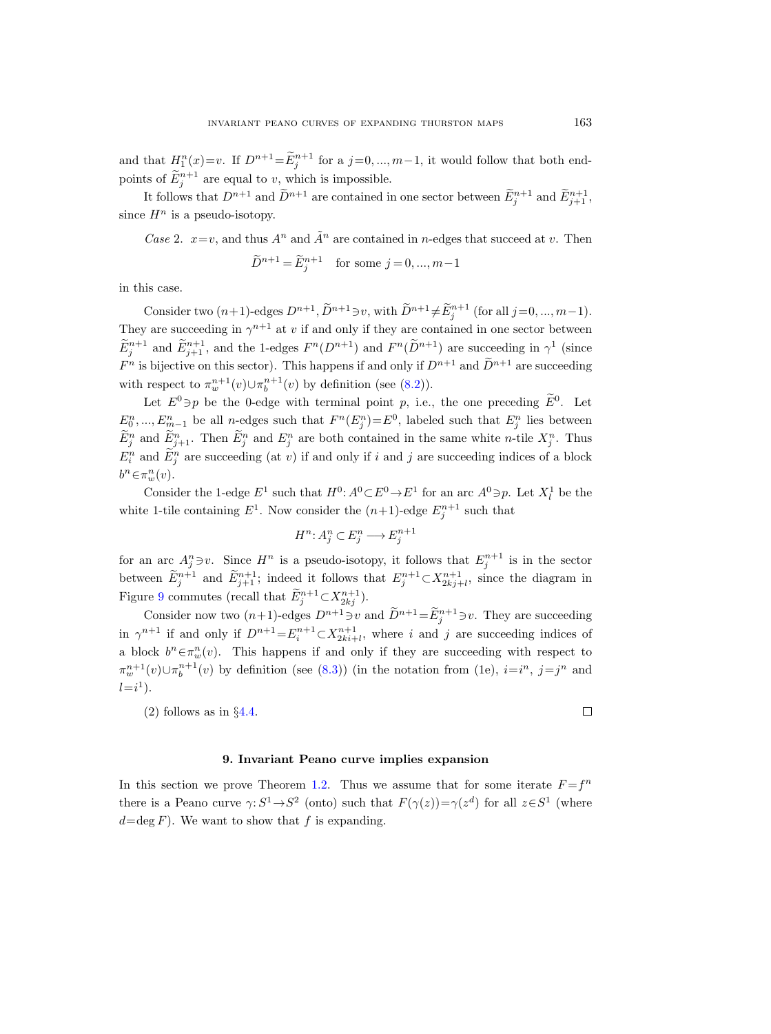and that  $H_1^n(x)=v$ . If  $D^{n+1}=\tilde{E}_j^{n+1}$  for a  $j=0,\ldots,m-1$ , it would follow that both endpoints of  $\tilde{E}_j^{n+1}$  are equal to v, which is impossible.

It follows that  $D^{n+1}$  and  $\tilde{D}^{n+1}$  are contained in one sector between  $\tilde{E}_{j}^{n+1}$  and  $\tilde{E}_{j+1}^{n+1}$ , since  $H^n$  is a pseudo-isotopy.

Case 2.  $x=v$ , and thus  $A^n$  and  $\tilde{A}^n$  are contained in *n*-edges that succeed at v. Then  $\widetilde{D}^{n+1} = \widetilde{E}_j^{n+1}$  for some  $j = 0, ..., m-1$ 

in this case.

Consider two  $(n+1)$ -edges  $D^{n+1}$ ,  $\widetilde{D}^{n+1} \ni v$ , with  $\widetilde{D}^{n+1} \neq \widetilde{E}_j^{n+1}$  (for all  $j=0, ..., m-1$ ). They are succeeding in  $\gamma^{n+1}$  at v if and only if they are contained in one sector between  $\widetilde{E}_j^{n+1}$  and  $\widetilde{E}_{j+1}^{n+1}$ , and the 1-edges  $F^n(D^{n+1})$  and  $F^n(\widetilde{D}^{n+1})$  are succeeding in  $\gamma^1$  (since  $F^n$  is bijective on this sector). This happens if and only if  $D^{n+1}$  and  $D^{n+1}$  are succeeding with respect to  $\pi_w^{n+1}(v) \cup \pi_b^{n+1}(v)$  by definition (see [\(8.2\)](#page-64-0)).

Let  $E^0 \ni p$  be the 0-edge with terminal point p, i.e., the one preceding  $E^0$ . Let  $E_0^n, ..., E_{m-1}^n$  be all *n*-edges such that  $F^n(E_j^n) = E^0$ , labeled such that  $E_j^n$  lies between  $\hat{E}_j^n$  and  $\hat{E}_{j+1}^n$ . Then  $\hat{E}_j^n$  and  $E_j^n$  are both contained in the same white *n*-tile  $X_j^n$ . Thus  $E_i^n$  and  $\overline{E}_j^n$  are succeeding (at v) if and only if i and j are succeeding indices of a block  $b^n \in \pi_w^n(v)$ .

Consider the 1-edge  $E^1$  such that  $H^0$ :  $A^0 \subset E^0 \to E^1$  for an arc  $A^0 \ni p$ . Let  $X_l^1$  be the white 1-tile containing  $E^1$ . Now consider the  $(n+1)$ -edge  $E_j^{n+1}$  such that

$$
H^n: A_j^n \subset E_j^n \longrightarrow E_j^{n+1}
$$

for an arc  $A_j^n \ni v$ . Since  $H^n$  is a pseudo-isotopy, it follows that  $E_j^{n+1}$  is in the sector between  $\widetilde{E}_{j}^{n+1}$  and  $\widetilde{E}_{j+1}^{n+1}$ ; indeed it follows that  $E_{j}^{n+1} \subset X_{2kj+l}^{n+1}$ , since the diagram in Figure [9](#page-63-0) commutes (recall that  $\widetilde{E}_j^{n+1} \subset X_{2kj}^{n+1}$ ).

Consider now two  $(n+1)$ -edges  $D^{n+1} \ni v$  and  $\tilde{D}^{n+1} = \tilde{E}_j^{n+1} \ni v$ . They are succeeding in  $\gamma^{n+1}$  if and only if  $D^{n+1} = E_i^{n+1} \subset X_{2ki+l}^{n+1}$ , where i and j are succeeding indices of a block  $b^n \in \pi_w^n(v)$ . This happens if and only if they are succeeding with respect to  $\pi_w^{n+1}(v) \cup \pi_b^{n+1}(v)$  by definition (see [\(8.3\)](#page-64-1)) (in the notation from (1e),  $i=i^n$ ,  $j=j^n$  and  $l = i^1$ .

(2) follows as in §[4.4.](#page-31-0)

 $\Box$ 

## 9. Invariant Peano curve implies expansion

In this section we prove Theorem [1.2.](#page-2-0) Thus we assume that for some iterate  $F = f^n$ there is a Peano curve  $\gamma: S^1 \to S^2$  (onto) such that  $F(\gamma(z)) = \gamma(z^d)$  for all  $z \in S^1$  (where  $d = \deg F$ ). We want to show that f is expanding.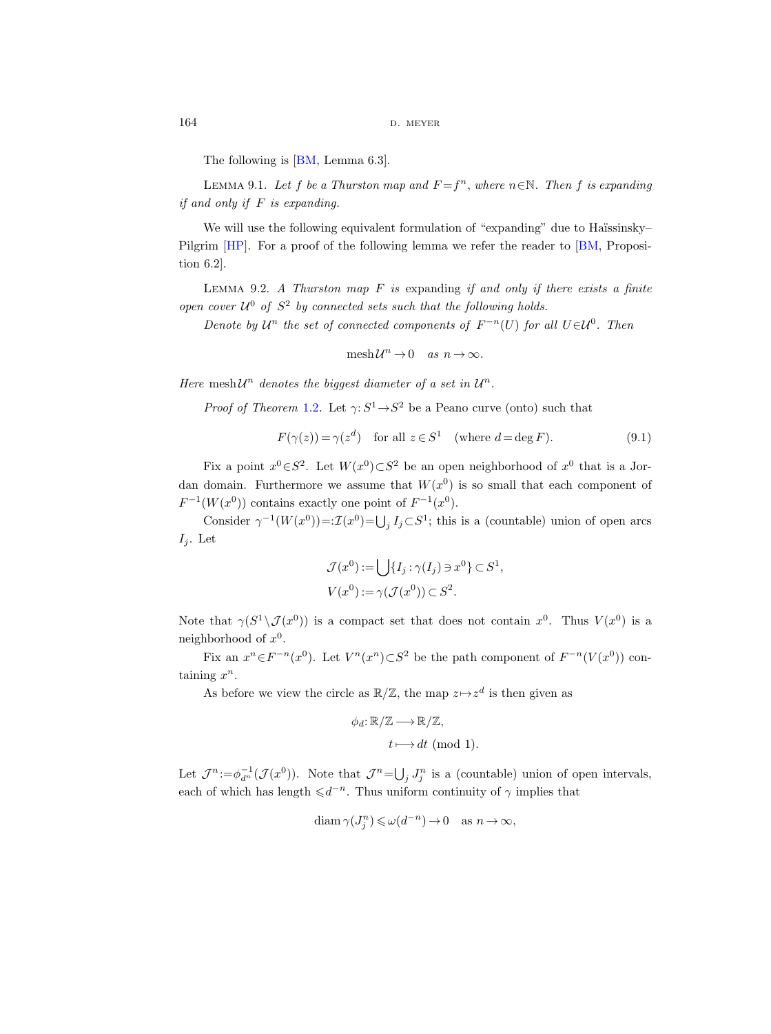The following is [\[BM,](#page-75-1) Lemma 6.3].

<span id="page-69-2"></span>LEMMA 9.1. Let f be a Thurston map and  $F = f<sup>n</sup>$ , where  $n \in \mathbb{N}$ . Then f is expanding if and only if  $F$  is expanding.

We will use the following equivalent formulation of "expanding" due to Haïssinsky– Pilgrim [\[HP\]](#page-75-3). For a proof of the following lemma we refer the reader to [\[BM,](#page-75-1) Proposition 6.2].

<span id="page-69-1"></span>LEMMA 9.2. A Thurston map  $F$  is expanding if and only if there exists a finite open cover  $U^0$  of  $S^2$  by connected sets such that the following holds.

Denote by  $\mathcal{U}^n$  the set of connected components of  $F^{-n}(U)$  for all  $U \in \mathcal{U}^0$ . Then

$$
\mathrm{mesh}\,\mathcal{U}^n\to 0\quad\text{as}\ \ n\to\infty.
$$

Here mesh $\mathcal{U}^n$  denotes the biggest diameter of a set in  $\mathcal{U}^n$ .

*Proof of Theorem [1.2](#page-2-0).* Let  $\gamma: S^1 \to S^2$  be a Peano curve (onto) such that

<span id="page-69-0"></span>
$$
F(\gamma(z)) = \gamma(z^d) \quad \text{for all } z \in S^1 \quad \text{(where } d = \deg F). \tag{9.1}
$$

Fix a point  $x^0 \in S^2$ . Let  $W(x^0) \subset S^2$  be an open neighborhood of  $x^0$  that is a Jordan domain. Furthermore we assume that  $W(x^0)$  is so small that each component of  $F^{-1}(W(x^0))$  contains exactly one point of  $F^{-1}(x^0)$ .

Consider  $\gamma^{-1}(W(x^0)) = \mathcal{I}(x^0) = \bigcup_j I_j \subset S^1$ ; this is a (countable) union of open arcs  $I_j$ . Let

$$
\mathcal{J}(x^0) := \bigcup \{ I_j : \gamma(I_j) \ni x^0 \} \subset S^1,
$$
  

$$
V(x^0) := \gamma(\mathcal{J}(x^0)) \subset S^2.
$$

Note that  $\gamma(S^1 \setminus \mathcal{J}(x^0))$  is a compact set that does not contain  $x^0$ . Thus  $V(x^0)$  is a neighborhood of  $x^0$ .

Fix an  $x^n \in F^{-n}(x^0)$ . Let  $V^n(x^n) \subset S^2$  be the path component of  $F^{-n}(V(x^0))$  containing  $x^n$ .

As before we view the circle as  $\mathbb{R}/\mathbb{Z}$ , the map  $z \mapsto z^d$  is then given as

$$
\phi_d: \mathbb{R}/\mathbb{Z} \longrightarrow \mathbb{R}/\mathbb{Z},
$$
  

$$
t \longmapsto dt \pmod{1}.
$$

Let  $\mathcal{J}^n := \phi_{d^n}^{-1}(\mathcal{J}(x^0))$ . Note that  $\mathcal{J}^n = \bigcup_j J_j^n$  is a (countable) union of open intervals, each of which has length  $\leq d^{-n}$ . Thus uniform continuity of  $\gamma$  implies that

$$
\operatorname{diam}\gamma(J_j^n)\leqslant\omega(d^{-n})\to 0\quad\text{as }n\to\infty,
$$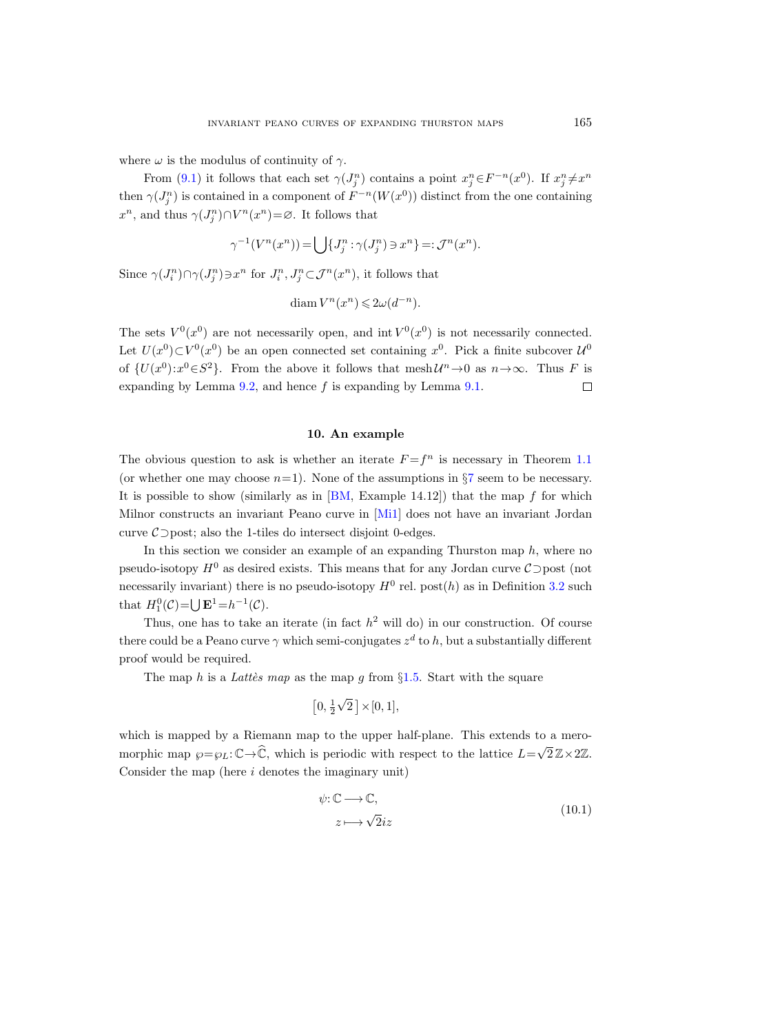where  $\omega$  is the modulus of continuity of  $\gamma$ .

From [\(9.1\)](#page-69-0) it follows that each set  $\gamma(J_j^n)$  contains a point  $x_j^n \in F^{-n}(x^0)$ . If  $x_j^n \neq x^n$ then  $\gamma(J_j^n)$  is contained in a component of  $F^{-n}(W(x^0))$  distinct from the one containing  $x^n$ , and thus  $\gamma(J_j^n) \cap V^n(x^n) = \emptyset$ . It follows that

$$
\gamma^{-1}(V^n(x^n)) = \bigcup \{J_j^n : \gamma(J_j^n) \ni x^n\} =: \mathcal{J}^n(x^n).
$$

Since  $\gamma(J_i^n) \cap \gamma(J_j^n) \ni x^n$  for  $J_i^n, J_j^n \subset \mathcal{J}^n(x^n)$ , it follows that

$$
\text{diam } V^n(x^n) \leq 2\omega(d^{-n}).
$$

The sets  $V^0(x^0)$  are not necessarily open, and int  $V^0(x^0)$  is not necessarily connected. Let  $U(x^0) \subset V^0(x^0)$  be an open connected set containing  $x^0$ . Pick a finite subcover  $\mathcal{U}^0$ of  $\{U(x^0): x^0 \in S^2\}$ . From the above it follows that  $m \in \mathcal{U}^n \to 0$  as  $n \to \infty$ . Thus F is expanding by Lemma  $9.2$ , and hence f is expanding by Lemma  $9.1$ .  $\Box$ 

## 10. An example

The obvious question to ask is whether an iterate  $F = f^n$  is necessary in Theorem [1.1](#page-1-0) (or whether one may choose  $n=1$ ). None of the assumptions in §[7](#page-49-2) seem to be necessary. It is possible to show (similarly as in  $[BM, Example 14.12]$ ) that the map f for which Milnor constructs an invariant Peano curve in [\[Mi1\]](#page-76-2) does not have an invariant Jordan curve  $\mathcal{C}$  ⊃post; also the 1-tiles do intersect disjoint 0-edges.

In this section we consider an example of an expanding Thurston map  $h$ , where no pseudo-isotopy  $H^0$  as desired exists. This means that for any Jordan curve  $\mathcal{C}$  post (not necessarily invariant) there is no pseudo-isotopy  $H^0$  rel. post $(h)$  as in Definition [3.2](#page-15-1) such that  $H_1^0(\mathcal{C}) = \bigcup \mathbf{E}^1 = h^{-1}(\mathcal{C}).$ 

Thus, one has to take an iterate (in fact  $h^2$  will do) in our construction. Of course there could be a Peano curve  $\gamma$  which semi-conjugates  $z^d$  to h, but a substantially different proof would be required.

The map h is a Lattes map as the map g from  $\S1.5$ . Start with the square

$$
\left[0, \frac{1}{2}\sqrt{2}\,\right] \times [0, 1],
$$

which is mapped by a Riemann map to the upper half-plane. This extends to a meromorphic map  $\wp = \wp_L : \mathbb{C} \to \widehat{\mathbb{C}}$ , which is periodic with respect to the lattice  $L = \sqrt{2} \mathbb{Z} \times 2\mathbb{Z}$ . Consider the map (here  $i$  denotes the imaginary unit)

$$
\psi: \mathbb{C} \longrightarrow \mathbb{C},
$$
  
\n
$$
z \longmapsto \sqrt{2}iz
$$
\n(10.1)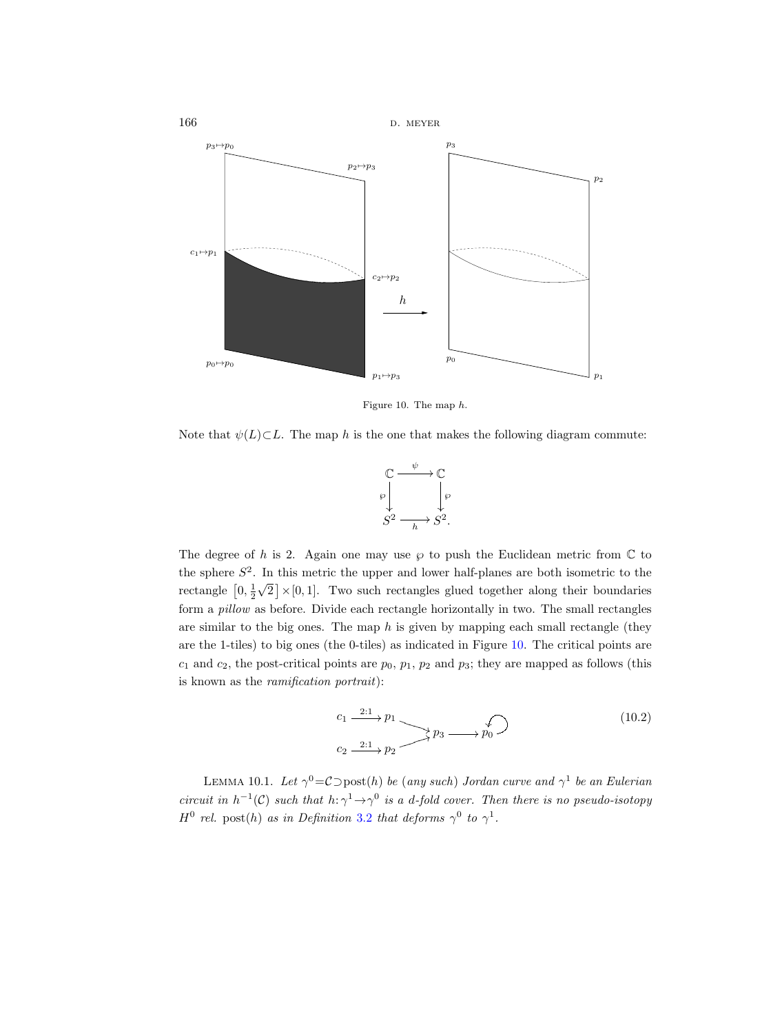

<span id="page-71-0"></span>Figure 10. The map h.

Note that  $\psi(L)\subset L$ . The map h is the one that makes the following diagram commute:



The degree of h is 2. Again one may use  $\wp$  to push the Euclidean metric from  $\mathbb C$  to the sphere  $S^2$ . In this metric the upper and lower half-planes are both isometric to the rectangle  $\left[0, \frac{1}{2}\right]$ √  $\{2 \} \times [0, 1]$ . Two such rectangles glued together along their boundaries form a pillow as before. Divide each rectangle horizontally in two. The small rectangles are similar to the big ones. The map  $h$  is given by mapping each small rectangle (they are the 1-tiles) to big ones (the 0-tiles) as indicated in Figure [10.](#page-71-0) The critical points are  $c_1$  and  $c_2$ , the post-critical points are  $p_0$ ,  $p_1$ ,  $p_2$  and  $p_3$ ; they are mapped as follows (this is known as the ramification portrait):

$$
c_1 \xrightarrow{2:1} p_1
$$
  
\n
$$
c_2 \xrightarrow{2:1} p_2
$$
  
\n
$$
p_3 \xrightarrow{f}
$$
  
\n
$$
p_0
$$
\n(10.2)

LEMMA 10.1. Let  $\gamma^0 = C \text{Dist}(h)$  be (any such) Jordan curve and  $\gamma^1$  be an Eulerian circuit in  $h^{-1}(\mathcal{C})$  such that  $h: \gamma^1 \to \gamma^0$  is a d-fold cover. Then there is no pseudo-isotopy  $H^0$  rel. post(h) as in Definition [3.2](#page-15-1) that deforms  $\gamma^0$  to  $\gamma^1$ .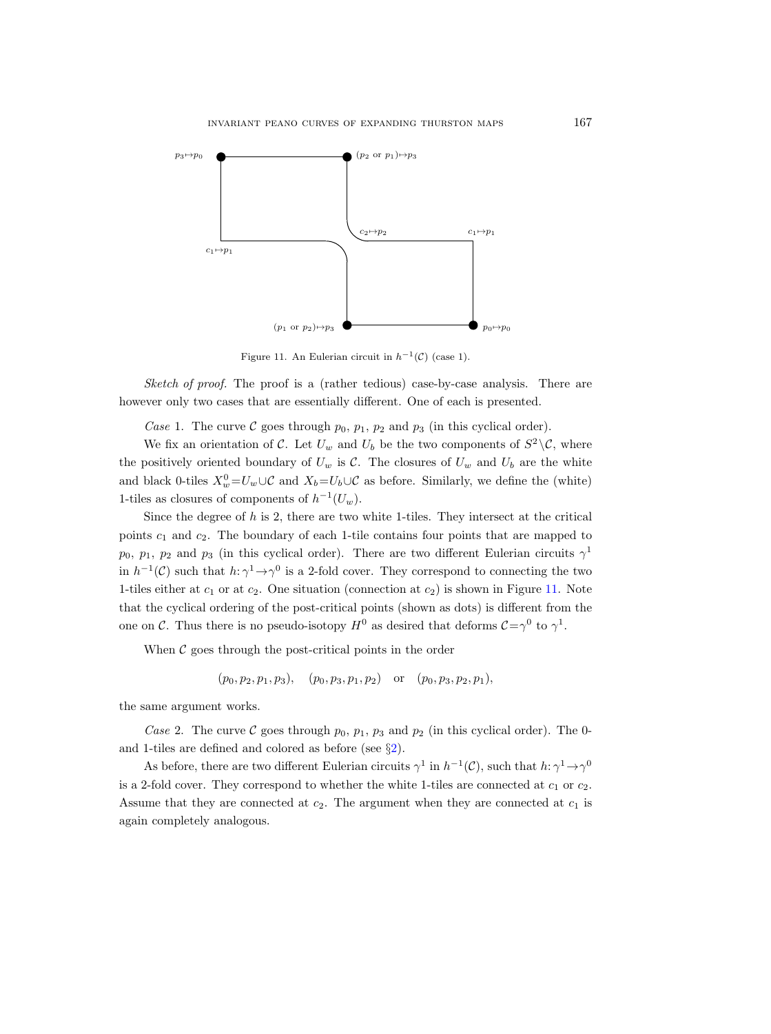

<span id="page-72-0"></span>Figure 11. An Eulerian circuit in  $h^{-1}(\mathcal{C})$  (case 1).

Sketch of proof. The proof is a (rather tedious) case-by-case analysis. There are however only two cases that are essentially different. One of each is presented.

Case 1. The curve C goes through  $p_0$ ,  $p_1$ ,  $p_2$  and  $p_3$  (in this cyclical order).

We fix an orientation of C. Let  $U_w$  and  $U_b$  be the two components of  $S^2 \backslash \mathcal{C}$ , where the positively oriented boundary of  $U_w$  is  $\mathcal{C}$ . The closures of  $U_w$  and  $U_b$  are the white and black 0-tiles  $X_w^0 = U_w \cup \mathcal{C}$  and  $X_b = U_b \cup \mathcal{C}$  as before. Similarly, we define the (white) 1-tiles as closures of components of  $h^{-1}(U_w)$ .

Since the degree of  $h$  is 2, there are two white 1-tiles. They intersect at the critical points  $c_1$  and  $c_2$ . The boundary of each 1-tile contains four points that are mapped to  $p_0, p_1, p_2$  and  $p_3$  (in this cyclical order). There are two different Eulerian circuits  $\gamma^1$ in  $h^{-1}(\mathcal{C})$  such that  $h: \gamma^1 \to \gamma^0$  is a 2-fold cover. They correspond to connecting the two 1-tiles either at  $c_1$  or at  $c_2$ . One situation (connection at  $c_2$ ) is shown in Figure [11.](#page-72-0) Note that the cyclical ordering of the post-critical points (shown as dots) is different from the one on C. Thus there is no pseudo-isotopy  $H^0$  as desired that deforms  $C=\gamma^0$  to  $\gamma^1$ .

When  $\mathcal C$  goes through the post-critical points in the order

$$
(p_0, p_2, p_1, p_3), (p_0, p_3, p_1, p_2)
$$
 or  $(p_0, p_3, p_2, p_1)$ ,

the same argument works.

Case 2. The curve C goes through  $p_0$ ,  $p_1$ ,  $p_3$  and  $p_2$  (in this cyclical order). The 0and 1-tiles are defined and colored as before (see §[2\)](#page-11-0).

As before, there are two different Eulerian circuits  $\gamma^1$  in  $h^{-1}(\mathcal{C})$ , such that  $h: \gamma^1 \to \gamma^0$ is a 2-fold cover. They correspond to whether the white 1-tiles are connected at  $c_1$  or  $c_2$ . Assume that they are connected at  $c_2$ . The argument when they are connected at  $c_1$  is again completely analogous.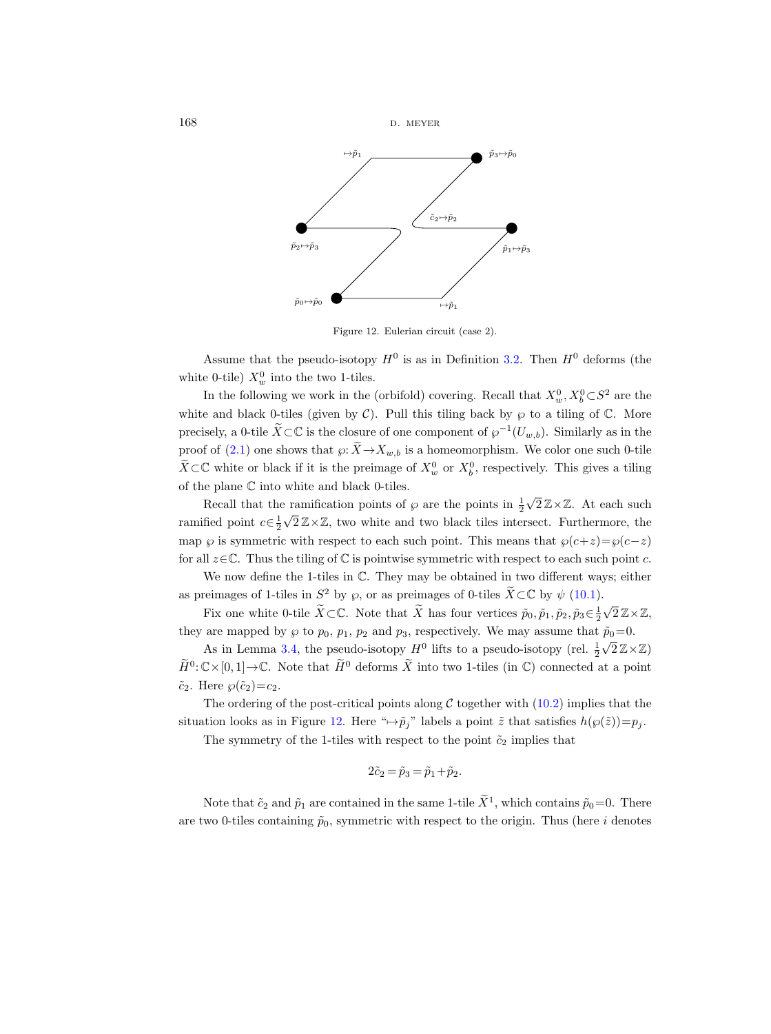

<span id="page-73-0"></span>Figure 12. Eulerian circuit (case 2).

Assume that the pseudo-isotopy  $H^0$  is as in Definition [3.2.](#page-15-0) Then  $H^0$  deforms (the white 0-tile)  $X_w^0$  into the two 1-tiles.

In the following we work in the (orbifold) covering. Recall that  $X_w^0, X_b^0 \subset S^2$  are the white and black 0-tiles (given by  $\mathcal{C}$ ). Pull this tiling back by  $\wp$  to a tiling of  $\mathbb{C}$ . More precisely, a 0-tile  $\widetilde{X} \subset \mathbb{C}$  is the closure of one component of  $\wp^{-1}(U_{w,b})$ . Similarly as in the proof of [\(2.1\)](#page-12-0) one shows that  $\varphi: \widetilde{X} \to X_{w,b}$  is a homeomorphism. We color one such 0-tile  $\widetilde{X} \subset \mathbb{C}$  white or black if it is the preimage of  $X_w^0$  or  $X_b^0$ , respectively. This gives a tiling of the plane  $\mathbb C$  into white and black 0-tiles.

Recall that the ramification points of  $\wp$  are the points in  $\frac{1}{2}$  $\sqrt{2}\mathbb{Z}\times\mathbb{Z}$ . At each such ramified point  $c \in \frac{1}{2}$  $\sqrt{2}\mathbb{Z}\times\mathbb{Z}$ , two white and two black tiles intersect. Furthermore, the  $\sqrt{2}\mathbb{Z}\times\mathbb{Z}$ , two white and two black tiles intersect. map  $\wp$  is symmetric with respect to each such point. This means that  $\wp(c+z)=\wp(c-z)$ for all  $z \in \mathbb{C}$ . Thus the tiling of  $\mathbb{C}$  is pointwise symmetric with respect to each such point c.

We now define the 1-tiles in  $\mathbb C$ . They may be obtained in two different ways; either as preimages of 1-tiles in  $S^2$  by  $\wp$ , or as preimages of 0-tiles  $\widetilde{X} \subset \mathbb{C}$  by  $\psi$  [\(10.1\)](#page-70-0).

Fix one white 0-tile  $\widetilde{X}\subset\mathbb{C}$ . Note that  $\widetilde{X}$  has four vertices  $\widetilde{p}_0, \widetilde{p}_1, \widetilde{p}_2, \widetilde{p}_3\in\frac{1}{2}$ .<br>√2Z×Z, they are mapped by  $\wp$  to  $p_0$ ,  $p_1$ ,  $p_2$  and  $p_3$ , respectively. We may assume that  $\tilde{p}_0=0$ .

As in Lemma [3.4,](#page-17-0) the pseudo-isotopy  $H^0$  lifts to a pseudo-isotopy (rel.  $\frac{1}{2}\sqrt{2}\mathbb{Z}\times\mathbb{Z}$ )  $\widetilde{H}^0$ :  $\mathbb{C}\times[0,1]\to\mathbb{C}$ . Note that  $\widetilde{H}^0$  deforms  $\widetilde{X}$  into two 1-tiles (in  $\mathbb{C}$ ) connected at a point  $\tilde{c}_2$ . Here  $\wp(\tilde{c}_2)=c_2$ .

The ordering of the post-critical points along  $C$  together with  $(10.2)$  implies that the situation looks as in Figure [12.](#page-73-0) Here " $\mapsto \tilde{p}_j$ " labels a point  $\tilde{z}$  that satisfies  $h(\wp(\tilde{z}))=p_j$ .

The symmetry of the 1-tiles with respect to the point  $\tilde{c}_2$  implies that

$$
2\tilde{c}_2 = \tilde{p}_3 = \tilde{p}_1 + \tilde{p}_2.
$$

Note that  $\tilde{c}_2$  and  $\tilde{p}_1$  are contained in the same 1-tile  $\tilde{X}^1$ , which contains  $\tilde{p}_0=0$ . There are two 0-tiles containing  $\tilde{p}_0$ , symmetric with respect to the origin. Thus (here i denotes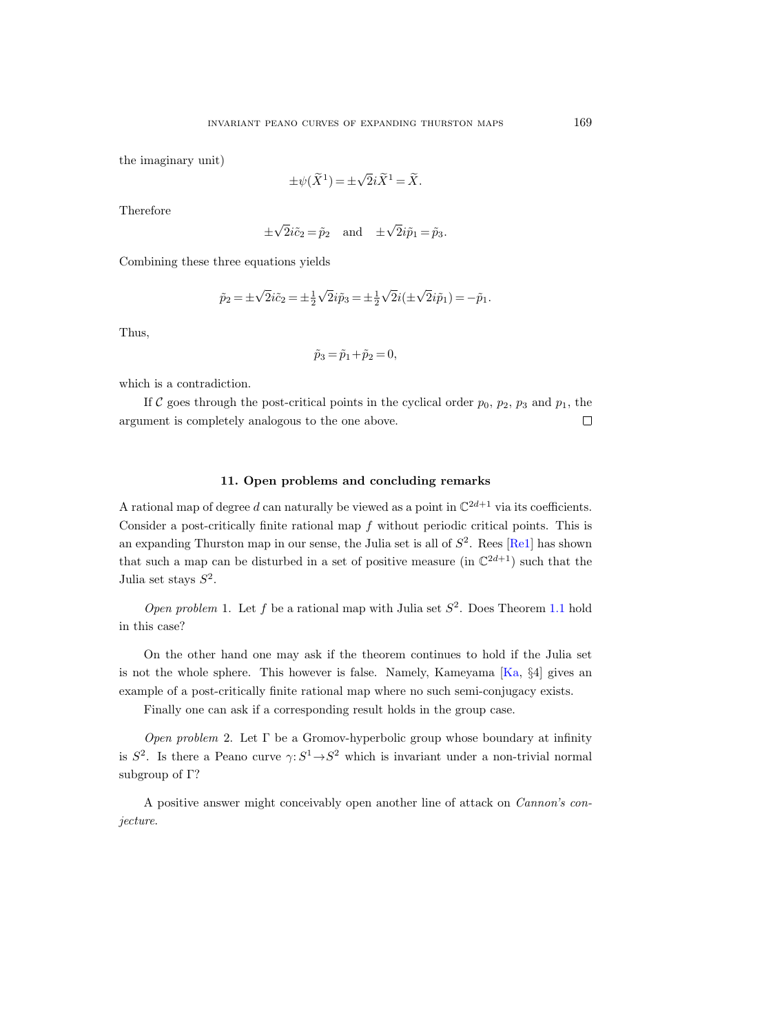the imaginary unit)

$$
\pm \psi(\widetilde{X}^1) = \pm \sqrt{2}i\widetilde{X}^1 = \widetilde{X}.
$$

Therefore

$$
\pm\sqrt{2}i\tilde{c}_2 = \tilde{p}_2
$$
 and  $\pm\sqrt{2}i\tilde{p}_1 = \tilde{p}_3$ .

Combining these three equations yields

$$
\tilde{p}_2 = \pm \sqrt{2}i\tilde{c}_2 = \pm \frac{1}{2}\sqrt{2}i\tilde{p}_3 = \pm \frac{1}{2}\sqrt{2}i(\pm \sqrt{2}i\tilde{p}_1) = -\tilde{p}_1.
$$

Thus,

$$
\tilde{p}_3 = \tilde{p}_1 + \tilde{p}_2 = 0,
$$

which is a contradiction.

If C goes through the post-critical points in the cyclical order  $p_0$ ,  $p_2$ ,  $p_3$  and  $p_1$ , the argument is completely analogous to the one above.  $\Box$ 

## 11. Open problems and concluding remarks

A rational map of degree d can naturally be viewed as a point in  $\mathbb{C}^{2d+1}$  via its coefficients. Consider a post-critically finite rational map f without periodic critical points. This is an expanding Thurston map in our sense, the Julia set is all of  $S^2$ . Rees [\[Re1\]](#page-76-0) has shown that such a map can be disturbed in a set of positive measure (in  $\mathbb{C}^{2d+1}$ ) such that the Julia set stays  $S^2$ .

Open problem 1. Let f be a rational map with Julia set  $S^2$ . Does Theorem [1.1](#page-1-0) hold in this case?

On the other hand one may ask if the theorem continues to hold if the Julia set is not the whole sphere. This however is false. Namely, Kameyama [\[Ka,](#page-75-0) §4] gives an example of a post-critically finite rational map where no such semi-conjugacy exists.

Finally one can ask if a corresponding result holds in the group case.

*Open problem* 2. Let  $\Gamma$  be a Gromov-hyperbolic group whose boundary at infinity is  $S^2$ . Is there a Peano curve  $\gamma: S^1 \to S^2$  which is invariant under a non-trivial normal subgroup of Γ?

A positive answer might conceivably open another line of attack on Cannon's conjecture.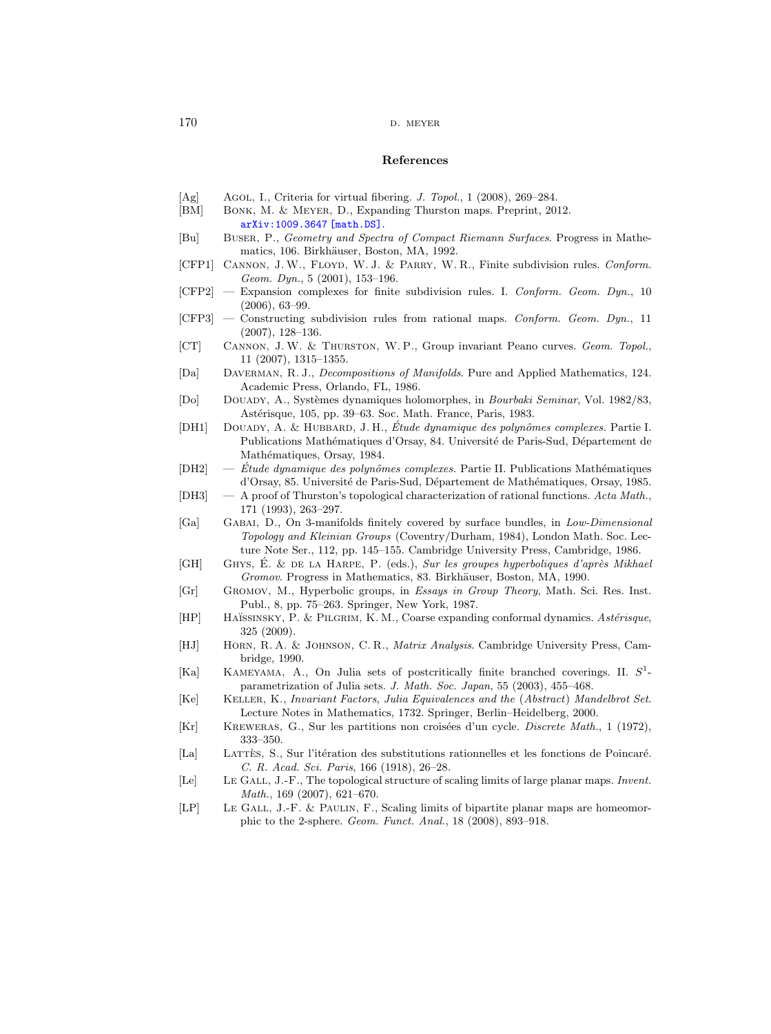## References

- [Ag] Agol, I., Criteria for virtual fibering. *J. Topol.*, 1 (2008), 269–284.
- [BM] Bonk, M. & Meyer, D., Expanding Thurston maps. Preprint, 2012. [arXiv:1009.3647 \[math.DS\]](http://arxiv.org/abs/1009.3647).
- [Bu] Buser, P., Geometry and Spectra of Compact Riemann Surfaces. Progress in Mathematics, 106. Birkhäuser, Boston, MA, 1992.
- [CFP1] CANNON, J.W., FLOYD, W.J. & PARRY, W.R., Finite subdivision rules. Conform. Geom. Dyn., 5 (2001), 153–196.
- $[CFP2]$  Expansion complexes for finite subdivision rules. I. Conform. Geom. Dyn., 10 (2006), 63–99.
- [CFP3] Constructing subdivision rules from rational maps. Conform. Geom. Dyn., 11 (2007), 128–136.
- [CT] Cannon, J. W. & Thurston, W. P., Group invariant Peano curves. Geom. Topol., 11 (2007), 1315–1355.
- [Da] DAVERMAN, R. J., *Decompositions of Manifolds*. Pure and Applied Mathematics, 124. Academic Press, Orlando, FL, 1986.
- [Do] Douady, A., Syst`emes dynamiques holomorphes, in Bourbaki Seminar, Vol. 1982/83, Astérisque, 105, pp. 39–63. Soc. Math. France, Paris, 1983.
- [DH1] DOUADY, A. & HUBBARD, J. H., Étude dynamique des polynômes complexes. Partie I. Publications Mathématiques d'Orsay, 84. Université de Paris-Sud, Département de Mathématiques, Orsay, 1984.
- $[DH2] \quad \quad Étude \; dynamic \; des \; polymômes \; complexes.$  Partie II. Publications Mathématiques d'Orsay, 85. Université de Paris-Sud, Département de Mathématiques, Orsay, 1985.
- [DH3]  $A$  proof of Thurston's topological characterization of rational functions. Acta Math., 171 (1993), 263–297.
- [Ga] Gabai, D., On 3-manifolds finitely covered by surface bundles, in Low-Dimensional Topology and Kleinian Groups (Coventry/Durham, 1984), London Math. Soc. Lecture Note Ser., 112, pp. 145–155. Cambridge University Press, Cambridge, 1986.
- [GH] GHYS, É. & DE LA HARPE, P.  $(eds.)$ , Sur les groupes hyperboliques d'après Mikhael Gromov. Progress in Mathematics, 83. Birkhäuser, Boston, MA, 1990.
- [Gr] Gromov, M., Hyperbolic groups, in Essays in Group Theory, Math. Sci. Res. Inst. Publ., 8, pp. 75–263. Springer, New York, 1987.
- [HP] HAÏSSINSKY, P. & PILGRIM, K. M., Coarse expanding conformal dynamics. Astérisque, 325 (2009).
- [HJ] Horn, R. A. & Johnson, C. R., Matrix Analysis. Cambridge University Press, Cambridge, 1990.
- <span id="page-75-0"></span>[Ka] KAMEYAMA, A., On Julia sets of postcritically finite branched coverings. II.  $S^1$ parametrization of Julia sets. J. Math. Soc. Japan, 55 (2003), 455–468.
- [Ke] Keller, K., Invariant Factors, Julia Equivalences and the (Abstract) Mandelbrot Set. Lecture Notes in Mathematics, 1732. Springer, Berlin–Heidelberg, 2000.
- [Kr] KREWERAS, G., Sur les partitions non croisées d'un cycle. *Discrete Math.*, 1 (1972), 333–350.
- [La] LATTÈS, S., Sur l'itération des substitutions rationnelles et les fonctions de Poincaré. C. R. Acad. Sci. Paris, 166 (1918), 26–28.
- [Le] Le GALL, J.-F., The topological structure of scaling limits of large planar maps. Invent. Math., 169 (2007), 621–670.
- [LP] LE GALL, J.-F. & PAULIN, F., Scaling limits of bipartite planar maps are homeomorphic to the 2-sphere. Geom. Funct. Anal., 18 (2008), 893–918.